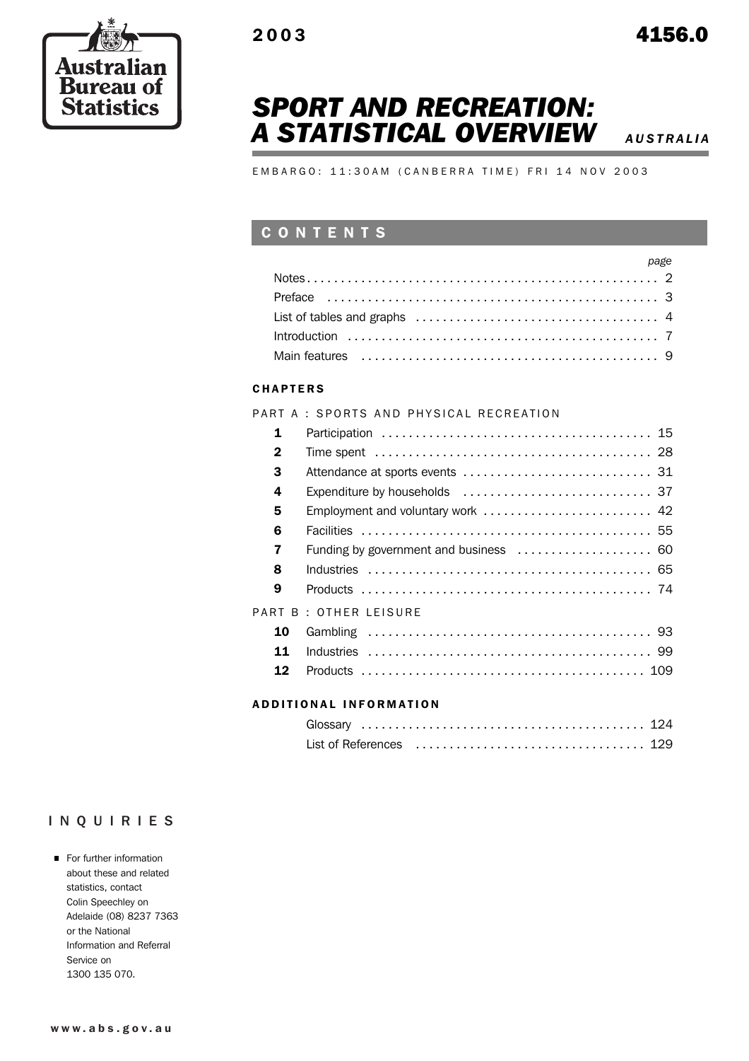

# *SPORT AND RECREATION:* **A STATISTICAL OVERVIEW** *AUSTRALIA*

EMBARGO: 11:30AM (CANBERRA TIME) FRI 14 NOV 2003

## C O N T E N T S

| page |  |
|------|--|
|      |  |
|      |  |
|      |  |
|      |  |
|      |  |

### **CHAPTERS**

### PART A : SPORTS AND PHYSICAL RECREATION

| 1           |                                   |
|-------------|-----------------------------------|
| $\mathbf 2$ |                                   |
| 3           |                                   |
| 4           |                                   |
| 5           | Employment and voluntary work  42 |
| 6           |                                   |
| 7           |                                   |
| 8           |                                   |
| 9           |                                   |
|             | PART B : OTHER LEISURE            |
| 10          |                                   |
| 11          |                                   |
| 12          |                                   |

### ADDITIONAL INFORMATION

## INQUIRIES

**For further information** about these and related statistics, contact Colin Speechley on Adelaide (08) 8237 7363 or the National Information and Referral Service on 1300 135 070.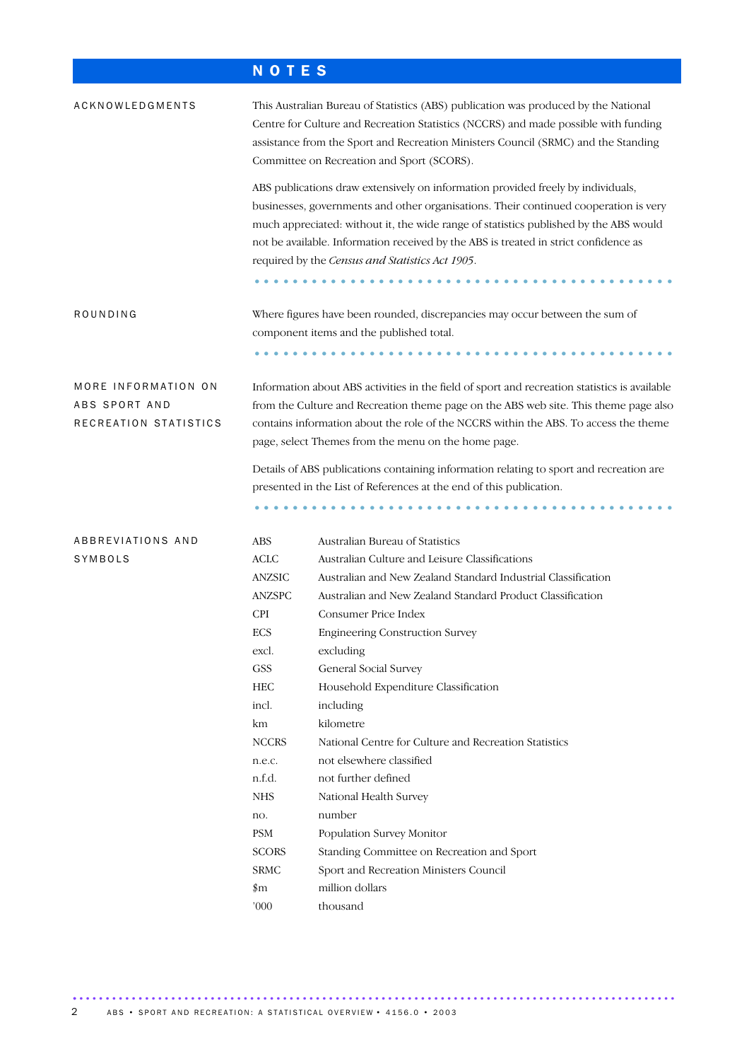# N O T E S

| ACKNOWLEDGMENTS                                               | This Australian Bureau of Statistics (ABS) publication was produced by the National<br>Centre for Culture and Recreation Statistics (NCCRS) and made possible with funding<br>assistance from the Sport and Recreation Ministers Council (SRMC) and the Standing<br>Committee on Recreation and Sport (SCORS).                                                                                               |                                                                                                                                                                                                                                                                                                                                      |  |  |  |  |
|---------------------------------------------------------------|--------------------------------------------------------------------------------------------------------------------------------------------------------------------------------------------------------------------------------------------------------------------------------------------------------------------------------------------------------------------------------------------------------------|--------------------------------------------------------------------------------------------------------------------------------------------------------------------------------------------------------------------------------------------------------------------------------------------------------------------------------------|--|--|--|--|
|                                                               | ABS publications draw extensively on information provided freely by individuals,<br>businesses, governments and other organisations. Their continued cooperation is very<br>much appreciated: without it, the wide range of statistics published by the ABS would<br>not be available. Information received by the ABS is treated in strict confidence as<br>required by the Census and Statistics Act 1905. |                                                                                                                                                                                                                                                                                                                                      |  |  |  |  |
| ROUNDING                                                      |                                                                                                                                                                                                                                                                                                                                                                                                              | Where figures have been rounded, discrepancies may occur between the sum of<br>component items and the published total.                                                                                                                                                                                                              |  |  |  |  |
| MORE INFORMATION ON<br>ABS SPORT AND<br>RECREATION STATISTICS |                                                                                                                                                                                                                                                                                                                                                                                                              | Information about ABS activities in the field of sport and recreation statistics is available<br>from the Culture and Recreation theme page on the ABS web site. This theme page also<br>contains information about the role of the NCCRS within the ABS. To access the theme<br>page, select Themes from the menu on the home page. |  |  |  |  |
|                                                               |                                                                                                                                                                                                                                                                                                                                                                                                              | Details of ABS publications containing information relating to sport and recreation are<br>presented in the List of References at the end of this publication.                                                                                                                                                                       |  |  |  |  |
|                                                               |                                                                                                                                                                                                                                                                                                                                                                                                              |                                                                                                                                                                                                                                                                                                                                      |  |  |  |  |
| ABBREVIATIONS AND<br>SYMBOLS                                  | <b>ABS</b><br><b>ACLC</b>                                                                                                                                                                                                                                                                                                                                                                                    | Australian Bureau of Statistics<br>Australian Culture and Leisure Classifications                                                                                                                                                                                                                                                    |  |  |  |  |
|                                                               | <b>ANZSIC</b><br><b>ANZSPC</b><br><b>CPI</b>                                                                                                                                                                                                                                                                                                                                                                 | Australian and New Zealand Standard Industrial Classification<br>Australian and New Zealand Standard Product Classification<br>Consumer Price Index                                                                                                                                                                                  |  |  |  |  |
|                                                               | <b>ECS</b><br>excl.                                                                                                                                                                                                                                                                                                                                                                                          | <b>Engineering Construction Survey</b><br>excluding                                                                                                                                                                                                                                                                                  |  |  |  |  |
|                                                               | GSS<br><b>HEC</b><br>incl.                                                                                                                                                                                                                                                                                                                                                                                   | General Social Survey<br>Household Expenditure Classification<br>including                                                                                                                                                                                                                                                           |  |  |  |  |
|                                                               | km<br><b>NCCRS</b>                                                                                                                                                                                                                                                                                                                                                                                           | kilometre<br>National Centre for Culture and Recreation Statistics                                                                                                                                                                                                                                                                   |  |  |  |  |
|                                                               | n.e.c.<br>n.f.d.                                                                                                                                                                                                                                                                                                                                                                                             | not elsewhere classified<br>not further defined                                                                                                                                                                                                                                                                                      |  |  |  |  |
|                                                               | <b>NHS</b><br>no.                                                                                                                                                                                                                                                                                                                                                                                            | National Health Survey<br>number                                                                                                                                                                                                                                                                                                     |  |  |  |  |
|                                                               | <b>PSM</b>                                                                                                                                                                                                                                                                                                                                                                                                   | Population Survey Monitor                                                                                                                                                                                                                                                                                                            |  |  |  |  |
|                                                               | <b>SCORS</b>                                                                                                                                                                                                                                                                                                                                                                                                 | Standing Committee on Recreation and Sport                                                                                                                                                                                                                                                                                           |  |  |  |  |
|                                                               | <b>SRMC</b>                                                                                                                                                                                                                                                                                                                                                                                                  | Sport and Recreation Ministers Council                                                                                                                                                                                                                                                                                               |  |  |  |  |
|                                                               | $\sin$                                                                                                                                                                                                                                                                                                                                                                                                       | million dollars                                                                                                                                                                                                                                                                                                                      |  |  |  |  |
|                                                               | '000'                                                                                                                                                                                                                                                                                                                                                                                                        | thousand                                                                                                                                                                                                                                                                                                                             |  |  |  |  |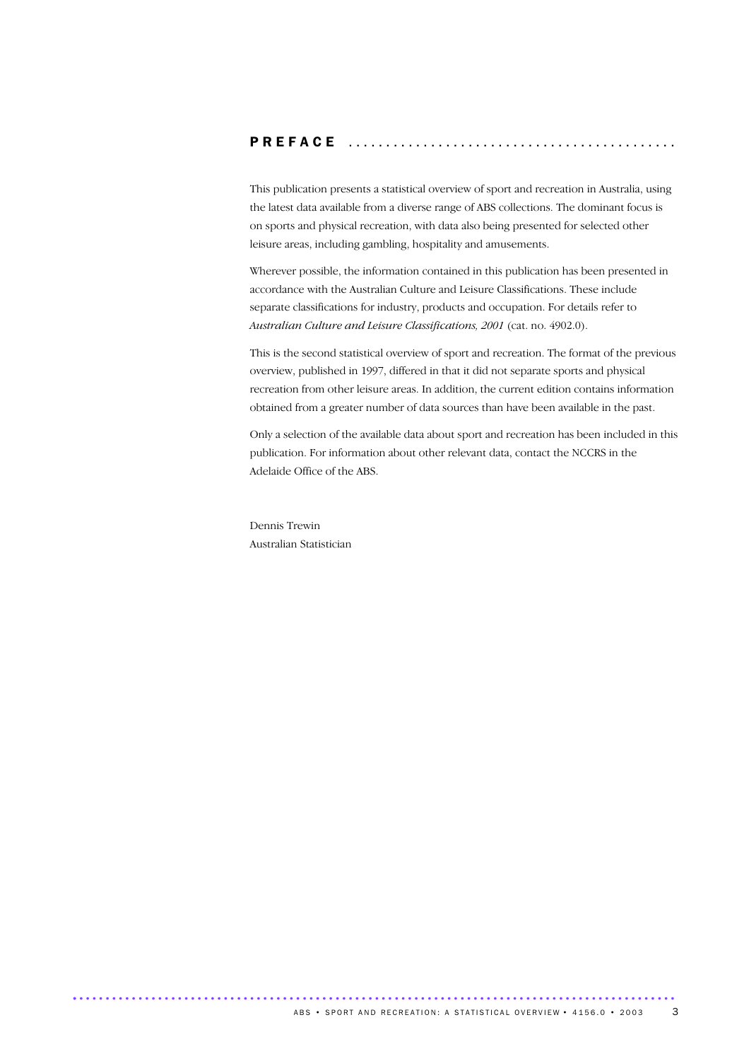## P R E F A C E ............................................

This publication presents a statistical overview of sport and recreation in Australia, using the latest data available from a diverse range of ABS collections. The dominant focus is on sports and physical recreation, with data also being presented for selected other leisure areas, including gambling, hospitality and amusements.

Wherever possible, the information contained in this publication has been presented in accordance with the Australian Culture and Leisure Classifications. These include separate classifications for industry, products and occupation. For details refer to *Australian Culture and Leisure Classifications, 2001* (cat. no. 4902.0).

This is the second statistical overview of sport and recreation. The format of the previous overview, published in 1997, differed in that it did not separate sports and physical recreation from other leisure areas. In addition, the current edition contains information obtained from a greater number of data sources than have been available in the past.

Only a selection of the available data about sport and recreation has been included in this publication. For information about other relevant data, contact the NCCRS in the Adelaide Office of the ABS.

Dennis Trewin Australian Statistician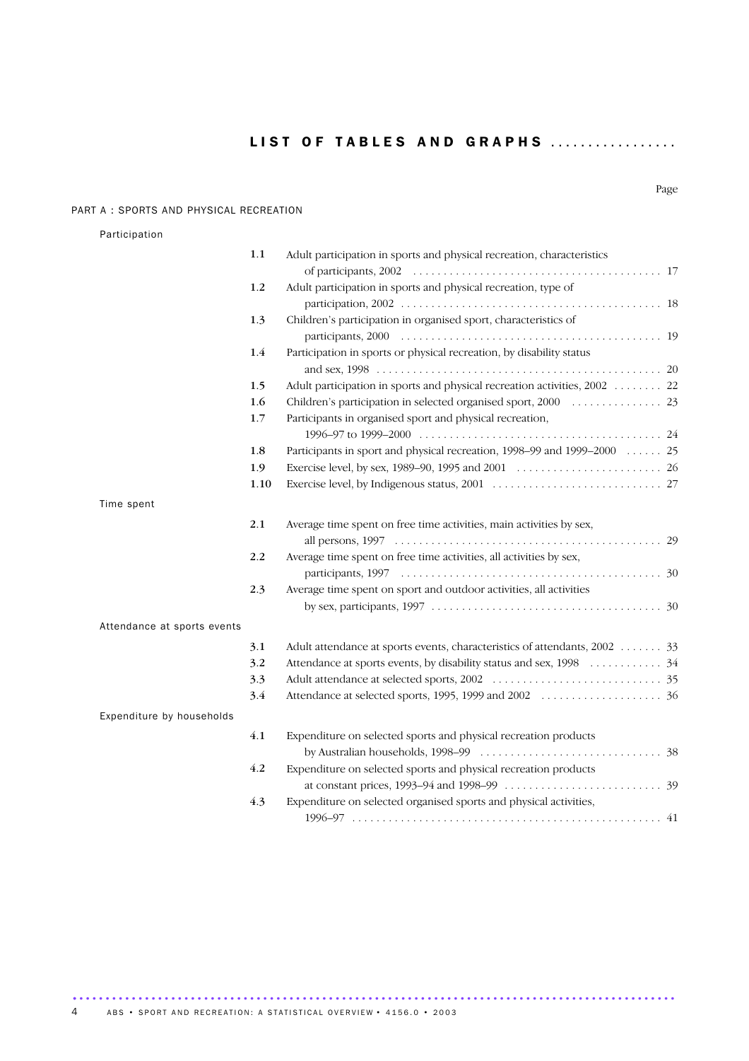LIST OF TABLES AND GRAPHS .................

### PART A : SPORTS AND PHYSICAL RECREATION

Participation

|                             | 1.1  | Adult participation in sports and physical recreation, characteristics     |
|-----------------------------|------|----------------------------------------------------------------------------|
|                             | 1.2  | Adult participation in sports and physical recreation, type of             |
|                             |      |                                                                            |
|                             | 1.3  | Children's participation in organised sport, characteristics of            |
|                             |      |                                                                            |
|                             | 1.4  | Participation in sports or physical recreation, by disability status       |
|                             |      |                                                                            |
|                             | 1.5  | Adult participation in sports and physical recreation activities, 2002  22 |
|                             | 1.6  |                                                                            |
|                             | 1.7  | Participants in organised sport and physical recreation,                   |
|                             |      |                                                                            |
|                             | 1.8  | Participants in sport and physical recreation, 1998–99 and 1999–2000 25    |
|                             | 1.9  |                                                                            |
|                             | 1.10 |                                                                            |
| Time spent                  |      |                                                                            |
|                             | 2.1  | Average time spent on free time activities, main activities by sex,        |
|                             |      |                                                                            |
|                             | 2.2  | Average time spent on free time activities, all activities by sex,         |
|                             |      |                                                                            |
|                             | 2.3  | Average time spent on sport and outdoor activities, all activities         |
|                             |      |                                                                            |
| Attendance at sports events |      |                                                                            |
|                             | 3.1  | Adult attendance at sports events, characteristics of attendants, 2002 33  |
|                             | 3.2  | Attendance at sports events, by disability status and sex, 1998 34         |
|                             | 3.3  |                                                                            |
|                             | 3.4  |                                                                            |
| Expenditure by households   |      |                                                                            |
|                             | 4.1  | Expenditure on selected sports and physical recreation products            |
|                             |      |                                                                            |
|                             | 4.2  | Expenditure on selected sports and physical recreation products            |
|                             |      |                                                                            |
|                             | 4.3  | Expenditure on selected organised sports and physical activities,          |
|                             |      |                                                                            |

Page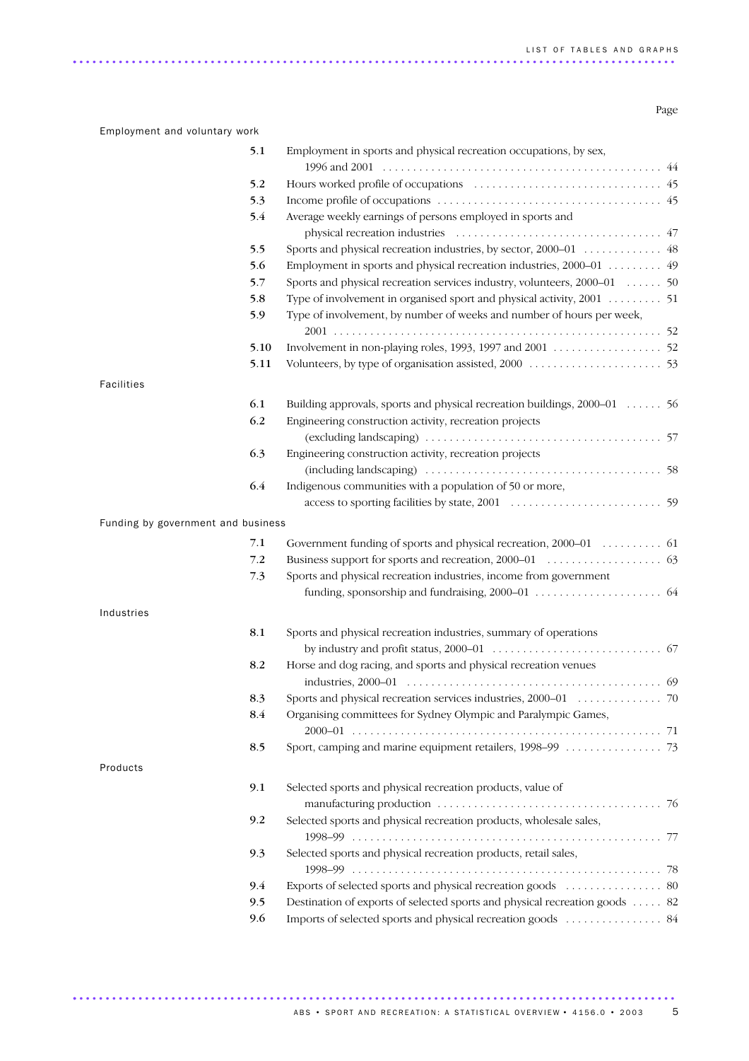### Page

| Employment and voluntary work      |      |                                                                                        |  |
|------------------------------------|------|----------------------------------------------------------------------------------------|--|
|                                    | 5.1  | Employment in sports and physical recreation occupations, by sex,                      |  |
|                                    | 5.2  |                                                                                        |  |
|                                    | 5.3  |                                                                                        |  |
|                                    | 5.4  | Average weekly earnings of persons employed in sports and                              |  |
|                                    | 5.5  | Sports and physical recreation industries, by sector, 2000–01 48                       |  |
|                                    | 5.6  | Employment in sports and physical recreation industries, 2000-01  49                   |  |
|                                    | 5.7  | Sports and physical recreation services industry, volunteers, 2000–01  50              |  |
|                                    | 5.8  | Type of involvement in organised sport and physical activity, 2001 51                  |  |
|                                    | 5.9  | Type of involvement, by number of weeks and number of hours per week,                  |  |
|                                    | 5.10 | Involvement in non-playing roles, 1993, 1997 and 2001 $\ldots \ldots \ldots \ldots$ 52 |  |
|                                    | 5.11 |                                                                                        |  |
| <b>Facilities</b>                  |      |                                                                                        |  |
|                                    |      |                                                                                        |  |
|                                    | 6.1  | Building approvals, sports and physical recreation buildings, 2000-01  56              |  |
|                                    | 6.2  | Engineering construction activity, recreation projects                                 |  |
|                                    |      |                                                                                        |  |
|                                    | 6.3  | Engineering construction activity, recreation projects                                 |  |
|                                    |      | $(including \nland \n    scaling) \n     \n     \n     \n     \n    58$                |  |
|                                    | 6.4  | Indigenous communities with a population of 50 or more,                                |  |
|                                    |      |                                                                                        |  |
| Funding by government and business |      |                                                                                        |  |
|                                    | 7.1  | Government funding of sports and physical recreation, 2000-01  61                      |  |
|                                    | 7.2  |                                                                                        |  |
|                                    | 7.3  | Sports and physical recreation industries, income from government                      |  |
|                                    |      |                                                                                        |  |
| Industries                         |      |                                                                                        |  |
|                                    | 8.1  | Sports and physical recreation industries, summary of operations                       |  |
|                                    |      |                                                                                        |  |
|                                    | 8.2  | Horse and dog racing, and sports and physical recreation venues                        |  |
|                                    |      |                                                                                        |  |
|                                    | 8.3  |                                                                                        |  |
|                                    | 8.4  | Organising committees for Sydney Olympic and Paralympic Games,                         |  |
|                                    |      |                                                                                        |  |
|                                    | 8.5  |                                                                                        |  |
| Products                           |      |                                                                                        |  |
|                                    | 9.1  |                                                                                        |  |
|                                    |      | Selected sports and physical recreation products, value of                             |  |
|                                    | 9.2  | Selected sports and physical recreation products, wholesale sales,                     |  |
|                                    |      |                                                                                        |  |
|                                    | 9.3  | Selected sports and physical recreation products, retail sales,                        |  |
|                                    |      |                                                                                        |  |
|                                    | 9.4  |                                                                                        |  |
|                                    | 9.5  | Destination of exports of selected sports and physical recreation goods  82            |  |
|                                    | 9.6  |                                                                                        |  |
|                                    |      |                                                                                        |  |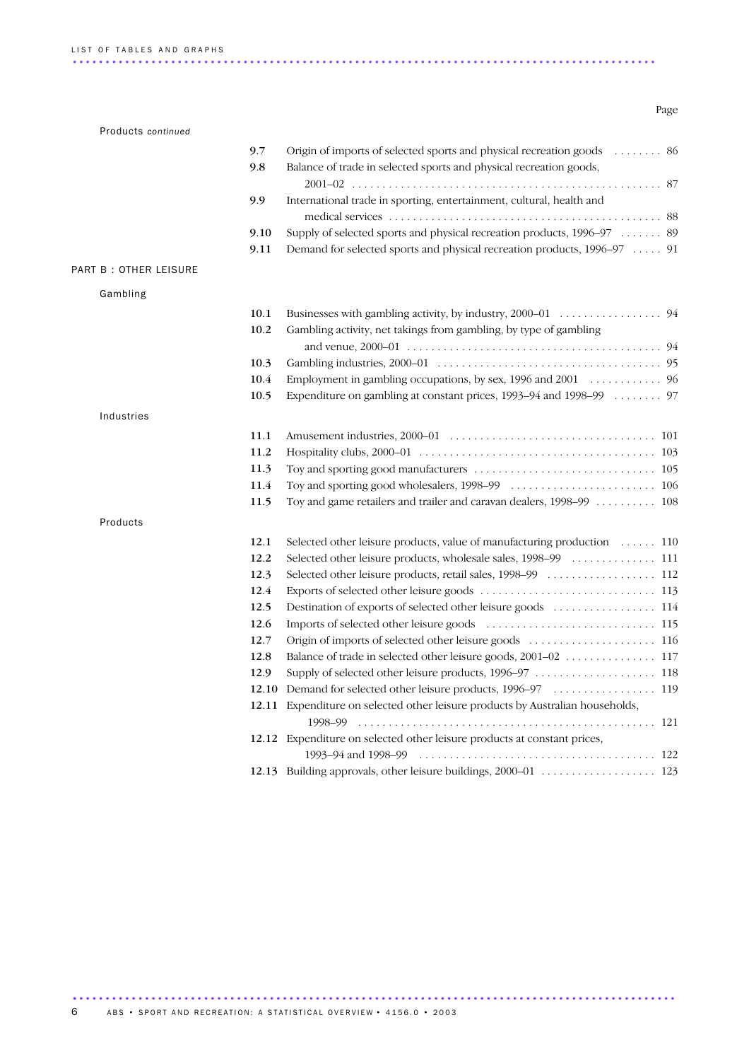### LIST OF TABLES AND GRAPHS .........................................................................................

| Products continued     |            |                                                                                                                                             |
|------------------------|------------|---------------------------------------------------------------------------------------------------------------------------------------------|
|                        | 9.7<br>9.8 | Origin of imports of selected sports and physical recreation goods 86<br>Balance of trade in selected sports and physical recreation goods, |
|                        | 9.9        | International trade in sporting, entertainment, cultural, health and                                                                        |
|                        |            |                                                                                                                                             |
|                        | 9.10       | Supply of selected sports and physical recreation products, 1996–97 89                                                                      |
|                        | 9.11       | Demand for selected sports and physical recreation products, 1996–97 91                                                                     |
| PART B : OTHER LEISURE |            |                                                                                                                                             |
| Gambling               |            |                                                                                                                                             |
|                        | 10.1       |                                                                                                                                             |
|                        | $10.2\,$   | Gambling activity, net takings from gambling, by type of gambling                                                                           |
|                        | 10.3       |                                                                                                                                             |
|                        | 10.4       |                                                                                                                                             |
|                        | 10.5       | Expenditure on gambling at constant prices, 1993–94 and 1998–99  97                                                                         |
| Industries             |            |                                                                                                                                             |
|                        | 11.1       |                                                                                                                                             |
|                        | 11.2       |                                                                                                                                             |
|                        | 11.3       |                                                                                                                                             |
|                        | 11.4       |                                                                                                                                             |
|                        | 11.5       | Toy and game retailers and trailer and caravan dealers, 1998–99  108                                                                        |
| Products               |            |                                                                                                                                             |
|                        | 12.1       | Selected other leisure products, value of manufacturing production  110                                                                     |
|                        | 12.2       |                                                                                                                                             |
|                        | 12.3       |                                                                                                                                             |
|                        | 12.4       |                                                                                                                                             |
|                        | 12.5       |                                                                                                                                             |
|                        | 12.6       |                                                                                                                                             |
|                        | 12.7       |                                                                                                                                             |
|                        | 12.8       |                                                                                                                                             |
|                        | 12.9       |                                                                                                                                             |
|                        | 12.10      |                                                                                                                                             |
|                        |            | 12.11 Expenditure on selected other leisure products by Australian households,<br>1998–99                                                   |
|                        |            | 12.12 Expenditure on selected other leisure products at constant prices,                                                                    |
|                        |            |                                                                                                                                             |
|                        |            |                                                                                                                                             |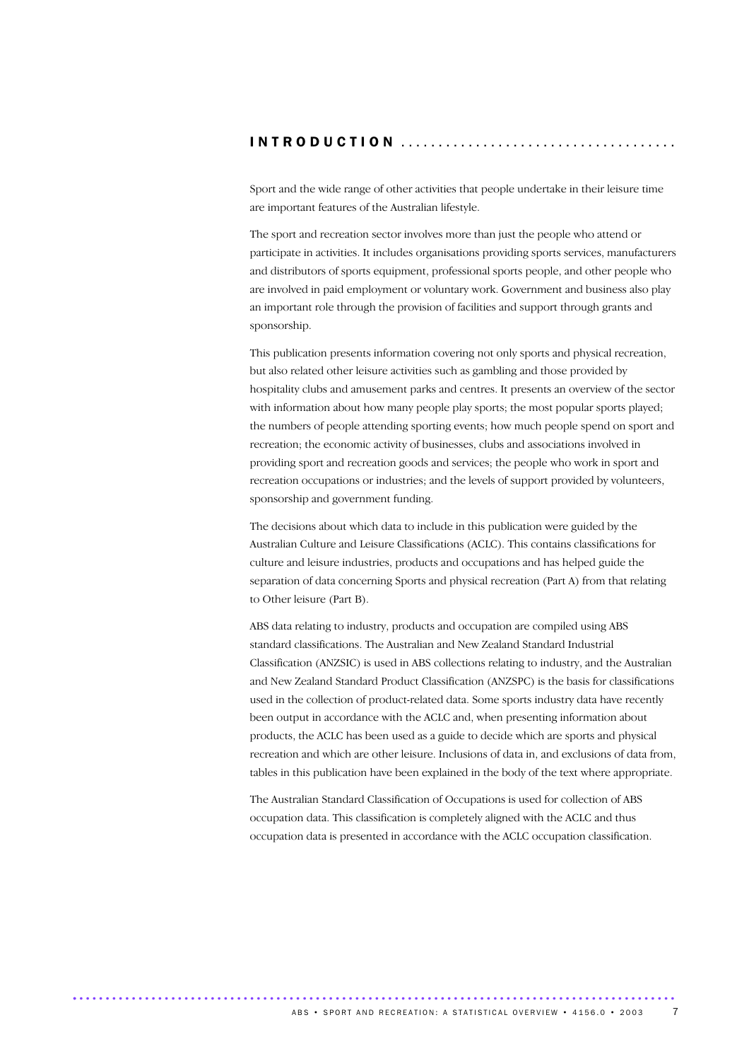### I N T R O D U C T I O N .....................................

Sport and the wide range of other activities that people undertake in their leisure time are important features of the Australian lifestyle.

The sport and recreation sector involves more than just the people who attend or participate in activities. It includes organisations providing sports services, manufacturers and distributors of sports equipment, professional sports people, and other people who are involved in paid employment or voluntary work. Government and business also play an important role through the provision of facilities and support through grants and sponsorship.

This publication presents information covering not only sports and physical recreation, but also related other leisure activities such as gambling and those provided by hospitality clubs and amusement parks and centres. It presents an overview of the sector with information about how many people play sports; the most popular sports played; the numbers of people attending sporting events; how much people spend on sport and recreation; the economic activity of businesses, clubs and associations involved in providing sport and recreation goods and services; the people who work in sport and recreation occupations or industries; and the levels of support provided by volunteers, sponsorship and government funding.

The decisions about which data to include in this publication were guided by the Australian Culture and Leisure Classifications (ACLC). This contains classifications for culture and leisure industries, products and occupations and has helped guide the separation of data concerning Sports and physical recreation (Part A) from that relating to Other leisure (Part B).

ABS data relating to industry, products and occupation are compiled using ABS standard classifications. The Australian and New Zealand Standard Industrial Classification (ANZSIC) is used in ABS collections relating to industry, and the Australian and New Zealand Standard Product Classification (ANZSPC) is the basis for classifications used in the collection of product-related data. Some sports industry data have recently been output in accordance with the ACLC and, when presenting information about products, the ACLC has been used as a guide to decide which are sports and physical recreation and which are other leisure. Inclusions of data in, and exclusions of data from, tables in this publication have been explained in the body of the text where appropriate.

The Australian Standard Classification of Occupations is used for collection of ABS occupation data. This classification is completely aligned with the ACLC and thus occupation data is presented in accordance with the ACLC occupation classification.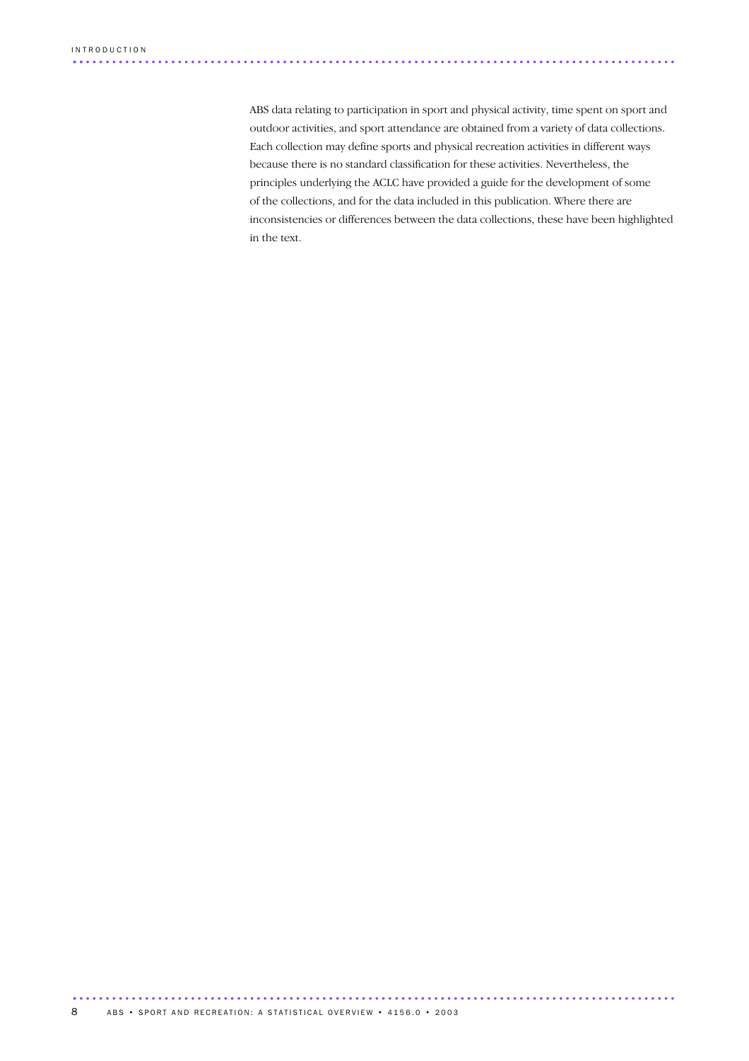ABS data relating to participation in sport and physical activity, time spent on sport and outdoor activities, and sport attendance are obtained from a variety of data collections. Each collection may define sports and physical recreation activities in different ways because there is no standard classification for these activities. Nevertheless, the principles underlying the ACLC have provided a guide for the development of some of the collections, and for the data included in this publication. Where there are inconsistencies or differences between the data collections, these have been highlighted in the text.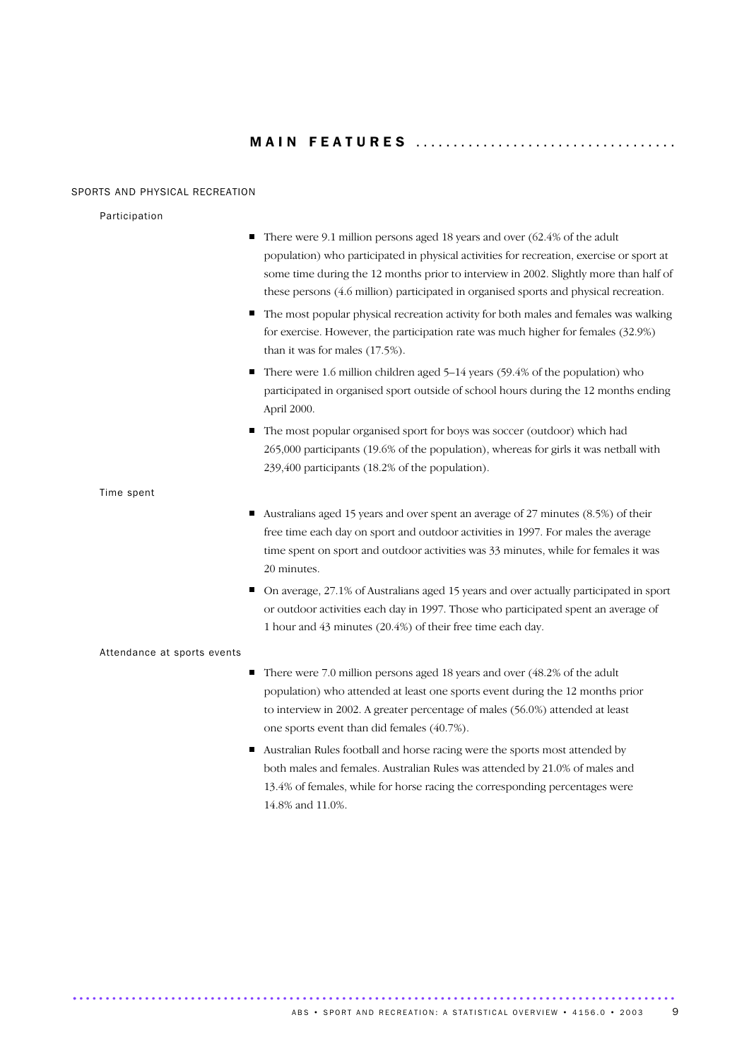### M A I N F E A T U R E S ...................................

### SPORTS AND PHYSICAL RECREATION

Participation

- There were 9.1 million persons aged 18 years and over (62.4% of the adult population) who participated in physical activities for recreation, exercise or sport at some time during the 12 months prior to interview in 2002. Slightly more than half of these persons (4.6 million) participated in organised sports and physical recreation.
- The most popular physical recreation activity for both males and females was walking for exercise. However, the participation rate was much higher for females (32.9%) than it was for males (17.5%).
- There were 1.6 million children aged  $5-14$  years (59.4% of the population) who participated in organised sport outside of school hours during the 12 months ending April 2000.
- The most popular organised sport for boys was soccer (outdoor) which had 265,000 participants (19.6% of the population), whereas for girls it was netball with 239,400 participants (18.2% of the population).

Time spent

- Australians aged 15 years and over spent an average of 27 minutes  $(8.5%)$  of their free time each day on sport and outdoor activities in 1997. For males the average time spent on sport and outdoor activities was 33 minutes, while for females it was 20 minutes.
- On average, 27.1% of Australians aged 15 years and over actually participated in sport or outdoor activities each day in 1997. Those who participated spent an average of 1 hour and 43 minutes (20.4%) of their free time each day.

Attendance at sports events

- There were 7.0 million persons aged 18 years and over (48.2% of the adult population) who attended at least one sports event during the 12 months prior to interview in 2002. A greater percentage of males (56.0%) attended at least one sports event than did females (40.7%).
- Australian Rules football and horse racing were the sports most attended by both males and females. Australian Rules was attended by 21.0% of males and 13.4% of females, while for horse racing the corresponding percentages were 14.8% and 11.0%.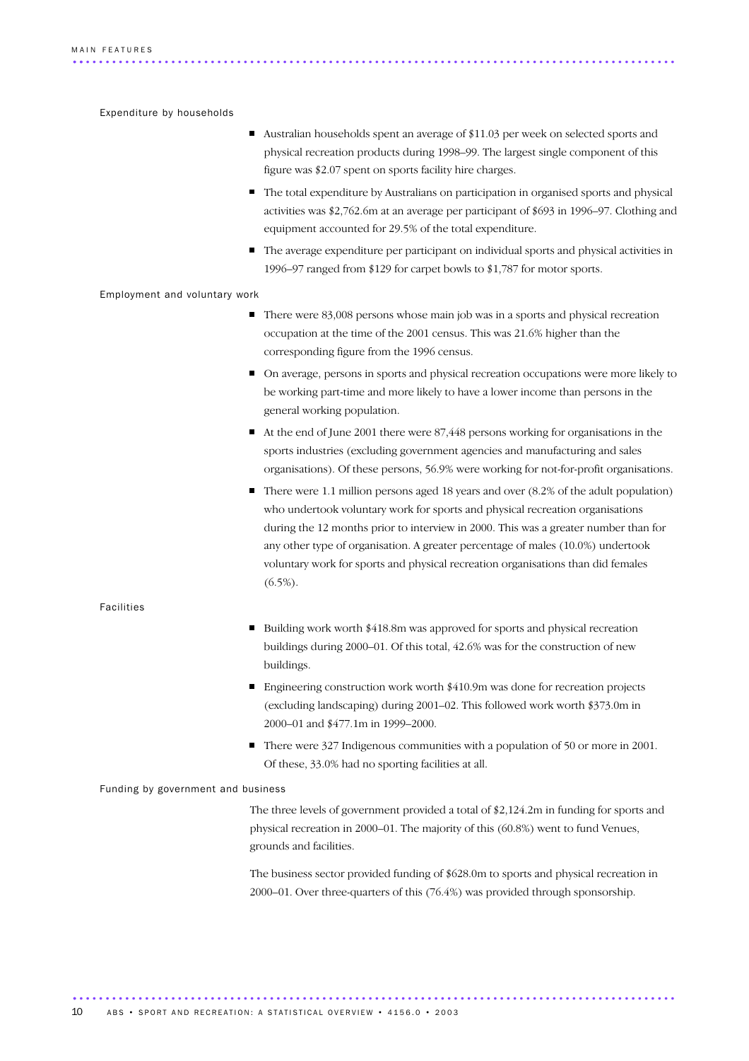Expenditure by households

- Australian households spent an average of \$11.03 per week on selected sports and physical recreation products during 1998–99. The largest single component of this figure was \$2.07 spent on sports facility hire charges.
- The total expenditure by Australians on participation in organised sports and physical activities was \$2,762.6m at an average per participant of \$693 in 1996–97. Clothing and equipment accounted for 29.5% of the total expenditure.
- The average expenditure per participant on individual sports and physical activities in 1996–97 ranged from \$129 for carpet bowls to \$1,787 for motor sports.

Employment and voluntary work

- There were 83,008 persons whose main job was in a sports and physical recreation occupation at the time of the 2001 census. This was 21.6% higher than the corresponding figure from the 1996 census.
- On average, persons in sports and physical recreation occupations were more likely to be working part-time and more likely to have a lower income than persons in the general working population.
- At the end of June 2001 there were 87,448 persons working for organisations in the sports industries (excluding government agencies and manufacturing and sales organisations). Of these persons, 56.9% were working for not-for-profit organisations.
- There were 1.1 million persons aged 18 years and over  $(8.2\%$  of the adult population) who undertook voluntary work for sports and physical recreation organisations during the 12 months prior to interview in 2000. This was a greater number than for any other type of organisation. A greater percentage of males (10.0%) undertook voluntary work for sports and physical recreation organisations than did females  $(6.5\%).$

### Facilities

- Building work worth \$418.8m was approved for sports and physical recreation buildings during 2000–01. Of this total, 42.6% was for the construction of new buildings.
- Engineering construction work worth \$410.9m was done for recreation projects (excluding landscaping) during 2001–02. This followed work worth \$373.0m in 2000–01 and \$477.1m in 1999–2000.
- There were 327 Indigenous communities with a population of 50 or more in 2001. Of these, 33.0% had no sporting facilities at all.

### Funding by government and business

The three levels of government provided a total of \$2,124.2m in funding for sports and physical recreation in 2000–01. The majority of this (60.8%) went to fund Venues, grounds and facilities.

The business sector provided funding of \$628.0m to sports and physical recreation in 2000–01. Over three-quarters of this (76.4%) was provided through sponsorship.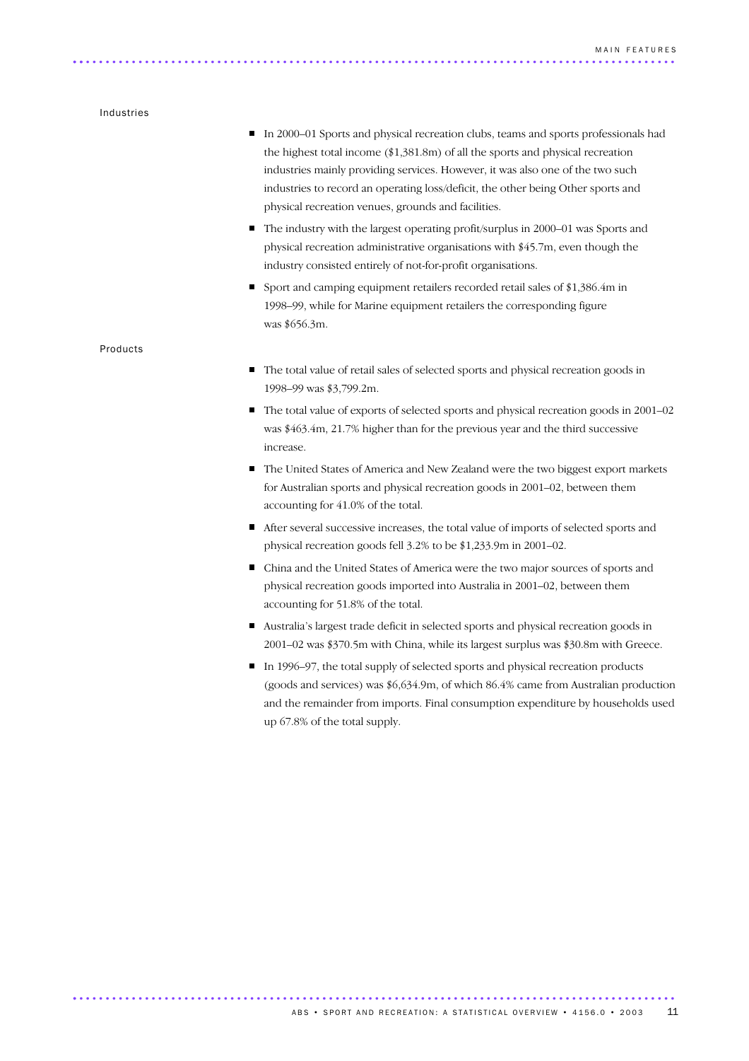### Industries

- $\blacksquare$  In 2000–01 Sports and physical recreation clubs, teams and sports professionals had the highest total income (\$1,381.8m) of all the sports and physical recreation industries mainly providing services. However, it was also one of the two such industries to record an operating loss/deficit, the other being Other sports and physical recreation venues, grounds and facilities.
- $\blacksquare$  The industry with the largest operating profit/surplus in 2000–01 was Sports and physical recreation administrative organisations with \$45.7m, even though the industry consisted entirely of not-for-profit organisations.
- Sport and camping equipment retailers recorded retail sales of \$1,386.4m in 1998–99, while for Marine equipment retailers the corresponding figure was \$656.3m.

### Products

- The total value of retail sales of selected sports and physical recreation goods in 1998–99 was \$3,799.2m.
- $\blacksquare$  The total value of exports of selected sports and physical recreation goods in 2001–02 was \$463.4m, 21.7% higher than for the previous year and the third successive increase.
- The United States of America and New Zealand were the two biggest export markets for Australian sports and physical recreation goods in 2001–02, between them accounting for 41.0% of the total.
- After several successive increases, the total value of imports of selected sports and physical recreation goods fell 3.2% to be \$1,233.9m in 2001–02.
- China and the United States of America were the two major sources of sports and physical recreation goods imported into Australia in 2001–02, between them accounting for 51.8% of the total.
- Australia's largest trade deficit in selected sports and physical recreation goods in 2001–02 was \$370.5m with China, while its largest surplus was \$30.8m with Greece.
- In 1996–97, the total supply of selected sports and physical recreation products (goods and services) was \$6,634.9m, of which 86.4% came from Australian production and the remainder from imports. Final consumption expenditure by households used up 67.8% of the total supply.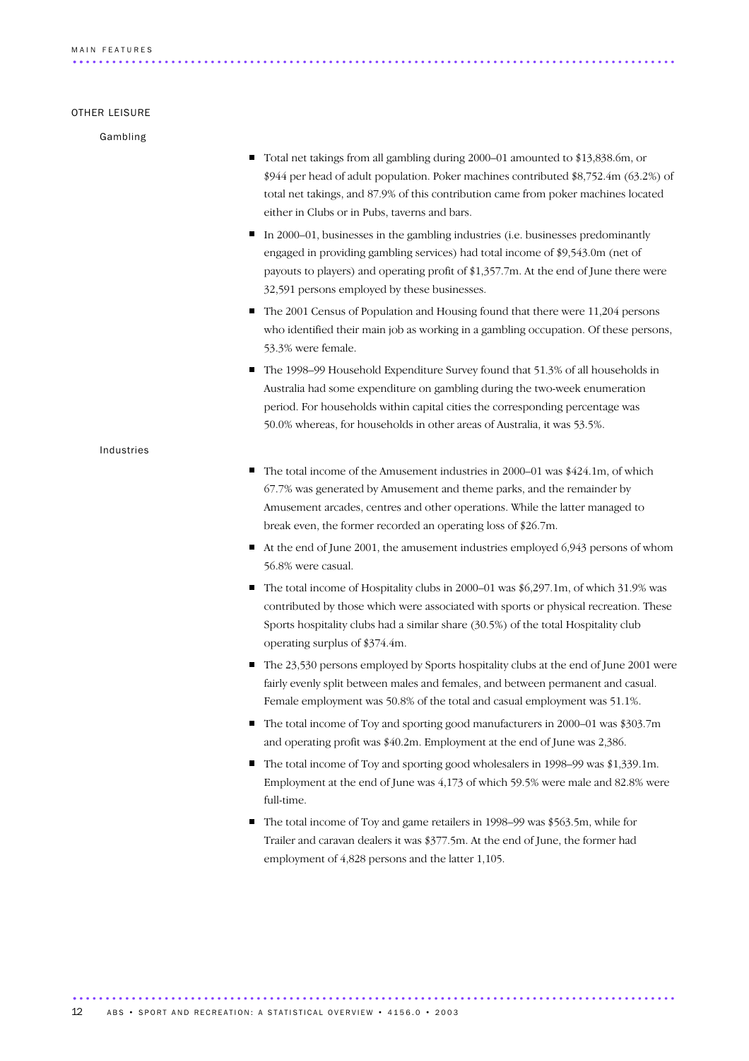### OTHER LEISURE

Gambling

Industries

- Total net takings from all gambling during 2000–01 amounted to \$13,838.6m, or \$944 per head of adult population. Poker machines contributed \$8,752.4m (63.2%) of total net takings, and 87.9% of this contribution came from poker machines located either in Clubs or in Pubs, taverns and bars.
- In 2000–01, businesses in the gambling industries (i.e. businesses predominantly engaged in providing gambling services) had total income of \$9,543.0m (net of payouts to players) and operating profit of \$1,357.7m. At the end of June there were 32,591 persons employed by these businesses.
- The 2001 Census of Population and Housing found that there were 11,204 persons who identified their main job as working in a gambling occupation. Of these persons, 53.3% were female.
- The 1998–99 Household Expenditure Survey found that 51.3% of all households in Australia had some expenditure on gambling during the two-week enumeration period. For households within capital cities the corresponding percentage was 50.0% whereas, for households in other areas of Australia, it was 53.5%.
- The total income of the Amusement industries in 2000–01 was  $$424.1m$ , of which 67.7% was generated by Amusement and theme parks, and the remainder by Amusement arcades, centres and other operations. While the latter managed to break even, the former recorded an operating loss of \$26.7m.
- $\blacksquare$  At the end of June 2001, the amusement industries employed 6,943 persons of whom 56.8% were casual.
- The total income of Hospitality clubs in 2000–01 was  $$6,297.1m$ , of which 31.9% was contributed by those which were associated with sports or physical recreation. These Sports hospitality clubs had a similar share (30.5%) of the total Hospitality club operating surplus of \$374.4m.
- $\blacksquare$  The 23,530 persons employed by Sports hospitality clubs at the end of June 2001 were fairly evenly split between males and females, and between permanent and casual. Female employment was 50.8% of the total and casual employment was 51.1%.
- The total income of Toy and sporting good manufacturers in 2000–01 was \$303.7m and operating profit was \$40.2m. Employment at the end of June was 2,386.
- The total income of Toy and sporting good wholesalers in 1998–99 was \$1,339.1m. Employment at the end of June was 4,173 of which 59.5% were male and 82.8% were full-time.
- The total income of Toy and game retailers in 1998–99 was \$563.5m, while for Trailer and caravan dealers it was \$377.5m. At the end of June, the former had employment of 4,828 persons and the latter 1,105.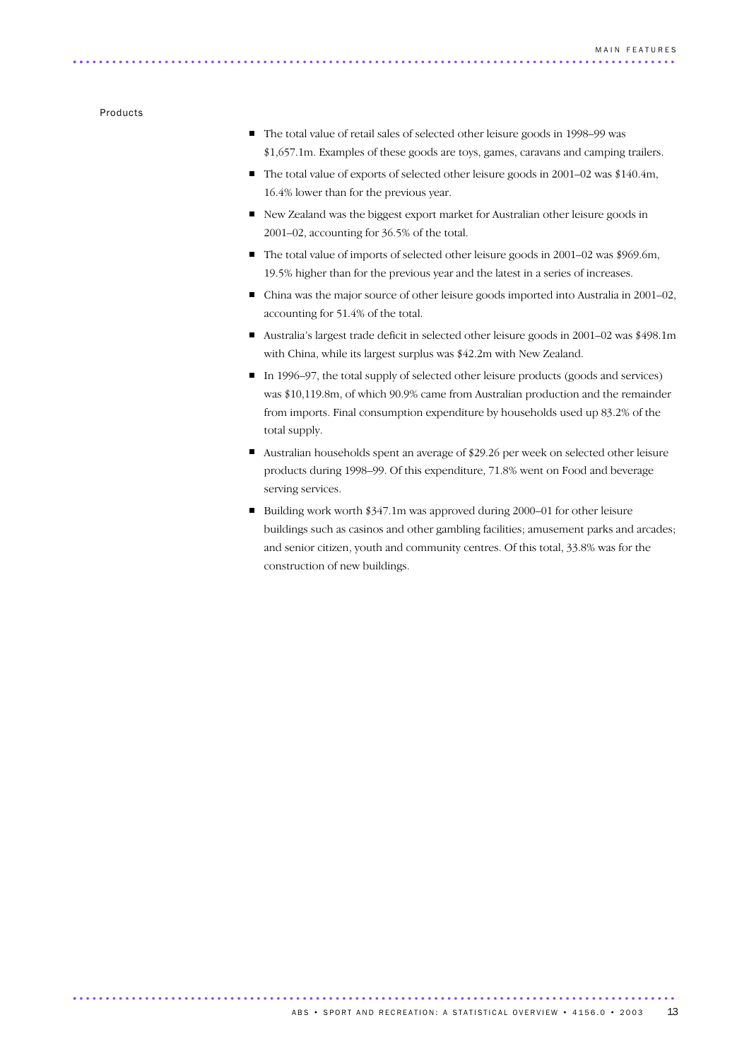Products

- The total value of retail sales of selected other leisure goods in 1998–99 was \$1,657.1m. Examples of these goods are toys, games, caravans and camping trailers.
- The total value of exports of selected other leisure goods in 2001–02 was \$140.4m, 16.4% lower than for the previous year.
- New Zealand was the biggest export market for Australian other leisure goods in 2001–02, accounting for 36.5% of the total.
- The total value of imports of selected other leisure goods in 2001–02 was \$969.6m, 19.5% higher than for the previous year and the latest in a series of increases.
- China was the major source of other leisure goods imported into Australia in 2001–02, accounting for 51.4% of the total.
- Australia's largest trade deficit in selected other leisure goods in 2001–02 was \$498.1m with China, while its largest surplus was \$42.2m with New Zealand.
- In 1996–97, the total supply of selected other leisure products (goods and services) was \$10,119.8m, of which 90.9% came from Australian production and the remainder from imports. Final consumption expenditure by households used up 83.2% of the total supply.
- Australian households spent an average of \$29.26 per week on selected other leisure products during 1998–99. Of this expenditure, 71.8% went on Food and beverage serving services.
- Building work worth \$347.1m was approved during 2000–01 for other leisure buildings such as casinos and other gambling facilities; amusement parks and arcades; and senior citizen, youth and community centres. Of this total, 33.8% was for the construction of new buildings.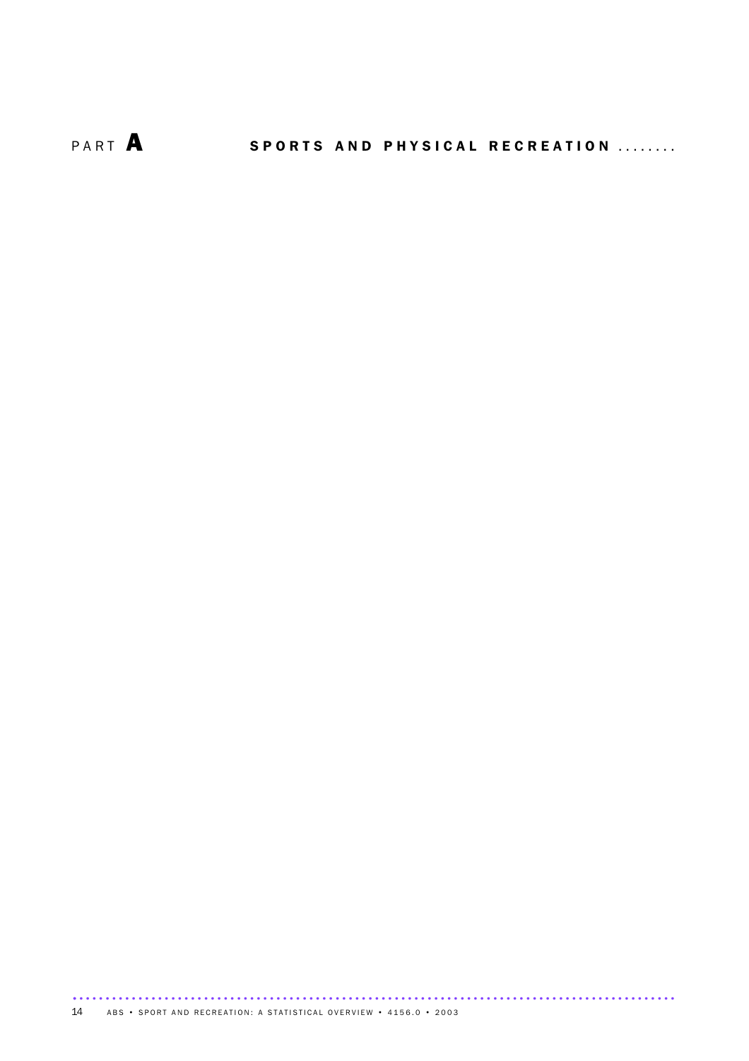PART **A** SPORTS AND PHYSICAL RECREATION ........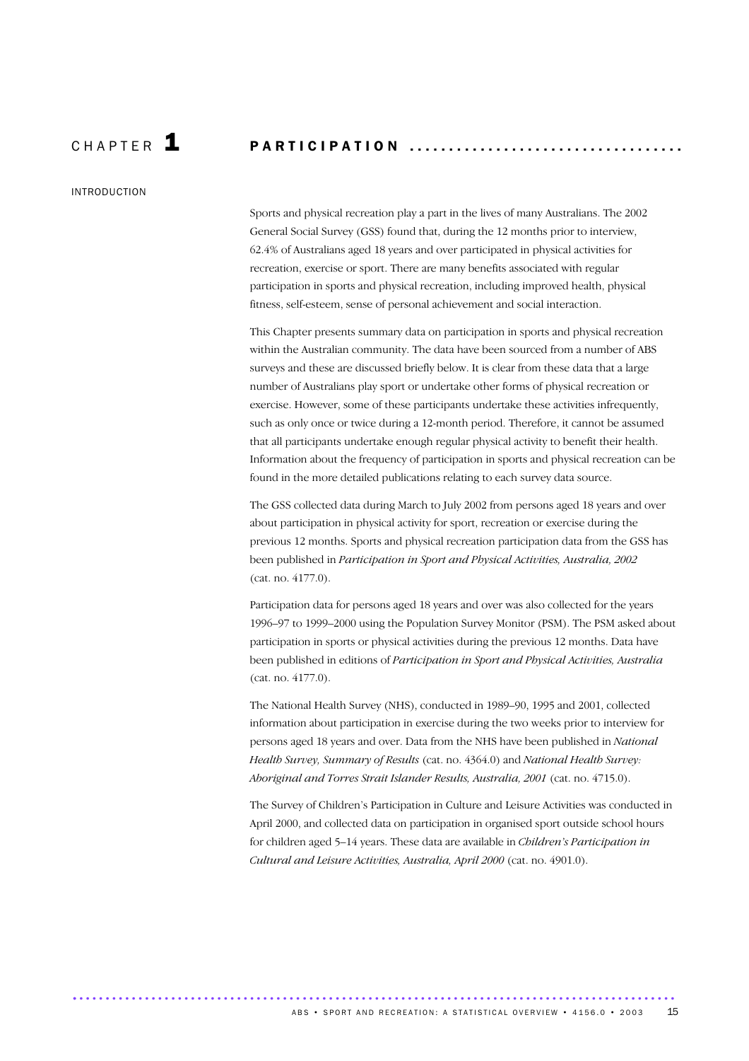# C H A P T E R 1 P A R T I C I P A T I O N . . . . . . . . . . . . . . . . . . . . . . . . . . . . . . . . . . .

INTRODUCTION

Sports and physical recreation play a part in the lives of many Australians. The 2002 General Social Survey (GSS) found that, during the 12 months prior to interview, 62.4% of Australians aged 18 years and over participated in physical activities for recreation, exercise or sport. There are many benefits associated with regular participation in sports and physical recreation, including improved health, physical fitness, self-esteem, sense of personal achievement and social interaction.

This Chapter presents summary data on participation in sports and physical recreation within the Australian community. The data have been sourced from a number of ABS surveys and these are discussed briefly below. It is clear from these data that a large number of Australians play sport or undertake other forms of physical recreation or exercise. However, some of these participants undertake these activities infrequently, such as only once or twice during a 12-month period. Therefore, it cannot be assumed that all participants undertake enough regular physical activity to benefit their health. Information about the frequency of participation in sports and physical recreation can be found in the more detailed publications relating to each survey data source.

The GSS collected data during March to July 2002 from persons aged 18 years and over about participation in physical activity for sport, recreation or exercise during the previous 12 months. Sports and physical recreation participation data from the GSS has been published in *Participation in Sport and Physical Activities, Australia, 2002* (cat. no. 4177.0).

Participation data for persons aged 18 years and over was also collected for the years 1996–97 to 1999–2000 using the Population Survey Monitor (PSM). The PSM asked about participation in sports or physical activities during the previous 12 months. Data have been published in editions of *Participation in Sport and Physical Activities, Australia* (cat. no. 4177.0).

The National Health Survey (NHS), conducted in 1989–90, 1995 and 2001, collected information about participation in exercise during the two weeks prior to interview for persons aged 18 years and over. Data from the NHS have been published in *National Health Survey, Summary of Results* (cat. no. 4364.0) and *National Health Survey: Aboriginal and Torres Strait Islander Results, Australia, 2001* (cat. no. 4715.0).

The Survey of Children's Participation in Culture and Leisure Activities was conducted in April 2000, and collected data on participation in organised sport outside school hours for children aged 5–14 years. These data are available in *Children's Participation in Cultural and Leisure Activities, Australia, April 2000* (cat. no. 4901.0).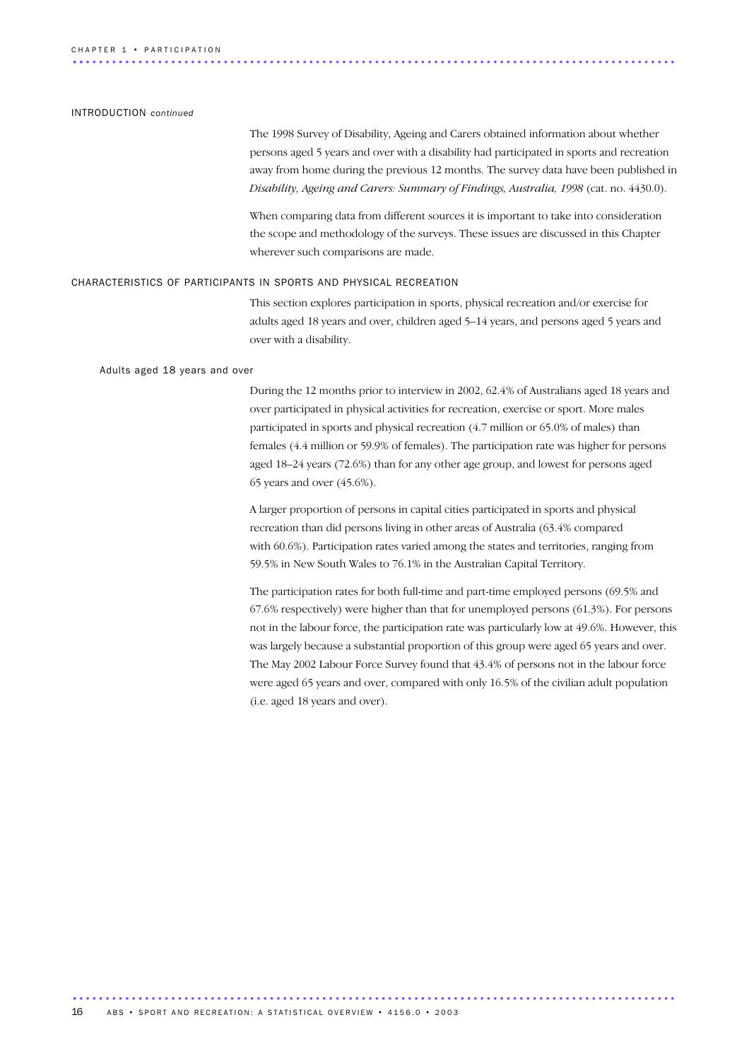### INTRODUCTION *continued*

The 1998 Survey of Disability, Ageing and Carers obtained information about whether persons aged 5 years and over with a disability had participated in sports and recreation away from home during the previous 12 months. The survey data have been published in *Disability, Ageing and Carers: Summary of Findings, Australia, 1998* (cat. no. 4430.0).

When comparing data from different sources it is important to take into consideration the scope and methodology of the surveys. These issues are discussed in this Chapter wherever such comparisons are made.

### CHARACTERISTICS OF PARTICIPANTS IN SPORTS AND PHYSICAL RECREATION

This section explores participation in sports, physical recreation and/or exercise for adults aged 18 years and over, children aged 5–14 years, and persons aged 5 years and over with a disability.

### Adults aged 18 years and over

During the 12 months prior to interview in 2002, 62.4% of Australians aged 18 years and over participated in physical activities for recreation, exercise or sport. More males participated in sports and physical recreation (4.7 million or 65.0% of males) than females (4.4 million or 59.9% of females). The participation rate was higher for persons aged 18–24 years (72.6%) than for any other age group, and lowest for persons aged 65 years and over (45.6%).

A larger proportion of persons in capital cities participated in sports and physical recreation than did persons living in other areas of Australia (63.4% compared with 60.6%). Participation rates varied among the states and territories, ranging from 59.5% in New South Wales to 76.1% in the Australian Capital Territory.

The participation rates for both full-time and part-time employed persons (69.5% and 67.6% respectively) were higher than that for unemployed persons (61.3%). For persons not in the labour force, the participation rate was particularly low at 49.6%. However, this was largely because a substantial proportion of this group were aged 65 years and over. The May 2002 Labour Force Survey found that 43.4% of persons not in the labour force were aged 65 years and over, compared with only 16.5% of the civilian adult population (i.e. aged 18 years and over).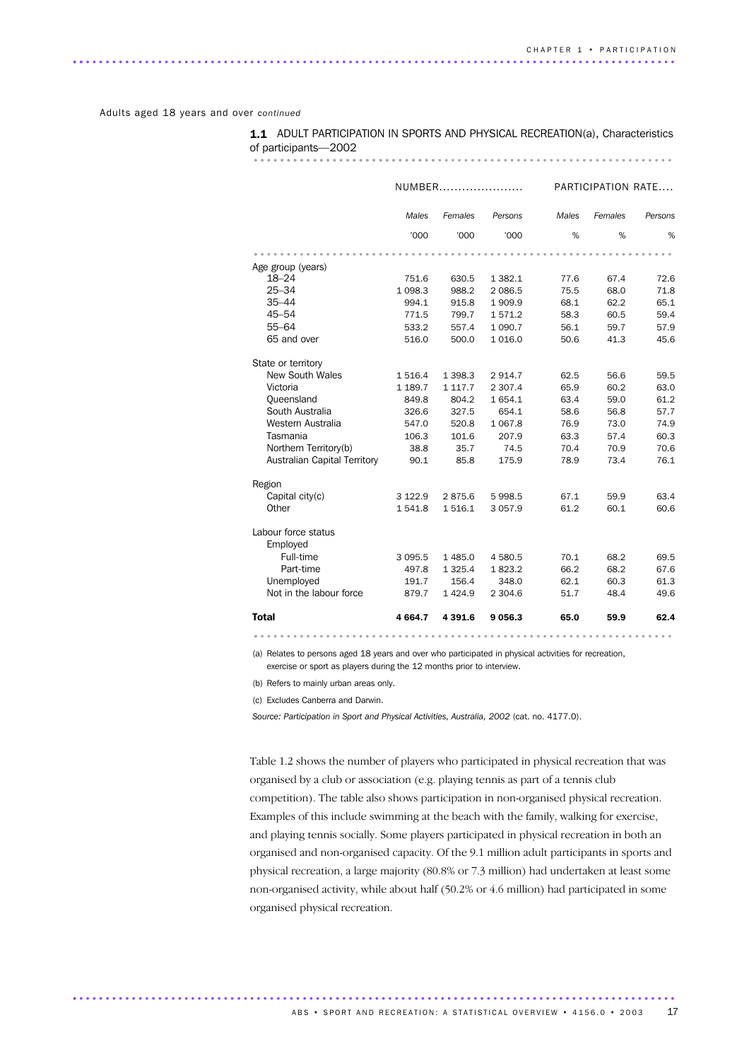Adults aged 18 years and over *continued*

............................................................................................ ..

| <b>1.1</b> ADULT PARTICIPATION IN SPORTS AND PHYSICAL RECREATION(a), Characteristics |
|--------------------------------------------------------------------------------------|
| of participants-2002                                                                 |
|                                                                                      |

|                                     | NUMBER     |             |            | PARTICIPATION RATE |         |         |
|-------------------------------------|------------|-------------|------------|--------------------|---------|---------|
|                                     | Males      | Females     | Persons    | Males              | Females | Persons |
|                                     | '000       | '000        | '000       | %                  | %       | %       |
|                                     |            |             |            |                    |         |         |
| Age group (years)                   |            |             |            |                    |         |         |
| $18 - 24$                           | 751.6      | 630.5       | 1 3 8 2.1  | 77.6               | 67.4    | 72.6    |
| $25 - 34$                           | 1 0 9 8 .3 | 988.2       | 2086.5     | 75.5               | 68.0    | 71.8    |
| $35 - 44$                           | 994.1      | 915.8       | 1909.9     | 68.1               | 62.2    | 65.1    |
| $45 - 54$                           | 771.5      | 799.7       | 1571.2     | 58.3               | 60.5    | 59.4    |
| $55 - 64$                           | 533.2      | 557.4       | 1 0 9 0.7  | 56.1               | 59.7    | 57.9    |
| 65 and over                         | 516.0      | 500.0       | 1016.0     | 50.6               | 41.3    | 45.6    |
| State or territory                  |            |             |            |                    |         |         |
| <b>New South Wales</b>              | 1516.4     | 1 3 9 8.3   | 2914.7     | 62.5               | 56.6    | 59.5    |
| Victoria                            | 1 189.7    | 1 1 1 7 . 7 | 2 3 0 7.4  | 65.9               | 60.2    | 63.0    |
| Queensland                          | 849.8      | 804.2       | 1654.1     | 63.4               | 59.0    | 61.2    |
| South Australia                     | 326.6      | 327.5       | 654.1      | 58.6               | 56.8    | 57.7    |
| Western Australia                   | 547.0      | 520.8       | 1 0 6 7 .8 | 76.9               | 73.0    | 74.9    |
| Tasmania                            | 106.3      | 101.6       | 207.9      | 63.3               | 57.4    | 60.3    |
| Northern Territory(b)               | 38.8       | 35.7        | 74.5       | 70.4               | 70.9    | 70.6    |
| <b>Australian Capital Territory</b> | 90.1       | 85.8        | 175.9      | 78.9               | 73.4    | 76.1    |
| Region                              |            |             |            |                    |         |         |
| Capital city(c)                     | 3 1 2 2.9  | 2875.6      | 5998.5     | 67.1               | 59.9    | 63.4    |
| Other                               | 1541.8     | 1516.1      | 3 0 5 7.9  | 61.2               | 60.1    | 60.6    |
| Labour force status<br>Employed     |            |             |            |                    |         |         |
| Full-time                           | 3 0 9 5 .5 | 1 4 8 5.0   | 4 580.5    | 70.1               | 68.2    | 69.5    |
| Part-time                           | 497.8      | 1 3 2 5.4   | 1823.2     | 66.2               | 68.2    | 67.6    |
| Unemployed                          | 191.7      | 156.4       | 348.0      | 62.1               | 60.3    | 61.3    |
| Not in the labour force             | 879.7      | 1424.9      | 2 304.6    | 51.7               | 48.4    | 49.6    |
| Total                               | 4 664.7    | 4 3 9 1 .6  | 9056.3     | 65.0               | 59.9    | 62.4    |
|                                     |            |             |            |                    |         |         |

(a) Relates to persons aged 18 years and over who participated in physical activities for recreation, exercise or sport as players during the 12 months prior to interview.

(b) Refers to mainly urban areas only.

(c) Excludes Canberra and Darwin.

*Source: Participation in Sport and Physical Activities, Australia, 2002* (cat. no. 4177.0).

Table 1.2 shows the number of players who participated in physical recreation that was organised by a club or association (e.g. playing tennis as part of a tennis club competition). The table also shows participation in non-organised physical recreation. Examples of this include swimming at the beach with the family, walking for exercise, and playing tennis socially. Some players participated in physical recreation in both an organised and non-organised capacity. Of the 9.1 million adult participants in sports and physical recreation, a large majority (80.8% or 7.3 million) had undertaken at least some non-organised activity, while about half (50.2% or 4.6 million) had participated in some organised physical recreation.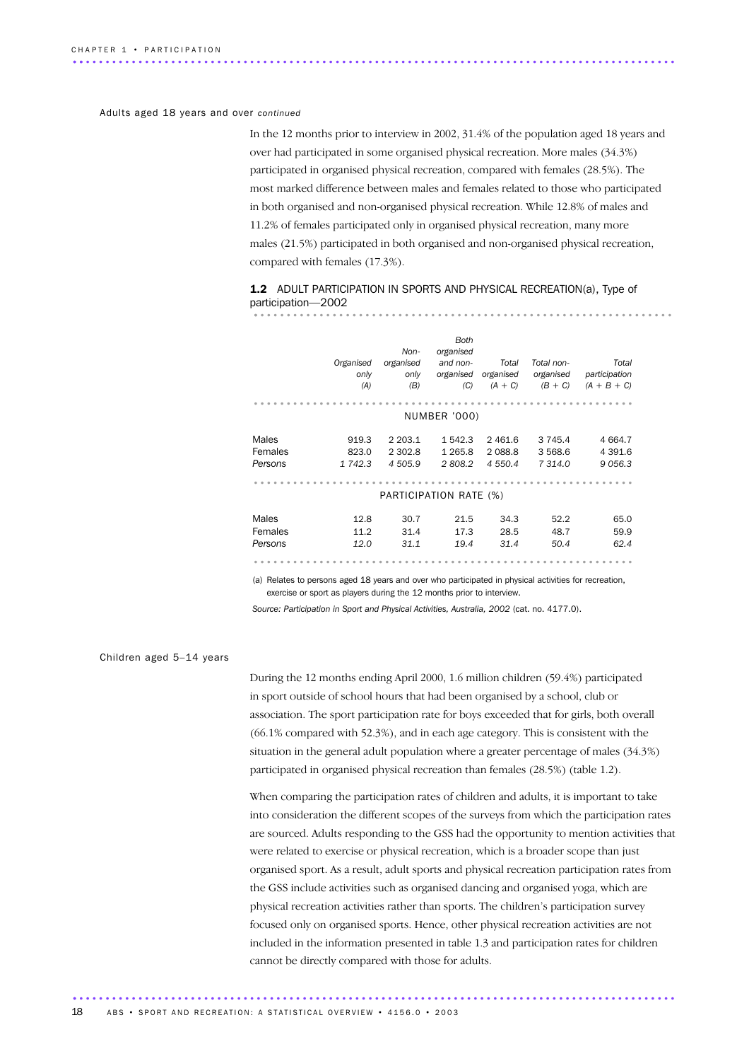### Adults aged 18 years and over *continued*

In the 12 months prior to interview in 2002, 31.4% of the population aged 18 years and over had participated in some organised physical recreation. More males (34.3%) participated in organised physical recreation, compared with females (28.5%). The most marked difference between males and females related to those who participated in both organised and non-organised physical recreation. While 12.8% of males and 11.2% of females participated only in organised physical recreation, many more males (21.5%) participated in both organised and non-organised physical recreation, compared with females (17.3%).

#### 1.2 ADULT PARTICIPATION IN SPORTS AND PHYSICAL RECREATION(a), Type of participation—2002 ................................................................ .

|                             | Organised<br>only<br>(A)  | Non-<br>organised<br>only<br>(B)  | <b>Both</b><br>organised<br>and non-<br>organised<br>(C) | Total<br>organised<br>$(A + C)$ | Total non-<br>organised<br>$(B + C)$  | Total<br>participation<br>$(A + B + C)$ |
|-----------------------------|---------------------------|-----------------------------------|----------------------------------------------------------|---------------------------------|---------------------------------------|-----------------------------------------|
|                             |                           |                                   | <b>NUMBER '000)</b>                                      |                                 |                                       |                                         |
| Males<br>Females<br>Persons | 919.3<br>823.0<br>1 742.3 | 2 2 0 3 . 1<br>2 302.8<br>4 505.9 | 1 542.3<br>1 2 6 5 .8<br>2808.2                          | 2 4 6 1.6<br>2 088.8<br>4 550.4 | 3 7 4 5 . 4<br>3 5 68.6<br>7 3 1 4 .0 | 4 6 64.7<br>4 3 9 1.6<br>9056.3         |
|                             |                           | PARTICIPATION RATE (%)            |                                                          |                                 |                                       |                                         |
| Males<br>Females<br>Persons | 12.8<br>11.2<br>12.0      | 30.7<br>31.4<br>31.1              | 21.5<br>17.3<br>19.4                                     | 34.3<br>28.5<br>31.4            | 52.2<br>48.7<br>50.4                  | 65.0<br>59.9<br>62.4                    |

(a) Relates to persons aged 18 years and over who participated in physical activities for recreation, exercise or sport as players during the 12 months prior to interview.

*Source: Participation in Sport and Physical Activities, Australia, 2002* (cat. no. 4177.0).

### Children aged 5–14 years

During the 12 months ending April 2000, 1.6 million children (59.4%) participated in sport outside of school hours that had been organised by a school, club or association. The sport participation rate for boys exceeded that for girls, both overall (66.1% compared with 52.3%), and in each age category. This is consistent with the situation in the general adult population where a greater percentage of males (34.3%) participated in organised physical recreation than females (28.5%) (table 1.2).

When comparing the participation rates of children and adults, it is important to take into consideration the different scopes of the surveys from which the participation rates are sourced. Adults responding to the GSS had the opportunity to mention activities that were related to exercise or physical recreation, which is a broader scope than just organised sport. As a result, adult sports and physical recreation participation rates from the GSS include activities such as organised dancing and organised yoga, which are physical recreation activities rather than sports. The children's participation survey focused only on organised sports. Hence, other physical recreation activities are not included in the information presented in table 1.3 and participation rates for children cannot be directly compared with those for adults.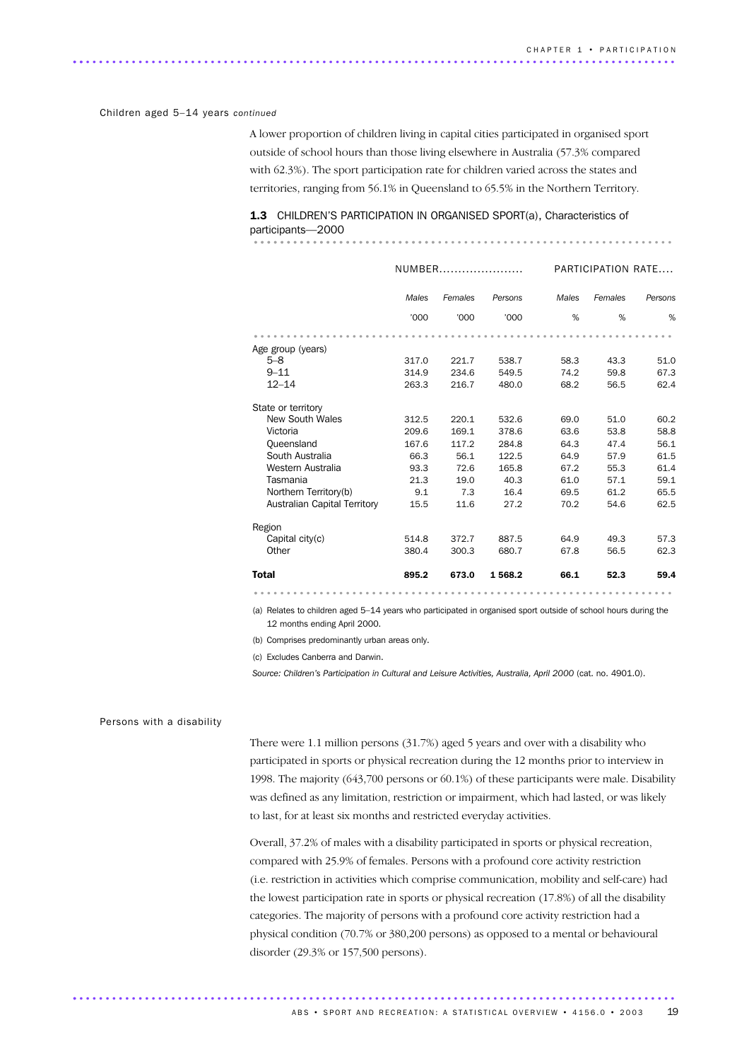### Children aged 5–14 years *continued*

A lower proportion of children living in capital cities participated in organised sport outside of school hours than those living elsewhere in Australia (57.3% compared with 62.3%). The sport participation rate for children varied across the states and territories, ranging from 56.1% in Queensland to 65.5% in the Northern Territory.

### 1.3 CHILDREN'S PARTICIPATION IN ORGANISED SPORT(a), Characteristics of participants—2000 ................................................................ ............................

|                              |       | NUMBER  |         |       | PARTICIPATION RATE |         |  |
|------------------------------|-------|---------|---------|-------|--------------------|---------|--|
|                              | Males | Females | Persons | Males | Females            | Persons |  |
|                              | '000  | '000    | '000    | %     | %                  | %       |  |
|                              |       |         |         |       |                    |         |  |
| Age group (years)            |       |         |         |       |                    |         |  |
| $5 - 8$                      | 317.0 | 221.7   | 538.7   | 58.3  | 43.3               | 51.0    |  |
| $9 - 11$                     | 314.9 | 234.6   | 549.5   | 74.2  | 59.8               | 67.3    |  |
| $12 - 14$                    | 263.3 | 216.7   | 480.0   | 68.2  | 56.5               | 62.4    |  |
| State or territory           |       |         |         |       |                    |         |  |
| <b>New South Wales</b>       | 312.5 | 220.1   | 532.6   | 69.0  | 51.0               | 60.2    |  |
| Victoria                     | 209.6 | 169.1   | 378.6   | 63.6  | 53.8               | 58.8    |  |
| Queensland                   | 167.6 | 117.2   | 284.8   | 64.3  | 47.4               | 56.1    |  |
| South Australia              | 66.3  | 56.1    | 122.5   | 64.9  | 57.9               | 61.5    |  |
| Western Australia            | 93.3  | 72.6    | 165.8   | 67.2  | 55.3               | 61.4    |  |
| Tasmania                     | 21.3  | 19.0    | 40.3    | 61.0  | 57.1               | 59.1    |  |
| Northern Territory(b)        | 9.1   | 7.3     | 16.4    | 69.5  | 61.2               | 65.5    |  |
| Australian Capital Territory | 15.5  | 11.6    | 27.2    | 70.2  | 54.6               | 62.5    |  |
| Region                       |       |         |         |       |                    |         |  |
| Capital city(c)              | 514.8 | 372.7   | 887.5   | 64.9  | 49.3               | 57.3    |  |
| Other                        | 380.4 | 300.3   | 680.7   | 67.8  | 56.5               | 62.3    |  |
| <b>Total</b>                 | 895.2 | 673.0   | 1568.2  | 66.1  | 52.3               | 59.4    |  |
|                              |       |         |         |       |                    |         |  |

(a) Relates to children aged 5–14 years who participated in organised sport outside of school hours during the 12 months ending April 2000.

(b) Comprises predominantly urban areas only.

............................................................................................ ..

(c) Excludes Canberra and Darwin.

*Source: Children's Participation in Cultural and Leisure Activities, Australia, April 2000* (cat. no. 4901.0).

### Persons with a disability

There were 1.1 million persons (31.7%) aged 5 years and over with a disability who participated in sports or physical recreation during the 12 months prior to interview in 1998. The majority (643,700 persons or 60.1%) of these participants were male. Disability was defined as any limitation, restriction or impairment, which had lasted, or was likely to last, for at least six months and restricted everyday activities.

Overall, 37.2% of males with a disability participated in sports or physical recreation, compared with 25.9% of females. Persons with a profound core activity restriction (i.e. restriction in activities which comprise communication, mobility and self-care) had the lowest participation rate in sports or physical recreation (17.8%) of all the disability categories. The majority of persons with a profound core activity restriction had a physical condition (70.7% or 380,200 persons) as opposed to a mental or behavioural disorder (29.3% or 157,500 persons).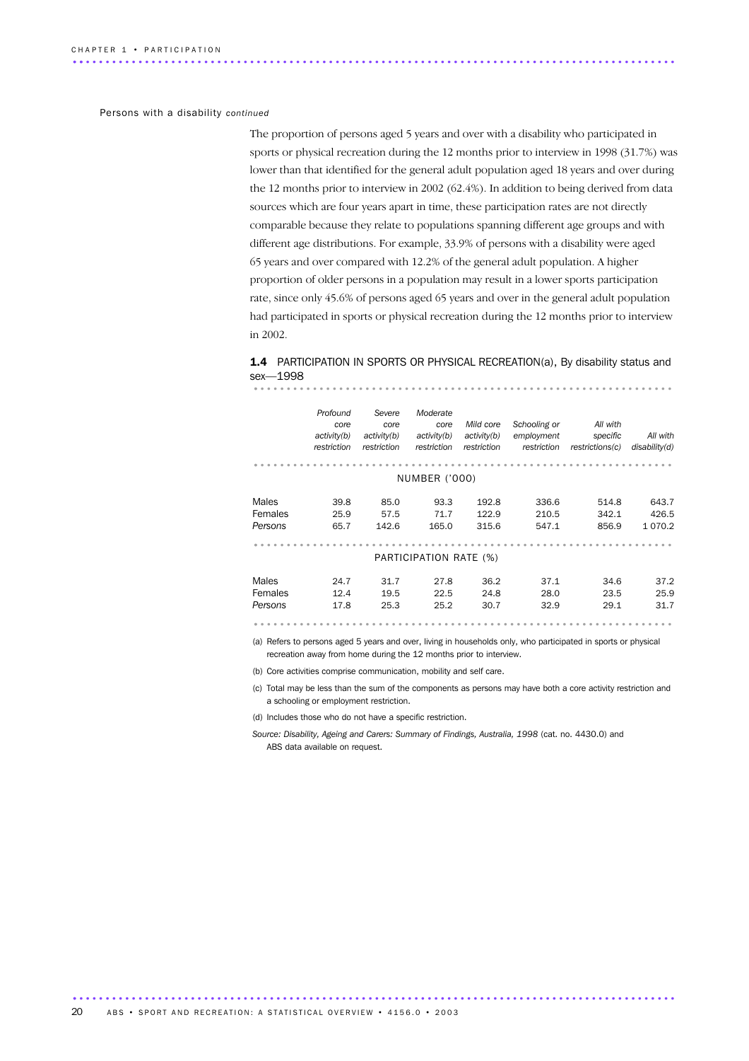### Persons with a disability *continued*

The proportion of persons aged 5 years and over with a disability who participated in sports or physical recreation during the 12 months prior to interview in 1998 (31.7%) was lower than that identified for the general adult population aged 18 years and over during the 12 months prior to interview in 2002 (62.4%). In addition to being derived from data sources which are four years apart in time, these participation rates are not directly comparable because they relate to populations spanning different age groups and with different age distributions. For example, 33.9% of persons with a disability were aged 65 years and over compared with 12.2% of the general adult population. A higher proportion of older persons in a population may result in a lower sports participation rate, since only 45.6% of persons aged 65 years and over in the general adult population had participated in sports or physical recreation during the 12 months prior to interview in 2002.

1.4 PARTICIPATION IN SPORTS OR PHYSICAL RECREATION(a), By disability status and sex—1998 ................................................................ .

|                             | Profound<br>core<br>activity(b)<br>restriction | Severe<br>core<br>activity(b)<br>restriction | Moderate<br>core<br>activity(b)<br>restriction | Mild core<br>activity(b)<br>restriction | Schooling or<br>employment<br>restriction | All with<br>specific<br>restrictions(c) | All with<br>disability(d)     |
|-----------------------------|------------------------------------------------|----------------------------------------------|------------------------------------------------|-----------------------------------------|-------------------------------------------|-----------------------------------------|-------------------------------|
|                             |                                                |                                              |                                                |                                         |                                           |                                         |                               |
|                             |                                                |                                              | <b>NUMBER ('000)</b>                           |                                         |                                           |                                         |                               |
| Males<br>Females<br>Persons | 39.8<br>25.9<br>65.7                           | 85.0<br>57.5<br>142.6                        | 93.3<br>71.7<br>165.0                          | 192.8<br>122.9<br>315.6                 | 336.6<br>210.5<br>547.1                   | 514.8<br>342.1<br>856.9                 | 643.7<br>426.5<br>1 0 7 0 . 2 |
|                             |                                                |                                              |                                                |                                         |                                           |                                         |                               |
|                             |                                                |                                              | PARTICIPATION RATE (%)                         |                                         |                                           |                                         |                               |
| Males<br>Females<br>Persons | 24.7<br>12.4<br>17.8                           | 31.7<br>19.5<br>25.3                         | 27.8<br>22.5<br>25.2                           | 36.2<br>24.8<br>30.7                    | 37.1<br>28.0<br>32.9                      | 34.6<br>23.5<br>29.1                    | 37.2<br>25.9<br>31.7          |
|                             |                                                |                                              |                                                |                                         |                                           |                                         |                               |

(a) Refers to persons aged 5 years and over, living in households only, who participated in sports or physical recreation away from home during the 12 months prior to interview.

(b) Core activities comprise communication, mobility and self care.

(c) Total may be less than the sum of the components as persons may have both a core activity restriction and a schooling or employment restriction.

(d) Includes those who do not have a specific restriction.

*Source: Disability, Ageing and Carers: Summary of Findings, Australia, 1998* (cat. no. 4430.0) and ABS data available on request.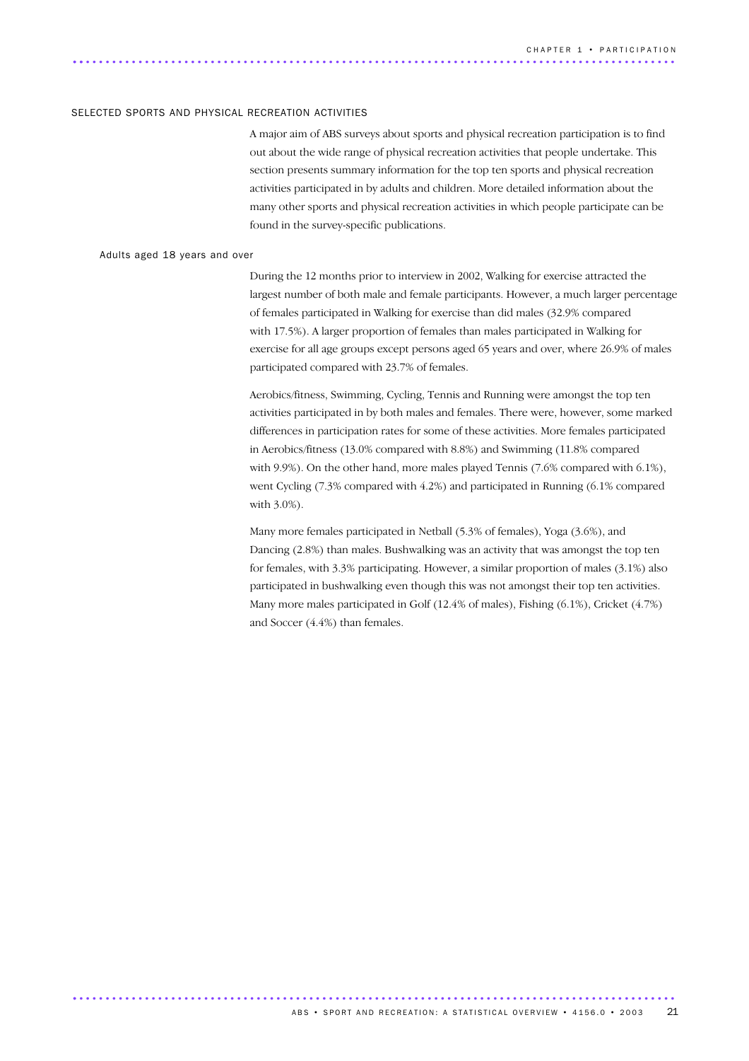### SELECTED SPORTS AND PHYSICAL RECREATION ACTIVITIES

A major aim of ABS surveys about sports and physical recreation participation is to find out about the wide range of physical recreation activities that people undertake. This section presents summary information for the top ten sports and physical recreation activities participated in by adults and children. More detailed information about the many other sports and physical recreation activities in which people participate can be found in the survey-specific publications.

### Adults aged 18 years and over

During the 12 months prior to interview in 2002, Walking for exercise attracted the largest number of both male and female participants. However, a much larger percentage of females participated in Walking for exercise than did males (32.9% compared with 17.5%). A larger proportion of females than males participated in Walking for exercise for all age groups except persons aged 65 years and over, where 26.9% of males participated compared with 23.7% of females.

Aerobics/fitness, Swimming, Cycling, Tennis and Running were amongst the top ten activities participated in by both males and females. There were, however, some marked differences in participation rates for some of these activities. More females participated in Aerobics/fitness (13.0% compared with 8.8%) and Swimming (11.8% compared with 9.9%). On the other hand, more males played Tennis (7.6% compared with 6.1%), went Cycling (7.3% compared with 4.2%) and participated in Running (6.1% compared with 3.0%).

Many more females participated in Netball (5.3% of females), Yoga (3.6%), and Dancing (2.8%) than males. Bushwalking was an activity that was amongst the top ten for females, with 3.3% participating. However, a similar proportion of males (3.1%) also participated in bushwalking even though this was not amongst their top ten activities. Many more males participated in Golf (12.4% of males), Fishing (6.1%), Cricket (4.7%) and Soccer (4.4%) than females.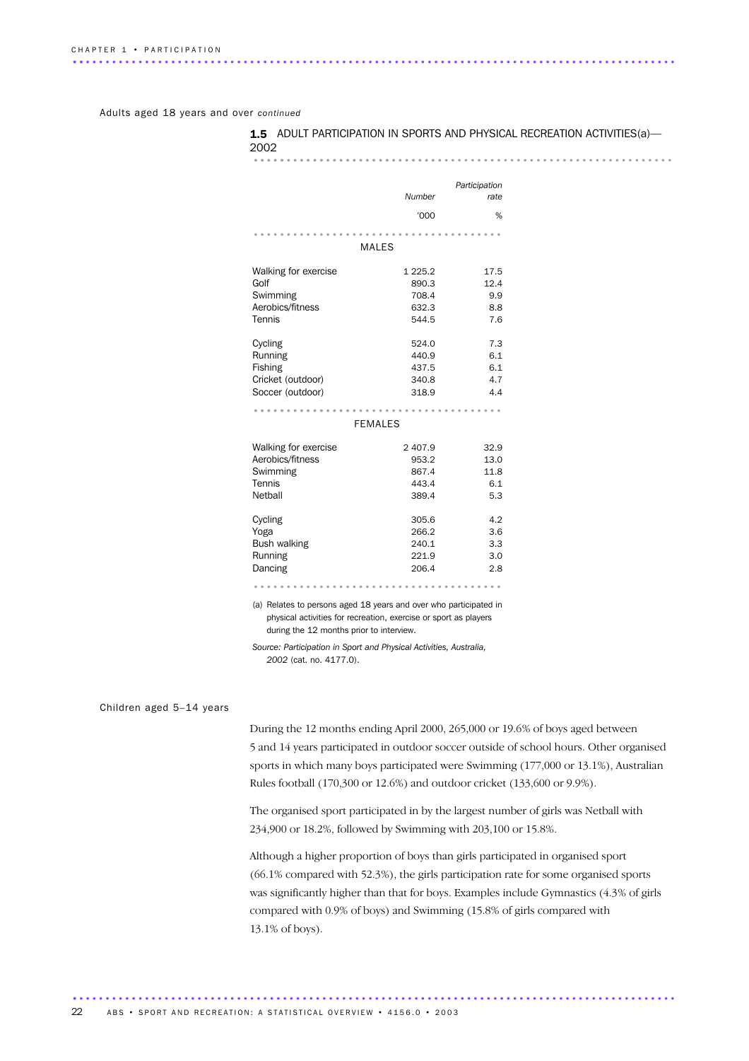Adults aged 18 years and over *continued*

|      | <b>1.5</b> ADULT PARTICIPATION IN SPORTS AND PHYSICAL RECREATION ACTIVITIES(a)- |  |
|------|---------------------------------------------------------------------------------|--|
| 2002 |                                                                                 |  |

#### ................................................................ .............................

|                      |                | Participation |
|----------------------|----------------|---------------|
|                      | Number         | rate          |
|                      | '000           | %             |
|                      |                |               |
|                      | <b>MALES</b>   |               |
| Walking for exercise | 1 2 2 5 . 2    | 17.5          |
| Golf                 | 890.3          | 12.4          |
| Swimming             | 708.4          | 9.9           |
| Aerobics/fitness     | 632.3          | 8.8           |
| Tennis               | 544.5          | 7.6           |
| Cycling              | 524.0          | 7.3           |
| Running              | 440.9          | 6.1           |
| Fishing              | 437.5          | 6.1           |
| Cricket (outdoor)    | 340.8          | 4.7           |
| Soccer (outdoor)     | 318.9          | 4.4           |
|                      | <b>FEMALES</b> |               |
|                      |                |               |
| Walking for exercise | 2 407.9        | 32.9          |
| Aerobics/fitness     | 953.2          | 13.0          |
| Swimming             | 867.4          | 11.8          |
| Tennis               | 443.4          | 6.1           |
| Netball              | 389.4          | 5.3           |
| Cycling              | 305.6          | 4.2           |
| Yoga                 | 266.2          | 3.6           |
| <b>Bush walking</b>  | 240.1          | 3.3           |
| Running              | 221.9          | 3.0           |
| Dancing              | 206.4          | 2.8           |
|                      |                |               |

(a) Relates to persons aged 18 years and over who participated in physical activities for recreation, exercise or sport as players during the 12 months prior to interview.

*Source: Participation in Sport and Physical Activities, Australia, 2002* (cat. no. 4177.0).

### Children aged 5–14 years

During the 12 months ending April 2000, 265,000 or 19.6% of boys aged between 5 and 14 years participated in outdoor soccer outside of school hours. Other organised sports in which many boys participated were Swimming (177,000 or 13.1%), Australian Rules football (170,300 or 12.6%) and outdoor cricket (133,600 or 9.9%).

The organised sport participated in by the largest number of girls was Netball with 234,900 or 18.2%, followed by Swimming with 203,100 or 15.8%.

Although a higher proportion of boys than girls participated in organised sport (66.1% compared with 52.3%), the girls participation rate for some organised sports was significantly higher than that for boys. Examples include Gymnastics (4.3% of girls compared with 0.9% of boys) and Swimming (15.8% of girls compared with 13.1% of boys).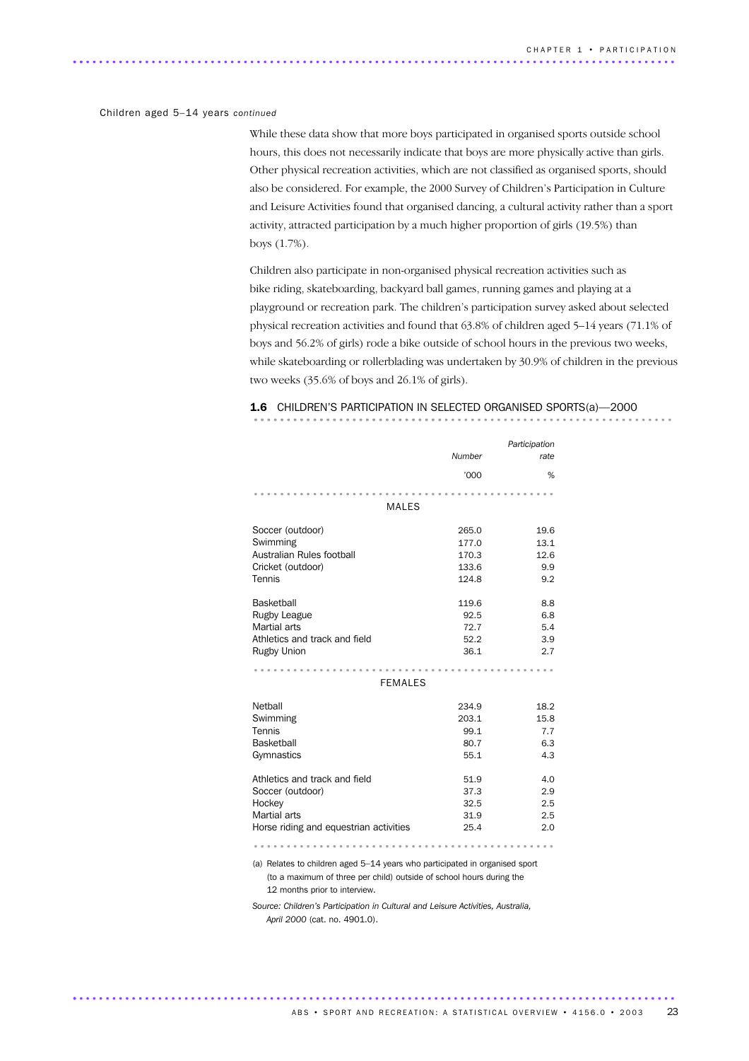#### Children aged 5–14 years *continued*

............................................................................................ ..

While these data show that more boys participated in organised sports outside school hours, this does not necessarily indicate that boys are more physically active than girls. Other physical recreation activities, which are not classified as organised sports, should also be considered. For example, the 2000 Survey of Children's Participation in Culture and Leisure Activities found that organised dancing, a cultural activity rather than a sport activity, attracted participation by a much higher proportion of girls (19.5%) than boys (1.7%).

Children also participate in non-organised physical recreation activities such as bike riding, skateboarding, backyard ball games, running games and playing at a playground or recreation park. The children's participation survey asked about selected physical recreation activities and found that 63.8% of children aged 5–14 years (71.1% of boys and 56.2% of girls) rode a bike outside of school hours in the previous two weeks, while skateboarding or rollerblading was undertaken by 30.9% of children in the previous two weeks (35.6% of boys and 26.1% of girls).

### 1.6 CHILDREN'S PARTICIPATION IN SELECTED ORGANISED SPORTS(a)-2000

|                                        |                      | Participation |
|----------------------------------------|----------------------|---------------|
|                                        | Number               | rate          |
|                                        | '000                 | %             |
|                                        |                      |               |
| <b>MALES</b>                           |                      |               |
| Soccer (outdoor)                       | 265.0                | 19.6          |
| Swimming                               | 177.0                | 13.1          |
| Australian Rules football              | 170.3                | 12.6          |
| Cricket (outdoor)                      | 133.6                | 9.9           |
| Tennis                                 | 124.8                | 9.2           |
| Basketball                             | 119.6                | 8.8           |
| Rugby League                           | 92.5                 | 6.8           |
| Martial arts                           | 72.7                 | 5.4           |
| Athletics and track and field          | 52.2                 | 3.9           |
| Rugby Union                            | 36.1                 | 2.7           |
|                                        |                      |               |
| <b>FEMALES</b>                         |                      |               |
| Netball                                | 234.9                | 18.2          |
| Swimming                               | 203.1                | 15.8          |
| Tennis                                 | 99.1                 | 7.7           |
| Basketball                             | 80.7                 | 6.3           |
| Gymnastics                             | 55.1                 | 4.3           |
| Athletics and track and field          | 51.9                 | 4.0           |
| Soccer (outdoor)                       | 37.3                 | 2.9           |
| Hockey                                 | 32.5                 | 2.5           |
| Martial arts                           | 31.9                 | 2.5           |
| Horse riding and equestrian activities | 25.4                 | 2.0           |
|                                        |                      |               |
| $\cdots$                               | $\sim$ $\sim$ $\sim$ |               |

(a) Relates to children aged 5–14 years who participated in organised sport (to a maximum of three per child) outside of school hours during the 12 months prior to interview.

*Source: Children's Participation in Cultural and Leisure Activities, Australia, April 2000* (cat. no. 4901.0).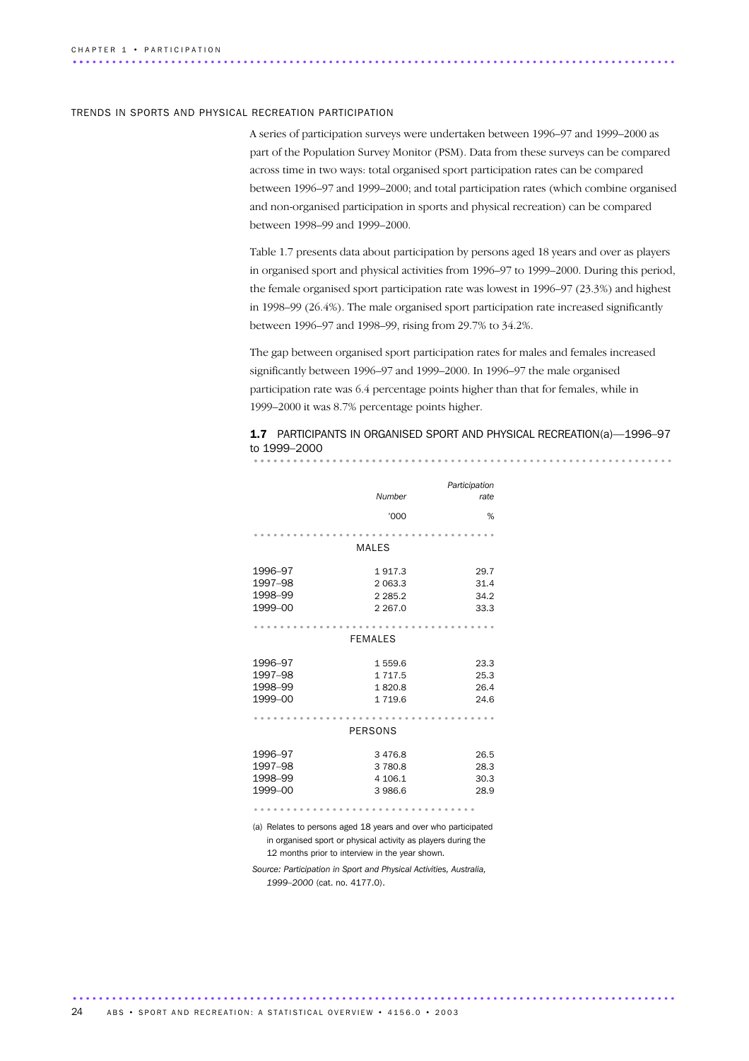### TRENDS IN SPORTS AND PHYSICAL RECREATION PARTICIPATION

A series of participation surveys were undertaken between 1996–97 and 1999–2000 as part of the Population Survey Monitor (PSM). Data from these surveys can be compared across time in two ways: total organised sport participation rates can be compared between 1996–97 and 1999–2000; and total participation rates (which combine organised and non-organised participation in sports and physical recreation) can be compared between 1998–99 and 1999–2000.

Table 1.7 presents data about participation by persons aged 18 years and over as players in organised sport and physical activities from 1996–97 to 1999–2000. During this period, the female organised sport participation rate was lowest in 1996–97 (23.3%) and highest in 1998–99 (26.4%). The male organised sport participation rate increased significantly between 1996–97 and 1998–99, rising from 29.7% to 34.2%.

The gap between organised sport participation rates for males and females increased significantly between 1996–97 and 1999–2000. In 1996–97 the male organised participation rate was 6.4 percentage points higher than that for females, while in 1999–2000 it was 8.7% percentage points higher.

| <b>1.7</b> PARTICIPANTS IN ORGANISED SPORT AND PHYSICAL RECREATION(a)—1996-97 |  |  |  |  |  |  |  |  |  |  |  |  |  |  |  |  |  |  |  |  |  |  |  |  |  |
|-------------------------------------------------------------------------------|--|--|--|--|--|--|--|--|--|--|--|--|--|--|--|--|--|--|--|--|--|--|--|--|--|
| to 1999–2000                                                                  |  |  |  |  |  |  |  |  |  |  |  |  |  |  |  |  |  |  |  |  |  |  |  |  |  |
|                                                                               |  |  |  |  |  |  |  |  |  |  |  |  |  |  |  |  |  |  |  |  |  |  |  |  |  |

|         |                | Participation |
|---------|----------------|---------------|
|         | Number         | rate          |
|         | '000           | %             |
|         |                |               |
|         | MALES          |               |
| 1996-97 | 1917.3         | 29.7          |
| 1997-98 | 2 063.3        | 31.4          |
| 1998-99 | 2 2 8 5 . 2    | 34.2          |
| 1999-00 | 2 2 6 7 .0     | 33.3          |
|         |                |               |
|         | <b>FEMALES</b> |               |
| 1996-97 | 1559.6         | 23.3          |
| 1997-98 | 1 7 1 7 .5     | 25.3          |
| 1998-99 | 1820.8         | 26.4          |
| 1999-00 | 1 7 1 9.6      | 24.6          |
|         |                |               |
|         | PERSONS        |               |
| 1996-97 | 3 4 7 6.8      | 26.5          |
| 1997-98 | 3 780.8        | 28.3          |
| 1998-99 | 4 106.1        | 30.3          |
| 1999-00 | 3986.6         | 28.9          |
|         |                |               |

(a) Relates to persons aged 18 years and over who participated in organised sport or physical activity as players during the 12 months prior to interview in the year shown.

*Source: Participation in Sport and Physical Activities, Australia, 1999–2000* (cat. no. 4177.0).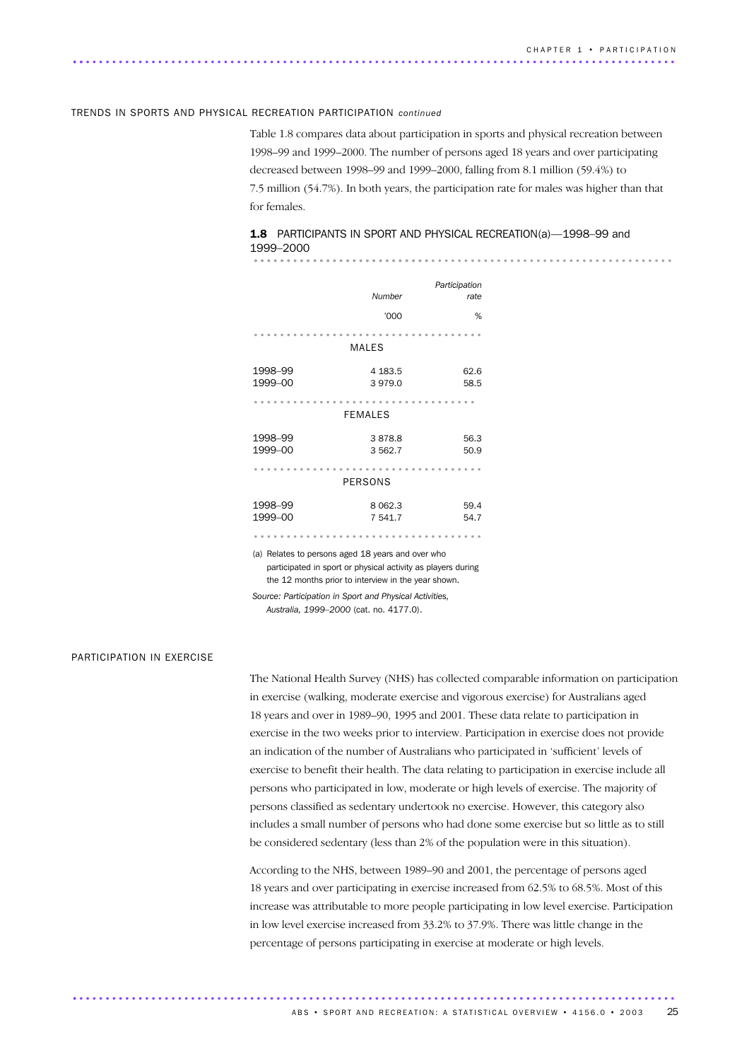#### TRENDS IN SPORTS AND PHYSICAL RECREATION PARTICIPATION *continued*

............................................................................................ ..

Table 1.8 compares data about participation in sports and physical recreation between 1998–99 and 1999–2000. The number of persons aged 18 years and over participating decreased between 1998–99 and 1999–2000, falling from 8.1 million (59.4%) to 7.5 million (54.7%). In both years, the participation rate for males was higher than that for females.

#### 1.8 PARTICIPANTS IN SPORT AND PHYSICAL RECREATION(a)-1998-99 and 1999–2000 ................................................................ ...........................

|                                                                                                    |                | Participation |
|----------------------------------------------------------------------------------------------------|----------------|---------------|
|                                                                                                    | Number         | rate          |
|                                                                                                    | '000           | %             |
|                                                                                                    |                |               |
|                                                                                                    | MALES          |               |
| 1998-99                                                                                            | 4 183.5        | 62.6          |
| 1999-00                                                                                            | 3979.0         | 58.5          |
|                                                                                                    |                |               |
|                                                                                                    | <b>FEMALES</b> |               |
|                                                                                                    |                |               |
| 1998-99                                                                                            | 3878.8         | 56.3          |
| 1999-00                                                                                            | 3 562.7        | 50.9          |
|                                                                                                    |                |               |
|                                                                                                    | PERSONS        |               |
|                                                                                                    |                |               |
| 1998-99                                                                                            | 8 0 6 2.3      | 59.4          |
| 1999-00                                                                                            | 7 541.7        | 54.7          |
|                                                                                                    |                |               |
| $\left( -1 \right)$ Defeated as a series of send $\left( 0 \right)$ as seen such series and series |                |               |

(a) Relates to persons aged 18 years and over who participated in sport or physical activity as players during the 12 months prior to interview in the year shown.

............................................................................................ .

*Source: Participation in Sport and Physical Activities, Australia, 1999–2000* (cat. no. 4177.0).

### PARTICIPATION IN EXERCISE

The National Health Survey (NHS) has collected comparable information on participation in exercise (walking, moderate exercise and vigorous exercise) for Australians aged 18 years and over in 1989–90, 1995 and 2001. These data relate to participation in exercise in the two weeks prior to interview. Participation in exercise does not provide an indication of the number of Australians who participated in 'sufficient' levels of exercise to benefit their health. The data relating to participation in exercise include all persons who participated in low, moderate or high levels of exercise. The majority of persons classified as sedentary undertook no exercise. However, this category also includes a small number of persons who had done some exercise but so little as to still be considered sedentary (less than 2% of the population were in this situation).

According to the NHS, between 1989–90 and 2001, the percentage of persons aged 18 years and over participating in exercise increased from 62.5% to 68.5%. Most of this increase was attributable to more people participating in low level exercise. Participation in low level exercise increased from 33.2% to 37.9%. There was little change in the percentage of persons participating in exercise at moderate or high levels.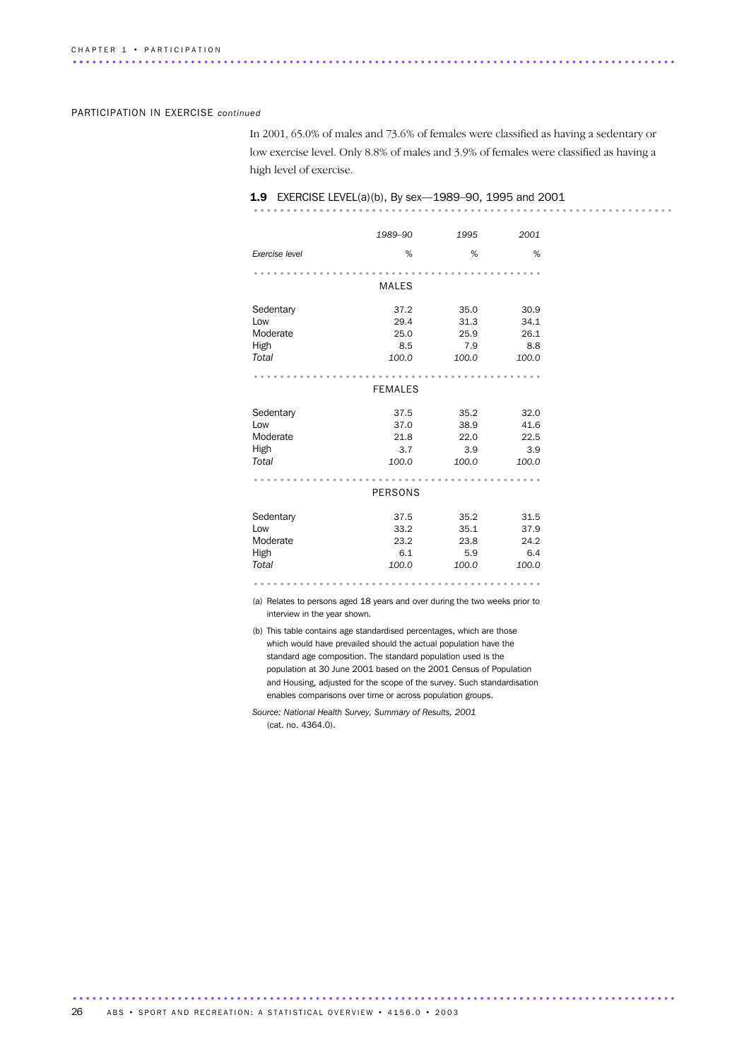### PARTICIPATION IN EXERCISE *continued*

In 2001, 65.0% of males and 73.6% of females were classified as having a sedentary or low exercise level. Only 8.8% of males and 3.9% of females were classified as having a high level of exercise.

# 1.9 EXERCISE LEVEL(a)(b), By sex—1989–90, 1995 and 2001 ................................................................ ...................

|                | 1989-90        | 1995  | 2001  |
|----------------|----------------|-------|-------|
| Exercise level | %              | %     | %     |
|                |                |       |       |
|                | <b>MALES</b>   |       |       |
| Sedentary      | 37.2           | 35.0  | 30.9  |
| Low            | 29.4           | 31.3  | 34.1  |
| Moderate       | 25.0           | 25.9  | 26.1  |
| High           | 8.5            | 7.9   | 8.8   |
| Total          | 100.0          | 100.0 | 100.0 |
|                |                |       |       |
|                | <b>FEMALES</b> |       |       |
| Sedentary      | 37.5           | 35.2  | 32.0  |
| Low            | 37.0           | 38.9  | 41.6  |
| Moderate       | 21.8           | 22.0  | 22.5  |
| High           | 3.7            | 3.9   | 3.9   |
| Total          | 100.0          | 100.0 | 100.0 |
|                |                |       |       |
|                | <b>PERSONS</b> |       |       |
|                |                |       |       |
| Sedentary      | 37.5           | 35.2  | 31.5  |
| Low            | 33.2           | 35.1  | 37.9  |
| Moderate       | 23.2           | 23.8  | 24.2  |
| High           | 6.1            | 5.9   | 6.4   |
| Total          | 100.0          | 100.0 | 100.0 |
|                |                |       |       |

(a) Relates to persons aged 18 years and over during the two weeks prior to interview in the year shown.

(b) This table contains age standardised percentages, which are those which would have prevailed should the actual population have the standard age composition. The standard population used is the population at 30 June 2001 based on the 2001 Census of Population and Housing, adjusted for the scope of the survey. Such standardisation enables comparisons over time or across population groups.

*Source: National Health Survey, Summary of Results, 2001* (cat. no. 4364.0).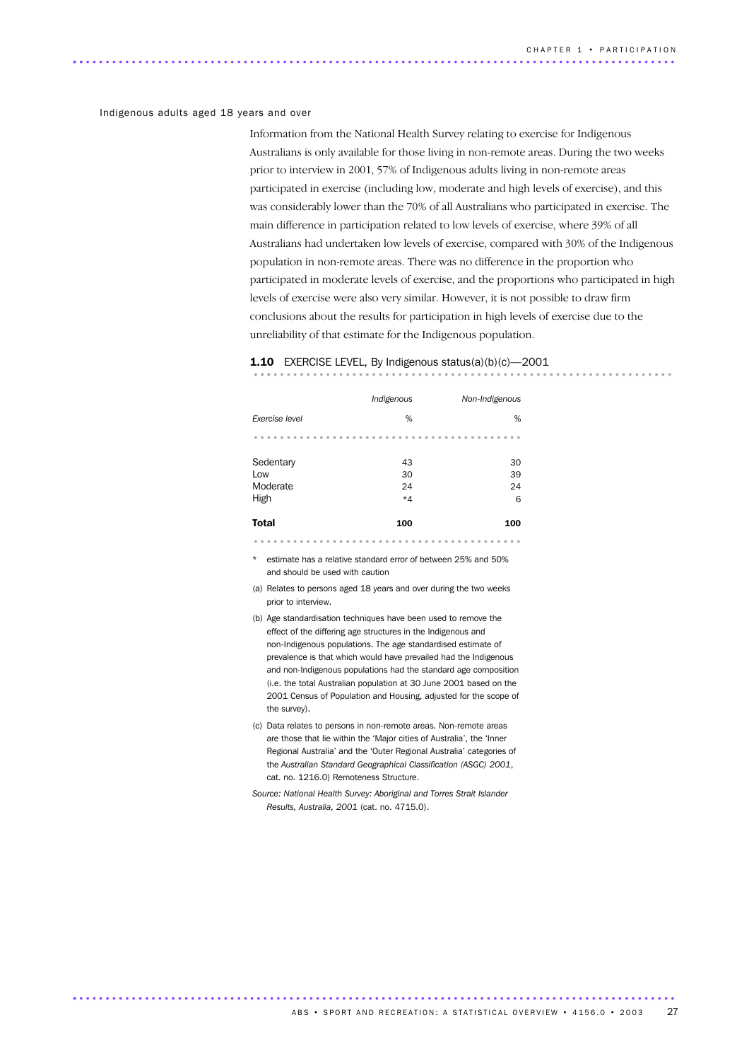### Indigenous adults aged 18 years and over

............................................................................................ ..

Information from the National Health Survey relating to exercise for Indigenous Australians is only available for those living in non-remote areas. During the two weeks prior to interview in 2001, 57% of Indigenous adults living in non-remote areas participated in exercise (including low, moderate and high levels of exercise), and this was considerably lower than the 70% of all Australians who participated in exercise. The main difference in participation related to low levels of exercise, where 39% of all Australians had undertaken low levels of exercise, compared with 30% of the Indigenous population in non-remote areas. There was no difference in the proportion who participated in moderate levels of exercise, and the proportions who participated in high levels of exercise were also very similar. However, it is not possible to draw firm conclusions about the results for participation in high levels of exercise due to the unreliability of that estimate for the Indigenous population.

# 1.10 EXERCISE LEVEL, By Indigenous status(a)(b)(c)—2001 ................................................................ ...

|                | Indigenous | Non-Indigenous |  |  |  |  |
|----------------|------------|----------------|--|--|--|--|
| Exercise level | %          | %              |  |  |  |  |
|                |            |                |  |  |  |  |
| Sedentary      | 43         | 30             |  |  |  |  |
| Low            | 30         | 39             |  |  |  |  |
| Moderate       | 24         | 24             |  |  |  |  |
| High           | $*4$       | 6              |  |  |  |  |
| <b>Total</b>   | 100        | 100            |  |  |  |  |
|                |            |                |  |  |  |  |

estimate has a relative standard error of between 25% and 50% and should be used with caution

- (a) Relates to persons aged 18 years and over during the two weeks prior to interview.
- (b) Age standardisation techniques have been used to remove the effect of the differing age structures in the Indigenous and non-Indigenous populations. The age standardised estimate of prevalence is that which would have prevailed had the Indigenous and non-Indigenous populations had the standard age composition (i.e. the total Australian population at 30 June 2001 based on the 2001 Census of Population and Housing, adjusted for the scope of the survey).
- (c) Data relates to persons in non-remote areas. Non-remote areas are those that lie within the 'Major cities of Australia', the 'Inner Regional Australia' and the 'Outer Regional Australia' categories of the *Australian Standard Geographical Classification (ASGC) 2001*, cat. no. 1216.0) Remoteness Structure.
- *Source: National Health Survey: Aboriginal and Torres Strait Islander Results, Australia, 2001* (cat. no. 4715.0).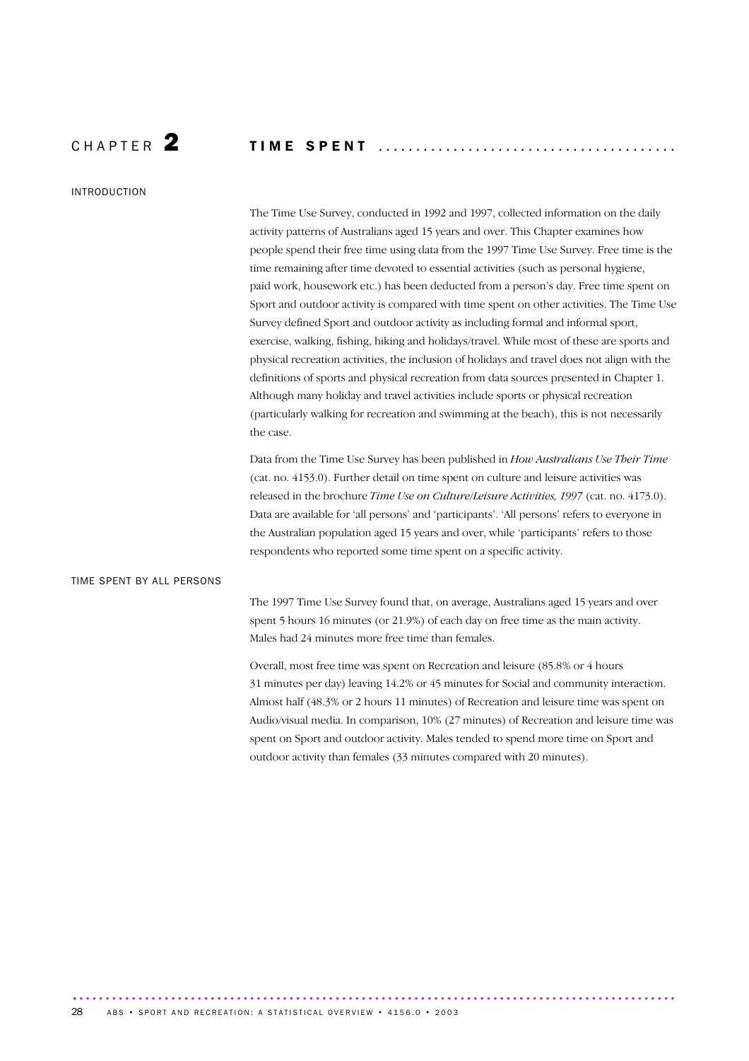INTRODUCTION

C H A P T E R 2 T I M E S P E N T ........................................

The Time Use Survey, conducted in 1992 and 1997, collected information on the daily activity patterns of Australians aged 15 years and over. This Chapter examines how people spend their free time using data from the 1997 Time Use Survey. Free time is the time remaining after time devoted to essential activities (such as personal hygiene, paid work, housework etc.) has been deducted from a person's day. Free time spent on Sport and outdoor activity is compared with time spent on other activities. The Time Use Survey defined Sport and outdoor activity as including formal and informal sport, exercise, walking, fishing, hiking and holidays/travel. While most of these are sports and physical recreation activities, the inclusion of holidays and travel does not align with the definitions of sports and physical recreation from data sources presented in Chapter 1. Although many holiday and travel activities include sports or physical recreation (particularly walking for recreation and swimming at the beach), this is not necessarily the case.

> Data from the Time Use Survey has been published in *How Australians Use Their Time* (cat. no. 4153.0). Further detail on time spent on culture and leisure activities was released in the brochure *Time Use on Culture/Leisure Activities, 1997* (cat. no. 4173.0). Data are available for 'all persons' and 'participants'. 'All persons' refers to everyone in the Australian population aged 15 years and over, while 'participants' refers to those respondents who reported some time spent on a specific activity.

### TIME SPENT BY ALL PERSONS

The 1997 Time Use Survey found that, on average, Australians aged 15 years and over spent 5 hours 16 minutes (or 21.9%) of each day on free time as the main activity. Males had 24 minutes more free time than females.

Overall, most free time was spent on Recreation and leisure (85.8% or 4 hours 31 minutes per day) leaving 14.2% or 45 minutes for Social and community interaction. Almost half (48.3% or 2 hours 11 minutes) of Recreation and leisure time was spent on Audio/visual media. In comparison, 10% (27 minutes) of Recreation and leisure time was spent on Sport and outdoor activity. Males tended to spend more time on Sport and outdoor activity than females (33 minutes compared with 20 minutes).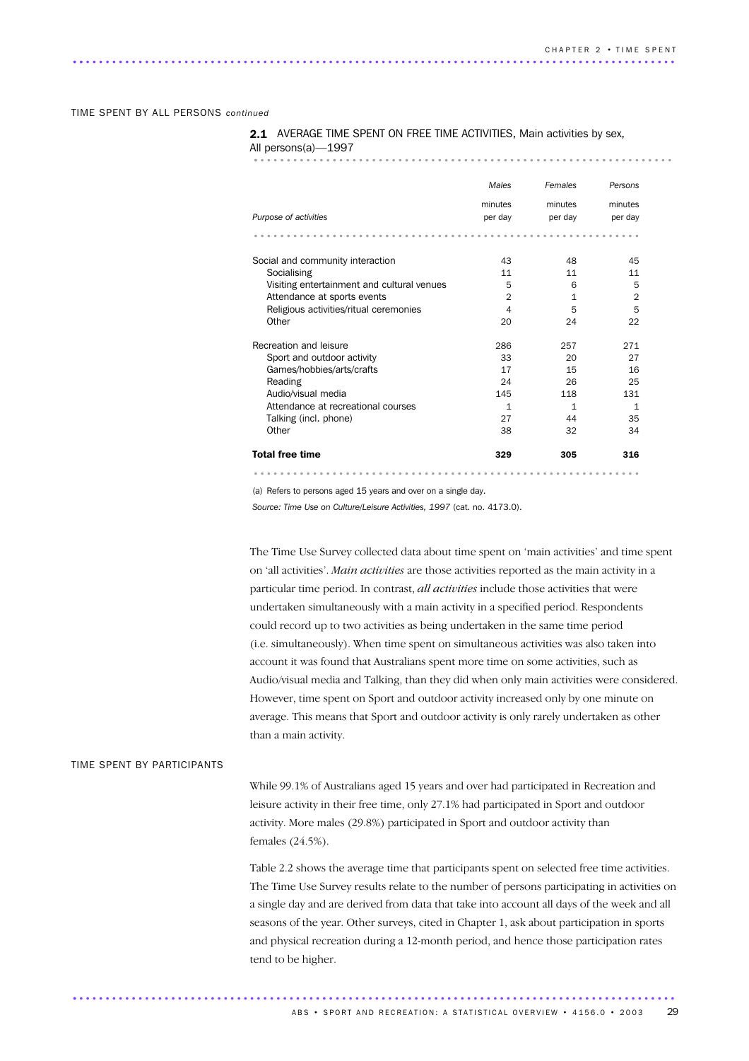#### TIME SPENT BY ALL PERSONS *continued*

### 2.1 AVERAGE TIME SPENT ON FREE TIME ACTIVITIES, Main activities by sex,

All persons(a)—1997

|                                            | Males          | Females      | Persons        |
|--------------------------------------------|----------------|--------------|----------------|
|                                            | minutes        | minutes      | minutes        |
| Purpose of activities                      | per day        | per day      | per day        |
|                                            |                |              |                |
| Social and community interaction           | 43             | 48           | 45             |
| Socialising                                | 11             | 11           | 11             |
| Visiting entertainment and cultural venues | 5              | 6            | 5              |
| Attendance at sports events                | $\overline{2}$ | $\mathbf{1}$ | $\overline{2}$ |
| Religious activities/ritual ceremonies     | 4              | 5            | 5              |
| Other                                      | 20             | 24           | 22             |
| Recreation and leisure                     | 286            | 257          | 271            |
| Sport and outdoor activity                 | 33             | 20           | 27             |
| Games/hobbies/arts/crafts                  | 17             | 15           | 16             |
| Reading                                    | 24             | 26           | 25             |
| Audio/visual media                         | 145            | 118          | 131            |
| Attendance at recreational courses         | $\mathbf{1}$   | $\mathbf{1}$ | $\mathbf{1}$   |
| Talking (incl. phone)                      | 27             | 44           | 35             |
| Other                                      | 38             | 32           | 34             |
| <b>Total free time</b>                     | 329            | 305          | 316            |

(a) Refers to persons aged 15 years and over on a single day.

............................................................................................ .

*Source: Time Use on Culture/Leisure Activities, 1997* (cat. no. 4173.0).

The Time Use Survey collected data about time spent on 'main activities' and time spent on 'all activities'. *Main activities* are those activities reported as the main activity in a particular time period. In contrast, *all activities* include those activities that were undertaken simultaneously with a main activity in a specified period. Respondents could record up to two activities as being undertaken in the same time period (i.e. simultaneously). When time spent on simultaneous activities was also taken into account it was found that Australians spent more time on some activities, such as Audio/visual media and Talking, than they did when only main activities were considered. However, time spent on Sport and outdoor activity increased only by one minute on average. This means that Sport and outdoor activity is only rarely undertaken as other than a main activity.

### TIME SPENT BY PARTICIPANTS

While 99.1% of Australians aged 15 years and over had participated in Recreation and leisure activity in their free time, only 27.1% had participated in Sport and outdoor activity. More males (29.8%) participated in Sport and outdoor activity than females (24.5%).

Table 2.2 shows the average time that participants spent on selected free time activities. The Time Use Survey results relate to the number of persons participating in activities on a single day and are derived from data that take into account all days of the week and all seasons of the year. Other surveys, cited in Chapter 1, ask about participation in sports and physical recreation during a 12-month period, and hence those participation rates tend to be higher.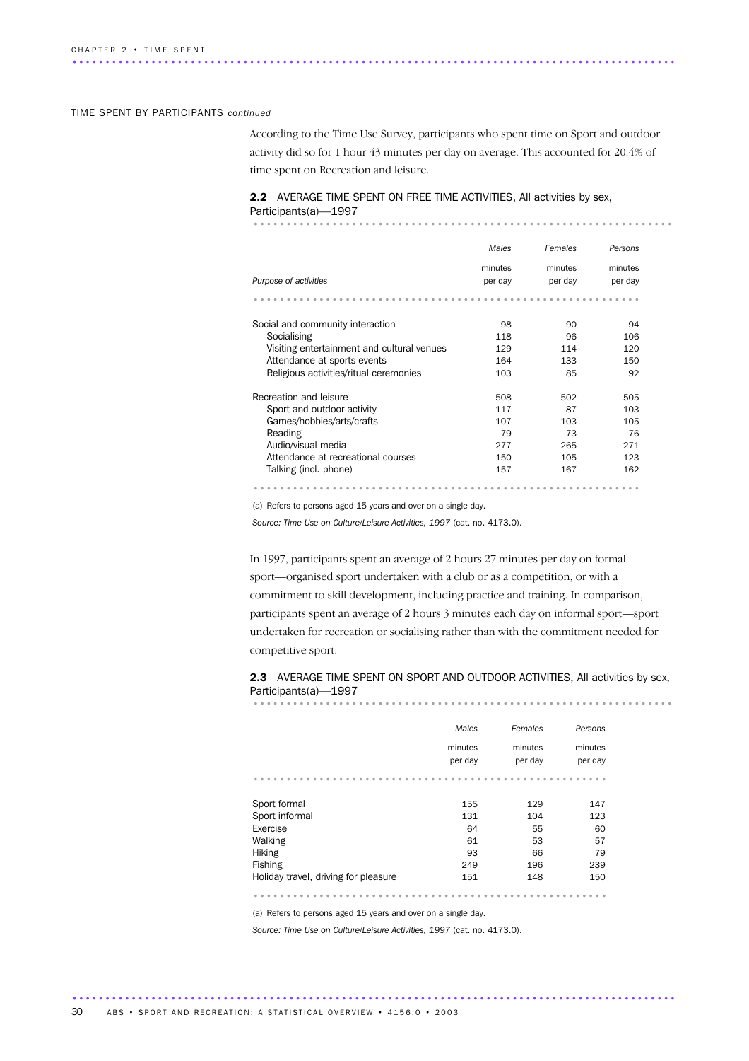#### TIME SPENT BY PARTICIPANTS *continued*

According to the Time Use Survey, participants who spent time on Sport and outdoor activity did so for 1 hour 43 minutes per day on average. This accounted for 20.4% of time spent on Recreation and leisure.

................................................................ .

### 2.2 AVERAGE TIME SPENT ON FREE TIME ACTIVITIES, All activities by sex, Participants(a)—1997

|                                            | Males   | Females | Persons |
|--------------------------------------------|---------|---------|---------|
|                                            | minutes | minutes | minutes |
| Purpose of activities                      | per day | per day | per day |
|                                            |         |         |         |
| Social and community interaction           | 98      | 90      | 94      |
| Socialising                                | 118     | 96      | 106     |
| Visiting entertainment and cultural venues | 129     | 114     | 120     |
| Attendance at sports events                | 164     | 133     | 150     |
| Religious activities/ritual ceremonies     | 10.3    | 85      | 92      |
| Recreation and leisure                     | 508     | 502     | 505     |
| Sport and outdoor activity                 | 117     | 87      | 103     |
| Games/hobbies/arts/crafts                  | 107     | 103     | 105     |
| Reading                                    | 79      | 73      | 76      |
| Audio/visual media                         | 277     | 265     | 271     |
| Attendance at recreational courses         | 150     | 105     | 123     |
| Talking (incl. phone)                      | 157     | 167     | 162     |

(a) Refers to persons aged 15 years and over on a single day.

*Source: Time Use on Culture/Leisure Activities, 1997* (cat. no. 4173.0).

In 1997, participants spent an average of 2 hours 27 minutes per day on formal sport—organised sport undertaken with a club or as a competition, or with a commitment to skill development, including practice and training. In comparison, participants spent an average of 2 hours 3 minutes each day on informal sport—sport undertaken for recreation or socialising rather than with the commitment needed for competitive sport.

#### 2.3 AVERAGE TIME SPENT ON SPORT AND OUTDOOR ACTIVITIES, All activities by sex, Participants(a)—1997 ................................................................

|                                      | Males              | Females            | Persons            |
|--------------------------------------|--------------------|--------------------|--------------------|
|                                      | minutes<br>per day | minutes<br>per day | minutes<br>per day |
|                                      |                    |                    |                    |
| Sport formal                         | 155                | 129                | 147                |
| Sport informal                       | 131                | 104                | 123                |
| Exercise                             | 64                 | 55                 | 60                 |
| Walking                              | 61                 | 53                 | 57                 |
| <b>Hiking</b>                        | 93                 | 66                 | 79                 |
| Fishing                              | 249                | 196                | 239                |
| Holiday travel, driving for pleasure | 151                | 148                | 150                |
|                                      |                    |                    |                    |

(a) Refers to persons aged 15 years and over on a single day.

*Source: Time Use on Culture/Leisure Activities, 1997* (cat. no. 4173.0).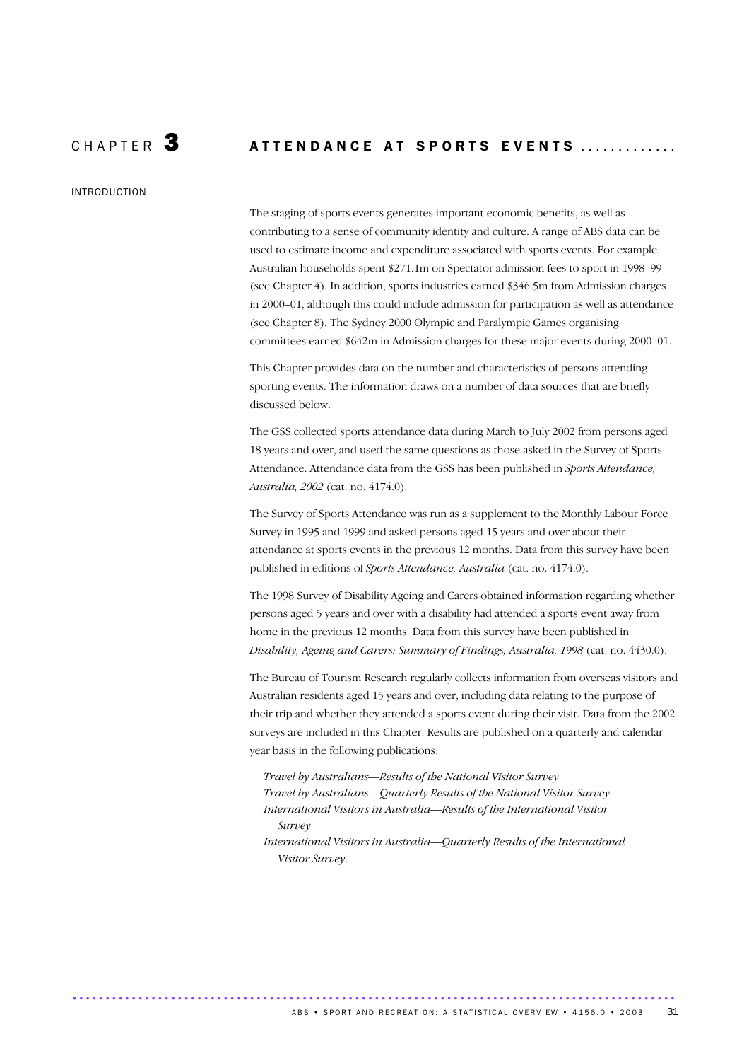# CHAPTER  $\mathbf 3$  ATTENDANCE AT SPORTS EVENTS .............

INTRODUCTION

The staging of sports events generates important economic benefits, as well as contributing to a sense of community identity and culture. A range of ABS data can be used to estimate income and expenditure associated with sports events. For example, Australian households spent \$271.1m on Spectator admission fees to sport in 1998–99 (see Chapter 4). In addition, sports industries earned \$346.5m from Admission charges in 2000–01, although this could include admission for participation as well as attendance (see Chapter 8). The Sydney 2000 Olympic and Paralympic Games organising committees earned \$642m in Admission charges for these major events during 2000–01.

This Chapter provides data on the number and characteristics of persons attending sporting events. The information draws on a number of data sources that are briefly discussed below.

The GSS collected sports attendance data during March to July 2002 from persons aged 18 years and over, and used the same questions as those asked in the Survey of Sports Attendance. Attendance data from the GSS has been published in *Sports Attendance, Australia, 2002* (cat. no. 4174.0).

The Survey of Sports Attendance was run as a supplement to the Monthly Labour Force Survey in 1995 and 1999 and asked persons aged 15 years and over about their attendance at sports events in the previous 12 months. Data from this survey have been published in editions of *Sports Attendance, Australia* (cat. no. 4174.0).

The 1998 Survey of Disability Ageing and Carers obtained information regarding whether persons aged 5 years and over with a disability had attended a sports event away from home in the previous 12 months. Data from this survey have been published in *Disability, Ageing and Carers: Summary of Findings, Australia, 1998* (cat. no. 4430.0).

The Bureau of Tourism Research regularly collects information from overseas visitors and Australian residents aged 15 years and over, including data relating to the purpose of their trip and whether they attended a sports event during their visit. Data from the 2002 surveys are included in this Chapter. Results are published on a quarterly and calendar year basis in the following publications:

*Travel by Australians—Results of the National Visitor Survey Travel by Australians—Quarterly Results of the National Visitor Survey International Visitors in Australia—Results of the International Visitor Survey International Visitors in Australia—Quarterly Results of the International Visitor Survey*.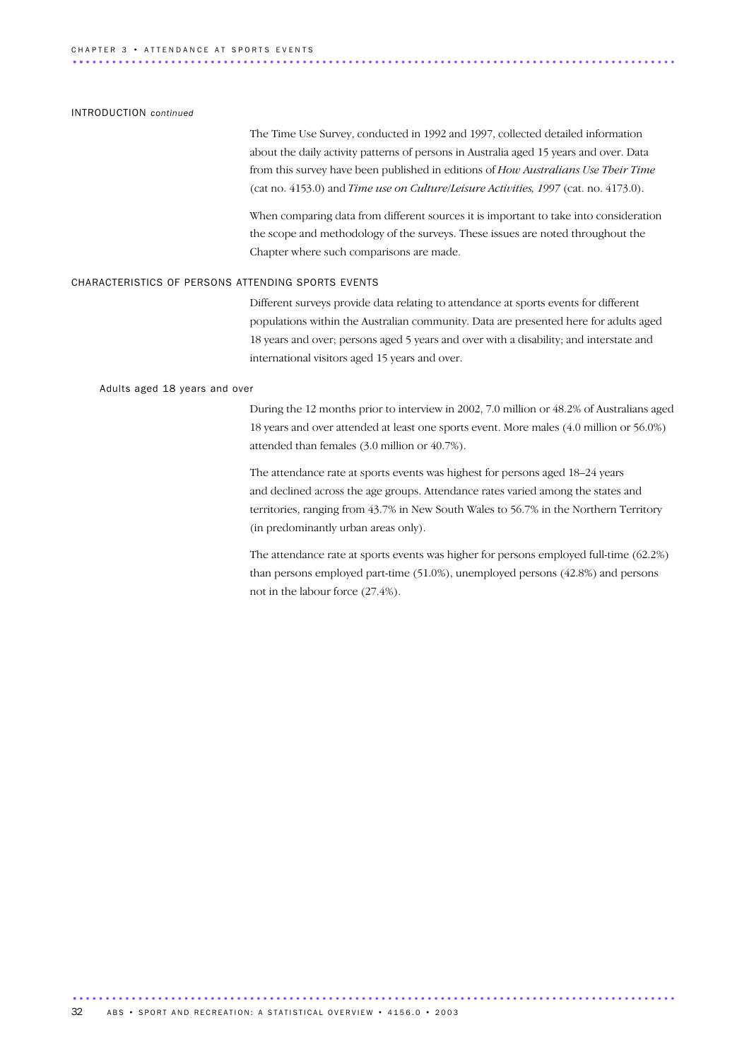### INTRODUCTION *continued*

The Time Use Survey, conducted in 1992 and 1997, collected detailed information about the daily activity patterns of persons in Australia aged 15 years and over. Data from this survey have been published in editions of *How Australians Use Their Time* (cat no. 4153.0) and *Time use on Culture/Leisure Activities, 1997* (cat. no. 4173.0).

When comparing data from different sources it is important to take into consideration the scope and methodology of the surveys. These issues are noted throughout the Chapter where such comparisons are made.

### CHARACTERISTICS OF PERSONS ATTENDING SPORTS EVENTS

Different surveys provide data relating to attendance at sports events for different populations within the Australian community. Data are presented here for adults aged 18 years and over; persons aged 5 years and over with a disability; and interstate and international visitors aged 15 years and over.

### Adults aged 18 years and over

During the 12 months prior to interview in 2002, 7.0 million or 48.2% of Australians aged 18 years and over attended at least one sports event. More males (4.0 million or 56.0%) attended than females (3.0 million or 40.7%).

The attendance rate at sports events was highest for persons aged 18–24 years and declined across the age groups. Attendance rates varied among the states and territories, ranging from 43.7% in New South Wales to 56.7% in the Northern Territory (in predominantly urban areas only).

The attendance rate at sports events was higher for persons employed full-time (62.2%) than persons employed part-time (51.0%), unemployed persons (42.8%) and persons not in the labour force (27.4%).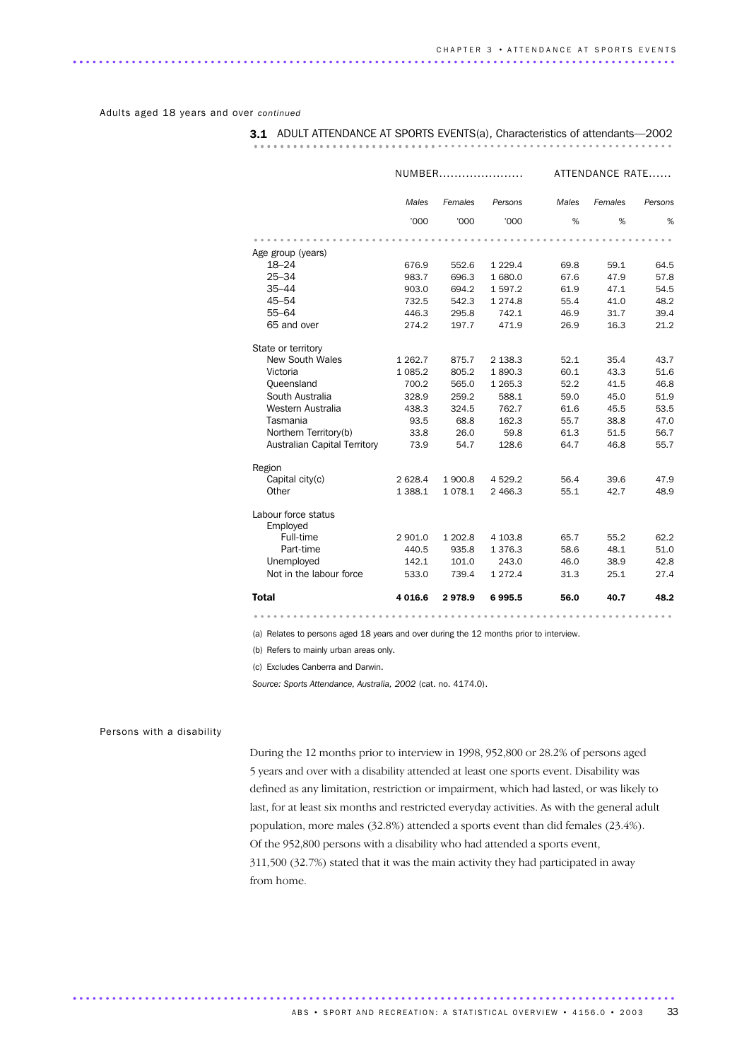Adults aged 18 years and over *continued*

|                              |           | NUMBER  |             |       | ATTENDANCE RATE |         |  |  |  |  |
|------------------------------|-----------|---------|-------------|-------|-----------------|---------|--|--|--|--|
|                              | Males     | Females | Persons     | Males | Females         | Persons |  |  |  |  |
|                              | '000      | '000    | '000        | %     | %               | %       |  |  |  |  |
|                              |           |         |             |       |                 |         |  |  |  |  |
| Age group (years)            |           |         |             |       |                 |         |  |  |  |  |
| $18 - 24$                    | 676.9     | 552.6   | 1 2 2 9.4   | 69.8  | 59.1            | 64.5    |  |  |  |  |
| $25 - 34$                    | 983.7     | 696.3   | 1 680.0     | 67.6  | 47.9            | 57.8    |  |  |  |  |
| $35 - 44$                    | 903.0     | 694.2   | 1597.2      | 61.9  | 47.1            | 54.5    |  |  |  |  |
| $45 - 54$                    | 732.5     | 542.3   | 1 2 7 4.8   | 55.4  | 41.0            | 48.2    |  |  |  |  |
| $55 - 64$                    | 446.3     | 295.8   | 742.1       | 46.9  | 31.7            | 39.4    |  |  |  |  |
| 65 and over                  | 274.2     | 197.7   | 471.9       | 26.9  | 16.3            | 21.2    |  |  |  |  |
| State or territory           |           |         |             |       |                 |         |  |  |  |  |
| <b>New South Wales</b>       | 1 2 6 2.7 | 875.7   | 2 138.3     | 52.1  | 35.4            | 43.7    |  |  |  |  |
| Victoria                     | 1 0 8 5.2 | 805.2   | 1890.3      | 60.1  | 43.3            | 51.6    |  |  |  |  |
| Queensland                   | 700.2     | 565.0   | 1 2 6 5 . 3 | 52.2  | 41.5            | 46.8    |  |  |  |  |
| South Australia              | 328.9     | 259.2   | 588.1       | 59.0  | 45.0            | 51.9    |  |  |  |  |
| Western Australia            | 438.3     | 324.5   | 762.7       | 61.6  | 45.5            | 53.5    |  |  |  |  |
| Tasmania                     | 93.5      | 68.8    | 162.3       | 55.7  | 38.8            | 47.0    |  |  |  |  |
| Northern Territory(b)        | 33.8      | 26.0    | 59.8        | 61.3  | 51.5            | 56.7    |  |  |  |  |
| Australian Capital Territory | 73.9      | 54.7    | 128.6       | 64.7  | 46.8            | 55.7    |  |  |  |  |
| Region                       |           |         |             |       |                 |         |  |  |  |  |
| Capital city(c)              | 2 6 28.4  | 1900.8  | 4 5 29.2    | 56.4  | 39.6            | 47.9    |  |  |  |  |
| Other                        | 1388.1    | 1078.1  | 2 4 6 6.3   | 55.1  | 42.7            | 48.9    |  |  |  |  |
| Labour force status          |           |         |             |       |                 |         |  |  |  |  |
| Employed                     |           |         |             |       |                 |         |  |  |  |  |
| Full-time                    | 2 901.0   | 1 202.8 | 4 103.8     | 65.7  | 55.2            | 62.2    |  |  |  |  |
| Part-time                    | 440.5     | 935.8   | 1376.3      | 58.6  | 48.1            | 51.0    |  |  |  |  |
| Unemployed                   | 142.1     | 101.0   | 243.0       | 46.0  | 38.9            | 42.8    |  |  |  |  |
| Not in the labour force      | 533.0     | 739.4   | 1 272.4     | 31.3  | 25.1            | 27.4    |  |  |  |  |
| <b>Total</b>                 | 4 0 16.6  | 2978.9  | 6995.5      | 56.0  | 40.7            | 48.2    |  |  |  |  |
|                              |           |         |             |       |                 |         |  |  |  |  |

3.1 ADULT ATTENDANCE AT SPORTS EVENTS(a), Characteristics of attendants-2002

(a) Relates to persons aged 18 years and over during the 12 months prior to interview.

(b) Refers to mainly urban areas only.

(c) Excludes Canberra and Darwin.

*Source: Sports Attendance, Australia, 2002* (cat. no. 4174.0).

### Persons with a disability

During the 12 months prior to interview in 1998, 952,800 or 28.2% of persons aged 5 years and over with a disability attended at least one sports event. Disability was defined as any limitation, restriction or impairment, which had lasted, or was likely to last, for at least six months and restricted everyday activities. As with the general adult population, more males (32.8%) attended a sports event than did females (23.4%). Of the 952,800 persons with a disability who had attended a sports event, 311,500 (32.7%) stated that it was the main activity they had participated in away from home.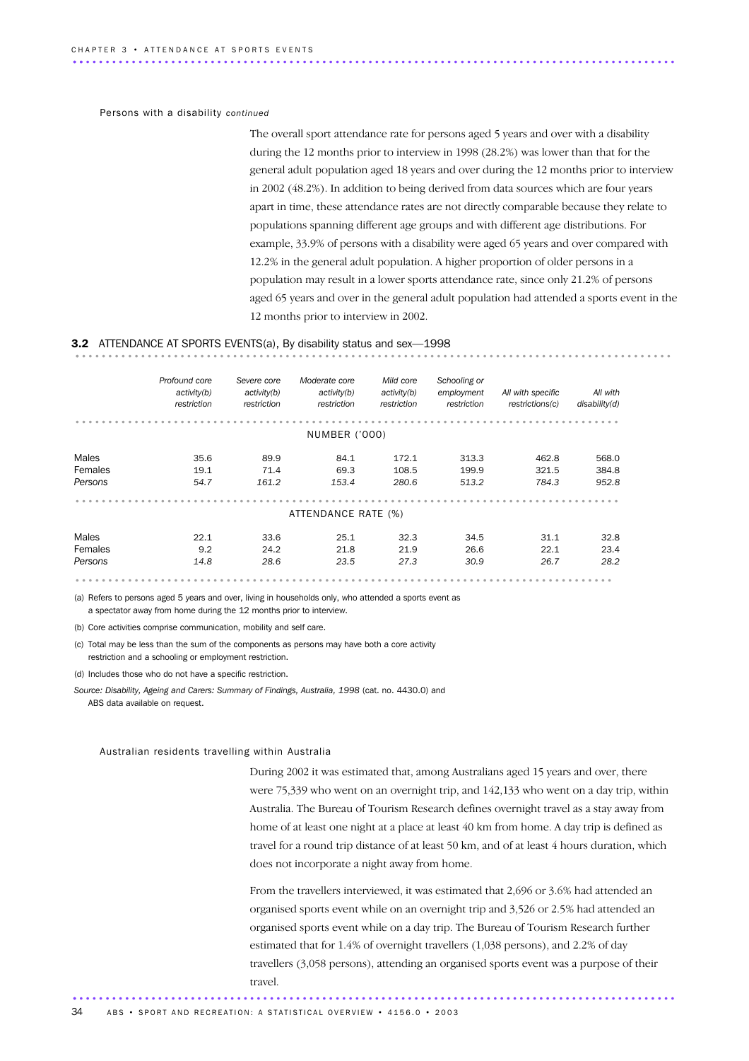#### Persons with a disability *continued*

The overall sport attendance rate for persons aged 5 years and over with a disability during the 12 months prior to interview in 1998 (28.2%) was lower than that for the general adult population aged 18 years and over during the 12 months prior to interview in 2002 (48.2%). In addition to being derived from data sources which are four years apart in time, these attendance rates are not directly comparable because they relate to populations spanning different age groups and with different age distributions. For example, 33.9% of persons with a disability were aged 65 years and over compared with 12.2% in the general adult population. A higher proportion of older persons in a population may result in a lower sports attendance rate, since only 21.2% of persons aged 65 years and over in the general adult population had attended a sports event in the 12 months prior to interview in 2002.

### 3.2 ATTENDANCE AT SPORTS EVENTS(a), By disability status and sex-1998

|                      | Profound core<br>activity(b)<br>restriction | Severe core<br>activity(b)<br>restriction | Moderate core<br>activity(b)<br>restriction | Mild core<br>activity(b)<br>restriction | Schooling or<br>employment<br>restriction | All with specific<br>restrictions(c) | All with<br>disability(d) |  |  |  |  |  |
|----------------------|---------------------------------------------|-------------------------------------------|---------------------------------------------|-----------------------------------------|-------------------------------------------|--------------------------------------|---------------------------|--|--|--|--|--|
| <b>NUMBER ('000)</b> |                                             |                                           |                                             |                                         |                                           |                                      |                           |  |  |  |  |  |
| Males                | 35.6                                        | 89.9                                      | 84.1                                        | 172.1                                   | 313.3                                     | 462.8                                | 568.0                     |  |  |  |  |  |
| Females              | 19.1                                        | 71.4                                      | 69.3                                        | 108.5                                   | 199.9                                     | 321.5                                | 384.8                     |  |  |  |  |  |
| Persons              | 54.7                                        | 161.2                                     | 153.4                                       | 280.6                                   | 513.2                                     | 784.3                                | 952.8                     |  |  |  |  |  |
|                      |                                             |                                           |                                             |                                         |                                           |                                      |                           |  |  |  |  |  |
| ATTENDANCE RATE (%)  |                                             |                                           |                                             |                                         |                                           |                                      |                           |  |  |  |  |  |
| Males                | 22.1                                        | 33.6                                      | 25.1                                        | 32.3                                    | 34.5                                      | 31.1                                 | 32.8                      |  |  |  |  |  |
| Females              | 9.2                                         | 24.2                                      | 21.8                                        | 21.9                                    | 26.6                                      | 22.1                                 | 23.4                      |  |  |  |  |  |
| Persons              | 14.8                                        | 28.6                                      | 23.5                                        | 27.3                                    | 30.9                                      | 26.7                                 | 28.2                      |  |  |  |  |  |
|                      |                                             |                                           |                                             |                                         |                                           |                                      |                           |  |  |  |  |  |

(a) Refers to persons aged 5 years and over, living in households only, who attended a sports event as a spectator away from home during the 12 months prior to interview.

(b) Core activities comprise communication, mobility and self care.

(c) Total may be less than the sum of the components as persons may have both a core activity restriction and a schooling or employment restriction.

(d) Includes those who do not have a specific restriction.

*Source: Disability, Ageing and Carers: Summary of Findings, Australia, 1998* (cat. no. 4430.0) and ABS data available on request.

Australian residents travelling within Australia

During 2002 it was estimated that, among Australians aged 15 years and over, there were 75,339 who went on an overnight trip, and 142,133 who went on a day trip, within Australia. The Bureau of Tourism Research defines overnight travel as a stay away from home of at least one night at a place at least 40 km from home. A day trip is defined as travel for a round trip distance of at least 50 km, and of at least 4 hours duration, which does not incorporate a night away from home.

From the travellers interviewed, it was estimated that 2,696 or 3.6% had attended an organised sports event while on an overnight trip and 3,526 or 2.5% had attended an organised sports event while on a day trip. The Bureau of Tourism Research further estimated that for 1.4% of overnight travellers (1,038 persons), and 2.2% of day travellers (3,058 persons), attending an organised sports event was a purpose of their travel. ............................................................................................ .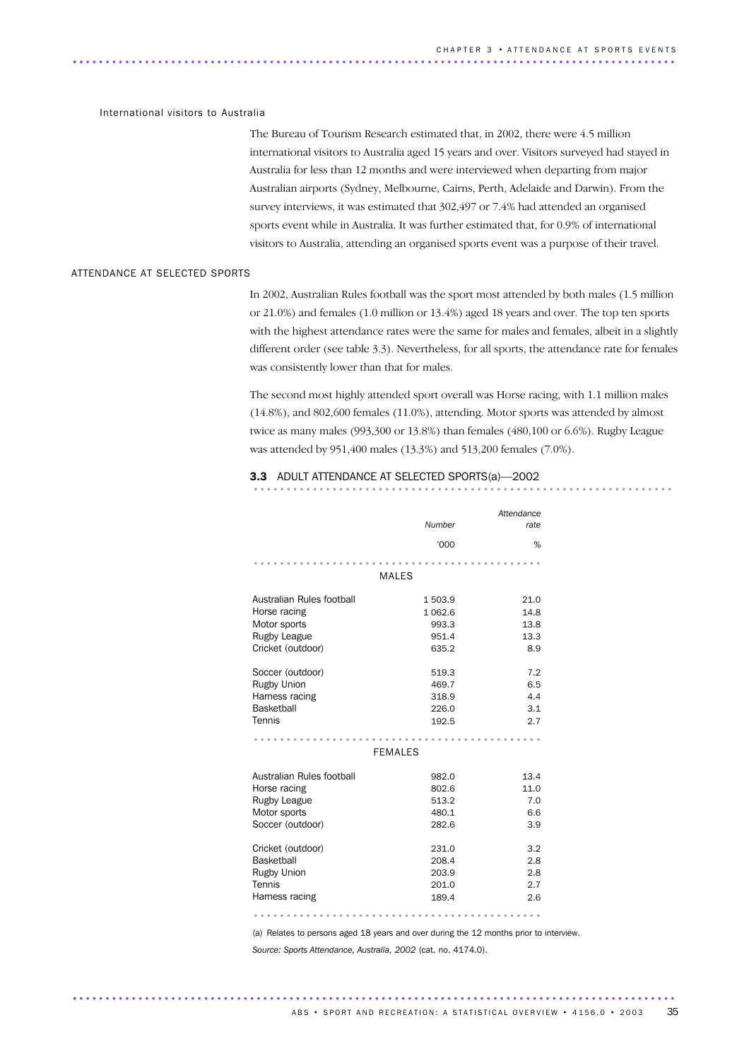#### International visitors to Australia

............................................................................................ ..

The Bureau of Tourism Research estimated that, in 2002, there were 4.5 million international visitors to Australia aged 15 years and over. Visitors surveyed had stayed in Australia for less than 12 months and were interviewed when departing from major Australian airports (Sydney, Melbourne, Cairns, Perth, Adelaide and Darwin). From the survey interviews, it was estimated that 302,497 or 7.4% had attended an organised sports event while in Australia. It was further estimated that, for 0.9% of international visitors to Australia, attending an organised sports event was a purpose of their travel.

### ATTENDANCE AT SELECTED SPORTS

In 2002, Australian Rules football was the sport most attended by both males (1.5 million or 21.0%) and females (1.0 million or 13.4%) aged 18 years and over. The top ten sports with the highest attendance rates were the same for males and females, albeit in a slightly different order (see table 3.3). Nevertheless, for all sports, the attendance rate for females was consistently lower than that for males.

The second most highly attended sport overall was Horse racing, with 1.1 million males (14.8%), and 802,600 females (11.0%), attending. Motor sports was attended by almost twice as many males (993,300 or 13.8%) than females (480,100 or 6.6%). Rugby League was attended by 951,400 males (13.3%) and 513,200 females (7.0%).

|                           | Number         | Attendance<br>rate |  |  |  |  |  |  |
|---------------------------|----------------|--------------------|--|--|--|--|--|--|
|                           |                |                    |  |  |  |  |  |  |
|                           | '000           | %                  |  |  |  |  |  |  |
|                           |                |                    |  |  |  |  |  |  |
|                           | <b>MALES</b>   |                    |  |  |  |  |  |  |
| Australian Rules football | 1503.9         | 21.0               |  |  |  |  |  |  |
| Horse racing              | 1 0 6 2.6      | 14.8               |  |  |  |  |  |  |
| Motor sports              | 993.3          | 13.8               |  |  |  |  |  |  |
| Rugby League              | 951.4          | 13.3               |  |  |  |  |  |  |
| Cricket (outdoor)         | 635.2          | 8.9                |  |  |  |  |  |  |
| Soccer (outdoor)          | 519.3          | 7.2                |  |  |  |  |  |  |
| <b>Rugby Union</b>        | 469.7          | 6.5                |  |  |  |  |  |  |
| Harness racing            | 318.9          | 4.4                |  |  |  |  |  |  |
| Basketball                | 226.0          | 3.1                |  |  |  |  |  |  |
| Tennis                    | 192.5          | 2.7                |  |  |  |  |  |  |
|                           | <b>FEMALES</b> |                    |  |  |  |  |  |  |
|                           |                |                    |  |  |  |  |  |  |
| Australian Rules football | 982.0          | 13.4               |  |  |  |  |  |  |
| Horse racing              | 802.6          | 11.0               |  |  |  |  |  |  |
| Rugby League              | 513.2          | 7.0                |  |  |  |  |  |  |
| Motor sports              | 480.1          | 6.6                |  |  |  |  |  |  |
| Soccer (outdoor)          | 282.6          | 3.9                |  |  |  |  |  |  |
| Cricket (outdoor)         | 231.0          | 3.2                |  |  |  |  |  |  |
| Basketball                | 208.4          | 2.8                |  |  |  |  |  |  |
| <b>Rugby Union</b>        | 203.9          | 2.8                |  |  |  |  |  |  |
| Tennis                    | 201.0          | 2.7                |  |  |  |  |  |  |
| Harness racing            | 189.4          | 2.6                |  |  |  |  |  |  |
|                           |                |                    |  |  |  |  |  |  |

### 3.3 ADULT ATTENDANCE AT SELECTED SPORTS(a)-2002

(a) Relates to persons aged 18 years and over during the 12 months prior to interview.

*Source: Sports Attendance, Australia, 2002* (cat. no. 4174.0).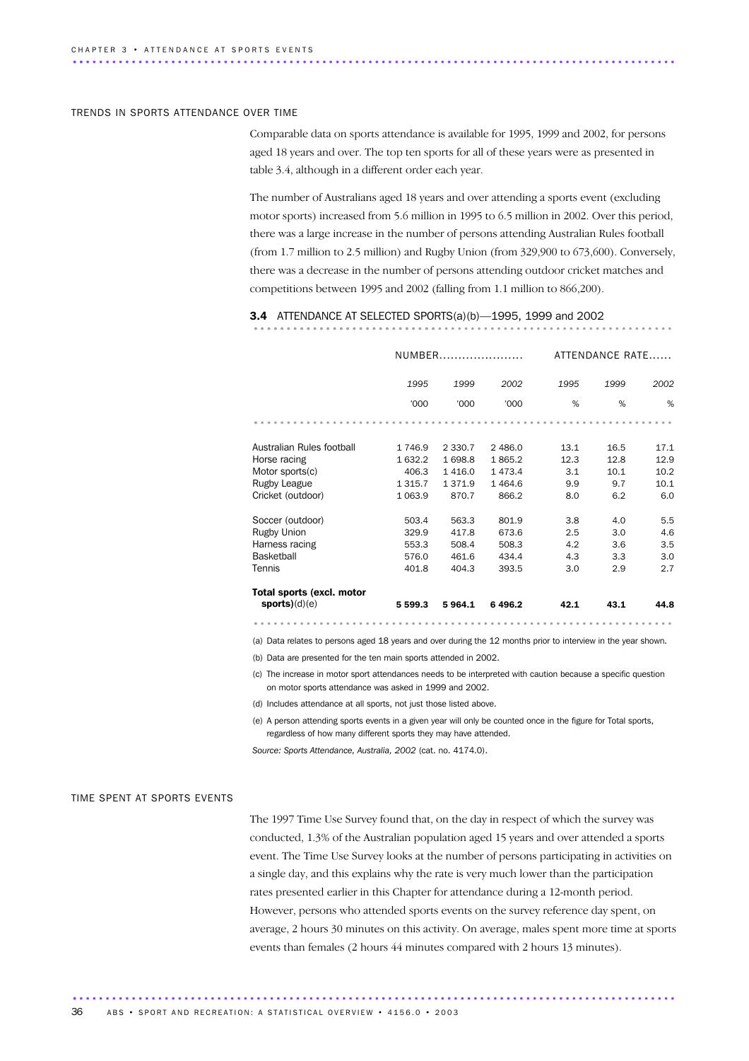#### TRENDS IN SPORTS ATTENDANCE OVER TIME

Comparable data on sports attendance is available for 1995, 1999 and 2002, for persons aged 18 years and over. The top ten sports for all of these years were as presented in table 3.4, although in a different order each year.

The number of Australians aged 18 years and over attending a sports event (excluding motor sports) increased from 5.6 million in 1995 to 6.5 million in 2002. Over this period, there was a large increase in the number of persons attending Australian Rules football (from 1.7 million to 2.5 million) and Rugby Union (from 329,900 to 673,600). Conversely, there was a decrease in the number of persons attending outdoor cricket matches and competitions between 1995 and 2002 (falling from 1.1 million to 866,200).

#### 3.4 ATTENDANCE AT SELECTED SPORTS(a)(b)-1995, 1999 and 2002

|                           |             | NUMBER     |             | ATTENDANCE RATE |      |      |  |
|---------------------------|-------------|------------|-------------|-----------------|------|------|--|
|                           | 1995        | 1999       | 2002        | 1995            | 1999 | 2002 |  |
|                           | '000        | 000'       | '000        | %               | %    | %    |  |
|                           |             |            |             |                 |      |      |  |
| Australian Rules football | 1 746.9     | 2 3 3 0.7  | 2486.0      | 13.1            | 16.5 | 17.1 |  |
| Horse racing              | 1632.2      | 1 698.8    | 1865.2      | 12.3            | 12.8 | 12.9 |  |
| Motor sports(c)           | 406.3       | 1416.0     | 1473.4      | 3.1             | 10.1 | 10.2 |  |
| Rugby League              | 1 3 1 5 . 7 | 1 3 7 1 .9 | 1 4 6 4 . 6 | 9.9             | 9.7  | 10.1 |  |
| Cricket (outdoor)         | 1 0 6 3.9   | 870.7      | 866.2       | 8.0             | 6.2  | 6.0  |  |
| Soccer (outdoor)          | 503.4       | 563.3      | 801.9       | 3.8             | 4.0  | 5.5  |  |
| <b>Rugby Union</b>        | 329.9       | 417.8      | 673.6       | 2.5             | 3.0  | 4.6  |  |
| Harness racing            | 553.3       | 508.4      | 508.3       | 4.2             | 3.6  | 3.5  |  |
| <b>Basketball</b>         | 576.0       | 461.6      | 434.4       | 4.3             | 3.3  | 3.0  |  |
| Tennis                    | 401.8       | 404.3      | 393.5       | 3.0             | 2.9  | 2.7  |  |
| Total sports (excl. motor |             |            |             |                 |      |      |  |
| sports)(d)(e)             | 5 599.3     | 5964.1     | 6496.2      | 42.1            | 43.1 | 44.8 |  |
|                           |             |            |             |                 |      |      |  |

(a) Data relates to persons aged 18 years and over during the 12 months prior to interview in the year shown.

(b) Data are presented for the ten main sports attended in 2002.

(c) The increase in motor sport attendances needs to be interpreted with caution because a specific question on motor sports attendance was asked in 1999 and 2002.

(d) Includes attendance at all sports, not just those listed above.

(e) A person attending sports events in a given year will only be counted once in the figure for Total sports, regardless of how many different sports they may have attended.

*Source: Sports Attendance, Australia, 2002* (cat. no. 4174.0).

### TIME SPENT AT SPORTS EVENTS

The 1997 Time Use Survey found that, on the day in respect of which the survey was conducted, 1.3% of the Australian population aged 15 years and over attended a sports event. The Time Use Survey looks at the number of persons participating in activities on a single day, and this explains why the rate is very much lower than the participation rates presented earlier in this Chapter for attendance during a 12-month period. However, persons who attended sports events on the survey reference day spent, on average, 2 hours 30 minutes on this activity. On average, males spent more time at sports events than females (2 hours 44 minutes compared with 2 hours 13 minutes).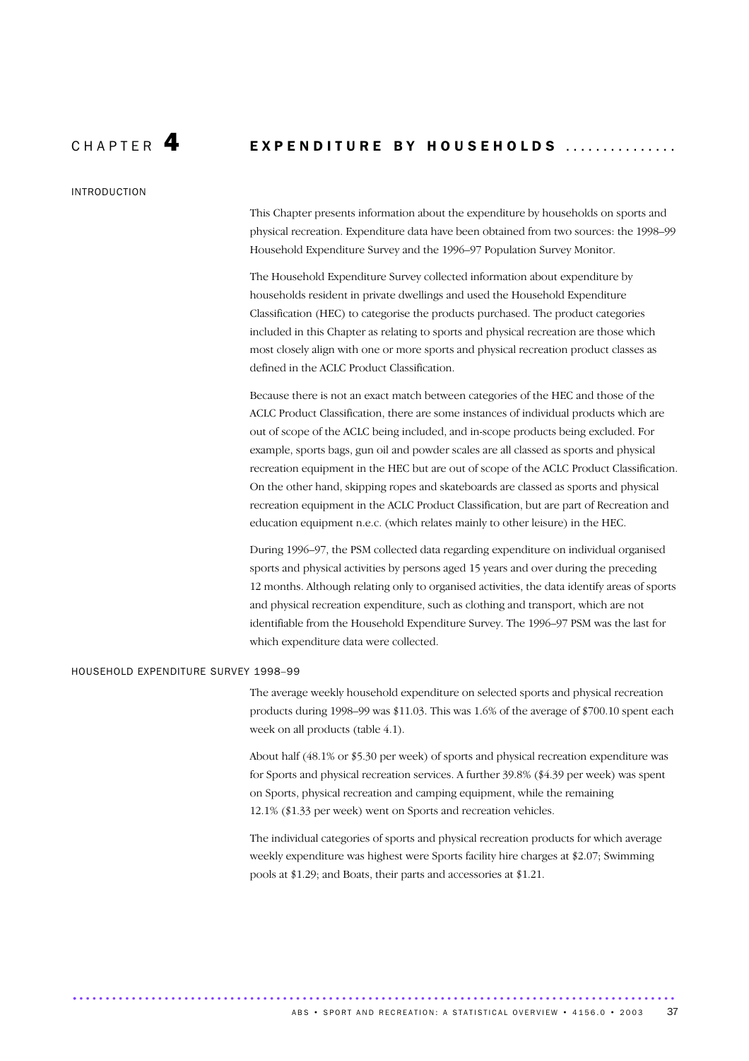# CHAPTER  $\overline{4}$  EXPENDITURE BY HOUSEHOLDS ...............

INTRODUCTION

This Chapter presents information about the expenditure by households on sports and physical recreation. Expenditure data have been obtained from two sources: the 1998–99 Household Expenditure Survey and the 1996–97 Population Survey Monitor.

The Household Expenditure Survey collected information about expenditure by households resident in private dwellings and used the Household Expenditure Classification (HEC) to categorise the products purchased. The product categories included in this Chapter as relating to sports and physical recreation are those which most closely align with one or more sports and physical recreation product classes as defined in the ACLC Product Classification.

Because there is not an exact match between categories of the HEC and those of the ACLC Product Classification, there are some instances of individual products which are out of scope of the ACLC being included, and in-scope products being excluded. For example, sports bags, gun oil and powder scales are all classed as sports and physical recreation equipment in the HEC but are out of scope of the ACLC Product Classification. On the other hand, skipping ropes and skateboards are classed as sports and physical recreation equipment in the ACLC Product Classification, but are part of Recreation and education equipment n.e.c. (which relates mainly to other leisure) in the HEC.

During 1996–97, the PSM collected data regarding expenditure on individual organised sports and physical activities by persons aged 15 years and over during the preceding 12 months. Although relating only to organised activities, the data identify areas of sports and physical recreation expenditure, such as clothing and transport, which are not identifiable from the Household Expenditure Survey. The 1996–97 PSM was the last for which expenditure data were collected.

# HOUSEHOLD EXPENDITURE SURVEY 1998–99

The average weekly household expenditure on selected sports and physical recreation products during 1998–99 was \$11.03. This was 1.6% of the average of \$700.10 spent each week on all products (table 4.1).

About half (48.1% or \$5.30 per week) of sports and physical recreation expenditure was for Sports and physical recreation services. A further 39.8% (\$4.39 per week) was spent on Sports, physical recreation and camping equipment, while the remaining 12.1% (\$1.33 per week) went on Sports and recreation vehicles.

The individual categories of sports and physical recreation products for which average weekly expenditure was highest were Sports facility hire charges at \$2.07; Swimming pools at \$1.29; and Boats, their parts and accessories at \$1.21.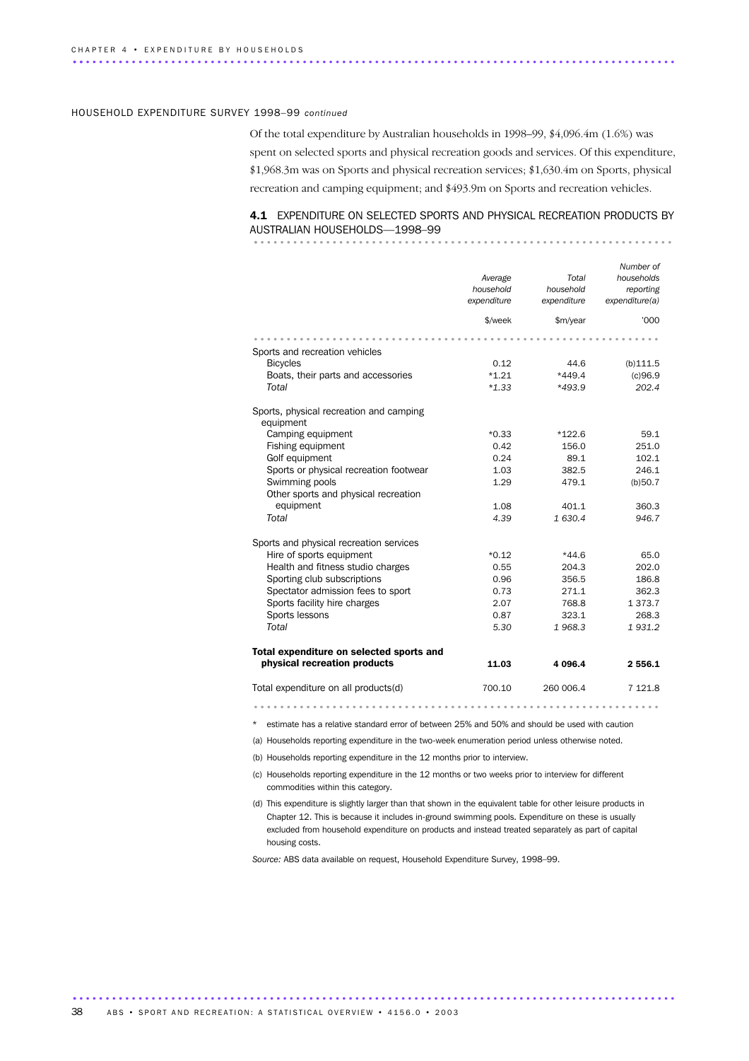## HOUSEHOLD EXPENDITURE SURVEY 1998–99 *continued*

Of the total expenditure by Australian households in 1998–99, \$4,096.4m (1.6%) was spent on selected sports and physical recreation goods and services. Of this expenditure, \$1,968.3m was on Sports and physical recreation services; \$1,630.4m on Sports, physical recreation and camping equipment; and \$493.9m on Sports and recreation vehicles.

### 4.1 EXPENDITURE ON SELECTED SPORTS AND PHYSICAL RECREATION PRODUCTS BY AUSTRALIAN HOUSEHOLDS—1998–99 ................................................................ .

|                                                      | Average<br>household<br>expenditure | Total<br>household<br>expenditure | Number of<br>households<br>reporting<br>expenditure(a) |
|------------------------------------------------------|-------------------------------------|-----------------------------------|--------------------------------------------------------|
|                                                      | \$/week                             | \$m/year                          | '000'                                                  |
|                                                      |                                     |                                   |                                                        |
| Sports and recreation vehicles                       |                                     |                                   |                                                        |
| <b>Bicycles</b>                                      | 0.12                                | 44.6                              | $(b)$ 111.5                                            |
| Boats, their parts and accessories                   | $*1.21$                             | $*449.4$                          | (c)96.9                                                |
| Total                                                | $*1.33$                             | $*493.9$                          | 202.4                                                  |
| Sports, physical recreation and camping<br>equipment |                                     |                                   |                                                        |
| Camping equipment                                    | $*0.33$                             | $*122.6$                          | 59.1                                                   |
| Fishing equipment                                    | 0.42                                | 156.0                             | 251.0                                                  |
| Golf equipment                                       | 0.24                                | 89.1                              | 102.1                                                  |
| Sports or physical recreation footwear               | 1.03                                | 382.5                             | 246.1                                                  |
| Swimming pools                                       | 1.29                                | 479.1                             | (b)50.7                                                |
| Other sports and physical recreation                 |                                     |                                   |                                                        |
| equipment                                            | 1.08                                | 401.1                             | 360.3                                                  |
| Total                                                | 4.39                                | 1 630.4                           | 946.7                                                  |
| Sports and physical recreation services              |                                     |                                   |                                                        |
| Hire of sports equipment                             | $*0.12$                             | $*44.6$                           | 65.0                                                   |
| Health and fitness studio charges                    | 0.55                                | 204.3                             | 202.0                                                  |
| Sporting club subscriptions                          | 0.96                                | 356.5                             | 186.8                                                  |
| Spectator admission fees to sport                    | 0.73                                | 271.1                             | 362.3                                                  |
| Sports facility hire charges                         | 2.07                                | 768.8                             | 1373.7                                                 |
| Sports lessons                                       | 0.87                                | 323.1                             | 268.3                                                  |
| Total                                                | 5.30                                | 1968.3                            | 1931.2                                                 |
| Total expenditure on selected sports and             |                                     |                                   |                                                        |
| physical recreation products                         | 11.03                               | 4 0 9 6.4                         | 2556.1                                                 |
| Total expenditure on all products(d)                 | 700.10                              | 260 006.4                         | 7 1 2 1.8                                              |
|                                                      |                                     |                                   |                                                        |

\* estimate has a relative standard error of between 25% and 50% and should be used with caution

(a) Households reporting expenditure in the two-week enumeration period unless otherwise noted.

(b) Households reporting expenditure in the 12 months prior to interview.

- (c) Households reporting expenditure in the 12 months or two weeks prior to interview for different commodities within this category.
- (d) This expenditure is slightly larger than that shown in the equivalent table for other leisure products in Chapter 12. This is because it includes in-ground swimming pools. Expenditure on these is usually excluded from household expenditure on products and instead treated separately as part of capital housing costs.

*Source:* ABS data available on request, Household Expenditure Survey, 1998–99.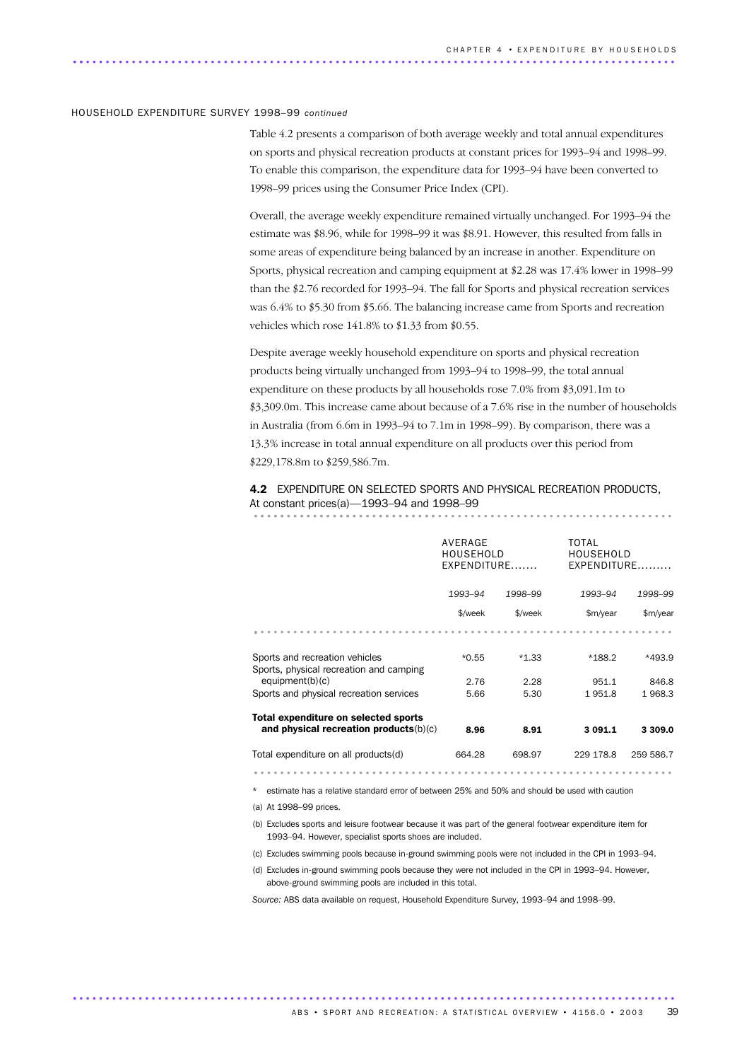#### HOUSEHOLD EXPENDITURE SURVEY 1998–99 *continued*

............................................................................................ ..

Table 4.2 presents a comparison of both average weekly and total annual expenditures on sports and physical recreation products at constant prices for 1993–94 and 1998–99. To enable this comparison, the expenditure data for 1993–94 have been converted to 1998–99 prices using the Consumer Price Index (CPI).

Overall, the average weekly expenditure remained virtually unchanged. For 1993–94 the estimate was \$8.96, while for 1998–99 it was \$8.91. However, this resulted from falls in some areas of expenditure being balanced by an increase in another. Expenditure on Sports, physical recreation and camping equipment at \$2.28 was 17.4% lower in 1998–99 than the \$2.76 recorded for 1993–94. The fall for Sports and physical recreation services was 6.4% to \$5.30 from \$5.66. The balancing increase came from Sports and recreation vehicles which rose 141.8% to \$1.33 from \$0.55.

Despite average weekly household expenditure on sports and physical recreation products being virtually unchanged from 1993–94 to 1998–99, the total annual expenditure on these products by all households rose 7.0% from \$3,091.1m to \$3,309.0m. This increase came about because of a 7.6% rise in the number of households in Australia (from 6.6m in 1993–94 to 7.1m in 1998–99). By comparison, there was a 13.3% increase in total annual expenditure on all products over this period from \$229,178.8m to \$259,586.7m.

# 4.2 EXPENDITURE ON SELECTED SPORTS AND PHYSICAL RECREATION PRODUCTS, At constant prices(a)—1993–94 and 1998–99 ................................................................ ............................

|                                                                           | AVERAGE<br>HOUSEHOLD<br>EXPENDITURE |         | TOTAL<br>HOUSEHOLD<br>$EXPENDITURE$ |           |
|---------------------------------------------------------------------------|-------------------------------------|---------|-------------------------------------|-----------|
|                                                                           | 1993-94                             | 1998-99 | 1993-94                             | 1998-99   |
|                                                                           | \$/week                             | \$/week | \$m/year                            | \$m/year  |
|                                                                           |                                     |         |                                     |           |
| Sports and recreation vehicles<br>Sports, physical recreation and camping | $*0.55$                             | $*1.33$ | *188.2                              | *493.9    |
| equipment(b)(c)                                                           | 2.76                                | 2.28    | 951.1                               | 846.8     |
| Sports and physical recreation services                                   | 5.66                                | 5.30    | 1951.8                              | 1968.3    |
| Total expenditure on selected sports                                      |                                     |         |                                     |           |
| and physical recreation products $(b)(c)$                                 | 8.96                                | 8.91    | 3 0 9 1 . 1                         | 3 309.0   |
| Total expenditure on all products(d)                                      | 664.28                              | 698.97  | 229 178.8                           | 259 586.7 |
|                                                                           |                                     |         |                                     |           |

\* estimate has a relative standard error of between 25% and 50% and should be used with caution

(a) At 1998–99 prices.

(b) Excludes sports and leisure footwear because it was part of the general footwear expenditure item for 1993–94. However, specialist sports shoes are included.

(c) Excludes swimming pools because in-ground swimming pools were not included in the CPI in 1993–94.

(d) Excludes in-ground swimming pools because they were not included in the CPI in 1993–94. However, above-ground swimming pools are included in this total.

*Source:* ABS data available on request, Household Expenditure Survey, 1993–94 and 1998–99.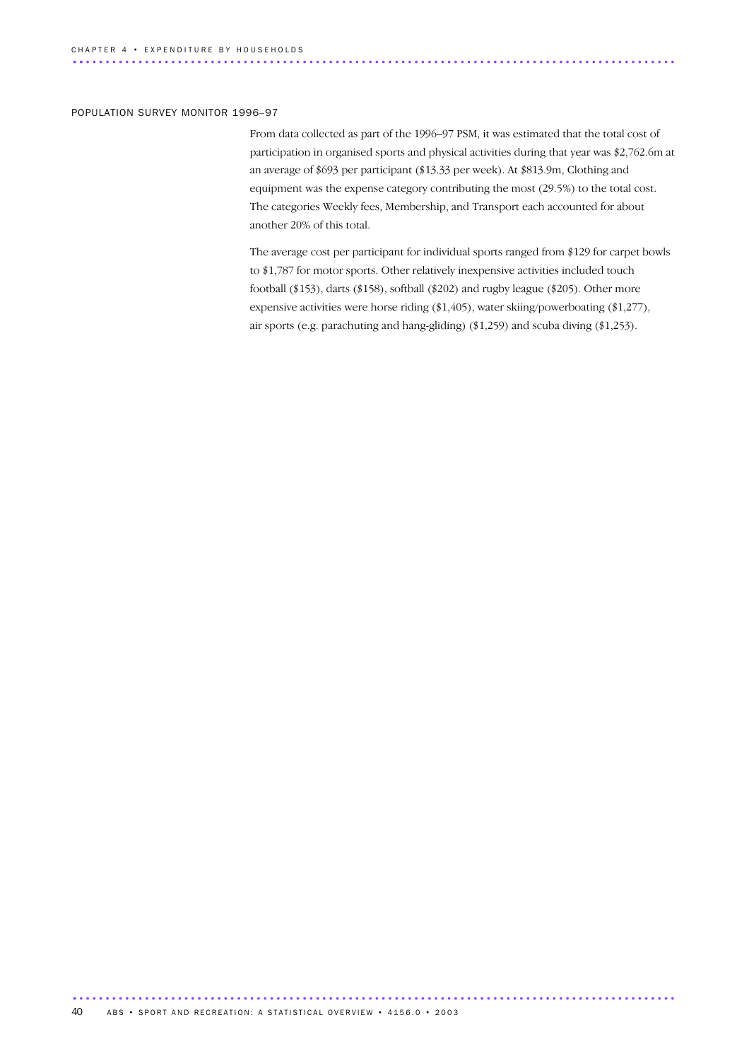## POPULATION SURVEY MONITOR 1996–97

From data collected as part of the 1996–97 PSM, it was estimated that the total cost of participation in organised sports and physical activities during that year was \$2,762.6m at an average of \$693 per participant (\$13.33 per week). At \$813.9m, Clothing and equipment was the expense category contributing the most (29.5%) to the total cost. The categories Weekly fees, Membership, and Transport each accounted for about another 20% of this total.

The average cost per participant for individual sports ranged from \$129 for carpet bowls to \$1,787 for motor sports. Other relatively inexpensive activities included touch football (\$153), darts (\$158), softball (\$202) and rugby league (\$205). Other more expensive activities were horse riding (\$1,405), water skiing/powerboating (\$1,277), air sports (e.g. parachuting and hang-gliding) (\$1,259) and scuba diving (\$1,253).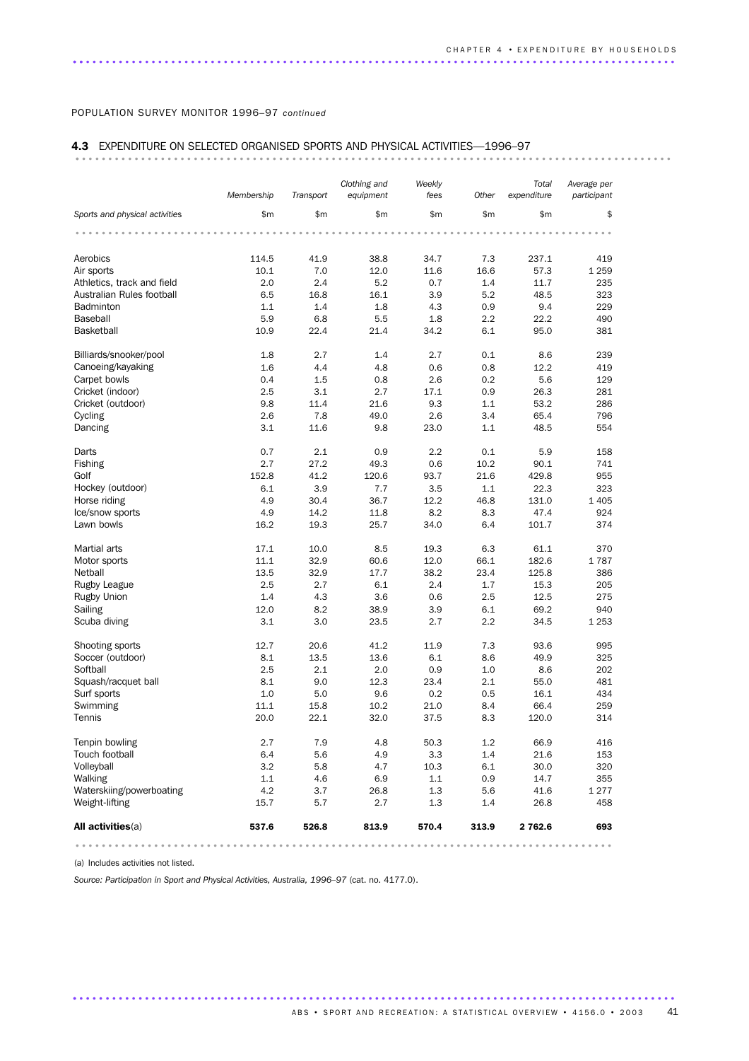# POPULATION SURVEY MONITOR 1996–97 *continued*

# 4.3 EXPENDITURE ON SELECTED ORGANISED SPORTS AND PHYSICAL ACTIVITIES—1996–97 ........................................................................................... .

|                                | Membership | Transport | Clothing and<br>equipment | Weekly<br>fees | Other | Total<br>expenditure | Average per<br>participant |
|--------------------------------|------------|-----------|---------------------------|----------------|-------|----------------------|----------------------------|
| Sports and physical activities | \$m        | \$m\$     | \$m                       | \$m            | \$m\$ | \$m                  | \$                         |
|                                |            |           |                           |                |       |                      |                            |
| Aerobics                       | 114.5      | 41.9      | 38.8                      | 34.7           | 7.3   | 237.1                | 419                        |
| Air sports                     | 10.1       | 7.0       | 12.0                      | 11.6           | 16.6  | 57.3                 | 1 2 5 9                    |
| Athletics, track and field     | 2.0        | 2.4       | 5.2                       | 0.7            | 1.4   | 11.7                 | 235                        |
| Australian Rules football      | 6.5        | 16.8      | 16.1                      | 3.9            | 5.2   | 48.5                 | 323                        |
| <b>Badminton</b>               | 1.1        | 1.4       | 1.8                       | 4.3            | 0.9   | 9.4                  | 229                        |
| Baseball                       | 5.9        | 6.8       | 5.5                       | 1.8            | 2.2   | 22.2                 | 490                        |
| <b>Basketball</b>              | 10.9       | 22.4      | 21.4                      | 34.2           | 6.1   | 95.0                 | 381                        |
| Billiards/snooker/pool         | 1.8        | 2.7       | 1.4                       | 2.7            | 0.1   | 8.6                  | 239                        |
| Canoeing/kayaking              | 1.6        | 4.4       | 4.8                       | 0.6            | 0.8   | 12.2                 | 419                        |
| Carpet bowls                   | 0.4        | 1.5       | 0.8                       | 2.6            | 0.2   | 5.6                  | 129                        |
| Cricket (indoor)               | 2.5        | 3.1       | 2.7                       | 17.1           | 0.9   | 26.3                 | 281                        |
| Cricket (outdoor)              | 9.8        | 11.4      | 21.6                      | 9.3            | 1.1   | 53.2                 | 286                        |
| Cycling                        | 2.6        | 7.8       | 49.0                      | 2.6            | 3.4   | 65.4                 | 796                        |
| Dancing                        | 3.1        | 11.6      | 9.8                       | 23.0           | 1.1   | 48.5                 | 554                        |
| Darts                          | 0.7        | 2.1       | 0.9                       | 2.2            | 0.1   | 5.9                  | 158                        |
| Fishing                        | 2.7        | 27.2      | 49.3                      | 0.6            | 10.2  | 90.1                 | 741                        |
| Golf                           | 152.8      | 41.2      | 120.6                     | 93.7           | 21.6  | 429.8                | 955                        |
| Hockey (outdoor)               | 6.1        | 3.9       | 7.7                       | 3.5            | 1.1   | 22.3                 | 323                        |
| Horse riding                   | 4.9        | 30.4      | 36.7                      | 12.2           | 46.8  | 131.0                | 1 4 0 5                    |
| Ice/snow sports                | 4.9        | 14.2      | 11.8                      | 8.2            | 8.3   | 47.4                 | 924                        |
| Lawn bowls                     | 16.2       | 19.3      | 25.7                      | 34.0           | 6.4   | 101.7                | 374                        |
| Martial arts                   | 17.1       | 10.0      | 8.5                       | 19.3           | 6.3   | 61.1                 | 370                        |
| Motor sports                   | 11.1       | 32.9      | 60.6                      | 12.0           | 66.1  | 182.6                | 1787                       |
| Netball                        | 13.5       | 32.9      | 17.7                      | 38.2           | 23.4  | 125.8                | 386                        |
| Rugby League                   | 2.5        | 2.7       | 6.1                       | 2.4            | 1.7   | 15.3                 | 205                        |
| Rugby Union                    | 1.4        | 4.3       | 3.6                       | 0.6            | 2.5   | 12.5                 | 275                        |
| Sailing                        | 12.0       | 8.2       | 38.9                      | 3.9            | 6.1   | 69.2                 | 940                        |
| Scuba diving                   | 3.1        | 3.0       | 23.5                      | 2.7            | 2.2   | 34.5                 | 1 2 5 3                    |
| Shooting sports                | 12.7       | 20.6      | 41.2                      | 11.9           | 7.3   | 93.6                 | 995                        |
| Soccer (outdoor)               | 8.1        | 13.5      | 13.6                      | 6.1            | 8.6   | 49.9                 | 325                        |
| Softball                       | 2.5        | 2.1       | 2.0                       | 0.9            | 1.0   | 8.6                  | 202                        |
| Squash/racquet ball            | 8.1        | 9.0       | 12.3                      | 23.4           | 2.1   | 55.0                 | 481                        |
| Surf sports                    | 1.0        | 5.0       | 9.6                       | 0.2            | 0.5   | 16.1                 | 434                        |
| Swimming                       | 11.1       | 15.8      | 10.2                      | 21.0           | 8.4   | 66.4                 | 259                        |
| Tennis                         | 20.0       | 22.1      | 32.0                      | 37.5           | 8.3   | 120.0                | 314                        |
| Tenpin bowling                 | 2.7        | 7.9       | 4.8                       | 50.3           | 1.2   | 66.9                 | 416                        |
| Touch football                 | 6.4        | 5.6       | 4.9                       | 3.3            | 1.4   | 21.6                 | 153                        |
| Volleyball                     | 3.2        | 5.8       | 4.7                       | 10.3           | 6.1   | 30.0                 | 320                        |
| Walking                        | 1.1        | 4.6       | 6.9                       | 1.1            | 0.9   | 14.7                 | 355                        |
| Waterskiing/powerboating       | 4.2        | 3.7       | 26.8                      | 1.3            | 5.6   | 41.6                 | 1 2 7 7                    |
| Weight-lifting                 | 15.7       | 5.7       | 2.7                       | 1.3            | 1.4   | 26.8                 | 458                        |
| All activities(a)              | 537.6      | 526.8     | 813.9                     | 570.4          | 313.9 | 2 762.6              | 693                        |

(a) Includes activities not listed.

*Source: Participation in Sport and Physical Activities, Australia, 1996–97* (cat. no. 4177.0).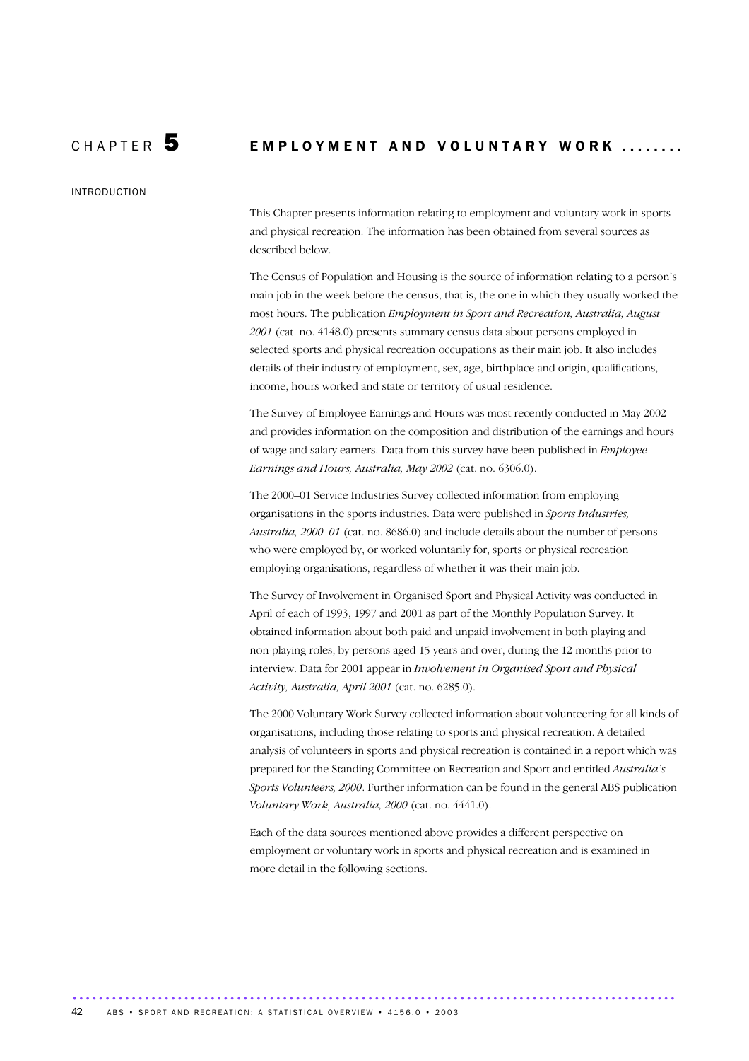# CHAPTER 5 EMPLOYMENT AND VOLUNTARY WORK ........

INTRODUCTION

This Chapter presents information relating to employment and voluntary work in sports and physical recreation. The information has been obtained from several sources as described below.

The Census of Population and Housing is the source of information relating to a person's main job in the week before the census, that is, the one in which they usually worked the most hours. The publication *Employment in Sport and Recreation, Australia, August 2001* (cat. no. 4148.0) presents summary census data about persons employed in selected sports and physical recreation occupations as their main job. It also includes details of their industry of employment, sex, age, birthplace and origin, qualifications, income, hours worked and state or territory of usual residence.

The Survey of Employee Earnings and Hours was most recently conducted in May 2002 and provides information on the composition and distribution of the earnings and hours of wage and salary earners. Data from this survey have been published in *Employee Earnings and Hours, Australia, May 2002* (cat. no. 6306.0).

The 2000–01 Service Industries Survey collected information from employing organisations in the sports industries. Data were published in *Sports Industries, Australia, 2000–01* (cat. no. 8686.0) and include details about the number of persons who were employed by, or worked voluntarily for, sports or physical recreation employing organisations, regardless of whether it was their main job.

The Survey of Involvement in Organised Sport and Physical Activity was conducted in April of each of 1993, 1997 and 2001 as part of the Monthly Population Survey. It obtained information about both paid and unpaid involvement in both playing and non-playing roles, by persons aged 15 years and over, during the 12 months prior to interview. Data for 2001 appear in *Involvement in Organised Sport and Physical Activity, Australia, April 2001* (cat. no. 6285.0).

The 2000 Voluntary Work Survey collected information about volunteering for all kinds of organisations, including those relating to sports and physical recreation. A detailed analysis of volunteers in sports and physical recreation is contained in a report which was prepared for the Standing Committee on Recreation and Sport and entitled *Australia's Sports Volunteers, 2000*. Further information can be found in the general ABS publication *Voluntary Work, Australia, 2000* (cat. no. 4441.0).

Each of the data sources mentioned above provides a different perspective on employment or voluntary work in sports and physical recreation and is examined in more detail in the following sections.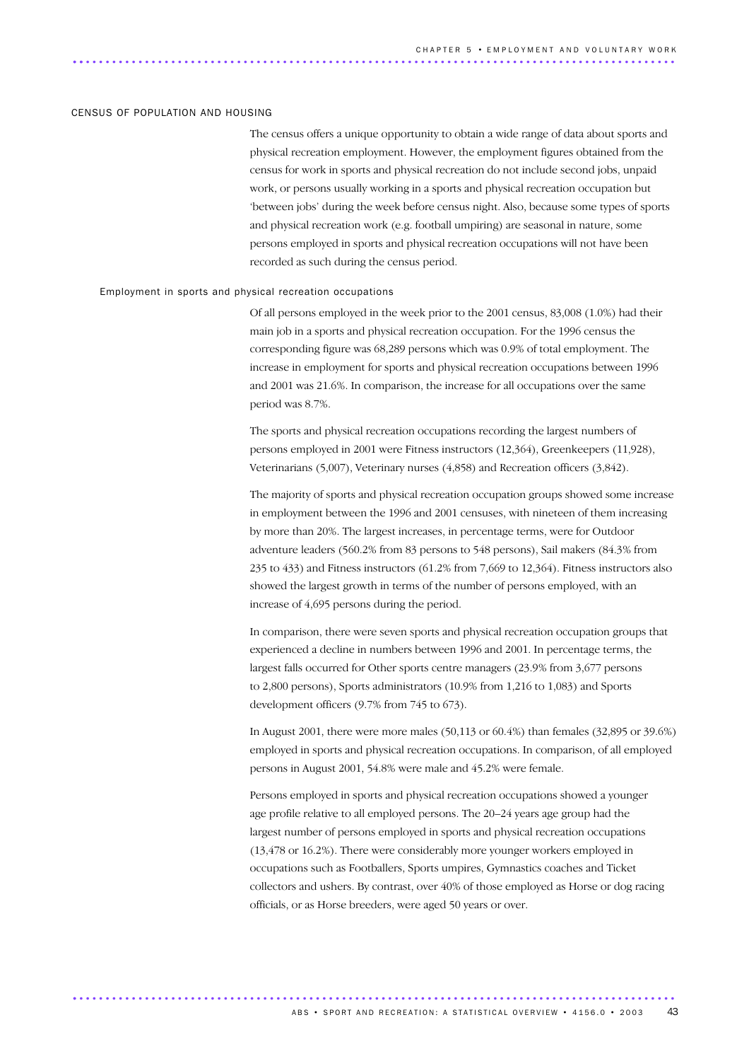#### CENSUS OF POPULATION AND HOUSING

The census offers a unique opportunity to obtain a wide range of data about sports and physical recreation employment. However, the employment figures obtained from the census for work in sports and physical recreation do not include second jobs, unpaid work, or persons usually working in a sports and physical recreation occupation but 'between jobs' during the week before census night. Also, because some types of sports and physical recreation work (e.g. football umpiring) are seasonal in nature, some persons employed in sports and physical recreation occupations will not have been recorded as such during the census period.

#### Employment in sports and physical recreation occupations

Of all persons employed in the week prior to the 2001 census, 83,008 (1.0%) had their main job in a sports and physical recreation occupation. For the 1996 census the corresponding figure was 68,289 persons which was 0.9% of total employment. The increase in employment for sports and physical recreation occupations between 1996 and 2001 was 21.6%. In comparison, the increase for all occupations over the same period was 8.7%.

The sports and physical recreation occupations recording the largest numbers of persons employed in 2001 were Fitness instructors (12,364), Greenkeepers (11,928), Veterinarians (5,007), Veterinary nurses (4,858) and Recreation officers (3,842).

The majority of sports and physical recreation occupation groups showed some increase in employment between the 1996 and 2001 censuses, with nineteen of them increasing by more than 20%. The largest increases, in percentage terms, were for Outdoor adventure leaders (560.2% from 83 persons to 548 persons), Sail makers (84.3% from 235 to 433) and Fitness instructors (61.2% from 7,669 to 12,364). Fitness instructors also showed the largest growth in terms of the number of persons employed, with an increase of 4,695 persons during the period.

In comparison, there were seven sports and physical recreation occupation groups that experienced a decline in numbers between 1996 and 2001. In percentage terms, the largest falls occurred for Other sports centre managers (23.9% from 3,677 persons to 2,800 persons), Sports administrators (10.9% from 1,216 to 1,083) and Sports development officers (9.7% from 745 to 673).

In August 2001, there were more males (50,113 or 60.4%) than females (32,895 or 39.6%) employed in sports and physical recreation occupations. In comparison, of all employed persons in August 2001, 54.8% were male and 45.2% were female.

Persons employed in sports and physical recreation occupations showed a younger age profile relative to all employed persons. The 20–24 years age group had the largest number of persons employed in sports and physical recreation occupations (13,478 or 16.2%). There were considerably more younger workers employed in occupations such as Footballers, Sports umpires, Gymnastics coaches and Ticket collectors and ushers. By contrast, over 40% of those employed as Horse or dog racing officials, or as Horse breeders, were aged 50 years or over.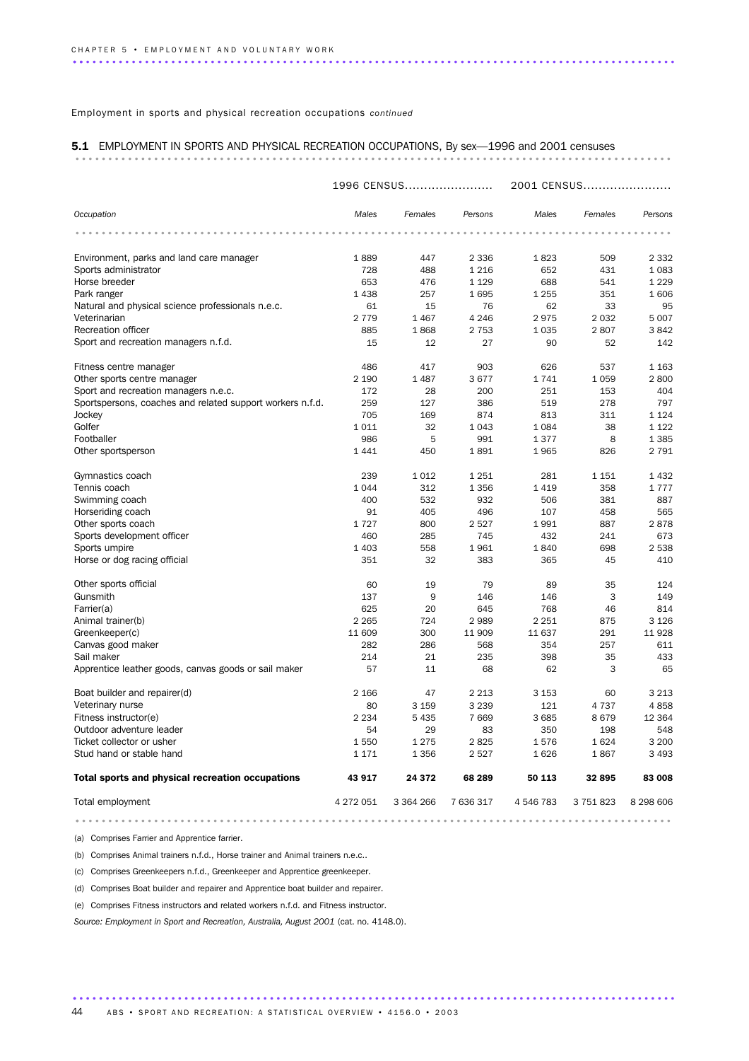Employment in sports and physical recreation occupations *continued*

# 5.1 EMPLOYMENT IN SPORTS AND PHYSICAL RECREATION OCCUPATIONS, By sex—1996 and 2001 censuses

|                                                           |                | 1996 CENSUS     |                    |                 | 2001 CENSUS  |                 |
|-----------------------------------------------------------|----------------|-----------------|--------------------|-----------------|--------------|-----------------|
| Occupation                                                | Males          | Females         | Persons            | Males           | Females      | Persons         |
|                                                           |                |                 |                    |                 |              |                 |
| Environment, parks and land care manager                  | 1889           | 447             | 2 3 3 6            | 1823            | 509          | 2 3 3 2         |
| Sports administrator                                      | 728            | 488             | 1 2 1 6            | 652             | 431          | 1 0 8 3         |
| Horse breeder                                             | 653            | 476             | 1 1 2 9            | 688             | 541          | 1 2 2 9         |
| Park ranger                                               | 1438           | 257             | 1695               | 1 2 5 5         | 351          | 1606            |
| Natural and physical science professionals n.e.c.         | 61             | 15              | 76                 | 62              | 33           | 95              |
| Veterinarian<br>Recreation officer                        | 2 7 7 9<br>885 | 1 4 6 7<br>1868 | 4 2 4 6<br>2 7 5 3 | 2975<br>1 0 3 5 | 2032<br>2807 | 5 0 0 7<br>3842 |
| Sport and recreation managers n.f.d.                      | 15             | 12              | 27                 | 90              | 52           | 142             |
|                                                           |                |                 |                    |                 |              |                 |
| Fitness centre manager                                    | 486            | 417             | 903                | 626             | 537          | 1 1 6 3         |
| Other sports centre manager                               | 2 1 9 0        | 1 4 8 7         | 3677               | 1741            | 1059         | 2800            |
| Sport and recreation managers n.e.c.                      | 172            | 28              | 200                | 251             | 153          | 404             |
| Sportspersons, coaches and related support workers n.f.d. | 259            | 127             | 386                | 519             | 278          | 797             |
| Jockey                                                    | 705            | 169             | 874                | 813             | 311          | 1 1 2 4         |
| Golfer                                                    | 1011           | 32              | 1043               | 1084            | 38           | 1 1 2 2         |
| Footballer                                                | 986            | 5               | 991                | 1377            | 8            | 1 3 8 5         |
| Other sportsperson                                        | 1441           | 450             | 1891               | 1965            | 826          | 2 791           |
| Gymnastics coach                                          | 239            | 1012            | 1 2 5 1            | 281             | 1 1 5 1      | 1432            |
| Tennis coach                                              | 1044           | 312             | 1 3 5 6            | 1419            | 358          | 1777            |
| Swimming coach                                            | 400            | 532             | 932                | 506             | 381          | 887             |
| Horseriding coach                                         | 91             | 405             | 496                | 107             | 458          | 565             |
| Other sports coach                                        | 1727           | 800             | 2527               | 1991            | 887          | 2878            |
| Sports development officer                                | 460            | 285             | 745                | 432             | 241          | 673             |
| Sports umpire                                             | 1 4 0 3        | 558             | 1961               | 1840            | 698          | 2 5 3 8         |
| Horse or dog racing official                              | 351            | 32              | 383                | 365             | 45           | 410             |
| Other sports official                                     | 60             | 19              | 79                 | 89              | 35           | 124             |
| Gunsmith                                                  | 137            | 9               | 146                | 146             | 3            | 149             |
| Farrier(a)                                                | 625            | 20              | 645                | 768             | 46           | 814             |
| Animal trainer(b)                                         | 2 2 6 5        | 724             | 2989               | 2 2 5 1         | 875          | 3 1 2 6         |
| Greenkeeper(c)                                            | 11 609         | 300             | 11 909             | 11 637          | 291          | 11 928          |
| Canvas good maker                                         | 282            | 286             | 568                | 354             | 257          | 611             |
| Sail maker                                                | 214            | 21              | 235                | 398             | 35           | 433             |
| Apprentice leather goods, canvas goods or sail maker      | 57             | 11              | 68                 | 62              | 3            | 65              |
| Boat builder and repairer(d)                              | 2 1 6 6        | 47              | 2 2 1 3            | 3 1 5 3         | 60           | 3 2 1 3         |
| Veterinary nurse                                          | 80             | 3 1 5 9         | 3 2 3 9            | 121             | 4 7 3 7      | 4858            |
| Fitness instructor(e)                                     | 2 2 3 4        | 5 4 3 5         | 7 6 6 9            | 3 6 8 5         | 8679         | 12 3 64         |
| Outdoor adventure leader                                  | 54             | 29              | 83                 | 350             | 198          | 548             |
| Ticket collector or usher                                 | 1550           | 1 2 7 5         | 2825               | 1576            | 1624         | 3 200           |
| Stud hand or stable hand                                  | 1 1 7 1        | 1 3 5 6         | 2527               | 1626            | 1867         | 3 4 9 3         |
| Total sports and physical recreation occupations          | 43 917         | 24 372          | 68 289             | 50 113          | 32 895       | 83 008          |
| Total employment                                          | 4 272 051      | 3 3 6 4 2 6 6   | 7 636 317          | 4 546 783       | 3 751 823    | 8 298 606       |
|                                                           |                |                 |                    |                 |              |                 |

(a) Comprises Farrier and Apprentice farrier.

(b) Comprises Animal trainers n.f.d., Horse trainer and Animal trainers n.e.c..

(c) Comprises Greenkeepers n.f.d., Greenkeeper and Apprentice greenkeeper.

(d) Comprises Boat builder and repairer and Apprentice boat builder and repairer.

(e) Comprises Fitness instructors and related workers n.f.d. and Fitness instructor.

*Source: Employment in Sport and Recreation, Australia, August 2001* (cat. no. 4148.0).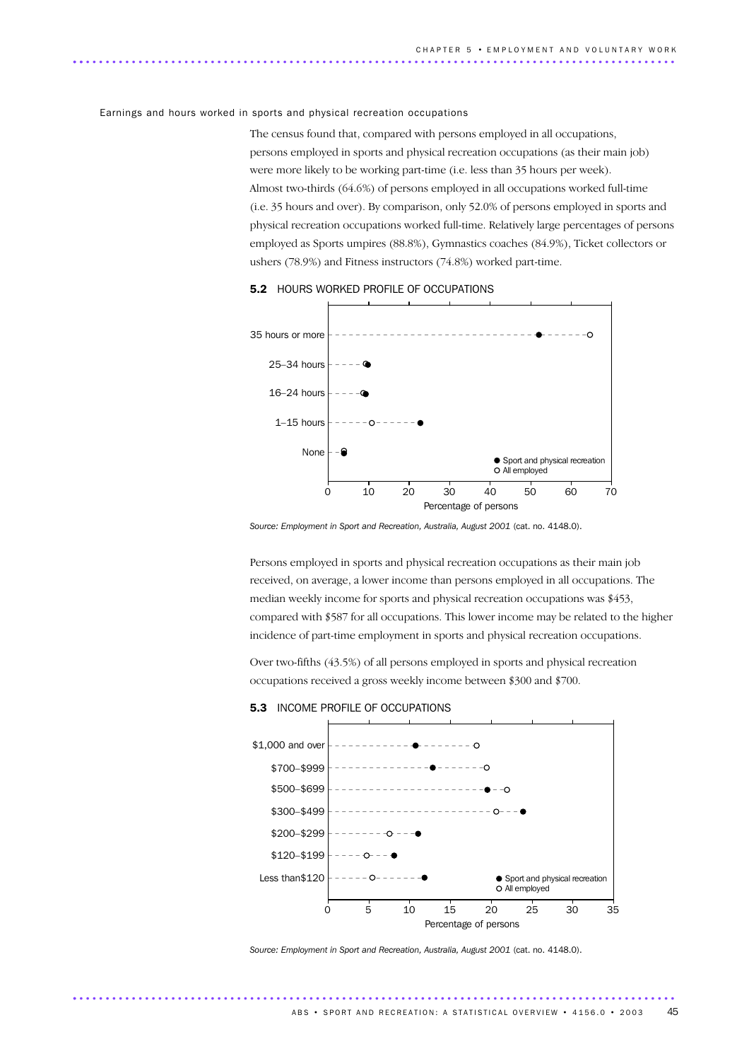#### Earnings and hours worked in sports and physical recreation occupations

The census found that, compared with persons employed in all occupations, persons employed in sports and physical recreation occupations (as their main job) were more likely to be working part-time (i.e. less than 35 hours per week). Almost two-thirds (64.6%) of persons employed in all occupations worked full-time (i.e. 35 hours and over). By comparison, only 52.0% of persons employed in sports and physical recreation occupations worked full-time. Relatively large percentages of persons employed as Sports umpires (88.8%), Gymnastics coaches (84.9%), Ticket collectors or ushers (78.9%) and Fitness instructors (74.8%) worked part-time.



5.2 HOURS WORKED PROFILE OF OCCUPATIONS

*Source: Employment in Sport and Recreation, Australia, August 2001* (cat. no. 4148.0).

Persons employed in sports and physical recreation occupations as their main job received, on average, a lower income than persons employed in all occupations. The median weekly income for sports and physical recreation occupations was \$453, compared with \$587 for all occupations. This lower income may be related to the higher incidence of part-time employment in sports and physical recreation occupations.

Over two-fifths (43.5%) of all persons employed in sports and physical recreation occupations received a gross weekly income between \$300 and \$700.

#### 5.3 INCOME PROFILE OF OCCUPATIONS



Source: Employment in Sport and Recreation, Australia, August 2001 (cat. no. 4148.0).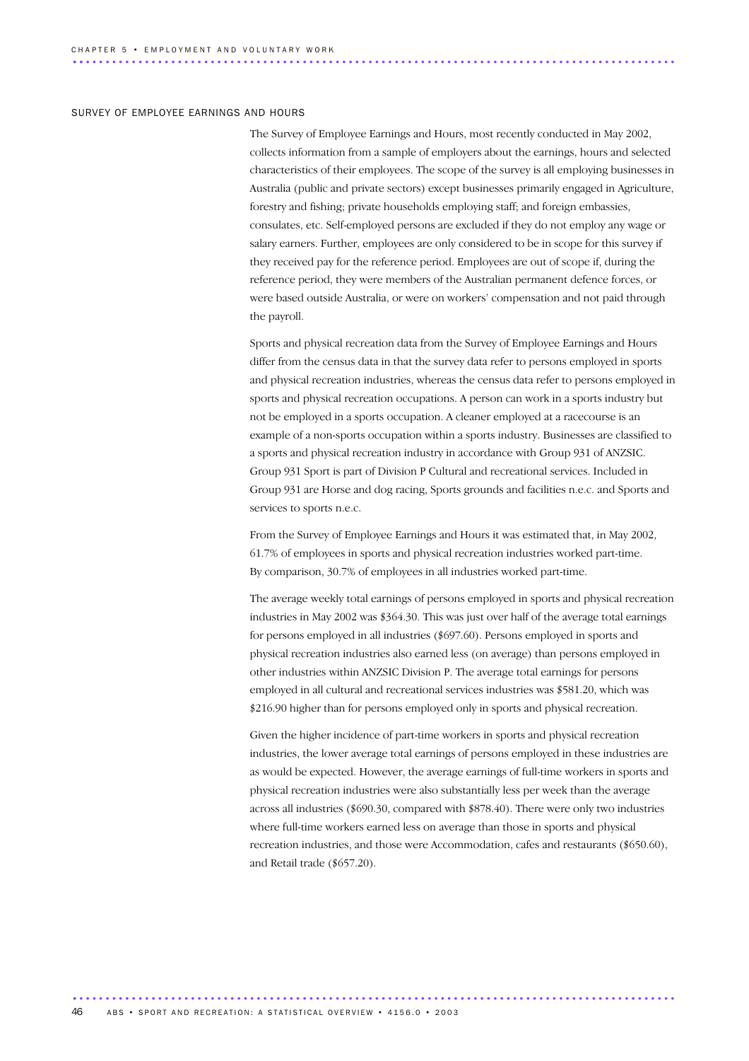#### SURVEY OF EMPLOYEE EARNINGS AND HOURS

The Survey of Employee Earnings and Hours, most recently conducted in May 2002, collects information from a sample of employers about the earnings, hours and selected characteristics of their employees. The scope of the survey is all employing businesses in Australia (public and private sectors) except businesses primarily engaged in Agriculture, forestry and fishing; private households employing staff; and foreign embassies, consulates, etc. Self-employed persons are excluded if they do not employ any wage or salary earners. Further, employees are only considered to be in scope for this survey if they received pay for the reference period. Employees are out of scope if, during the reference period, they were members of the Australian permanent defence forces, or were based outside Australia, or were on workers' compensation and not paid through the payroll.

Sports and physical recreation data from the Survey of Employee Earnings and Hours differ from the census data in that the survey data refer to persons employed in sports and physical recreation industries, whereas the census data refer to persons employed in sports and physical recreation occupations. A person can work in a sports industry but not be employed in a sports occupation. A cleaner employed at a racecourse is an example of a non-sports occupation within a sports industry. Businesses are classified to a sports and physical recreation industry in accordance with Group 931 of ANZSIC. Group 931 Sport is part of Division P Cultural and recreational services. Included in Group 931 are Horse and dog racing, Sports grounds and facilities n.e.c. and Sports and services to sports n.e.c.

From the Survey of Employee Earnings and Hours it was estimated that, in May 2002, 61.7% of employees in sports and physical recreation industries worked part-time. By comparison, 30.7% of employees in all industries worked part-time.

The average weekly total earnings of persons employed in sports and physical recreation industries in May 2002 was \$364.30. This was just over half of the average total earnings for persons employed in all industries (\$697.60). Persons employed in sports and physical recreation industries also earned less (on average) than persons employed in other industries within ANZSIC Division P. The average total earnings for persons employed in all cultural and recreational services industries was \$581.20, which was \$216.90 higher than for persons employed only in sports and physical recreation.

Given the higher incidence of part-time workers in sports and physical recreation industries, the lower average total earnings of persons employed in these industries are as would be expected. However, the average earnings of full-time workers in sports and physical recreation industries were also substantially less per week than the average across all industries (\$690.30, compared with \$878.40). There were only two industries where full-time workers earned less on average than those in sports and physical recreation industries, and those were Accommodation, cafes and restaurants (\$650.60), and Retail trade (\$657.20).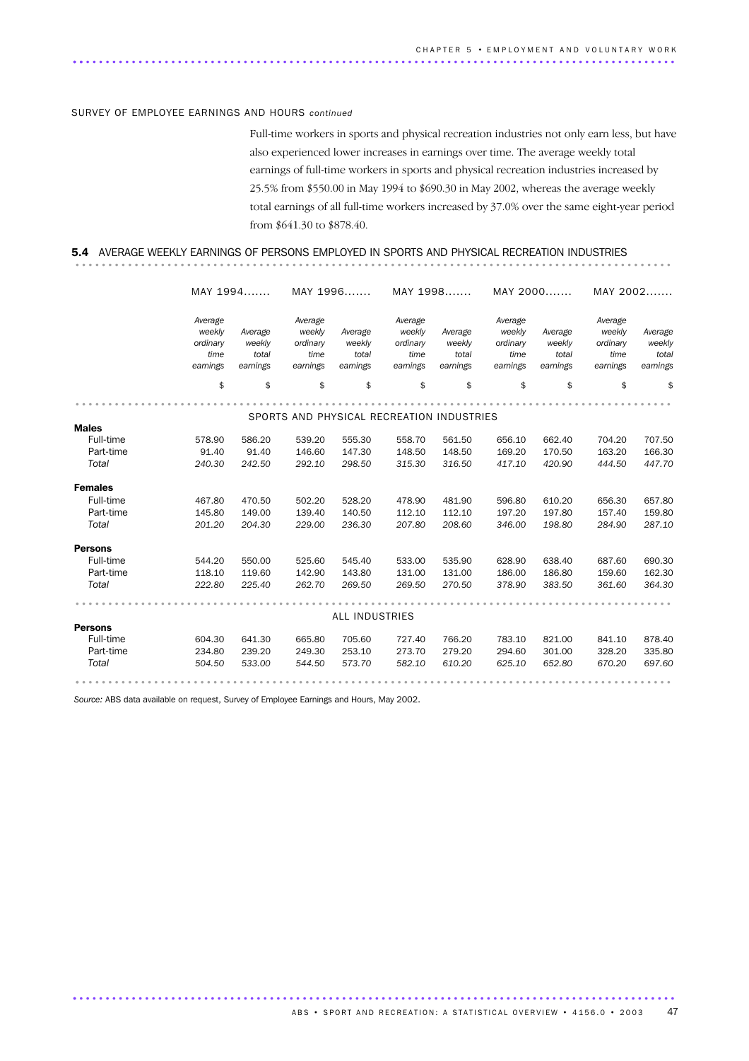# SURVEY OF EMPLOYEE EARNINGS AND HOURS *continued*

Full-time workers in sports and physical recreation industries not only earn less, but have also experienced lower increases in earnings over time. The average weekly total earnings of full-time workers in sports and physical recreation industries increased by 25.5% from \$550.00 in May 1994 to \$690.30 in May 2002, whereas the average weekly total earnings of all full-time workers increased by 37.0% over the same eight-year period from \$641.30 to \$878.40.

# 5.4 AVERAGE WEEKLY EARNINGS OF PERSONS EMPLOYED IN SPORTS AND PHYSICAL RECREATION INDUSTRIES

|                             |                                                   | MAY 1994                               |                                                   | MAY 1996                               |                                                   | MAY 1998                               | MAY 2000                                          |                                        | MAY 2002                                          |                                        |
|-----------------------------|---------------------------------------------------|----------------------------------------|---------------------------------------------------|----------------------------------------|---------------------------------------------------|----------------------------------------|---------------------------------------------------|----------------------------------------|---------------------------------------------------|----------------------------------------|
|                             | Average<br>weekly<br>ordinary<br>time<br>earnings | Average<br>weekly<br>total<br>earnings | Average<br>weekly<br>ordinary<br>time<br>earnings | Average<br>weekly<br>total<br>earnings | Average<br>weekly<br>ordinary<br>time<br>earnings | Average<br>weekly<br>total<br>earnings | Average<br>weekly<br>ordinary<br>time<br>earnings | Average<br>weekly<br>total<br>earnings | Average<br>weekly<br>ordinary<br>time<br>earnings | Average<br>weekly<br>total<br>earnings |
|                             | \$                                                | \$                                     | \$                                                | \$                                     | \$                                                | \$                                     | \$                                                | \$                                     | \$                                                | \$                                     |
|                             |                                                   |                                        |                                                   |                                        | SPORTS AND PHYSICAL RECREATION INDUSTRIES         |                                        |                                                   |                                        |                                                   |                                        |
| <b>Males</b>                |                                                   |                                        |                                                   |                                        |                                                   |                                        |                                                   |                                        |                                                   |                                        |
| Full-time                   | 578.90                                            | 586.20                                 | 539.20                                            | 555.30                                 | 558.70                                            | 561.50                                 | 656.10                                            | 662.40                                 | 704.20                                            | 707.50                                 |
| Part-time                   | 91.40                                             | 91.40                                  | 146.60                                            | 147.30                                 | 148.50                                            | 148.50                                 | 169.20                                            | 170.50                                 | 163.20                                            | 166.30                                 |
| Total                       | 240.30                                            | 242.50                                 | 292.10                                            | 298.50                                 | 315.30                                            | 316.50                                 | 417.10                                            | 420.90                                 | 444.50                                            | 447.70                                 |
| <b>Females</b>              |                                                   |                                        |                                                   |                                        |                                                   |                                        |                                                   |                                        |                                                   |                                        |
| Full-time                   | 467.80                                            | 470.50                                 | 502.20                                            | 528.20                                 | 478.90                                            | 481.90                                 | 596.80                                            | 610.20                                 | 656.30                                            | 657.80                                 |
| Part-time                   | 145.80                                            | 149.00                                 | 139.40                                            | 140.50                                 | 112.10                                            | 112.10                                 | 197.20                                            | 197.80                                 | 157.40                                            | 159.80                                 |
| Total                       | 201.20                                            | 204.30                                 | 229.00                                            | 236.30                                 | 207.80                                            | 208.60                                 | 346.00                                            | 198.80                                 | 284.90                                            | 287.10                                 |
| <b>Persons</b>              |                                                   |                                        |                                                   |                                        |                                                   |                                        |                                                   |                                        |                                                   |                                        |
| Full-time                   | 544.20                                            | 550.00                                 | 525.60                                            | 545.40                                 | 533.00                                            | 535.90                                 | 628.90                                            | 638.40                                 | 687.60                                            | 690.30                                 |
| Part-time                   | 118.10                                            | 119.60                                 | 142.90                                            | 143.80                                 | 131.00                                            | 131.00                                 | 186.00                                            | 186.80                                 | 159.60                                            | 162.30                                 |
| Total                       | 222.80                                            | 225.40                                 | 262.70                                            | 269.50                                 | 269.50                                            | 270.50                                 | 378.90                                            | 383.50                                 | 361.60                                            | 364.30                                 |
|                             |                                                   |                                        |                                                   |                                        |                                                   |                                        |                                                   |                                        |                                                   |                                        |
|                             |                                                   |                                        |                                                   | <b>ALL INDUSTRIES</b>                  |                                                   |                                        |                                                   |                                        |                                                   |                                        |
| <b>Persons</b><br>Full-time | 604.30                                            | 641.30                                 | 665.80                                            | 705.60                                 | 727.40                                            |                                        |                                                   |                                        |                                                   | 878.40                                 |
| Part-time                   | 234.80                                            | 239.20                                 | 249.30                                            | 253.10                                 | 273.70                                            | 766.20<br>279.20                       | 783.10<br>294.60                                  | 821.00<br>301.00                       | 841.10<br>328.20                                  | 335.80                                 |
| Total                       | 504.50                                            | 533.00                                 | 544.50                                            | 573.70                                 | 582.10                                            | 610.20                                 | 625.10                                            | 652.80                                 | 670.20                                            | 697.60                                 |
|                             |                                                   |                                        |                                                   |                                        |                                                   |                                        |                                                   |                                        |                                                   |                                        |
|                             |                                                   |                                        |                                                   |                                        |                                                   |                                        |                                                   |                                        |                                                   |                                        |

............................................................................................ .

*Source:* ABS data available on request, Survey of Employee Earnings and Hours, May 2002.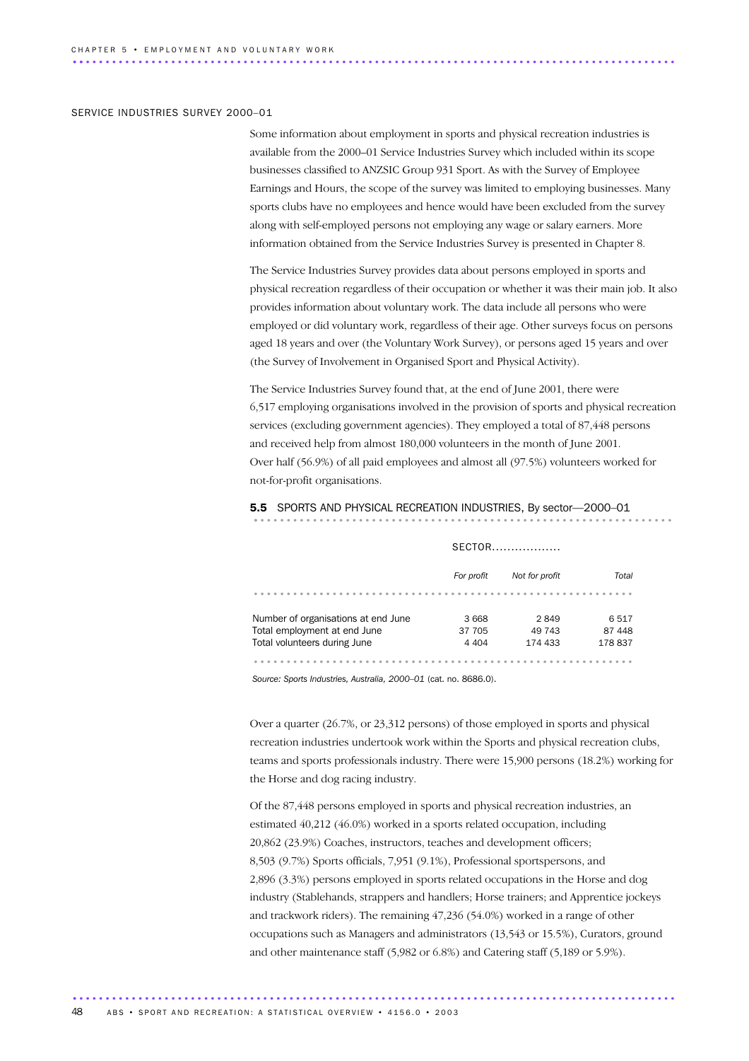#### SERVICE INDUSTRIES SURVEY 2000–01

Some information about employment in sports and physical recreation industries is available from the 2000–01 Service Industries Survey which included within its scope businesses classified to ANZSIC Group 931 Sport. As with the Survey of Employee Earnings and Hours, the scope of the survey was limited to employing businesses. Many sports clubs have no employees and hence would have been excluded from the survey along with self-employed persons not employing any wage or salary earners. More information obtained from the Service Industries Survey is presented in Chapter 8.

The Service Industries Survey provides data about persons employed in sports and physical recreation regardless of their occupation or whether it was their main job. It also provides information about voluntary work. The data include all persons who were employed or did voluntary work, regardless of their age. Other surveys focus on persons aged 18 years and over (the Voluntary Work Survey), or persons aged 15 years and over (the Survey of Involvement in Organised Sport and Physical Activity).

The Service Industries Survey found that, at the end of June 2001, there were 6,517 employing organisations involved in the provision of sports and physical recreation services (excluding government agencies). They employed a total of 87,448 persons and received help from almost 180,000 volunteers in the month of June 2001. Over half (56.9%) of all paid employees and almost all (97.5%) volunteers worked for not-for-profit organisations.

5.5 SPORTS AND PHYSICAL RECREATION INDUSTRIES, By sector-2000-01

|                                     | SECTOR     |                |        |  |  |
|-------------------------------------|------------|----------------|--------|--|--|
|                                     | For profit | Not for profit | Total  |  |  |
|                                     |            |                |        |  |  |
| Number of organisations at end June | 3 6 6 8    | 2849           | 6517   |  |  |
| Total employment at end June        | 37 705     | 49 743         | 87 448 |  |  |
| Total volunteers during June        | 4 4 0 4    | 174 433        | 178837 |  |  |
|                                     |            |                |        |  |  |

*Source: Sports Industries, Australia, 2000–01* (cat. no. 8686.0).

Over a quarter (26.7%, or 23,312 persons) of those employed in sports and physical recreation industries undertook work within the Sports and physical recreation clubs, teams and sports professionals industry. There were 15,900 persons (18.2%) working for the Horse and dog racing industry.

Of the 87,448 persons employed in sports and physical recreation industries, an estimated 40,212 (46.0%) worked in a sports related occupation, including 20,862 (23.9%) Coaches, instructors, teaches and development officers; 8,503 (9.7%) Sports officials, 7,951 (9.1%), Professional sportspersons, and 2,896 (3.3%) persons employed in sports related occupations in the Horse and dog industry (Stablehands, strappers and handlers; Horse trainers; and Apprentice jockeys and trackwork riders). The remaining 47,236 (54.0%) worked in a range of other occupations such as Managers and administrators (13,543 or 15.5%), Curators, ground and other maintenance staff (5,982 or 6.8%) and Catering staff (5,189 or 5.9%).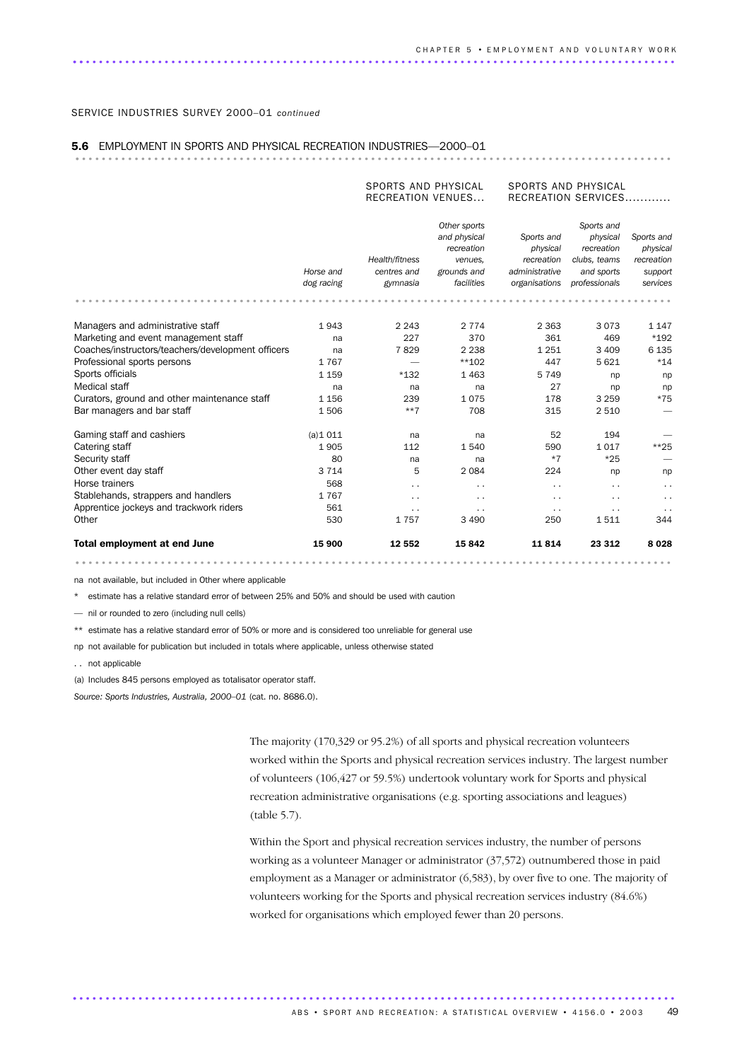# 5.6 EMPLOYMENT IN SPORTS AND PHYSICAL RECREATION INDUSTRIES-2000-01

| <b>Total employment at end June</b>               | 15 900     | 12 552                   | 15 842                       | 11814                | 23 312                     | 8 0 2 8              |
|---------------------------------------------------|------------|--------------------------|------------------------------|----------------------|----------------------------|----------------------|
| Other                                             | 530        | 1757                     | 3 4 9 0                      | 250                  | 1511                       | 344                  |
| Apprentice jockeys and trackwork riders           | 561        | $\ddot{\phantom{0}}$     | $\sim$ $\sim$                | $\ddot{\phantom{0}}$ | $\ddot{\phantom{1}}$       |                      |
| Stablehands, strappers and handlers               | 1767       | . .                      | $\cdot$ .                    | $\cdot$ .            | . .                        | $\ddot{\phantom{0}}$ |
| Horse trainers                                    | 568        | . .                      | $\ddot{\phantom{1}}$         | . .                  | . .                        | . .                  |
| Other event day staff                             | 3 7 1 4    | 5                        | 2084                         | 224                  | np                         | np                   |
| Security staff                                    | 80         | na                       | na                           | $*7$                 | $*25$                      |                      |
| Catering staff                                    | 1905       | 112                      | 1540                         | 590                  | 1017                       | $**25$               |
| Gaming staff and cashiers                         | (a)1011    | na                       | na                           | 52                   | 194                        |                      |
| Bar managers and bar staff                        | 1506       | $***7$                   | 708                          | 315                  | 2 5 1 0                    |                      |
| Curators, ground and other maintenance staff      | 1 1 5 6    | 239                      | 1075                         | 178                  | 3 2 5 9                    | $*75$                |
| Medical staff                                     | na         | na                       | na                           | 27                   | np                         | np                   |
| Sports officials                                  | 1 1 5 9    | $*132$                   | 1463                         | 5749                 | np                         | np                   |
| Professional sports persons                       | 1767       |                          | $**102$                      | 447                  | 5 6 2 1                    | $*14$                |
| Coaches/instructors/teachers/development officers | na         | 7829                     | 2 2 3 8                      | 1251                 | 3 4 0 9                    | 6 1 3 5              |
| Marketing and event management staff              | na         | 227                      | 370                          | 361                  | 469                        | $*192$               |
| Managers and administrative staff                 | 1943       | 2 2 4 3                  | 2 7 7 4                      | 2 3 6 3              | 3073                       | 1 1 4 7              |
|                                                   | dog racing | gymnasia                 | facilities                   | organisations        | professionals              | services             |
|                                                   | Horse and  | centres and              | grounds and                  | administrative       | and sports                 | support              |
|                                                   |            | Health/fitness           | venues.                      | recreation           | clubs, teams               | recreation           |
|                                                   |            |                          | recreation                   | physical             | recreation                 | physical             |
|                                                   |            |                          | Other sports<br>and physical | Sports and           | Sports and<br>physical     | Sports and           |
|                                                   |            | <b>RECREATION VENUES</b> |                              |                      | <b>RECREATION SERVICES</b> |                      |
|                                                   |            | SPORTS AND PHYSICAL      |                              |                      | SPORTS AND PHYSICAL        |                      |

na not available, but included in Other where applicable

\* estimate has a relative standard error of between 25% and 50% and should be used with caution

— nil or rounded to zero (including null cells)

\*\* estimate has a relative standard error of 50% or more and is considered too unreliable for general use

np not available for publication but included in totals where applicable, unless otherwise stated

. . not applicable

(a) Includes 845 persons employed as totalisator operator staff.

*Source: Sports Industries, Australia, 2000–01* (cat. no. 8686.0).

The majority (170,329 or 95.2%) of all sports and physical recreation volunteers worked within the Sports and physical recreation services industry. The largest number of volunteers (106,427 or 59.5%) undertook voluntary work for Sports and physical recreation administrative organisations (e.g. sporting associations and leagues) (table 5.7).

Within the Sport and physical recreation services industry, the number of persons working as a volunteer Manager or administrator (37,572) outnumbered those in paid employment as a Manager or administrator (6,583), by over five to one. The majority of volunteers working for the Sports and physical recreation services industry (84.6%) worked for organisations which employed fewer than 20 persons.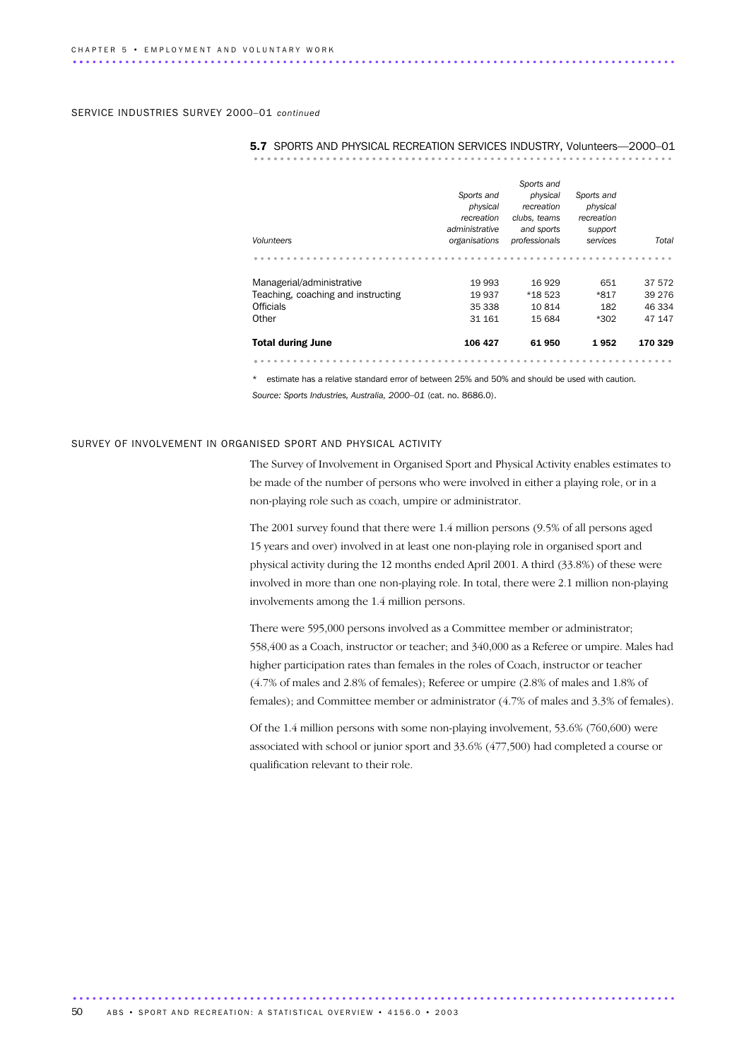|                                    | Sports and     | Sports and<br>physical | Sports and |         |
|------------------------------------|----------------|------------------------|------------|---------|
|                                    | physical       | recreation             | physical   |         |
|                                    | recreation     | clubs, teams           | recreation |         |
|                                    | administrative | and sports             | support    |         |
| <b>Volunteers</b>                  | organisations  | professionals          | services   | Total   |
|                                    |                |                        |            |         |
| Managerial/administrative          | 19 993         | 16 929                 | 651        | 37 572  |
| Teaching, coaching and instructing | 19 937         | *18 523                | *817       | 39 276  |
| <b>Officials</b>                   | 35 338         | 10814                  | 182        | 46 334  |
| Other                              | 31 161         | 15 684                 | *302       | 47 147  |
| <b>Total during June</b>           | 106 427        | 61950                  | 1952       | 170 329 |
|                                    |                |                        |            |         |

# 5.7 SPORTS AND PHYSICAL RECREATION SERVICES INDUSTRY, Volunteers-2000-01

\* estimate has a relative standard error of between 25% and 50% and should be used with caution.

*Source: Sports Industries, Australia, 2000–01* (cat. no. 8686.0).

# SURVEY OF INVOLVEMENT IN ORGANISED SPORT AND PHYSICAL ACTIVITY

The Survey of Involvement in Organised Sport and Physical Activity enables estimates to be made of the number of persons who were involved in either a playing role, or in a non-playing role such as coach, umpire or administrator.

The 2001 survey found that there were 1.4 million persons (9.5% of all persons aged 15 years and over) involved in at least one non-playing role in organised sport and physical activity during the 12 months ended April 2001. A third (33.8%) of these were involved in more than one non-playing role. In total, there were 2.1 million non-playing involvements among the 1.4 million persons.

There were 595,000 persons involved as a Committee member or administrator; 558,400 as a Coach, instructor or teacher; and 340,000 as a Referee or umpire. Males had higher participation rates than females in the roles of Coach, instructor or teacher (4.7% of males and 2.8% of females); Referee or umpire (2.8% of males and 1.8% of females); and Committee member or administrator (4.7% of males and 3.3% of females).

Of the 1.4 million persons with some non-playing involvement, 53.6% (760,600) were associated with school or junior sport and 33.6% (477,500) had completed a course or qualification relevant to their role.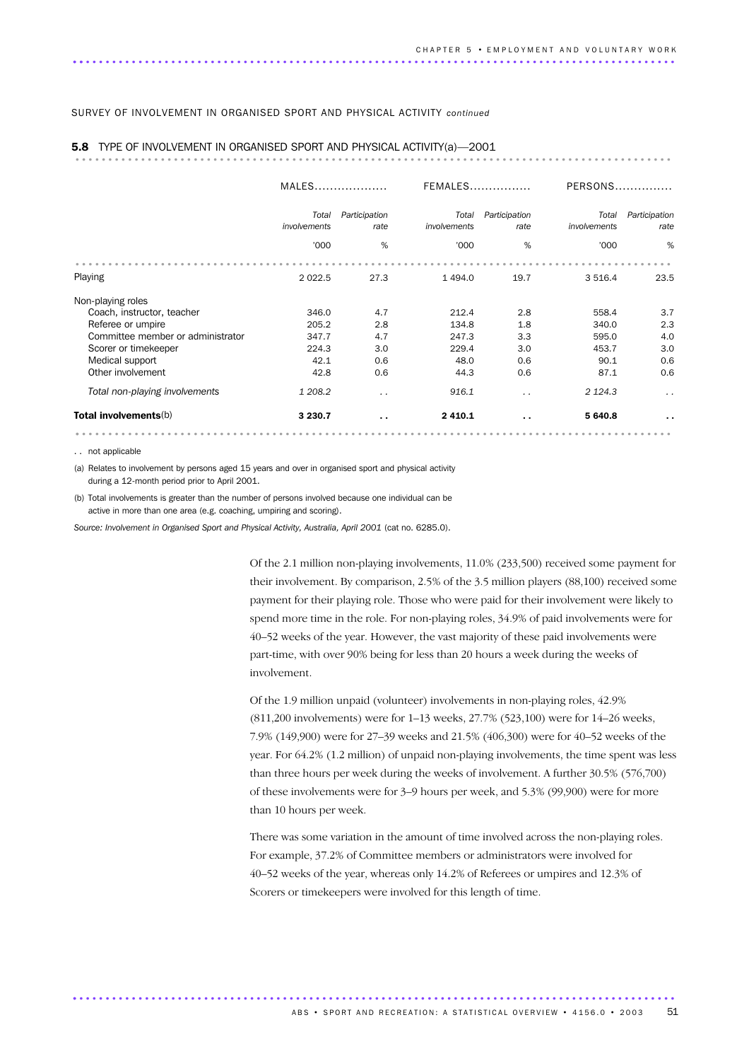#### SURVEY OF INVOLVEMENT IN ORGANISED SPORT AND PHYSICAL ACTIVITY *continued*

|                                   | $MALES$               |                       | $FEMALES$             |                       | PERSONS               |                       |  |
|-----------------------------------|-----------------------|-----------------------|-----------------------|-----------------------|-----------------------|-----------------------|--|
|                                   | Total<br>involvements | Participation<br>rate | Total<br>involvements | Participation<br>rate | Total<br>involvements | Participation<br>rate |  |
|                                   | '000                  | %                     | '000                  | %                     | '000                  | %                     |  |
|                                   |                       |                       |                       |                       |                       |                       |  |
| Playing                           | 2 0 2 2.5             | 27.3                  | 1 4 9 4 .0            | 19.7                  | 3 516.4               | 23.5                  |  |
| Non-playing roles                 |                       |                       |                       |                       |                       |                       |  |
| Coach, instructor, teacher        | 346.0                 | 4.7                   | 212.4                 | 2.8                   | 558.4                 | 3.7                   |  |
| Referee or umpire                 | 205.2                 | 2.8                   | 134.8                 | 1.8                   | 340.0                 | 2.3                   |  |
| Committee member or administrator | 347.7                 | 4.7                   | 247.3                 | 3.3                   | 595.0                 | 4.0                   |  |
| Scorer or timekeeper              | 224.3                 | 3.0                   | 229.4                 | 3.0                   | 453.7                 | 3.0                   |  |
| Medical support                   | 42.1                  | 0.6                   | 48.0                  | 0.6                   | 90.1                  | 0.6                   |  |
| Other involvement                 | 42.8                  | 0.6                   | 44.3                  | 0.6                   | 87.1                  | 0.6                   |  |
| Total non-playing involvements    | 1 208.2               | $\cdot$ .             | 916.1                 | $\cdot$ .             | 2 1 2 4 . 3           | $\ddot{\phantom{1}}$  |  |
| <b>Total involvements(b)</b>      | 3 2 3 0.7             | $\ddot{\phantom{0}}$  | 2 4 1 0.1             | $\ddot{\phantom{0}}$  | 5 640.8               | $\sim$                |  |

# 5.8 TYPE OF INVOLVEMENT IN ORGANISED SPORT AND PHYSICAL ACTIVITY(a)-2001

.. not applicable

(a) Relates to involvement by persons aged 15 years and over in organised sport and physical activity during a 12-month period prior to April 2001.

(b) Total involvements is greater than the number of persons involved because one individual can be active in more than one area (e.g. coaching, umpiring and scoring).

*Source: Involvement in Organised Sport and Physical Activity, Australia, April 2001* (cat no. 6285.0).

Of the 2.1 million non-playing involvements, 11.0% (233,500) received some payment for their involvement. By comparison, 2.5% of the 3.5 million players (88,100) received some payment for their playing role. Those who were paid for their involvement were likely to spend more time in the role. For non-playing roles, 34.9% of paid involvements were for 40–52 weeks of the year. However, the vast majority of these paid involvements were part-time, with over 90% being for less than 20 hours a week during the weeks of involvement.

Of the 1.9 million unpaid (volunteer) involvements in non-playing roles, 42.9% (811,200 involvements) were for 1–13 weeks, 27.7% (523,100) were for 14–26 weeks, 7.9% (149,900) were for 27–39 weeks and 21.5% (406,300) were for 40–52 weeks of the year. For 64.2% (1.2 million) of unpaid non-playing involvements, the time spent was less than three hours per week during the weeks of involvement. A further 30.5% (576,700) of these involvements were for 3–9 hours per week, and 5.3% (99,900) were for more than 10 hours per week.

There was some variation in the amount of time involved across the non-playing roles. For example, 37.2% of Committee members or administrators were involved for 40–52 weeks of the year, whereas only 14.2% of Referees or umpires and 12.3% of Scorers or timekeepers were involved for this length of time.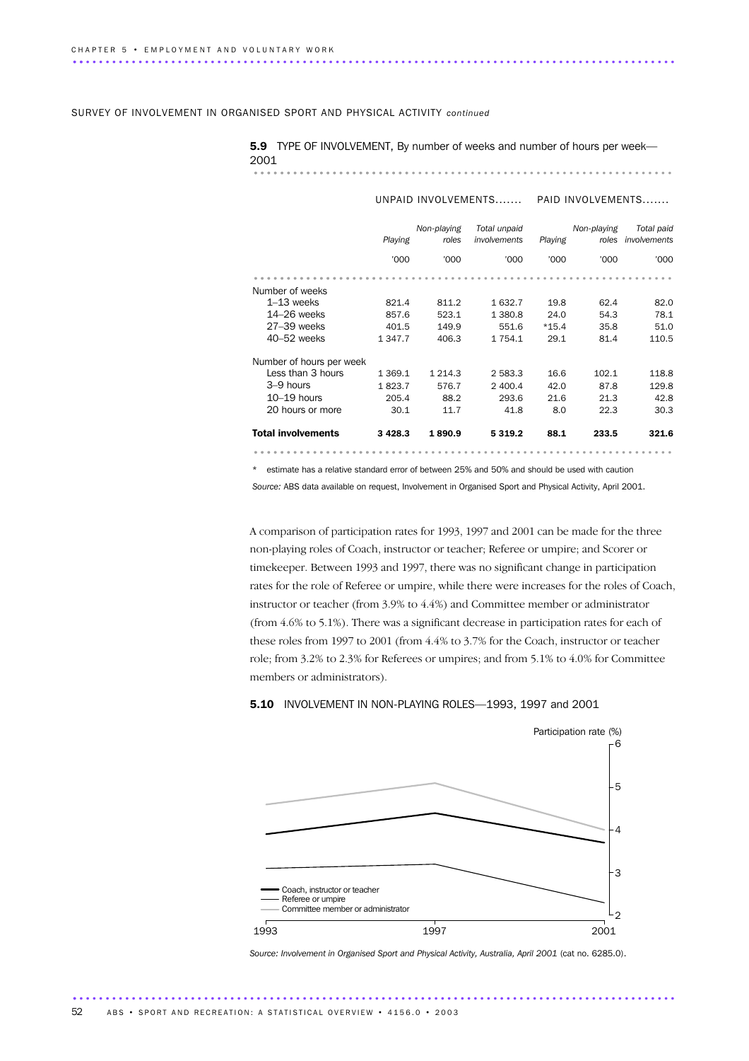# SURVEY OF INVOLVEMENT IN ORGANISED SPORT AND PHYSICAL ACTIVITY *continued*

5.9 TYPE OF INVOLVEMENT, By number of weeks and number of hours per week— 2001 ................................................................ ........................

|                           |             |                      | UNPAID INVOLVEMENTS          |         | PAID INVOLVEMENTS    |                            |
|---------------------------|-------------|----------------------|------------------------------|---------|----------------------|----------------------------|
|                           | Playing     | Non-playing<br>roles | Total unpaid<br>involvements | Playing | Non-playing<br>roles | Total paid<br>involvements |
|                           | '000        | '000                 | '000                         | '000    | '000                 | '000                       |
|                           |             |                      |                              |         |                      |                            |
| Number of weeks           |             |                      |                              |         |                      |                            |
| $1-13$ weeks              | 821.4       | 811.2                | 1632.7                       | 19.8    | 62.4                 | 82.0                       |
| $14 - 26$ weeks           | 857.6       | 523.1                | 1 380.8                      | 24.0    | 54.3                 | 78.1                       |
| 27-39 weeks               | 401.5       | 149.9                | 551.6                        | $*15.4$ | 35.8                 | 51.0                       |
| 40-52 weeks               | 1 3 4 7 . 7 | 406.3                | 1754.1                       | 29.1    | 81.4                 | 110.5                      |
| Number of hours per week  |             |                      |                              |         |                      |                            |
| Less than 3 hours         | 1 3 6 9.1   | 1 2 1 4 . 3          | 2 5 8 3 . 3                  | 16.6    | 102.1                | 118.8                      |
| 3-9 hours                 | 1823.7      | 576.7                | 2 400.4                      | 42.0    | 87.8                 | 129.8                      |
| $10-19$ hours             | 205.4       | 88.2                 | 293.6                        | 21.6    | 21.3                 | 42.8                       |
| 20 hours or more          | 30.1        | 11.7                 | 41.8                         | 8.0     | 22.3                 | 30.3                       |
| <b>Total involvements</b> | 3428.3      | 1890.9               | 5 3 1 9 . 2                  | 88.1    | 233.5                | 321.6                      |
|                           |             |                      |                              |         |                      |                            |

\* estimate has a relative standard error of between 25% and 50% and should be used with caution

*Source:* ABS data available on request, Involvement in Organised Sport and Physical Activity, April 2001.

A comparison of participation rates for 1993, 1997 and 2001 can be made for the three non-playing roles of Coach, instructor or teacher; Referee or umpire; and Scorer or timekeeper. Between 1993 and 1997, there was no significant change in participation rates for the role of Referee or umpire, while there were increases for the roles of Coach, instructor or teacher (from 3.9% to 4.4%) and Committee member or administrator (from 4.6% to 5.1%). There was a significant decrease in participation rates for each of these roles from 1997 to 2001 (from 4.4% to 3.7% for the Coach, instructor or teacher role; from 3.2% to 2.3% for Referees or umpires; and from 5.1% to 4.0% for Committee members or administrators).

# 5.10 INVOLVEMENT IN NON-PLAYING ROLES—1993, 1997 and 2001



*Source: Involvement in Organised Sport and Physical Activity, Australia, April 2001* (cat no. 6285.0).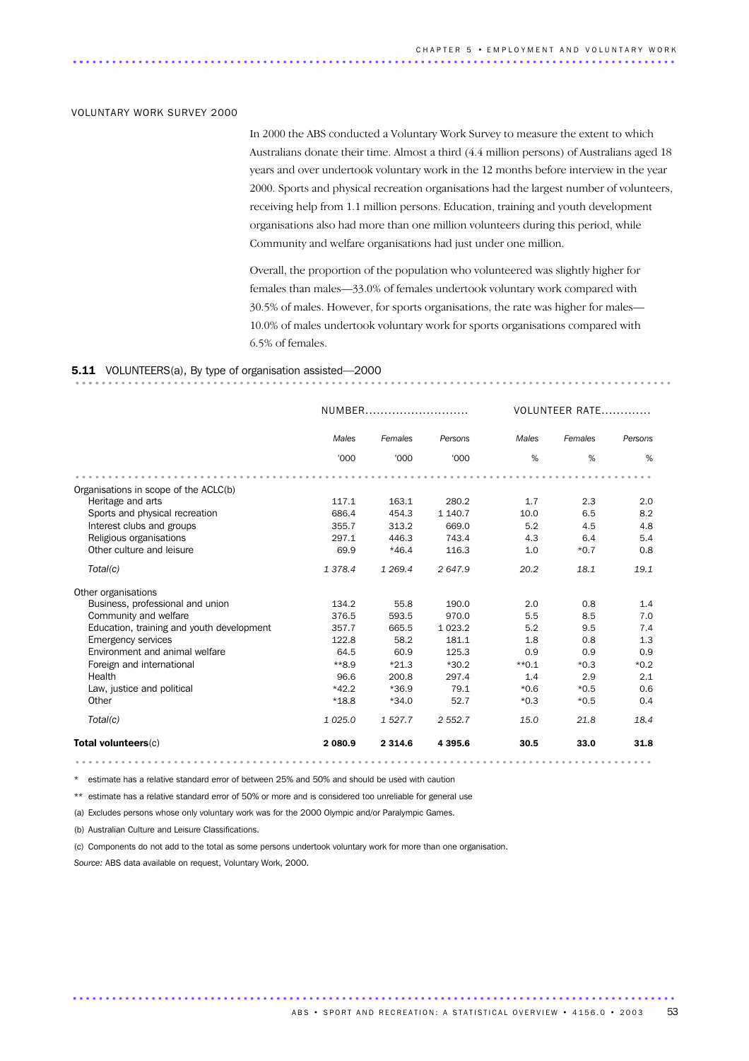## VOLUNTARY WORK SURVEY 2000

In 2000 the ABS conducted a Voluntary Work Survey to measure the extent to which Australians donate their time. Almost a third (4.4 million persons) of Australians aged 18 years and over undertook voluntary work in the 12 months before interview in the year 2000. Sports and physical recreation organisations had the largest number of volunteers, receiving help from 1.1 million persons. Education, training and youth development organisations also had more than one million volunteers during this period, while Community and welfare organisations had just under one million.

Overall, the proportion of the population who volunteered was slightly higher for females than males—33.0% of females undertook voluntary work compared with 30.5% of males. However, for sports organisations, the rate was higher for males— 10.0% of males undertook voluntary work for sports organisations compared with 6.5% of females.

# **5.11** VOLUNTEERS(a), By type of organisation assisted—2000

|                                           | NUMBER    |             |             |         | VOLUNTEER RATE |         |
|-------------------------------------------|-----------|-------------|-------------|---------|----------------|---------|
|                                           | Males     | Females     | Persons     | Males   | Females        | Persons |
|                                           | '000      | '000        | '000        | %       | %              | %       |
|                                           |           |             |             |         |                |         |
| Organisations in scope of the ACLC(b)     |           |             |             |         |                |         |
| Heritage and arts                         | 117.1     | 163.1       | 280.2       | 1.7     | 2.3            | 2.0     |
| Sports and physical recreation            | 686.4     | 454.3       | 1 140.7     | 10.0    | 6.5            | 8.2     |
| Interest clubs and groups                 | 355.7     | 313.2       | 669.0       | 5.2     | 4.5            | 4.8     |
| Religious organisations                   | 297.1     | 446.3       | 743.4       | 4.3     | 6.4            | 5.4     |
| Other culture and leisure                 | 69.9      | $*46.4$     | 116.3       | 1.0     | $*0.7$         | 0.8     |
| Total(c)                                  | 1 3 7 8.4 | 1 269.4     | 2647.9      | 20.2    | 18.1           | 19.1    |
| Other organisations                       |           |             |             |         |                |         |
| Business, professional and union          | 134.2     | 55.8        | 190.0       | 2.0     | 0.8            | 1.4     |
| Community and welfare                     | 376.5     | 593.5       | 970.0       | 5.5     | 8.5            | 7.0     |
| Education, training and youth development | 357.7     | 665.5       | 1 0 2 3 . 2 | 5.2     | 9.5            | 7.4     |
| <b>Emergency services</b>                 | 122.8     | 58.2        | 181.1       | 1.8     | 0.8            | 1.3     |
| Environment and animal welfare            | 64.5      | 60.9        | 125.3       | 0.9     | 0.9            | 0.9     |
| Foreign and international                 | **8.9     | $*21.3$     | $*30.2$     | $*$ 0.1 | $*0.3$         | $*0.2$  |
| Health                                    | 96.6      | 200.8       | 297.4       | 1.4     | 2.9            | 2.1     |
| Law, justice and political                | $*42.2$   | $*36.9$     | 79.1        | $*0.6$  | $*0.5$         | 0.6     |
| Other                                     | $*18.8$   | $*34.0$     | 52.7        | $*0.3$  | $*0.5$         | 0.4     |
| Total(c)                                  | 1 0 25.0  | 1 5 2 7 . 7 | 2 552.7     | 15.0    | 21.8           | 18.4    |
| Total volunteers(c)                       | 2 080.9   | 2 3 1 4 .6  | 4 3 9 5 . 6 | 30.5    | 33.0           | 31.8    |
|                                           |           |             |             |         | .              |         |

estimate has a relative standard error of between 25% and 50% and should be used with caution

\*\* estimate has a relative standard error of 50% or more and is considered too unreliable for general use

(a) Excludes persons whose only voluntary work was for the 2000 Olympic and/or Paralympic Games.

(b) Australian Culture and Leisure Classifications.

(c) Components do not add to the total as some persons undertook voluntary work for more than one organisation.

*Source:* ABS data available on request, Voluntary Work, 2000.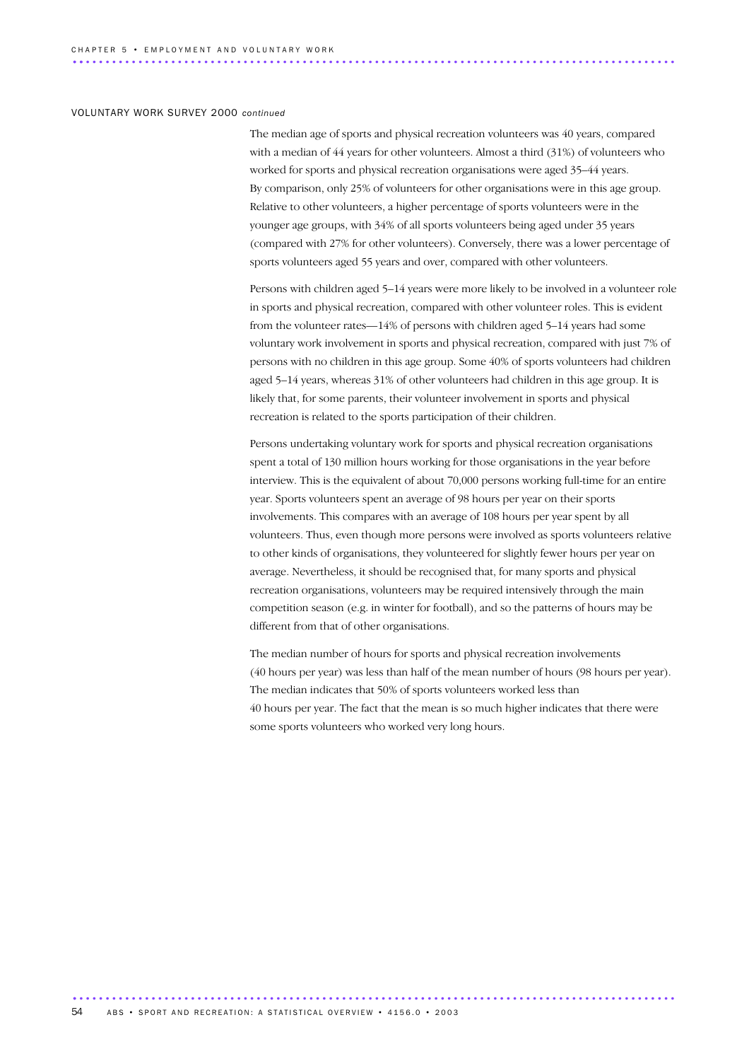#### VOLUNTARY WORK SURVEY 2000 *continued*

The median age of sports and physical recreation volunteers was 40 years, compared with a median of 44 years for other volunteers. Almost a third (31%) of volunteers who worked for sports and physical recreation organisations were aged 35–44 years. By comparison, only 25% of volunteers for other organisations were in this age group. Relative to other volunteers, a higher percentage of sports volunteers were in the younger age groups, with 34% of all sports volunteers being aged under 35 years (compared with 27% for other volunteers). Conversely, there was a lower percentage of sports volunteers aged 55 years and over, compared with other volunteers.

Persons with children aged 5–14 years were more likely to be involved in a volunteer role in sports and physical recreation, compared with other volunteer roles. This is evident from the volunteer rates—14% of persons with children aged 5–14 years had some voluntary work involvement in sports and physical recreation, compared with just 7% of persons with no children in this age group. Some 40% of sports volunteers had children aged 5–14 years, whereas 31% of other volunteers had children in this age group. It is likely that, for some parents, their volunteer involvement in sports and physical recreation is related to the sports participation of their children.

Persons undertaking voluntary work for sports and physical recreation organisations spent a total of 130 million hours working for those organisations in the year before interview. This is the equivalent of about 70,000 persons working full-time for an entire year. Sports volunteers spent an average of 98 hours per year on their sports involvements. This compares with an average of 108 hours per year spent by all volunteers. Thus, even though more persons were involved as sports volunteers relative to other kinds of organisations, they volunteered for slightly fewer hours per year on average. Nevertheless, it should be recognised that, for many sports and physical recreation organisations, volunteers may be required intensively through the main competition season (e.g. in winter for football), and so the patterns of hours may be different from that of other organisations.

The median number of hours for sports and physical recreation involvements (40 hours per year) was less than half of the mean number of hours (98 hours per year). The median indicates that 50% of sports volunteers worked less than 40 hours per year. The fact that the mean is so much higher indicates that there were some sports volunteers who worked very long hours.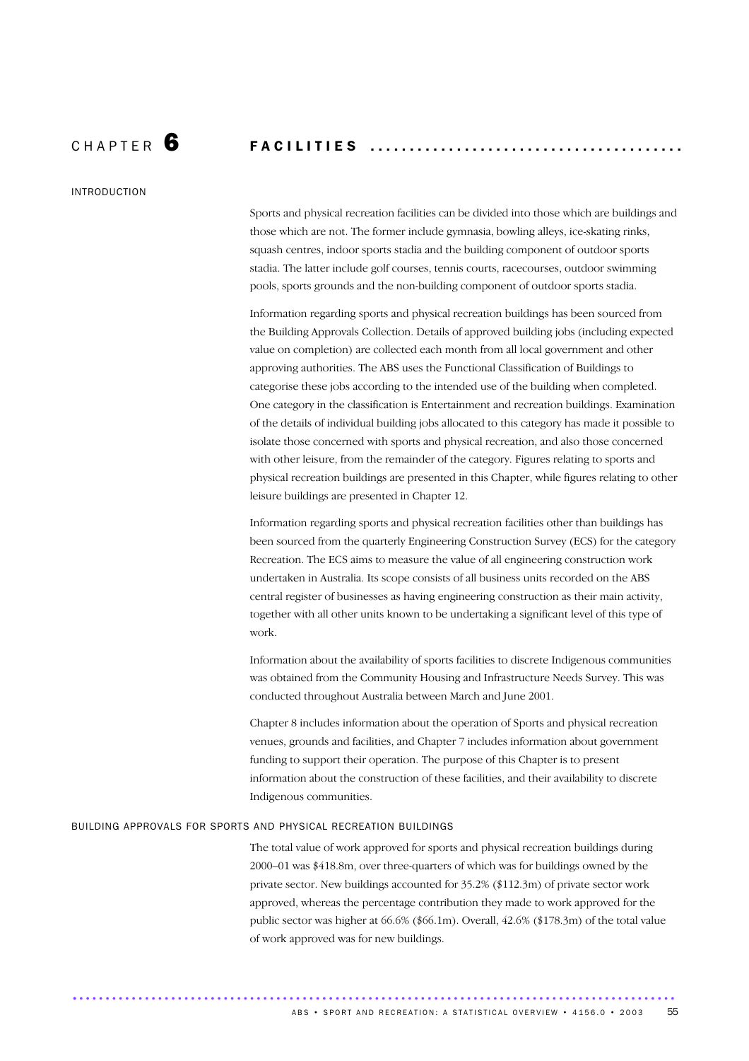# C H A P T E R 6 F A C I L I T I E S . . . . . . . . . . . . . . . . . . . . . . . . . . . . . . . . . . . . . . . .

INTRODUCTION

Sports and physical recreation facilities can be divided into those which are buildings and those which are not. The former include gymnasia, bowling alleys, ice-skating rinks, squash centres, indoor sports stadia and the building component of outdoor sports stadia. The latter include golf courses, tennis courts, racecourses, outdoor swimming pools, sports grounds and the non-building component of outdoor sports stadia.

Information regarding sports and physical recreation buildings has been sourced from the Building Approvals Collection. Details of approved building jobs (including expected value on completion) are collected each month from all local government and other approving authorities. The ABS uses the Functional Classification of Buildings to categorise these jobs according to the intended use of the building when completed. One category in the classification is Entertainment and recreation buildings. Examination of the details of individual building jobs allocated to this category has made it possible to isolate those concerned with sports and physical recreation, and also those concerned with other leisure, from the remainder of the category. Figures relating to sports and physical recreation buildings are presented in this Chapter, while figures relating to other leisure buildings are presented in Chapter 12.

Information regarding sports and physical recreation facilities other than buildings has been sourced from the quarterly Engineering Construction Survey (ECS) for the category Recreation. The ECS aims to measure the value of all engineering construction work undertaken in Australia. Its scope consists of all business units recorded on the ABS central register of businesses as having engineering construction as their main activity, together with all other units known to be undertaking a significant level of this type of work.

Information about the availability of sports facilities to discrete Indigenous communities was obtained from the Community Housing and Infrastructure Needs Survey. This was conducted throughout Australia between March and June 2001.

Chapter 8 includes information about the operation of Sports and physical recreation venues, grounds and facilities, and Chapter 7 includes information about government funding to support their operation. The purpose of this Chapter is to present information about the construction of these facilities, and their availability to discrete Indigenous communities.

# BUILDING APPROVALS FOR SPORTS AND PHYSICAL RECREATION BUILDINGS

The total value of work approved for sports and physical recreation buildings during 2000–01 was \$418.8m, over three-quarters of which was for buildings owned by the private sector. New buildings accounted for 35.2% (\$112.3m) of private sector work approved, whereas the percentage contribution they made to work approved for the public sector was higher at 66.6% (\$66.1m). Overall, 42.6% (\$178.3m) of the total value of work approved was for new buildings.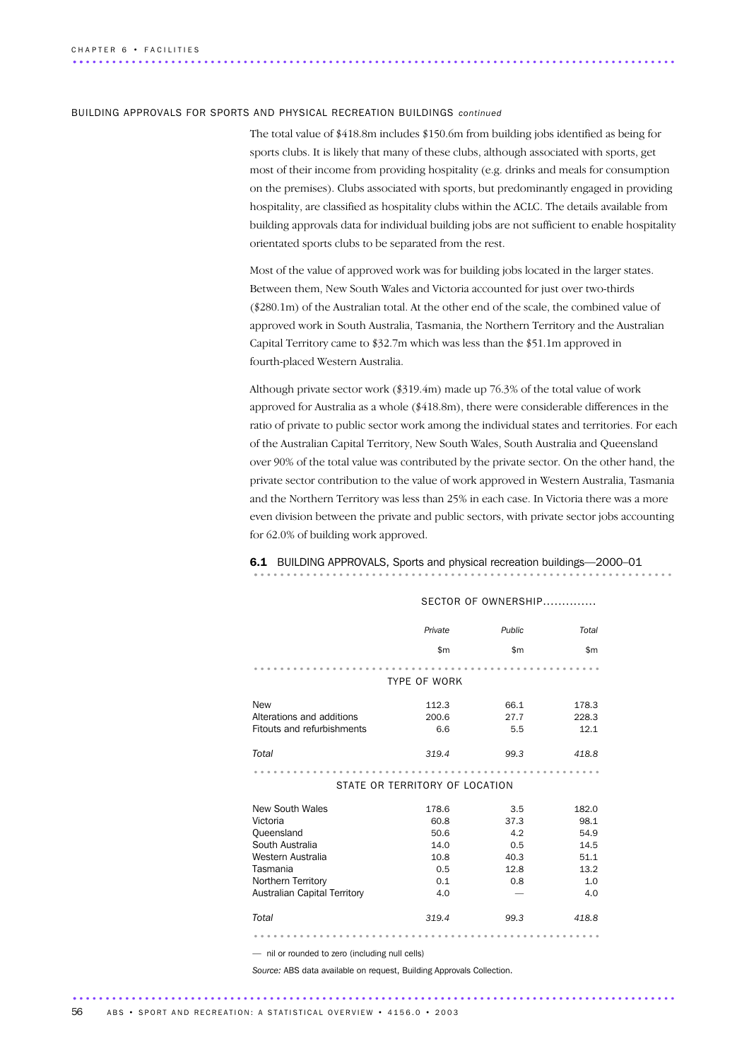## BUILDING APPROVALS FOR SPORTS AND PHYSICAL RECREATION BUILDINGS *continued*

The total value of \$418.8m includes \$150.6m from building jobs identified as being for sports clubs. It is likely that many of these clubs, although associated with sports, get most of their income from providing hospitality (e.g. drinks and meals for consumption on the premises). Clubs associated with sports, but predominantly engaged in providing hospitality, are classified as hospitality clubs within the ACLC. The details available from building approvals data for individual building jobs are not sufficient to enable hospitality orientated sports clubs to be separated from the rest.

Most of the value of approved work was for building jobs located in the larger states. Between them, New South Wales and Victoria accounted for just over two-thirds (\$280.1m) of the Australian total. At the other end of the scale, the combined value of approved work in South Australia, Tasmania, the Northern Territory and the Australian Capital Territory came to \$32.7m which was less than the \$51.1m approved in fourth-placed Western Australia.

Although private sector work (\$319.4m) made up 76.3% of the total value of work approved for Australia as a whole (\$418.8m), there were considerable differences in the ratio of private to public sector work among the individual states and territories. For each of the Australian Capital Territory, New South Wales, South Australia and Queensland over 90% of the total value was contributed by the private sector. On the other hand, the private sector contribution to the value of work approved in Western Australia, Tasmania and the Northern Territory was less than 25% in each case. In Victoria there was a more even division between the private and public sectors, with private sector jobs accounting for 62.0% of building work approved.

6.1 BUILDING APPROVALS, Sports and physical recreation buildings—2000–01

|                              | Private                        | Public | Total |
|------------------------------|--------------------------------|--------|-------|
|                              | \$m                            | \$m    | \$m   |
|                              |                                |        |       |
|                              | <b>TYPE OF WORK</b>            |        |       |
| <b>New</b>                   | 112.3                          | 66.1   | 178.3 |
| Alterations and additions    | 200.6                          | 27.7   | 228.3 |
| Fitouts and refurbishments   | 6.6                            | 5.5    | 12.1  |
| Total                        | 319.4                          | 99.3   | 418.8 |
|                              |                                |        |       |
|                              | STATE OR TERRITORY OF LOCATION |        |       |
| New South Wales              | 178.6                          | 3.5    | 182.0 |
| Victoria                     | 60.8                           | 37.3   | 98.1  |
| Queensland                   | 50.6                           | 4.2    | 54.9  |
| South Australia              | 14.0                           | 0.5    | 14.5  |
| Western Australia            | 10.8                           | 40.3   | 51.1  |
| Tasmania                     | 0.5                            | 12.8   | 13.2  |
| Northern Territory           | 0.1                            | 0.8    | 1.0   |
| Australian Capital Territory | 4.0                            |        | 4.0   |
| Total                        | 319.4                          | 99.3   | 418.8 |
|                              |                                |        |       |

SECTOR OF OWNERSHIP..............

— nil or rounded to zero (including null cells)

*Source:* ABS data available on request, Building Approvals Collection.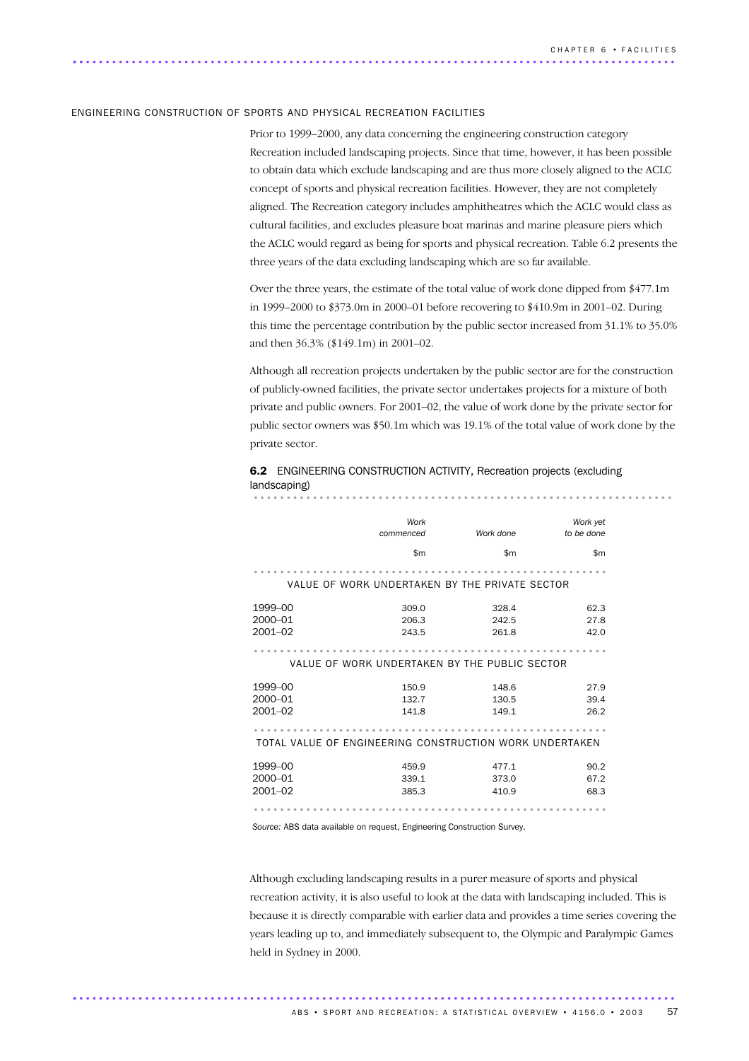#### ENGINEERING CONSTRUCTION OF SPORTS AND PHYSICAL RECREATION FACILITIES

Prior to 1999–2000, any data concerning the engineering construction category Recreation included landscaping projects. Since that time, however, it has been possible to obtain data which exclude landscaping and are thus more closely aligned to the ACLC concept of sports and physical recreation facilities. However, they are not completely aligned. The Recreation category includes amphitheatres which the ACLC would class as cultural facilities, and excludes pleasure boat marinas and marine pleasure piers which the ACLC would regard as being for sports and physical recreation. Table 6.2 presents the three years of the data excluding landscaping which are so far available.

Over the three years, the estimate of the total value of work done dipped from \$477.1m in 1999–2000 to \$373.0m in 2000–01 before recovering to \$410.9m in 2001–02. During this time the percentage contribution by the public sector increased from 31.1% to 35.0% and then 36.3% (\$149.1m) in 2001–02.

Although all recreation projects undertaken by the public sector are for the construction of publicly-owned facilities, the private sector undertakes projects for a mixture of both private and public owners. For 2001–02, the value of work done by the private sector for public sector owners was \$50.1m which was 19.1% of the total value of work done by the private sector.

# 6.2 ENGINEERING CONSTRUCTION ACTIVITY, Recreation projects (excluding landscaping) ................................................................

|                                                         | Work                                           |           | Work yet   |
|---------------------------------------------------------|------------------------------------------------|-----------|------------|
|                                                         | commenced                                      | Work done | to be done |
|                                                         | \$m                                            | \$m       | \$m        |
|                                                         | VALUE OF WORK UNDERTAKEN BY THE PRIVATE SECTOR |           |            |
| 1999-00                                                 | 309.0                                          | 328.4     | 62.3       |
| 2000-01                                                 | 206.3                                          | 242.5     | 27.8       |
| 2001-02                                                 | 243.5                                          | 261.8     | 42.0       |
|                                                         | VALUE OF WORK UNDERTAKEN BY THE PUBLIC SECTOR  |           |            |
| 1999-00                                                 | 150.9                                          | 148.6     | 27.9       |
| 2000-01                                                 | 132.7                                          | 130.5     | 39.4       |
| 2001-02                                                 | 141.8                                          | 149.1     | 26.2       |
| TOTAL VALUE OF ENGINEERING CONSTRUCTION WORK UNDERTAKEN |                                                |           |            |
| 1999-00                                                 | 459.9                                          | 477.1     | 90.2       |
| 2000-01                                                 | 339.1                                          | 373.0     | 67.2       |
| $2001 - 02$                                             | 385.3                                          | 410.9     | 68.3       |
|                                                         |                                                |           |            |

*Source:* ABS data available on request, Engineering Construction Survey.

............................................................................................ .

Although excluding landscaping results in a purer measure of sports and physical recreation activity, it is also useful to look at the data with landscaping included. This is because it is directly comparable with earlier data and provides a time series covering the years leading up to, and immediately subsequent to, the Olympic and Paralympic Games held in Sydney in 2000.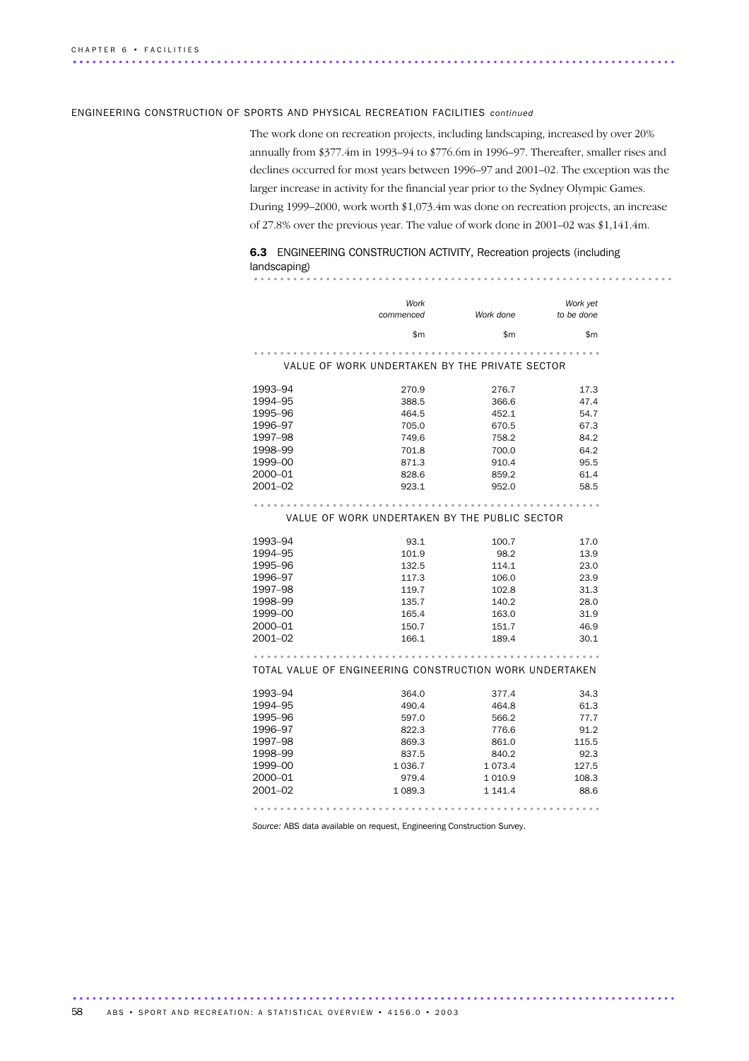# ENGINEERING CONSTRUCTION OF SPORTS AND PHYSICAL RECREATION FACILITIES *continued*

The work done on recreation projects, including landscaping, increased by over 20% annually from \$377.4m in 1993–94 to \$776.6m in 1996–97. Thereafter, smaller rises and declines occurred for most years between 1996–97 and 2001–02. The exception was the larger increase in activity for the financial year prior to the Sydney Olympic Games. During 1999–2000, work worth \$1,073.4m was done on recreation projects, an increase of 27.8% over the previous year. The value of work done in 2001–02 was \$1,141.4m.

................................................................ .

# 6.3 ENGINEERING CONSTRUCTION ACTIVITY, Recreation projects (including landscaping)

|         | Work                                                    |           | Work yet<br>to be done |
|---------|---------------------------------------------------------|-----------|------------------------|
|         | commenced                                               | Work done |                        |
|         | \$m                                                     | \$m       | \$m                    |
|         |                                                         |           |                        |
|         | VALUE OF WORK UNDERTAKEN BY THE PRIVATE SECTOR          |           |                        |
| 1993–94 | 270.9                                                   | 276.7     | 17.3                   |
| 1994-95 | 388.5                                                   | 366.6     | 47.4                   |
| 1995-96 | 464.5                                                   | 452.1     | 54.7                   |
| 1996-97 | 705.0                                                   | 670.5     | 67.3                   |
| 1997-98 | 749.6                                                   | 758.2     | 84.2                   |
| 1998-99 | 701.8                                                   | 700.0     | 64.2                   |
| 1999-00 | 871.3                                                   | 910.4     | 95.5                   |
| 2000-01 | 828.6                                                   | 859.2     | 61.4                   |
| 2001-02 | 923.1                                                   | 952.0     | 58.5                   |
|         |                                                         |           |                        |
|         | VALUE OF WORK UNDERTAKEN BY THE PUBLIC SECTOR           |           |                        |
| 1993-94 | 93.1                                                    | 100.7     | 17.0                   |
| 1994-95 | 101.9                                                   | 98.2      | 13.9                   |
| 1995-96 | 132.5                                                   | 114.1     | 23.0                   |
| 1996-97 | 117.3                                                   | 106.0     | 23.9                   |
| 1997-98 | 119.7                                                   | 102.8     | 31.3                   |
| 1998-99 | 135.7                                                   | 140.2     | 28.0                   |
| 1999-00 | 165.4                                                   | 163.0     | 31.9                   |
| 2000-01 | 150.7                                                   | 151.7     | 46.9                   |
| 2001–02 | 166.1                                                   | 189.4     | 30.1                   |
|         |                                                         |           |                        |
|         | TOTAL VALUE OF ENGINEERING CONSTRUCTION WORK UNDERTAKEN |           |                        |
| 1993–94 | 364.0                                                   | 377.4     | 34.3                   |
| 1994-95 | 490.4                                                   | 464.8     | 61.3                   |
| 1995-96 | 597.0                                                   | 566.2     | 77.7                   |
| 1996-97 | 822.3                                                   | 776.6     | 91.2                   |
| 1997-98 | 869.3                                                   | 861.0     | 115.5                  |
| 1998-99 | 837.5                                                   | 840.2     | 92.3                   |
| 1999-00 | 1036.7                                                  | 1073.4    | 127.5                  |
| 2000-01 | 979.4                                                   | 1010.9    | 108.3                  |
| 2001–02 | 1 0 8 9.3                                               | 1 141.4   | 88.6                   |
|         |                                                         |           |                        |

*Source:* ABS data available on request, Engineering Construction Survey.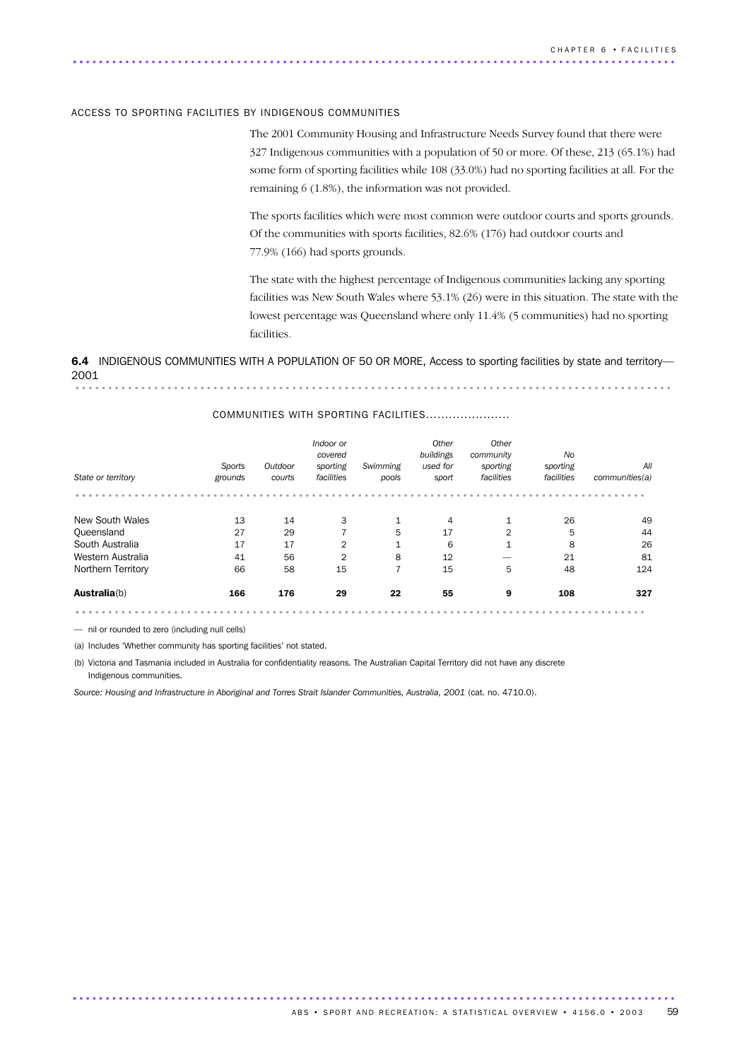## ACCESS TO SPORTING FACILITIES BY INDIGENOUS COMMUNITIES

The 2001 Community Housing and Infrastructure Needs Survey found that there were 327 Indigenous communities with a population of 50 or more. Of these, 213 (65.1%) had some form of sporting facilities while 108 (33.0%) had no sporting facilities at all. For the remaining 6 (1.8%), the information was not provided.

The sports facilities which were most common were outdoor courts and sports grounds. Of the communities with sports facilities, 82.6% (176) had outdoor courts and 77.9% (166) had sports grounds.

The state with the highest percentage of Indigenous communities lacking any sporting facilities was New South Wales where 53.1% (26) were in this situation. The state with the lowest percentage was Queensland where only 11.4% (5 communities) had no sporting facilities.

6.4 INDIGENOUS COMMUNITIES WITH A POPULATION OF 50 OR MORE, Access to sporting facilities by state and territory— 2001 ...........................................................................................

# COMMUNITIES WITH SPORTING FACILITIES.....................

|                    | Sports  | Outdoor | Indoor or<br>covered<br>sporting | Swimming     | Other<br>buildings<br>used for | Other<br>community<br>sporting | <b>No</b><br>sporting | All            |
|--------------------|---------|---------|----------------------------------|--------------|--------------------------------|--------------------------------|-----------------------|----------------|
| State or territory | grounds | courts  | facilities                       | pools        | sport                          | facilities                     | facilities            | communities(a) |
|                    |         |         |                                  |              |                                |                                |                       |                |
| New South Wales    | 13      | 14      | 3                                | $\mathbf{1}$ | $\overline{4}$                 | $\mathbf{1}$                   | 26                    | 49             |
| Queensland         | 27      | 29      |                                  | 5            | 17                             | $\overline{2}$                 | 5                     | 44             |
| South Australia    | 17      | 17      | $\overline{2}$                   | $\mathbf{1}$ | 6                              | $\mathbf{1}$                   | 8                     | 26             |
| Western Australia  | 41      | 56      | $\overline{2}$                   | 8            | 12                             |                                | 21                    | 81             |
| Northern Territory | 66      | 58      | 15                               |              | 15                             | 5                              | 48                    | 124            |
| Australia(b)       | 166     | 176     | 29                               | 22           | 55                             | 9                              | 108                   | 327            |
|                    |         |         |                                  |              |                                |                                |                       |                |

— nil or rounded to zero (including null cells)

(a) Includes 'Whether community has sporting facilities' not stated.

(b) Victoria and Tasmania included in Australia for confidentiality reasons. The Australian Capital Territory did not have any discrete Indigenous communities.

*Source: Housing and Infrastructure in Aboriginal and Torres Strait Islander Communities, Australia, 2001* (cat. no. 4710.0).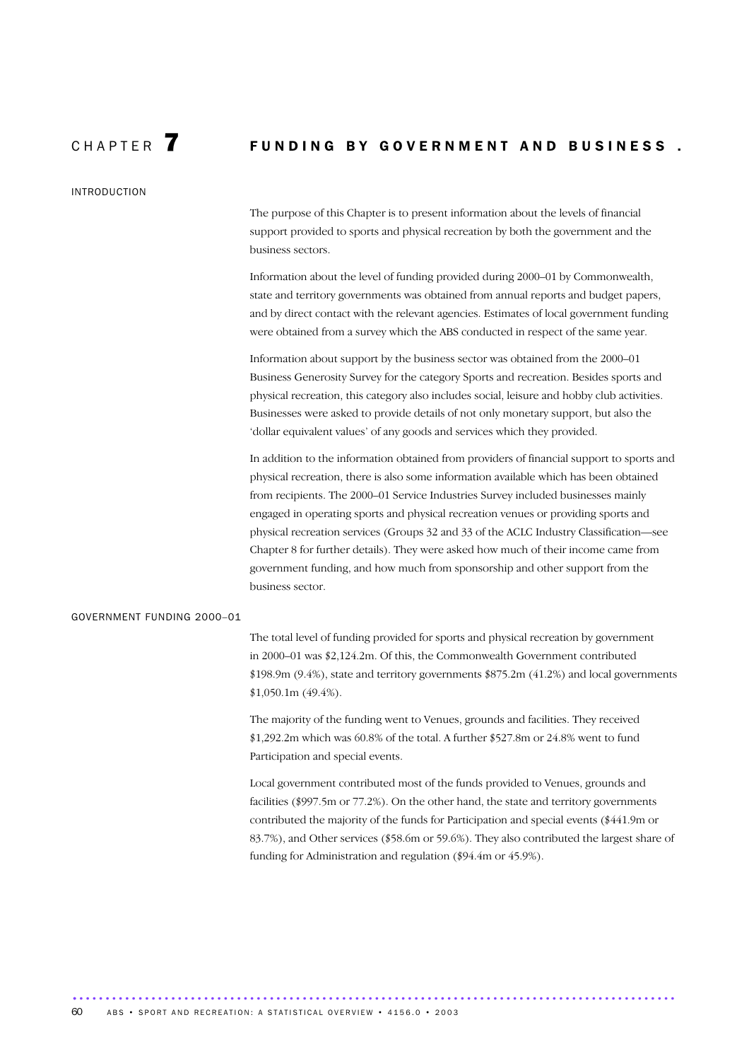# CHAPTER **7** FUNDING BY GOVERNMENT AND BUSINESS.

# INTRODUCTION

The purpose of this Chapter is to present information about the levels of financial support provided to sports and physical recreation by both the government and the business sectors.

Information about the level of funding provided during 2000–01 by Commonwealth, state and territory governments was obtained from annual reports and budget papers, and by direct contact with the relevant agencies. Estimates of local government funding were obtained from a survey which the ABS conducted in respect of the same year.

Information about support by the business sector was obtained from the 2000–01 Business Generosity Survey for the category Sports and recreation. Besides sports and physical recreation, this category also includes social, leisure and hobby club activities. Businesses were asked to provide details of not only monetary support, but also the 'dollar equivalent values' of any goods and services which they provided.

In addition to the information obtained from providers of financial support to sports and physical recreation, there is also some information available which has been obtained from recipients. The 2000–01 Service Industries Survey included businesses mainly engaged in operating sports and physical recreation venues or providing sports and physical recreation services (Groups 32 and 33 of the ACLC Industry Classification—see Chapter 8 for further details). They were asked how much of their income came from government funding, and how much from sponsorship and other support from the business sector.

# GOVERNMENT FUNDING 2000–01

The total level of funding provided for sports and physical recreation by government in 2000–01 was \$2,124.2m. Of this, the Commonwealth Government contributed \$198.9m (9.4%), state and territory governments \$875.2m (41.2%) and local governments \$1,050.1m (49.4%).

The majority of the funding went to Venues, grounds and facilities. They received \$1,292.2m which was 60.8% of the total. A further \$527.8m or 24.8% went to fund Participation and special events.

Local government contributed most of the funds provided to Venues, grounds and facilities (\$997.5m or 77.2%). On the other hand, the state and territory governments contributed the majority of the funds for Participation and special events (\$441.9m or 83.7%), and Other services (\$58.6m or 59.6%). They also contributed the largest share of funding for Administration and regulation (\$94.4m or 45.9%).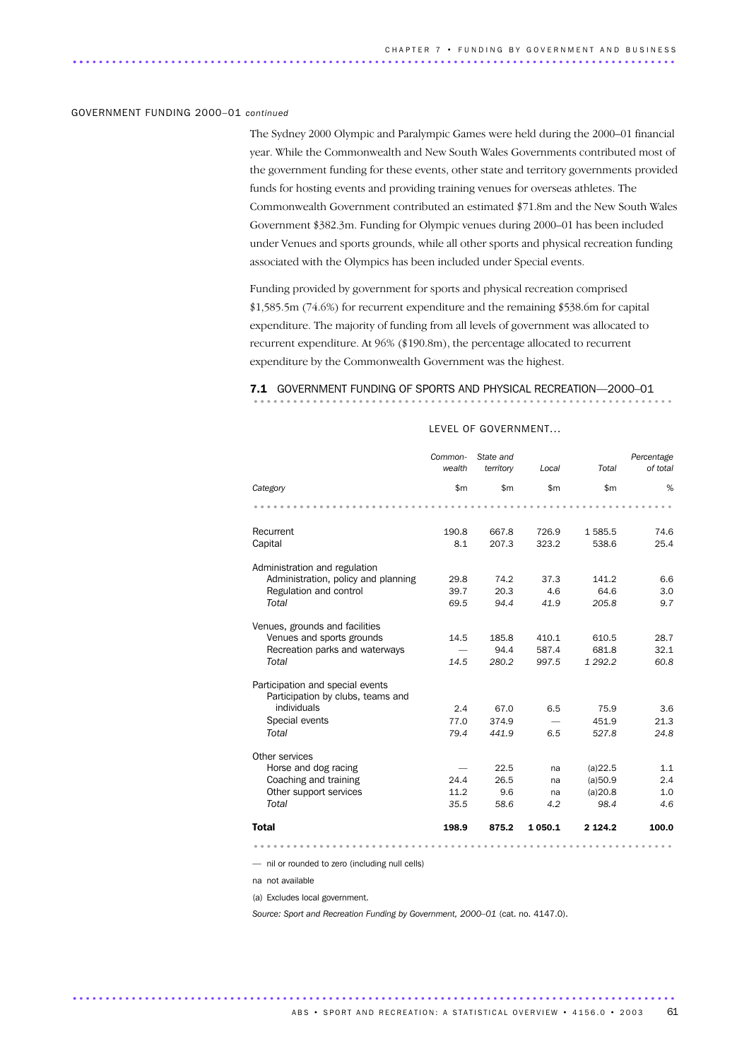#### GOVERNMENT FUNDING 2000–01 *continued*

The Sydney 2000 Olympic and Paralympic Games were held during the 2000–01 financial year. While the Commonwealth and New South Wales Governments contributed most of the government funding for these events, other state and territory governments provided funds for hosting events and providing training venues for overseas athletes. The Commonwealth Government contributed an estimated \$71.8m and the New South Wales Government \$382.3m. Funding for Olympic venues during 2000–01 has been included under Venues and sports grounds, while all other sports and physical recreation funding associated with the Olympics has been included under Special events.

Funding provided by government for sports and physical recreation comprised \$1,585.5m (74.6%) for recurrent expenditure and the remaining \$538.6m for capital expenditure. The majority of funding from all levels of government was allocated to recurrent expenditure. At 96% (\$190.8m), the percentage allocated to recurrent expenditure by the Commonwealth Government was the highest.

# 7.1 GOVERNMENT FUNDING OF SPORTS AND PHYSICAL RECREATION-2000-01

|                                                                                                                 | Common-<br>wealth   | State and<br>territory | Local       | Total                  | Percentage<br>of total        |
|-----------------------------------------------------------------------------------------------------------------|---------------------|------------------------|-------------|------------------------|-------------------------------|
| Category                                                                                                        | \$m                 | \$m                    | \$m         | \$m\$                  | %                             |
|                                                                                                                 |                     |                        |             |                        |                               |
| Recurrent                                                                                                       | 190.8               | 667.8                  | 726.9       | 1 585.5                | 74.6                          |
| Capital                                                                                                         | 8.1                 | 207.3                  | 323.2       | 538.6                  | 25.4                          |
| Administration and regulation<br>Administration, policy and planning                                            | 29.8                | 74.2                   | 37.3        | 141.2                  | 6.6                           |
| Regulation and control                                                                                          | 39.7                | 20.3                   | 4.6         | 64.6                   | 3.0                           |
| Total                                                                                                           | 69.5                | 94.4                   | 41.9        | 205.8                  | 9.7                           |
|                                                                                                                 |                     |                        |             |                        |                               |
| Venues, grounds and facilities                                                                                  |                     |                        |             |                        |                               |
| Venues and sports grounds                                                                                       | 14.5                | 185.8                  | 410.1       | 610.5                  | 28.7                          |
| Recreation parks and waterways                                                                                  |                     | 94.4                   | 587.4       | 681.8                  | 32.1                          |
| Total                                                                                                           | 14.5                | 280.2                  | 997.5       | 1 292.2                | 60.8                          |
| Participation and special events<br>Participation by clubs, teams and<br>individuals<br>Special events<br>Total | 2.4<br>77.0<br>79.4 | 67.0<br>374.9<br>441.9 | 6.5<br>6.5  | 75.9<br>451.9<br>527.8 | 3.6<br>21.3<br>24.8           |
| Other services                                                                                                  |                     |                        |             |                        |                               |
| Horse and dog racing                                                                                            |                     | 22.5                   | na          | (a)22.5                | 1.1                           |
| Coaching and training                                                                                           | 24.4                | 26.5                   | na          | (a)50.9                | 2.4                           |
| Other support services                                                                                          | 11.2                | 9.6                    | na          | (a)20.8                | 1.0                           |
| Total                                                                                                           | 35.5                | 58.6                   | 4.2         | 98.4                   | 4.6                           |
| <b>Total</b>                                                                                                    | 198.9               | 875.2                  | 1 0 5 0 . 1 | 2 1 2 4 . 2            | 100.0<br>$\cdots$<br>$\cdots$ |

# LEVEL OF GOVERNMENT...

— nil or rounded to zero (including null cells)

na not available

(a) Excludes local government.

*Source: Sport and Recreation Funding by Government, 2000–01* (cat. no. 4147.0).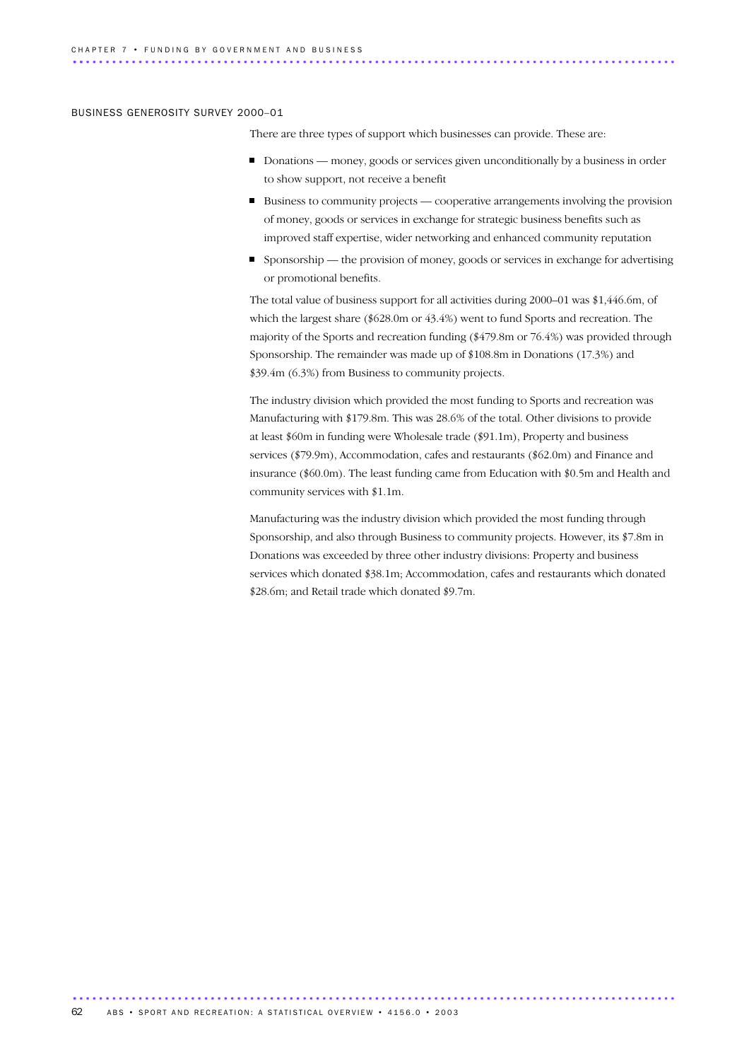#### BUSINESS GENEROSITY SURVEY 2000–01

There are three types of support which businesses can provide. These are:

- Donations money, goods or services given unconditionally by a business in order to show support, not receive a benefit
- Business to community projects cooperative arrangements involving the provision of money, goods or services in exchange for strategic business benefits such as improved staff expertise, wider networking and enhanced community reputation
- Sponsorship the provision of money, goods or services in exchange for advertising or promotional benefits.

The total value of business support for all activities during 2000–01 was \$1,446.6m, of which the largest share (\$628.0m or 43.4%) went to fund Sports and recreation. The majority of the Sports and recreation funding (\$479.8m or 76.4%) was provided through Sponsorship. The remainder was made up of \$108.8m in Donations (17.3%) and \$39.4m (6.3%) from Business to community projects.

The industry division which provided the most funding to Sports and recreation was Manufacturing with \$179.8m. This was 28.6% of the total. Other divisions to provide at least \$60m in funding were Wholesale trade (\$91.1m), Property and business services (\$79.9m), Accommodation, cafes and restaurants (\$62.0m) and Finance and insurance (\$60.0m). The least funding came from Education with \$0.5m and Health and community services with \$1.1m.

Manufacturing was the industry division which provided the most funding through Sponsorship, and also through Business to community projects. However, its \$7.8m in Donations was exceeded by three other industry divisions: Property and business services which donated \$38.1m; Accommodation, cafes and restaurants which donated \$28.6m; and Retail trade which donated \$9.7m.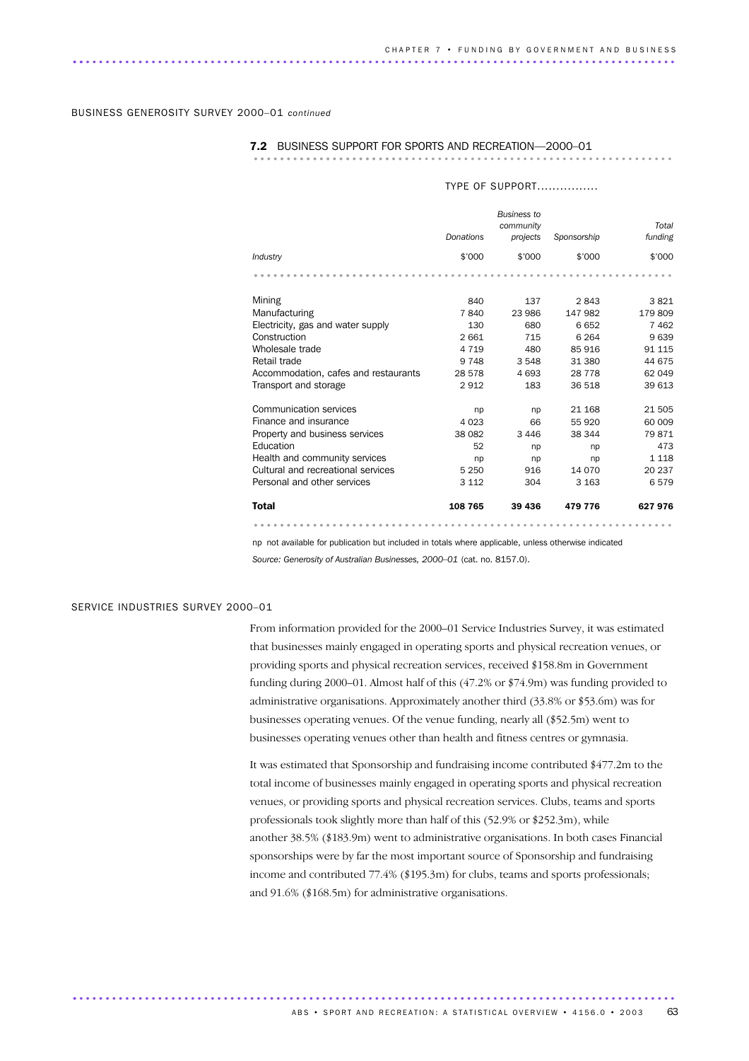BUSINESS GENEROSITY SURVEY 2000–01 *continued*

# 7.2 BUSINESS SUPPORT FOR SPORTS AND RECREATION-2000-01

# TYPE OF SUPPORT................

|                                      | Donations | <b>Business to</b><br>community<br>projects | Sponsorship | Total<br>funding |
|--------------------------------------|-----------|---------------------------------------------|-------------|------------------|
| Industry                             | \$'000    | \$'000                                      | \$'000      | \$'000           |
|                                      |           |                                             |             |                  |
| Mining                               | 840       | 137                                         | 2843        | 3821             |
| Manufacturing                        | 7840      | 23 986                                      | 147 982     | 179809           |
| Electricity, gas and water supply    | 130       | 680                                         | 6652        | 7462             |
| Construction                         | 2661      | 715                                         | 6 2 6 4     | 9639             |
| Wholesale trade                      | 4 7 1 9   | 480                                         | 85 916      | 91 115           |
| Retail trade                         | 9 7 4 8   | 3 5 4 8                                     | 31 380      | 44 675           |
| Accommodation, cafes and restaurants | 28 578    | 4693                                        | 28 7 7 8    | 62 049           |
| Transport and storage                | 2912      | 183                                         | 36 518      | 39 613           |
| Communication services               | np        | np                                          | 21 168      | 21 505           |
| Finance and insurance                | 4 0 2 3   | 66                                          | 55 920      | 60 009           |
| Property and business services       | 38 082    | 3 4 4 6                                     | 38 344      | 79871            |
| Education                            | 52        | np                                          | np          | 473              |
| Health and community services        | np        | np                                          | np          | 1 1 1 8          |
| Cultural and recreational services   | 5 2 5 0   | 916                                         | 14 070      | 20 237           |
| Personal and other services          | 3 1 1 2   | 304                                         | 3 1 6 3     | 6579             |
| <b>Total</b>                         | 108 765   | 39 436                                      | 479 776     | 627 976          |
|                                      |           |                                             |             |                  |

np not available for publication but included in totals where applicable, unless otherwise indicated

*Source: Generosity of Australian Businesses, 2000–01* (cat. no. 8157.0).

#### SERVICE INDUSTRIES SURVEY 2000–01

From information provided for the 2000–01 Service Industries Survey, it was estimated that businesses mainly engaged in operating sports and physical recreation venues, or providing sports and physical recreation services, received \$158.8m in Government funding during 2000–01. Almost half of this (47.2% or \$74.9m) was funding provided to administrative organisations. Approximately another third (33.8% or \$53.6m) was for businesses operating venues. Of the venue funding, nearly all (\$52.5m) went to businesses operating venues other than health and fitness centres or gymnasia.

It was estimated that Sponsorship and fundraising income contributed \$477.2m to the total income of businesses mainly engaged in operating sports and physical recreation venues, or providing sports and physical recreation services. Clubs, teams and sports professionals took slightly more than half of this (52.9% or \$252.3m), while another 38.5% (\$183.9m) went to administrative organisations. In both cases Financial sponsorships were by far the most important source of Sponsorship and fundraising income and contributed 77.4% (\$195.3m) for clubs, teams and sports professionals; and 91.6% (\$168.5m) for administrative organisations.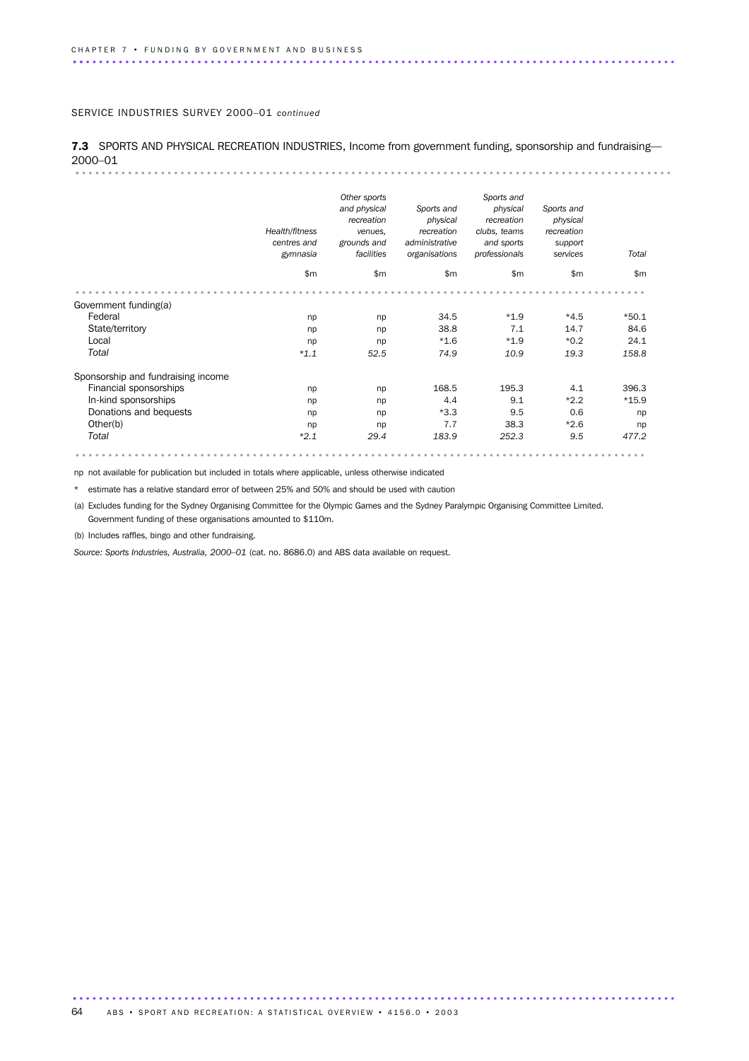7.3 SPORTS AND PHYSICAL RECREATION INDUSTRIES, Income from government funding, sponsorship and fundraising-2000–01 ........................................................................................... .

|                                    | Health/fitness<br>centres and<br>gymnasia | Other sports<br>and physical<br>recreation<br>venues.<br>grounds and<br>facilities | Sports and<br>physical<br>recreation<br>administrative<br>organisations | Sports and<br>physical<br>recreation<br>clubs, teams<br>and sports<br>professionals | Sports and<br>physical<br>recreation<br>support<br>services | Total   |
|------------------------------------|-------------------------------------------|------------------------------------------------------------------------------------|-------------------------------------------------------------------------|-------------------------------------------------------------------------------------|-------------------------------------------------------------|---------|
|                                    | \$m\$                                     | \$m\$                                                                              | \$m\$                                                                   | \$m\$                                                                               | \$m\$                                                       | \$m\$   |
|                                    |                                           |                                                                                    |                                                                         |                                                                                     |                                                             |         |
| Government funding(a)              |                                           |                                                                                    |                                                                         |                                                                                     |                                                             |         |
| Federal                            | np                                        | np                                                                                 | 34.5                                                                    | $*1.9$                                                                              | $*4.5$                                                      | $*50.1$ |
| State/territory                    | np                                        | np                                                                                 | 38.8                                                                    | 7.1                                                                                 | 14.7                                                        | 84.6    |
| Local                              | np                                        | np                                                                                 | $*1.6$                                                                  | $*1.9$                                                                              | $*0.2$                                                      | 24.1    |
| Total                              | $*1.1$                                    | 52.5                                                                               | 74.9                                                                    | 10.9                                                                                | 19.3                                                        | 158.8   |
| Sponsorship and fundraising income |                                           |                                                                                    |                                                                         |                                                                                     |                                                             |         |
| Financial sponsorships             | np                                        | np                                                                                 | 168.5                                                                   | 195.3                                                                               | 4.1                                                         | 396.3   |
| In-kind sponsorships               | np                                        | np                                                                                 | 4.4                                                                     | 9.1                                                                                 | $*2.2$                                                      | $*15.9$ |
| Donations and bequests             | np                                        | np                                                                                 | $*3.3$                                                                  | 9.5                                                                                 | 0.6                                                         | np      |
| Other(b)                           | np                                        | np                                                                                 | 7.7                                                                     | 38.3                                                                                | $*2.6$                                                      | np      |
| Total                              | $*2.1$                                    | 29.4                                                                               | 183.9                                                                   | 252.3                                                                               | 9.5                                                         | 477.2   |
|                                    |                                           |                                                                                    |                                                                         |                                                                                     |                                                             | .       |

np not available for publication but included in totals where applicable, unless otherwise indicated

\* estimate has a relative standard error of between 25% and 50% and should be used with caution

(a) Excludes funding for the Sydney Organising Committee for the Olympic Games and the Sydney Paralympic Organising Committee Limited. Government funding of these organisations amounted to \$110m.

(b) Includes raffles, bingo and other fundraising.

*Source: Sports Industries, Australia, 2000–01* (cat. no. 8686.0) and ABS data available on request.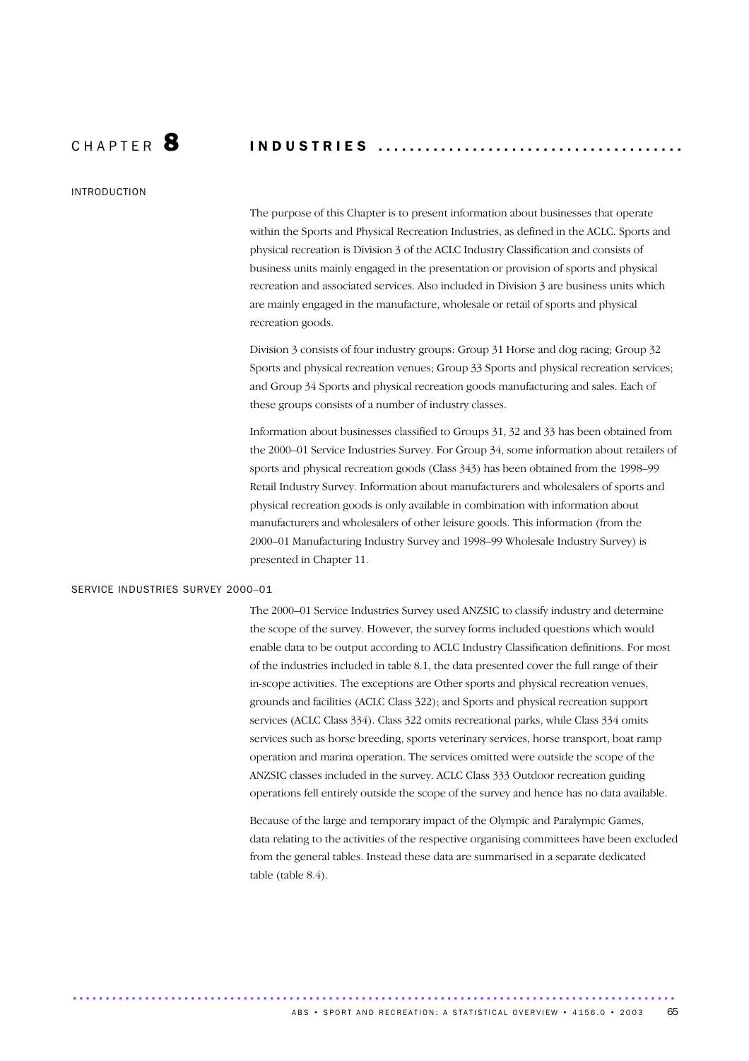# C H A P T E R 8 I N D U S T R I E S . . . . . . . . . . . . . . . . . . . . . . . . . . . . . . . . . . . . . . .

# INTRODUCTION

The purpose of this Chapter is to present information about businesses that operate within the Sports and Physical Recreation Industries, as defined in the ACLC. Sports and physical recreation is Division 3 of the ACLC Industry Classification and consists of business units mainly engaged in the presentation or provision of sports and physical recreation and associated services. Also included in Division 3 are business units which are mainly engaged in the manufacture, wholesale or retail of sports and physical recreation goods.

Division 3 consists of four industry groups: Group 31 Horse and dog racing; Group 32 Sports and physical recreation venues; Group 33 Sports and physical recreation services; and Group 34 Sports and physical recreation goods manufacturing and sales. Each of these groups consists of a number of industry classes.

Information about businesses classified to Groups 31, 32 and 33 has been obtained from the 2000–01 Service Industries Survey. For Group 34, some information about retailers of sports and physical recreation goods (Class 343) has been obtained from the 1998–99 Retail Industry Survey. Information about manufacturers and wholesalers of sports and physical recreation goods is only available in combination with information about manufacturers and wholesalers of other leisure goods. This information (from the 2000–01 Manufacturing Industry Survey and 1998–99 Wholesale Industry Survey) is presented in Chapter 11.

# SERVICE INDUSTRIES SURVEY 2000–01

The 2000–01 Service Industries Survey used ANZSIC to classify industry and determine the scope of the survey. However, the survey forms included questions which would enable data to be output according to ACLC Industry Classification definitions. For most of the industries included in table 8.1, the data presented cover the full range of their in-scope activities. The exceptions are Other sports and physical recreation venues, grounds and facilities (ACLC Class 322); and Sports and physical recreation support services (ACLC Class 334). Class 322 omits recreational parks, while Class 334 omits services such as horse breeding, sports veterinary services, horse transport, boat ramp operation and marina operation. The services omitted were outside the scope of the ANZSIC classes included in the survey. ACLC Class 333 Outdoor recreation guiding operations fell entirely outside the scope of the survey and hence has no data available.

Because of the large and temporary impact of the Olympic and Paralympic Games, data relating to the activities of the respective organising committees have been excluded from the general tables. Instead these data are summarised in a separate dedicated table (table 8.4).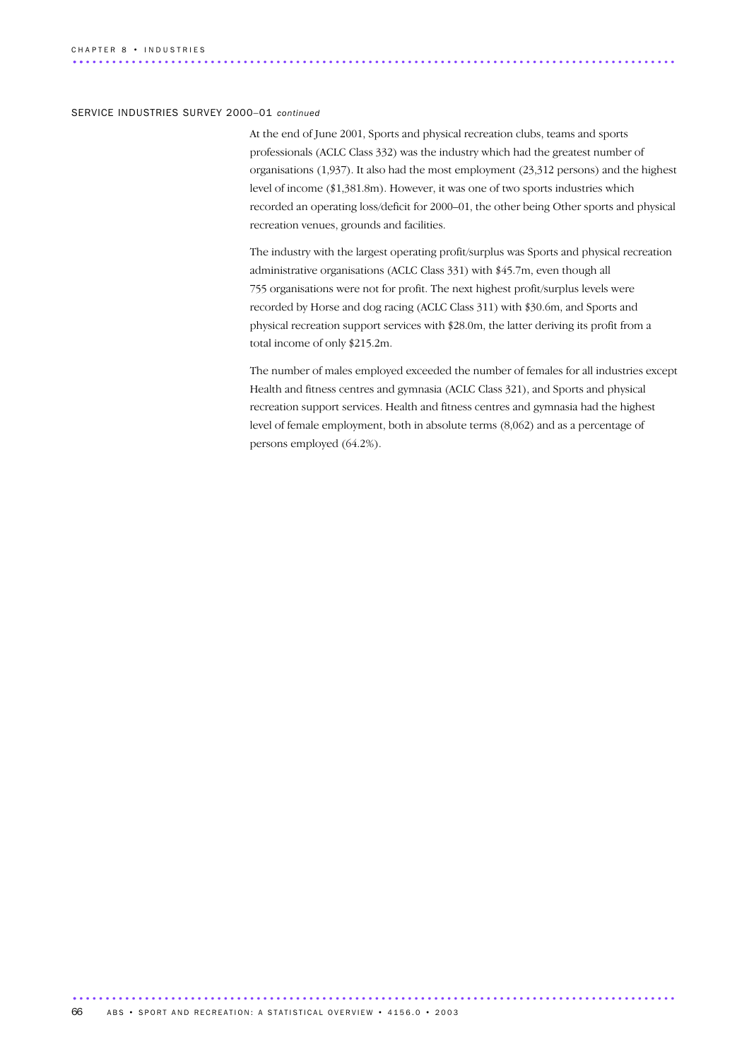At the end of June 2001, Sports and physical recreation clubs, teams and sports professionals (ACLC Class 332) was the industry which had the greatest number of organisations (1,937). It also had the most employment (23,312 persons) and the highest level of income (\$1,381.8m). However, it was one of two sports industries which recorded an operating loss/deficit for 2000–01, the other being Other sports and physical recreation venues, grounds and facilities.

The industry with the largest operating profit/surplus was Sports and physical recreation administrative organisations (ACLC Class 331) with \$45.7m, even though all 755 organisations were not for profit. The next highest profit/surplus levels were recorded by Horse and dog racing (ACLC Class 311) with \$30.6m, and Sports and physical recreation support services with \$28.0m, the latter deriving its profit from a total income of only \$215.2m.

The number of males employed exceeded the number of females for all industries except Health and fitness centres and gymnasia (ACLC Class 321), and Sports and physical recreation support services. Health and fitness centres and gymnasia had the highest level of female employment, both in absolute terms (8,062) and as a percentage of persons employed (64.2%).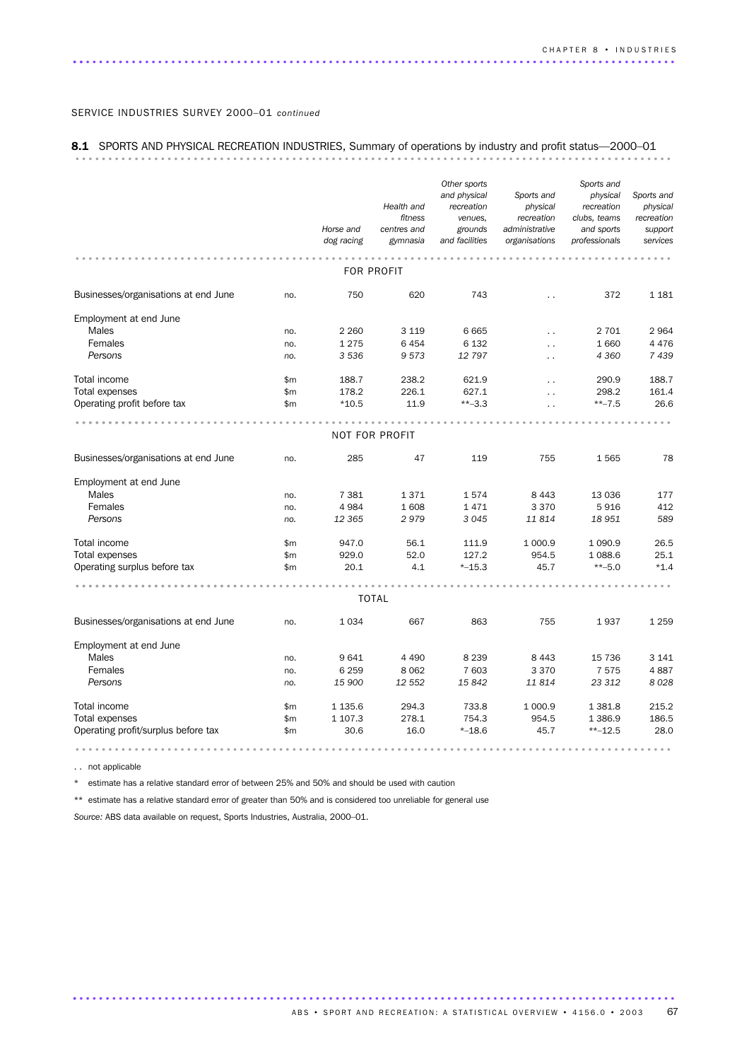# 8.1 SPORTS AND PHYSICAL RECREATION INDUSTRIES, Summary of operations by industry and profit status-2000-01

|                                      |     | Horse and<br>dog racing | Health and<br>fitness<br>centres and<br>gymnasia | Other sports<br>and physical<br>recreation<br>venues,<br>grounds<br>and facilities | Sports and<br>physical<br>recreation<br>administrative<br>organisations | Sports and<br>physical<br>recreation<br>clubs, teams<br>and sports<br>professionals | Sports and<br>physical<br>recreation<br>support<br>services |
|--------------------------------------|-----|-------------------------|--------------------------------------------------|------------------------------------------------------------------------------------|-------------------------------------------------------------------------|-------------------------------------------------------------------------------------|-------------------------------------------------------------|
|                                      |     |                         | <b>FOR PROFIT</b>                                |                                                                                    |                                                                         |                                                                                     |                                                             |
| Businesses/organisations at end June | no. | 750                     | 620                                              | 743                                                                                | $\ddot{\phantom{0}}$                                                    | 372                                                                                 | 1 1 8 1                                                     |
|                                      |     |                         |                                                  |                                                                                    |                                                                         |                                                                                     |                                                             |
| Employment at end June               |     |                         |                                                  |                                                                                    |                                                                         |                                                                                     |                                                             |
| Males                                | no. | 2 2 6 0                 | 3 1 1 9                                          | 6665                                                                               | $\ddot{\phantom{0}}$                                                    | 2 701                                                                               | 2 9 6 4                                                     |
| Females                              | no. | 1275                    | 6454                                             | 6 1 3 2                                                                            | $\ddot{\phantom{0}}$                                                    | 1 6 6 0                                                                             | 4476                                                        |
| Persons                              | no. | 3536                    | 9573                                             | 12797                                                                              | $\ddot{\phantom{0}}$                                                    | 4 3 6 0                                                                             | 7439                                                        |
| Total income                         | \$m | 188.7                   | 238.2                                            | 621.9                                                                              | $\ddot{\phantom{0}}$                                                    | 290.9                                                                               | 188.7                                                       |
| <b>Total expenses</b>                | \$m | 178.2                   | 226.1                                            | 627.1                                                                              | $\ddot{\phantom{0}}$                                                    | 298.2                                                                               | 161.4                                                       |
| Operating profit before tax          | \$m | $*10.5$                 | 11.9                                             | $*+3.3$                                                                            |                                                                         | $***-7.5$                                                                           | 26.6                                                        |
|                                      |     |                         |                                                  |                                                                                    |                                                                         |                                                                                     |                                                             |
|                                      |     |                         | NOT FOR PROFIT                                   |                                                                                    |                                                                         |                                                                                     |                                                             |
| Businesses/organisations at end June | no. | 285                     | 47                                               | 119                                                                                | 755                                                                     | 1565                                                                                | 78                                                          |
| Employment at end June               |     |                         |                                                  |                                                                                    |                                                                         |                                                                                     |                                                             |
| <b>Males</b>                         | no. | 7 3 8 1                 | 1371                                             | 1574                                                                               | 8 4 4 3                                                                 | 13 0 36                                                                             | 177                                                         |
| Females                              | no. | 4984                    | 1608                                             | 1471                                                                               | 3 3 7 0                                                                 | 5916                                                                                | 412                                                         |
| Persons                              | no. | 12 3 65                 | 2979                                             | 3 0 4 5                                                                            | 11814                                                                   | 18 951                                                                              | 589                                                         |
|                                      |     |                         |                                                  |                                                                                    |                                                                         |                                                                                     |                                                             |
| Total income                         | \$m | 947.0                   | 56.1                                             | 111.9                                                                              | 1 000.9                                                                 | 1 0 9 0.9                                                                           | 26.5                                                        |
| <b>Total expenses</b>                | \$m | 929.0                   | 52.0                                             | 127.2                                                                              | 954.5                                                                   | 1088.6                                                                              | 25.1                                                        |
| Operating surplus before tax         | \$m | 20.1                    | 4.1                                              | $* - 15.3$                                                                         | 45.7                                                                    | $***-5.0$                                                                           | $*1.4$                                                      |
|                                      |     |                         |                                                  |                                                                                    |                                                                         |                                                                                     |                                                             |
|                                      |     |                         | <b>TOTAL</b>                                     |                                                                                    |                                                                         |                                                                                     |                                                             |
| Businesses/organisations at end June | no. | 1034                    | 667                                              | 863                                                                                | 755                                                                     | 1937                                                                                | 1 2 5 9                                                     |
| Employment at end June               |     |                         |                                                  |                                                                                    |                                                                         |                                                                                     |                                                             |
| Males                                | no. | 9641                    | 4 4 9 0                                          | 8 2 3 9                                                                            | 8 4 4 3                                                                 | 15 736                                                                              | 3 1 4 1                                                     |
| Females                              | no. | 6 2 5 9                 | 8 0 6 2                                          | 7 603                                                                              | 3 3 7 0                                                                 | 7575                                                                                | 4887                                                        |
| Persons                              | no. | 15 900                  | 12 552                                           | 15842                                                                              | 11814                                                                   | 23 312                                                                              | 8028                                                        |
| Total income                         | \$m | 1 1 3 5.6               | 294.3                                            | 733.8                                                                              | 1 000.9                                                                 | 1 3 8 1.8                                                                           | 215.2                                                       |
| <b>Total expenses</b>                | \$m | 1 107.3                 | 278.1                                            | 754.3                                                                              | 954.5                                                                   | 1 386.9                                                                             | 186.5                                                       |
| Operating profit/surplus before tax  | \$m | 30.6                    | 16.0                                             | $* - 18.6$                                                                         | 45.7                                                                    | $*+12.5$                                                                            | 28.0                                                        |
|                                      |     |                         |                                                  |                                                                                    |                                                                         |                                                                                     |                                                             |

............................................................................................ .

. . not applicable

\* estimate has a relative standard error of between 25% and 50% and should be used with caution

\*\* estimate has a relative standard error of greater than 50% and is considered too unreliable for general use

*Source:* ABS data available on request, Sports Industries, Australia, 2000–01.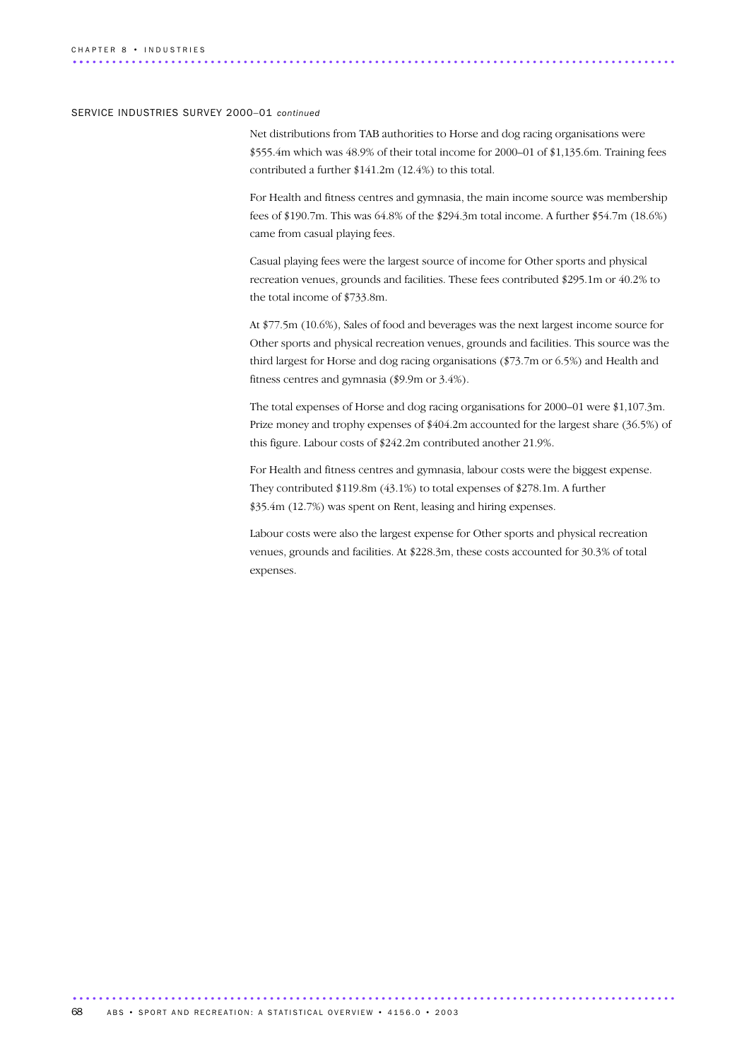Net distributions from TAB authorities to Horse and dog racing organisations were \$555.4m which was 48.9% of their total income for 2000–01 of \$1,135.6m. Training fees contributed a further \$141.2m (12.4%) to this total.

For Health and fitness centres and gymnasia, the main income source was membership fees of \$190.7m. This was 64.8% of the \$294.3m total income. A further \$54.7m (18.6%) came from casual playing fees.

Casual playing fees were the largest source of income for Other sports and physical recreation venues, grounds and facilities. These fees contributed \$295.1m or 40.2% to the total income of \$733.8m.

At \$77.5m (10.6%), Sales of food and beverages was the next largest income source for Other sports and physical recreation venues, grounds and facilities. This source was the third largest for Horse and dog racing organisations (\$73.7m or 6.5%) and Health and fitness centres and gymnasia (\$9.9m or 3.4%).

The total expenses of Horse and dog racing organisations for 2000–01 were \$1,107.3m. Prize money and trophy expenses of \$404.2m accounted for the largest share (36.5%) of this figure. Labour costs of \$242.2m contributed another 21.9%.

For Health and fitness centres and gymnasia, labour costs were the biggest expense. They contributed \$119.8m (43.1%) to total expenses of \$278.1m. A further \$35.4m (12.7%) was spent on Rent, leasing and hiring expenses.

Labour costs were also the largest expense for Other sports and physical recreation venues, grounds and facilities. At \$228.3m, these costs accounted for 30.3% of total expenses.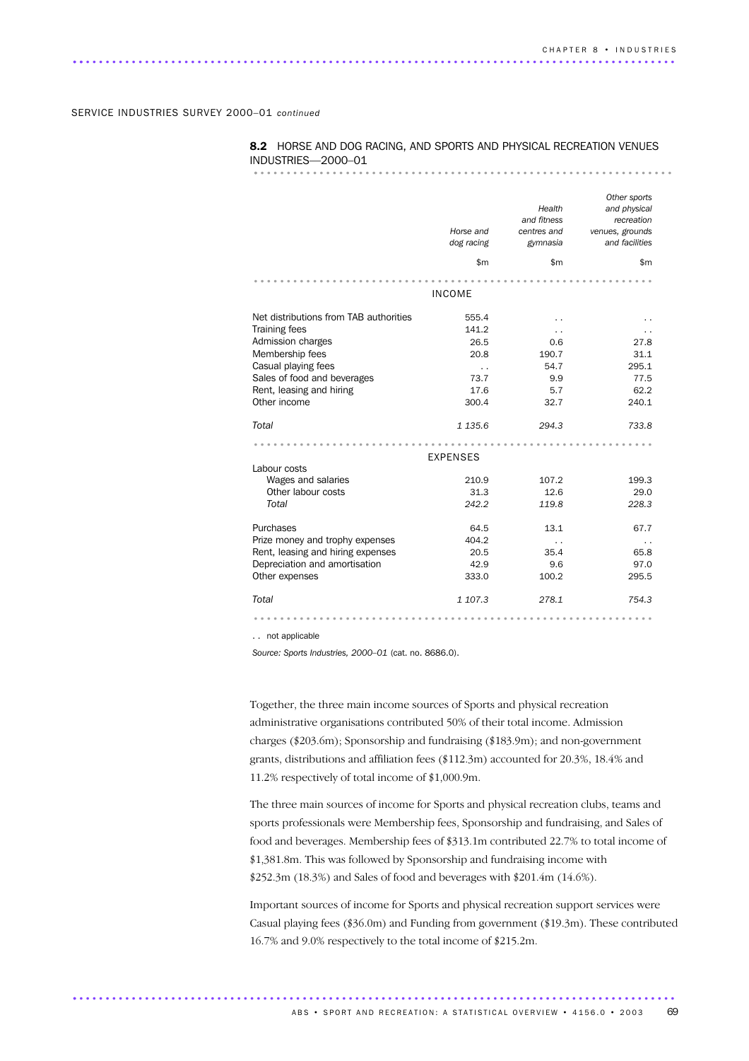............................................................................................ ..

# 8.2 HORSE AND DOG RACING, AND SPORTS AND PHYSICAL RECREATION VENUES INDUSTRIES—2000–01

................................................................ .

|                                                                                                                                                                                                                   | Horse and<br>dog racing<br>\$m\$                                                               | Health<br>and fitness<br>centres and<br>gymnasia<br>\$m | Other sports<br>and physical<br>recreation<br>venues, grounds<br>and facilities<br>\$m |
|-------------------------------------------------------------------------------------------------------------------------------------------------------------------------------------------------------------------|------------------------------------------------------------------------------------------------|---------------------------------------------------------|----------------------------------------------------------------------------------------|
|                                                                                                                                                                                                                   | <b>INCOME</b>                                                                                  |                                                         |                                                                                        |
| Net distributions from TAB authorities<br><b>Training fees</b><br>Admission charges<br>Membership fees<br>Casual playing fees<br>Sales of food and beverages<br>Rent, leasing and hiring<br>Other income<br>Total | 555.4<br>141.2<br>26.5<br>20.8<br>$\ddot{\phantom{0}}$<br>73.7<br>17.6<br>300.4<br>1 1 3 5 . 6 | 0.6<br>190.7<br>54.7<br>9.9<br>5.7<br>32.7<br>294.3     | 27.8<br>31.1<br>295.1<br>77.5<br>62.2<br>240.1<br>733.8                                |
|                                                                                                                                                                                                                   |                                                                                                |                                                         |                                                                                        |
| Labour costs                                                                                                                                                                                                      | <b>EXPENSES</b>                                                                                |                                                         |                                                                                        |
| Wages and salaries<br>Other labour costs<br>Total                                                                                                                                                                 | 210.9<br>31.3<br>242.2                                                                         | 107.2<br>12.6<br>119.8                                  | 199.3<br>29.0<br>228.3                                                                 |
| Purchases<br>Prize money and trophy expenses<br>Rent, leasing and hiring expenses<br>Depreciation and amortisation<br>Other expenses                                                                              | 64.5<br>404.2<br>20.5<br>42.9<br>333.0                                                         | 13.1<br>$\ddot{\phantom{0}}$<br>35.4<br>9.6<br>100.2    | 67.7<br>65.8<br>97.0<br>295.5                                                          |
| Total                                                                                                                                                                                                             | 1 107.3                                                                                        | 278.1                                                   | 754.3                                                                                  |
|                                                                                                                                                                                                                   |                                                                                                |                                                         |                                                                                        |

. . not applicable

*Source: Sports Industries, 2000–01* (cat. no. 8686.0).

Together, the three main income sources of Sports and physical recreation administrative organisations contributed 50% of their total income. Admission charges (\$203.6m); Sponsorship and fundraising (\$183.9m); and non-government grants, distributions and affiliation fees (\$112.3m) accounted for 20.3%, 18.4% and 11.2% respectively of total income of \$1,000.9m.

The three main sources of income for Sports and physical recreation clubs, teams and sports professionals were Membership fees, Sponsorship and fundraising, and Sales of food and beverages. Membership fees of \$313.1m contributed 22.7% to total income of \$1,381.8m. This was followed by Sponsorship and fundraising income with \$252.3m (18.3%) and Sales of food and beverages with \$201.4m (14.6%).

Important sources of income for Sports and physical recreation support services were Casual playing fees (\$36.0m) and Funding from government (\$19.3m). These contributed 16.7% and 9.0% respectively to the total income of \$215.2m.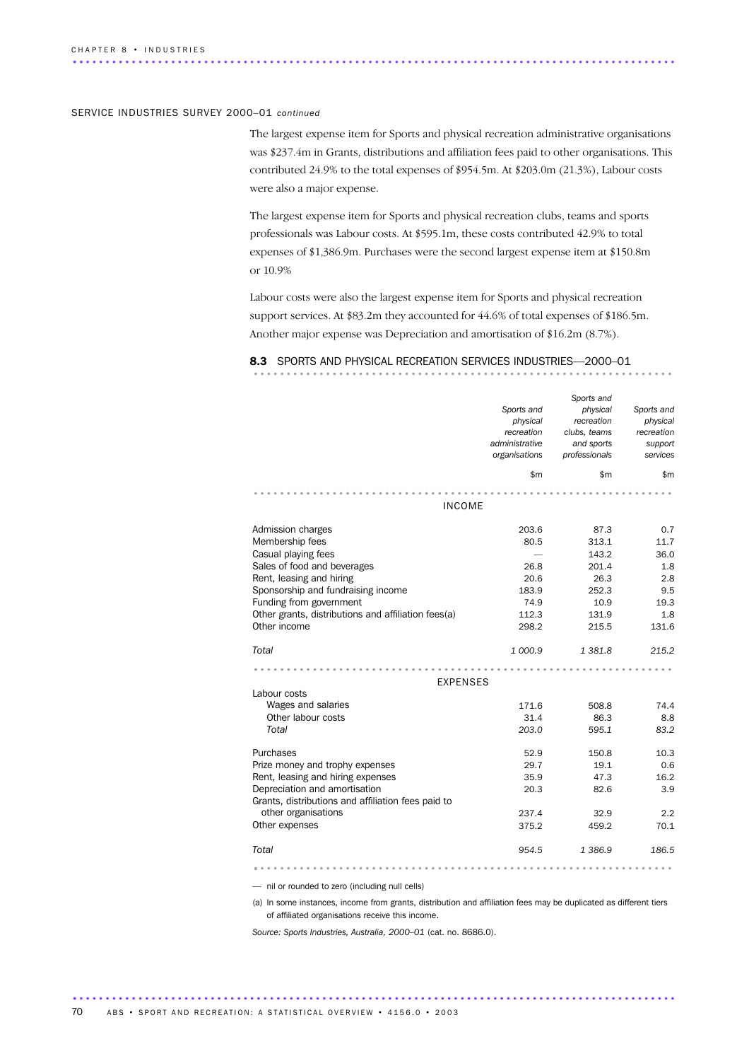The largest expense item for Sports and physical recreation administrative organisations was \$237.4m in Grants, distributions and affiliation fees paid to other organisations. This contributed 24.9% to the total expenses of \$954.5m. At \$203.0m (21.3%), Labour costs were also a major expense.

The largest expense item for Sports and physical recreation clubs, teams and sports professionals was Labour costs. At \$595.1m, these costs contributed 42.9% to total expenses of \$1,386.9m. Purchases were the second largest expense item at \$150.8m or 10.9%

Labour costs were also the largest expense item for Sports and physical recreation support services. At \$83.2m they accounted for 44.6% of total expenses of \$186.5m. Another major expense was Depreciation and amortisation of \$16.2m (8.7%).

# 8.3 SPORTS AND PHYSICAL RECREATION SERVICES INDUSTRIES-2000-01

|                                                     |                | Sports and    |            |
|-----------------------------------------------------|----------------|---------------|------------|
|                                                     | Sports and     | physical      | Sports and |
|                                                     | physical       | recreation    | physical   |
|                                                     | recreation     | clubs, teams  | recreation |
|                                                     | administrative | and sports    | support    |
|                                                     | organisations  | professionals | services   |
|                                                     | \$m            | \$m           | \$m        |
|                                                     |                |               |            |
| INCOME                                              |                |               |            |
| Admission charges                                   | 203.6          | 87.3          | 0.7        |
| Membership fees                                     | 80.5           | 313.1         | 11.7       |
| Casual playing fees                                 |                | 143.2         | 36.0       |
| Sales of food and beverages                         | 26.8           | 201.4         | 1.8        |
| Rent, leasing and hiring                            | 20.6           | 26.3          | 2.8        |
| Sponsorship and fundraising income                  | 183.9          | 252.3         | 9.5        |
| Funding from government                             | 74.9           | 10.9          | 19.3       |
| Other grants, distributions and affiliation fees(a) | 112.3          | 131.9         | 1.8        |
| Other income                                        | 298.2          | 215.5         | 131.6      |
|                                                     |                |               |            |
| Total                                               | 1 000.9        | 1381.8        | 215.2      |
|                                                     |                |               |            |
| <b>EXPENSES</b>                                     |                |               |            |
| Labour costs                                        |                |               |            |
| Wages and salaries                                  | 171.6          | 508.8         | 74.4       |
| Other labour costs                                  | 31.4           | 86.3          | 8.8        |
| Total                                               | 203.0          | 595.1         | 83.2       |
| Purchases                                           | 52.9           | 150.8         | 10.3       |
| Prize money and trophy expenses                     | 29.7           | 19.1          | 0.6        |
| Rent, leasing and hiring expenses                   | 35.9           | 47.3          | 16.2       |
| Depreciation and amortisation                       | 20.3           | 82.6          | 3.9        |
| Grants, distributions and affiliation fees paid to  |                |               |            |
| other organisations                                 | 237.4          | 32.9          | 2.2        |
| Other expenses                                      | 375.2          | 459.2         | 70.1       |
| Total                                               | 954.5          | 1 386.9       | 186.5      |

— nil or rounded to zero (including null cells)

(a) In some instances, income from grants, distribution and affiliation fees may be duplicated as different tiers of affiliated organisations receive this income.

*Source: Sports Industries, Australia, 2000–01* (cat. no. 8686.0).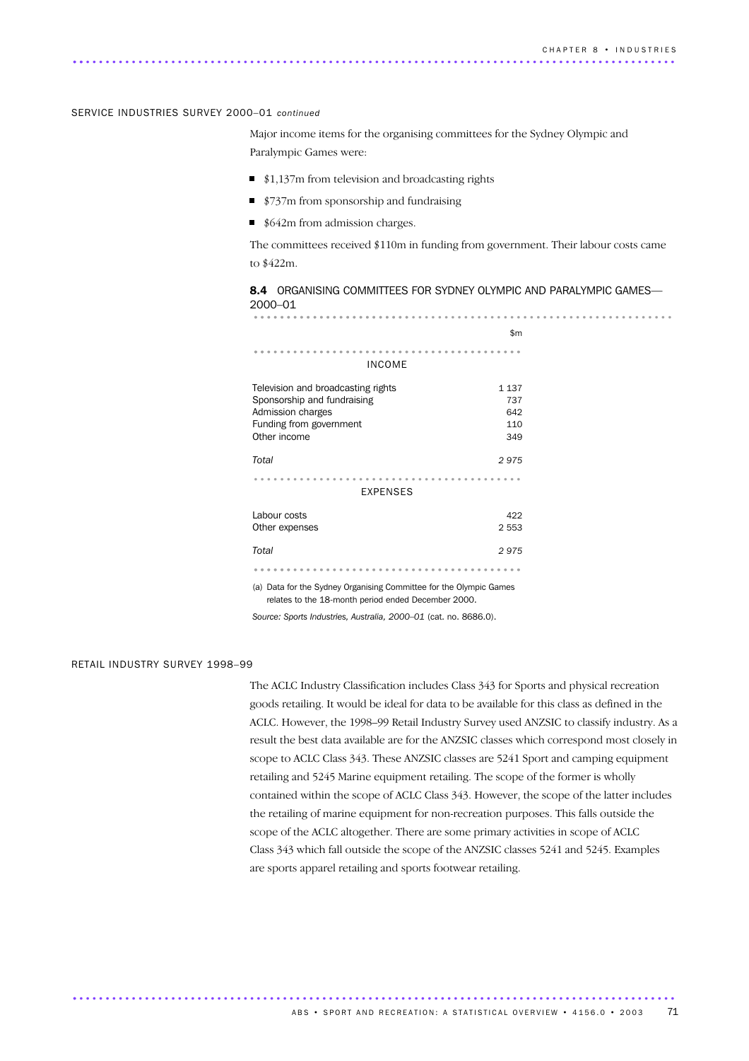Major income items for the organising committees for the Sydney Olympic and Paralympic Games were:

- \$1,137m from television and broadcasting rights
- \$737m from sponsorship and fundraising
- \$642m from admission charges.

............................................................................................ ..

The committees received \$110m in funding from government. Their labour costs came to \$422m.

#### 8.4 ORGANISING COMMITTEES FOR SYDNEY OLYMPIC AND PARALYMPIC GAMES-2000–01 ................................................................ ........................

|                                                                                                                                   | \$m                                 |  |  |  |  |
|-----------------------------------------------------------------------------------------------------------------------------------|-------------------------------------|--|--|--|--|
| <b>INCOME</b>                                                                                                                     |                                     |  |  |  |  |
| Television and broadcasting rights<br>Sponsorship and fundraising<br>Admission charges<br>Funding from government<br>Other income | 1 1 3 7<br>737<br>642<br>110<br>349 |  |  |  |  |
| Total                                                                                                                             | 2975                                |  |  |  |  |
| <b>EXPENSES</b>                                                                                                                   |                                     |  |  |  |  |
| Labour costs<br>Other expenses                                                                                                    | 422<br>2553                         |  |  |  |  |
| Total                                                                                                                             | 2975                                |  |  |  |  |
|                                                                                                                                   |                                     |  |  |  |  |

(a) Data for the Sydney Organising Committee for the Olympic Games relates to the 18-month period ended December 2000.

*Source: Sports Industries, Australia, 2000–01* (cat. no. 8686.0).

#### RETAIL INDUSTRY SURVEY 1998–99

The ACLC Industry Classification includes Class 343 for Sports and physical recreation goods retailing. It would be ideal for data to be available for this class as defined in the ACLC. However, the 1998–99 Retail Industry Survey used ANZSIC to classify industry. As a result the best data available are for the ANZSIC classes which correspond most closely in scope to ACLC Class 343. These ANZSIC classes are 5241 Sport and camping equipment retailing and 5245 Marine equipment retailing. The scope of the former is wholly contained within the scope of ACLC Class 343. However, the scope of the latter includes the retailing of marine equipment for non-recreation purposes. This falls outside the scope of the ACLC altogether. There are some primary activities in scope of ACLC Class 343 which fall outside the scope of the ANZSIC classes 5241 and 5245. Examples are sports apparel retailing and sports footwear retailing.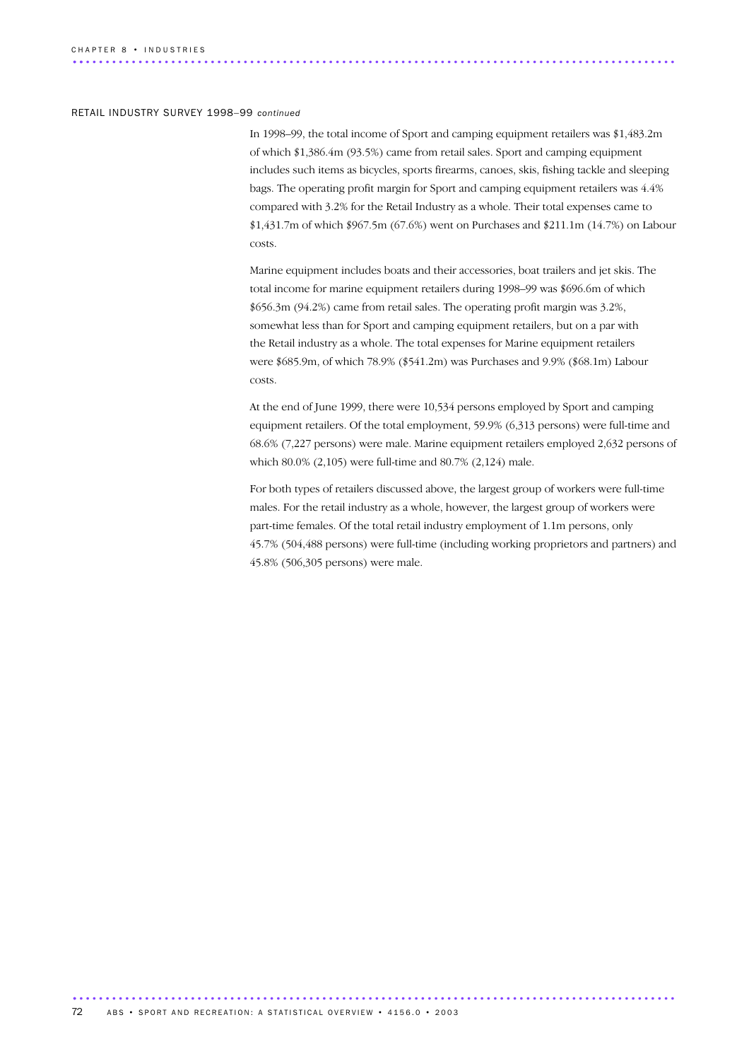### RETAIL INDUSTRY SURVEY 1998–99 *continued*

In 1998–99, the total income of Sport and camping equipment retailers was \$1,483.2m of which \$1,386.4m (93.5%) came from retail sales. Sport and camping equipment includes such items as bicycles, sports firearms, canoes, skis, fishing tackle and sleeping bags. The operating profit margin for Sport and camping equipment retailers was 4.4% compared with 3.2% for the Retail Industry as a whole. Their total expenses came to \$1,431.7m of which \$967.5m (67.6%) went on Purchases and \$211.1m (14.7%) on Labour costs.

Marine equipment includes boats and their accessories, boat trailers and jet skis. The total income for marine equipment retailers during 1998–99 was \$696.6m of which \$656.3m (94.2%) came from retail sales. The operating profit margin was 3.2%, somewhat less than for Sport and camping equipment retailers, but on a par with the Retail industry as a whole. The total expenses for Marine equipment retailers were \$685.9m, of which 78.9% (\$541.2m) was Purchases and 9.9% (\$68.1m) Labour costs.

At the end of June 1999, there were 10,534 persons employed by Sport and camping equipment retailers. Of the total employment, 59.9% (6,313 persons) were full-time and 68.6% (7,227 persons) were male. Marine equipment retailers employed 2,632 persons of which 80.0% (2,105) were full-time and 80.7% (2,124) male.

For both types of retailers discussed above, the largest group of workers were full-time males. For the retail industry as a whole, however, the largest group of workers were part-time females. Of the total retail industry employment of 1.1m persons, only 45.7% (504,488 persons) were full-time (including working proprietors and partners) and 45.8% (506,305 persons) were male.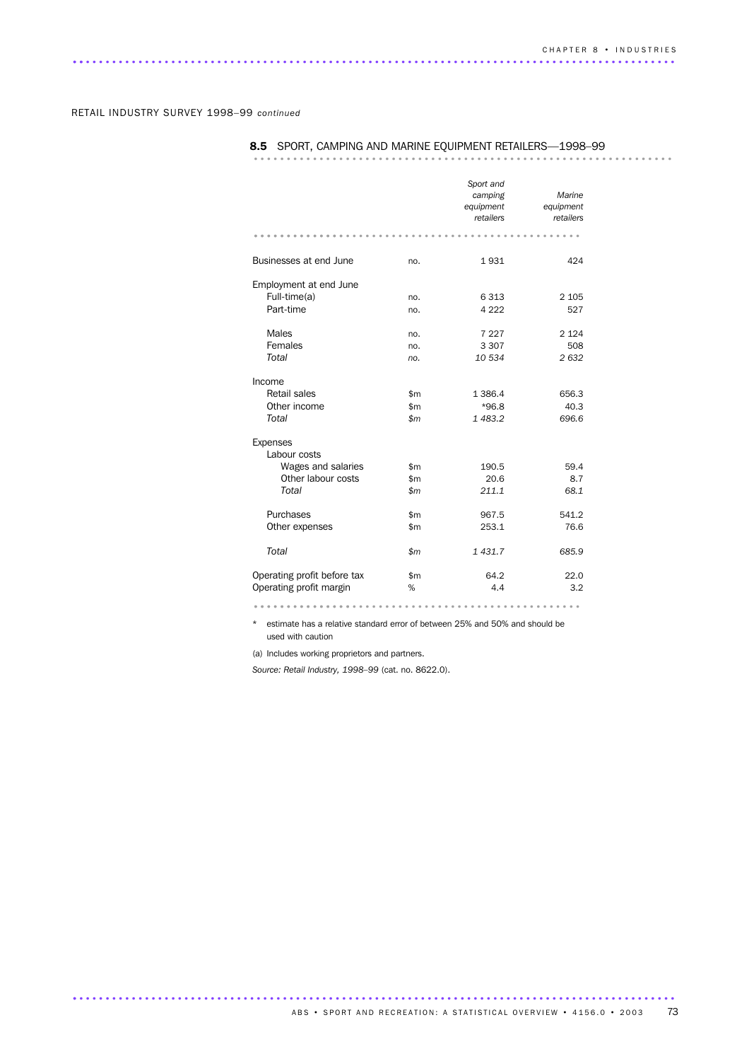RETAIL INDUSTRY SURVEY 1998–99 *continued*

|                             |              | Sport and<br>camping<br>equipment<br>retailers | Marine<br>equipment<br>retailers |
|-----------------------------|--------------|------------------------------------------------|----------------------------------|
|                             |              |                                                |                                  |
| Businesses at end June      | no.          | 1931                                           | 424                              |
| Employment at end June      |              |                                                |                                  |
| Full-time(a)                | no.          | 6313                                           | 2 1 0 5                          |
| Part-time                   | no.          | 4 2 2 2                                        | 527                              |
| Males                       | no.          | 7 2 2 7                                        | 2 1 2 4                          |
| Females                     | no.          | 3 3 0 7                                        | 508                              |
| Total                       | no.          | 10 534                                         | 2632                             |
| Income                      |              |                                                |                                  |
| Retail sales                | \$m\$        | 1 3 8 6.4                                      | 656.3                            |
| Other income                | \$m\$        | $*96.8$                                        | 40.3                             |
| <b>Total</b>                | $\mathsf{m}$ | 1 483.2                                        | 696.6                            |
| Expenses                    |              |                                                |                                  |
| Labour costs                |              |                                                |                                  |
| Wages and salaries          | \$m\$        | 190.5                                          | 59.4                             |
| Other labour costs          | \$m\$        | 20.6                                           | 8.7                              |
| Total                       | $\mathsf{m}$ | 211.1                                          | 68.1                             |
| Purchases                   | \$m\$        | 967.5                                          | 541.2                            |
| Other expenses              | \$m\$        | 253.1                                          | 76.6                             |
| Total                       | \$m          | 1 431.7                                        | 685.9                            |
| Operating profit before tax | \$m          | 64.2                                           | 22.0                             |
| Operating profit margin     | %            | 4.4                                            | 3.2                              |

## 8.5 SPORT, CAMPING AND MARINE EQUIPMENT RETAILERS—1998–99

\* estimate has a relative standard error of between 25% and 50% and should be used with caution

(a) Includes working proprietors and partners.

*Source: Retail Industry, 1998–99* (cat. no. 8622.0).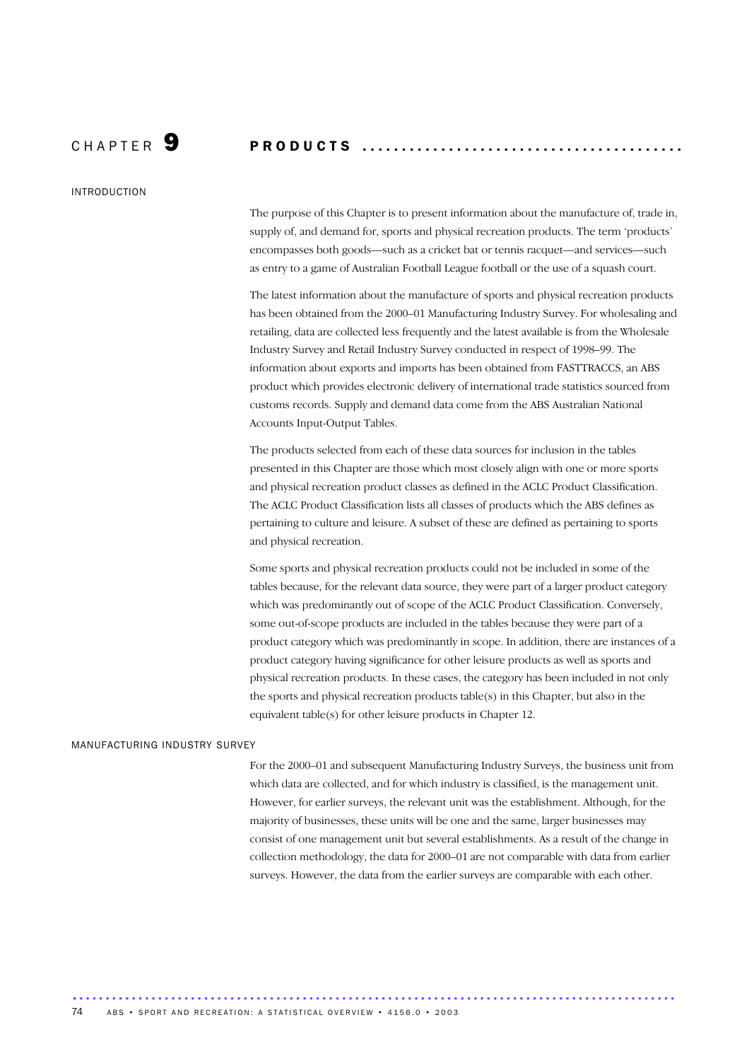#### INTRODUCTION

### C H A P T E R 9 P R O D U C T S . . . . . . . . . . . . . . . . . . . . . . . . . . . . . . . . . . . . . . . . .

The purpose of this Chapter is to present information about the manufacture of, trade in, supply of, and demand for, sports and physical recreation products. The term 'products' encompasses both goods—such as a cricket bat or tennis racquet—and services—such as entry to a game of Australian Football League football or the use of a squash court.

The latest information about the manufacture of sports and physical recreation products has been obtained from the 2000–01 Manufacturing Industry Survey. For wholesaling and retailing, data are collected less frequently and the latest available is from the Wholesale Industry Survey and Retail Industry Survey conducted in respect of 1998–99. The information about exports and imports has been obtained from FASTTRACCS, an ABS product which provides electronic delivery of international trade statistics sourced from customs records. Supply and demand data come from the ABS Australian National Accounts Input-Output Tables.

The products selected from each of these data sources for inclusion in the tables presented in this Chapter are those which most closely align with one or more sports and physical recreation product classes as defined in the ACLC Product Classification. The ACLC Product Classification lists all classes of products which the ABS defines as pertaining to culture and leisure. A subset of these are defined as pertaining to sports and physical recreation.

Some sports and physical recreation products could not be included in some of the tables because, for the relevant data source, they were part of a larger product category which was predominantly out of scope of the ACLC Product Classification. Conversely, some out-of-scope products are included in the tables because they were part of a product category which was predominantly in scope. In addition, there are instances of a product category having significance for other leisure products as well as sports and physical recreation products. In these cases, the category has been included in not only the sports and physical recreation products table(s) in this Chapter, but also in the equivalent table(s) for other leisure products in Chapter 12.

#### MANUFACTURING INDUSTRY SURVEY

For the 2000–01 and subsequent Manufacturing Industry Surveys, the business unit from which data are collected, and for which industry is classified, is the management unit. However, for earlier surveys, the relevant unit was the establishment. Although, for the majority of businesses, these units will be one and the same, larger businesses may consist of one management unit but several establishments. As a result of the change in collection methodology, the data for 2000–01 are not comparable with data from earlier surveys. However, the data from the earlier surveys are comparable with each other.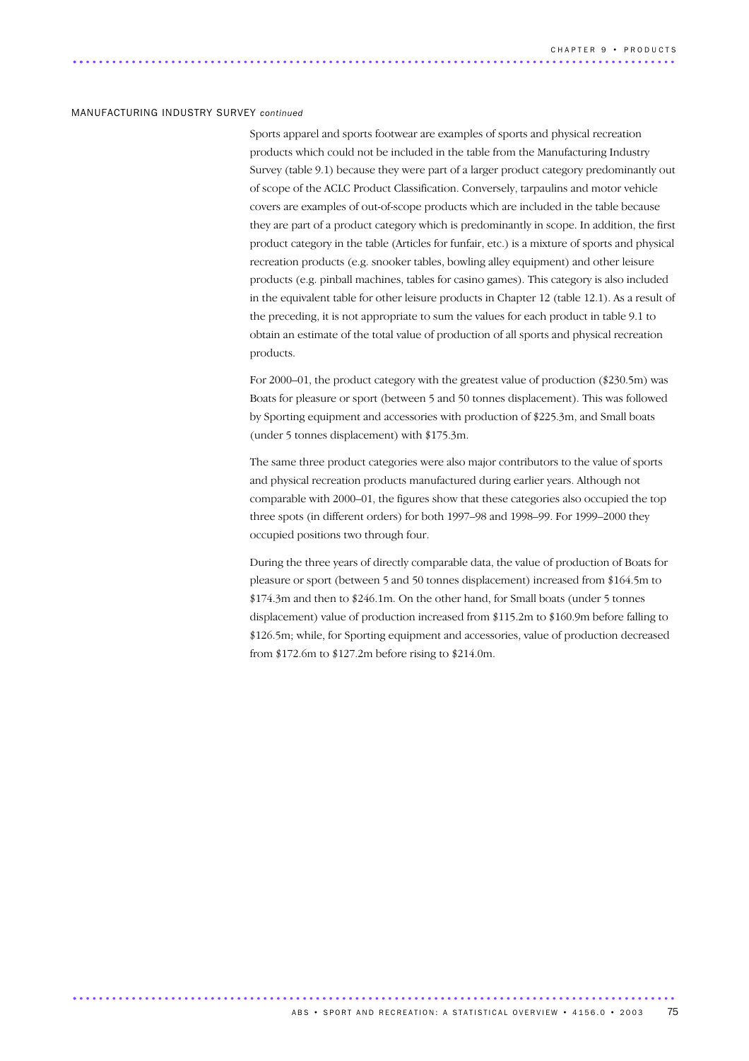#### MANUFACTURING INDUSTRY SURVEY *continued*

Sports apparel and sports footwear are examples of sports and physical recreation products which could not be included in the table from the Manufacturing Industry Survey (table 9.1) because they were part of a larger product category predominantly out of scope of the ACLC Product Classification. Conversely, tarpaulins and motor vehicle covers are examples of out-of-scope products which are included in the table because they are part of a product category which is predominantly in scope. In addition, the first product category in the table (Articles for funfair, etc.) is a mixture of sports and physical recreation products (e.g. snooker tables, bowling alley equipment) and other leisure products (e.g. pinball machines, tables for casino games). This category is also included in the equivalent table for other leisure products in Chapter 12 (table 12.1). As a result of the preceding, it is not appropriate to sum the values for each product in table 9.1 to obtain an estimate of the total value of production of all sports and physical recreation products.

For 2000–01, the product category with the greatest value of production (\$230.5m) was Boats for pleasure or sport (between 5 and 50 tonnes displacement). This was followed by Sporting equipment and accessories with production of \$225.3m, and Small boats (under 5 tonnes displacement) with \$175.3m.

The same three product categories were also major contributors to the value of sports and physical recreation products manufactured during earlier years. Although not comparable with 2000–01, the figures show that these categories also occupied the top three spots (in different orders) for both 1997–98 and 1998–99. For 1999–2000 they occupied positions two through four.

During the three years of directly comparable data, the value of production of Boats for pleasure or sport (between 5 and 50 tonnes displacement) increased from \$164.5m to \$174.3m and then to \$246.1m. On the other hand, for Small boats (under 5 tonnes displacement) value of production increased from \$115.2m to \$160.9m before falling to \$126.5m; while, for Sporting equipment and accessories, value of production decreased from \$172.6m to \$127.2m before rising to \$214.0m.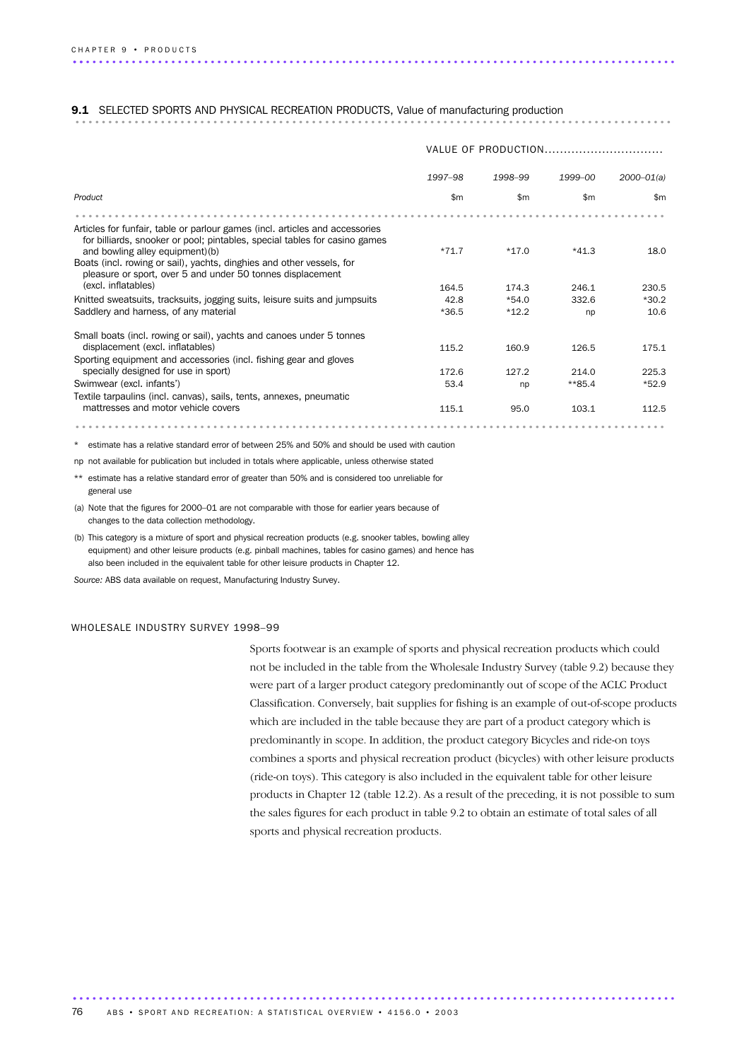#### **9.1** SELECTED SPORTS AND PHYSICAL RECREATION PRODUCTS. Value of manufacturing production

|                                                                                                                                                                                                                                                                                                                                      | VALUE OF PRODUCTION |              |               |                |  |
|--------------------------------------------------------------------------------------------------------------------------------------------------------------------------------------------------------------------------------------------------------------------------------------------------------------------------------------|---------------------|--------------|---------------|----------------|--|
|                                                                                                                                                                                                                                                                                                                                      | 1997-98             | 1998-99      | 1999-00       | $2000 - 01(a)$ |  |
| Product                                                                                                                                                                                                                                                                                                                              | $\mathsf{m}$        | $\mathsf{m}$ | $\mathsf{Sm}$ | $\mathsf{Sm}$  |  |
|                                                                                                                                                                                                                                                                                                                                      |                     |              |               |                |  |
| Articles for funfair, table or parlour games (incl. articles and accessories<br>for billiards, snooker or pool; pintables, special tables for casino games<br>and bowling alley equipment)(b)<br>Boats (incl. rowing or sail), yachts, dinghies and other vessels, for<br>pleasure or sport, over 5 and under 50 tonnes displacement | $*71.7$             | $*17.0$      | $*41.3$       | 18.0           |  |
| (excl. inflatables)                                                                                                                                                                                                                                                                                                                  | 164.5               | 174.3        | 246.1         | 230.5          |  |
| Knitted sweatsuits, tracksuits, jogging suits, leisure suits and jumpsuits                                                                                                                                                                                                                                                           | 42.8                | $*54.0$      | 332.6         | $*30.2$        |  |
| Saddlery and harness, of any material                                                                                                                                                                                                                                                                                                | $*36.5$             | $*12.2$      | np            | 10.6           |  |
| Small boats (incl. rowing or sail), yachts and canoes under 5 tonnes                                                                                                                                                                                                                                                                 |                     |              |               |                |  |
| displacement (excl. inflatables)                                                                                                                                                                                                                                                                                                     | 115.2               | 160.9        | 126.5         | 175.1          |  |
| Sporting equipment and accessories (incl. fishing gear and gloves                                                                                                                                                                                                                                                                    |                     |              |               |                |  |
| specially designed for use in sport)                                                                                                                                                                                                                                                                                                 | 172.6               | 127.2        | 214.0         | 225.3          |  |
| Swimwear (excl. infants')                                                                                                                                                                                                                                                                                                            | 53.4                | np           | $*85.4$       | $*52.9$        |  |
| Textile tarpaulins (incl. canvas), sails, tents, annexes, pneumatic                                                                                                                                                                                                                                                                  |                     |              |               |                |  |
| mattresses and motor vehicle covers                                                                                                                                                                                                                                                                                                  | 115.1               | 95.0         | 103.1         | 112.5          |  |
|                                                                                                                                                                                                                                                                                                                                      |                     |              |               |                |  |
| $\mathbf{a} = \mathbf{a} \mathbf{v}$<br>$\cdots$ = $\sim$ $\sim$ $\cdots$ $\cdots$ $\sim$ $\cdots$                                                                                                                                                                                                                                   |                     |              |               |                |  |

\* estimate has a relative standard error of between 25% and 50% and should be used with caution

np not available for publication but included in totals where applicable, unless otherwise stated

\*\* estimate has a relative standard error of greater than 50% and is considered too unreliable for general use

(a) Note that the figures for 2000–01 are not comparable with those for earlier years because of changes to the data collection methodology.

(b) This category is a mixture of sport and physical recreation products (e.g. snooker tables, bowling alley equipment) and other leisure products (e.g. pinball machines, tables for casino games) and hence has also been included in the equivalent table for other leisure products in Chapter 12.

*Source:* ABS data available on request, Manufacturing Industry Survey.

#### WHOLESALE INDUSTRY SURVEY 1998–99

Sports footwear is an example of sports and physical recreation products which could not be included in the table from the Wholesale Industry Survey (table 9.2) because they were part of a larger product category predominantly out of scope of the ACLC Product Classification. Conversely, bait supplies for fishing is an example of out-of-scope products which are included in the table because they are part of a product category which is predominantly in scope. In addition, the product category Bicycles and ride-on toys combines a sports and physical recreation product (bicycles) with other leisure products (ride-on toys). This category is also included in the equivalent table for other leisure products in Chapter 12 (table 12.2). As a result of the preceding, it is not possible to sum the sales figures for each product in table 9.2 to obtain an estimate of total sales of all sports and physical recreation products.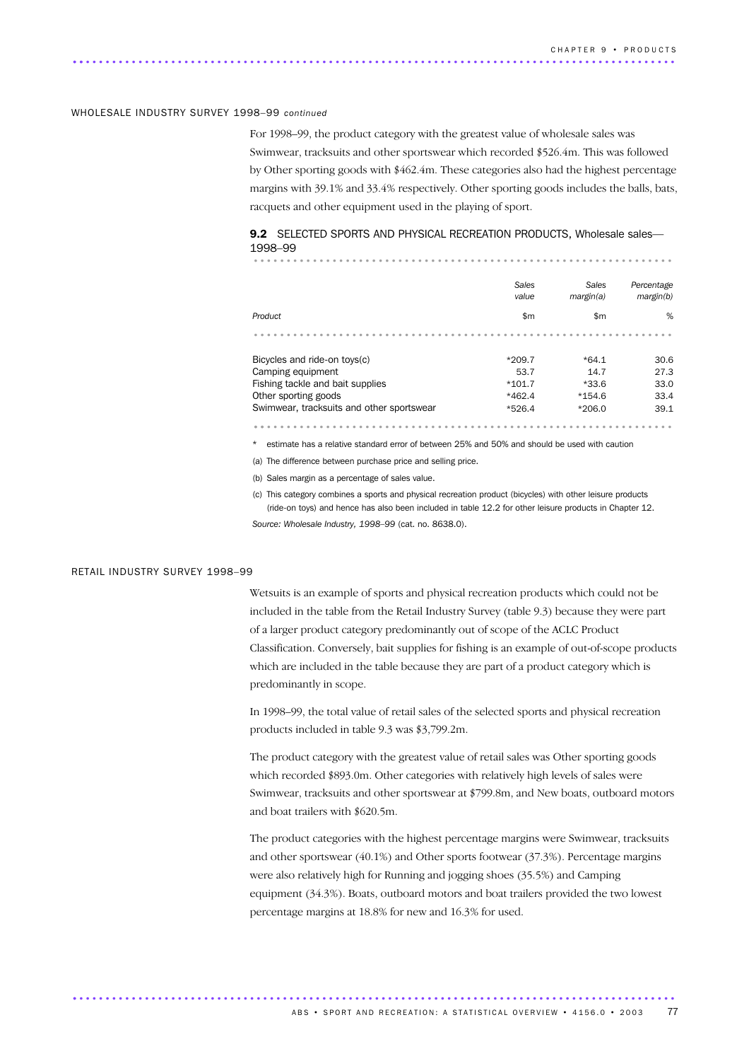#### WHOLESALE INDUSTRY SURVEY 1998–99 *continued*

............................................................................................ ..

For 1998–99, the product category with the greatest value of wholesale sales was Swimwear, tracksuits and other sportswear which recorded \$526.4m. This was followed by Other sporting goods with \$462.4m. These categories also had the highest percentage margins with 39.1% and 33.4% respectively. Other sporting goods includes the balls, bats, racquets and other equipment used in the playing of sport.

#### 9.2 SELECTED SPORTS AND PHYSICAL RECREATION PRODUCTS. Wholesale sales— 1998–99 ................................................................

|                                           | Sales    | Sales     | Percentage |
|-------------------------------------------|----------|-----------|------------|
|                                           | value    | margin(a) | margin(b)  |
| Product                                   | \$m      | \$m       | %          |
|                                           |          |           |            |
| Bicycles and ride-on toys(c)              | $*209.7$ | $*64.1$   | 30.6       |
| Camping equipment                         | 53.7     | 14.7      | 27.3       |
| Fishing tackle and bait supplies          | $*101.7$ | $*33.6$   | 33.0       |
| Other sporting goods                      | $*462.4$ | $*154.6$  | 33.4       |
| Swimwear, tracksuits and other sportswear | $*526.4$ | $*206.0$  | 39.1       |
|                                           |          |           |            |

\* estimate has a relative standard error of between 25% and 50% and should be used with caution

(a) The difference between purchase price and selling price.

(b) Sales margin as a percentage of sales value.

(c) This category combines a sports and physical recreation product (bicycles) with other leisure products (ride-on toys) and hence has also been included in table 12.2 for other leisure products in Chapter 12. *Source: Wholesale Industry, 1998–99* (cat. no. 8638.0).

#### RETAIL INDUSTRY SURVEY 1998–99

Wetsuits is an example of sports and physical recreation products which could not be included in the table from the Retail Industry Survey (table 9.3) because they were part of a larger product category predominantly out of scope of the ACLC Product Classification. Conversely, bait supplies for fishing is an example of out-of-scope products which are included in the table because they are part of a product category which is predominantly in scope.

In 1998–99, the total value of retail sales of the selected sports and physical recreation products included in table 9.3 was \$3,799.2m.

The product category with the greatest value of retail sales was Other sporting goods which recorded \$893.0m. Other categories with relatively high levels of sales were Swimwear, tracksuits and other sportswear at \$799.8m, and New boats, outboard motors and boat trailers with \$620.5m.

The product categories with the highest percentage margins were Swimwear, tracksuits and other sportswear (40.1%) and Other sports footwear (37.3%). Percentage margins were also relatively high for Running and jogging shoes (35.5%) and Camping equipment (34.3%). Boats, outboard motors and boat trailers provided the two lowest percentage margins at 18.8% for new and 16.3% for used.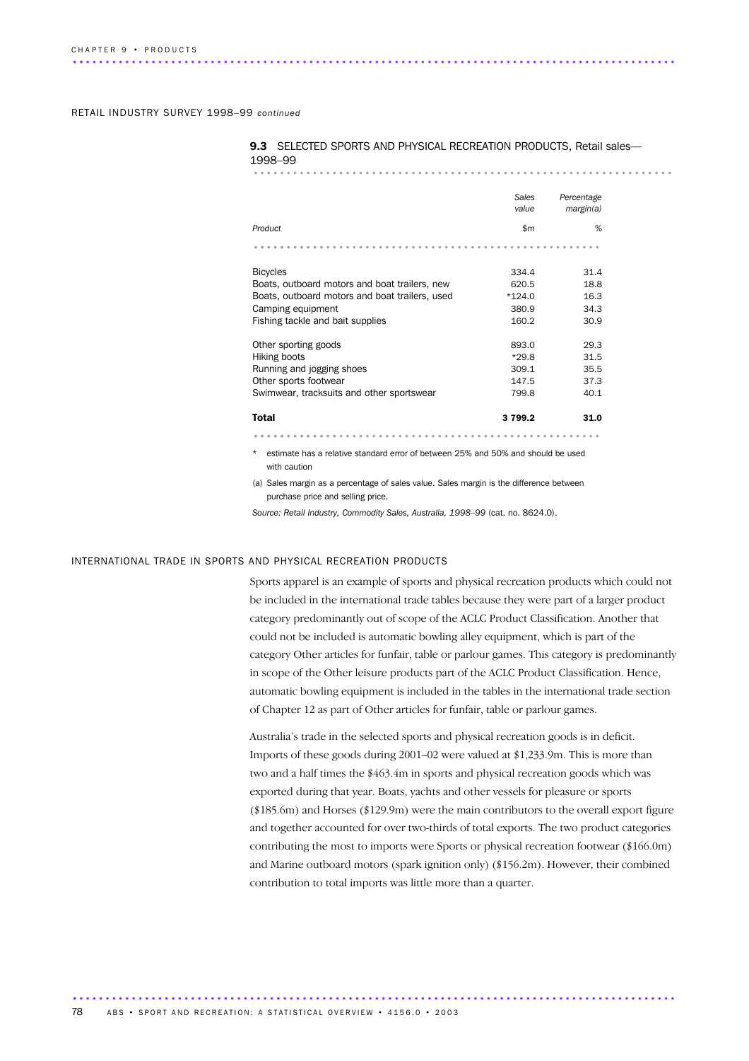RETAIL INDUSTRY SURVEY 1998–99 *continued*

| <b>9.3</b> SELECTED SPURTS AND PRISICAL RECREATION PRODUCTS, Retail Sales—<br>1998-99 |                |                         |  |
|---------------------------------------------------------------------------------------|----------------|-------------------------|--|
|                                                                                       |                |                         |  |
|                                                                                       | Sales<br>value | Percentage<br>margin(a) |  |
| Product                                                                               | \$m\$          | %                       |  |
|                                                                                       |                |                         |  |
| <b>Bicycles</b>                                                                       | 334.4          | 31.4                    |  |
| Boats, outboard motors and boat trailers, new                                         | 620.5          | 18.8                    |  |
| Boats, outboard motors and boat trailers, used                                        | $*124.0$       | 16.3                    |  |
| Camping equipment                                                                     | 380.9          | 34.3                    |  |
| Fishing tackle and bait supplies                                                      | 160.2          | 30.9                    |  |
| Other sporting goods                                                                  | 893.0          | 29.3                    |  |
| Hiking boots                                                                          | $*29.8$        | 31.5                    |  |
| Running and jogging shoes                                                             | 309.1          | 35.5                    |  |
| Other sports footwear                                                                 | 147.5          | 37.3                    |  |
| Swimwear, tracksuits and other sportswear                                             | 799.8          | 40.1                    |  |
| <b>Total</b>                                                                          | 3799.2         | 31.0                    |  |
| .<br>.                                                                                |                |                         |  |

9.3 SELECTED SPORTS AND PHYSICAL RECREATION PRODUCTS, Retail sales—

estimate has a relative standard error of between 25% and 50% and should be used with caution

(a) Sales margin as a percentage of sales value. Sales margin is the difference between purchase price and selling price.

*Source: Retail Industry, Commodity Sales, Australia, 1998–99* (cat. no. 8624.0).

#### INTERNATIONAL TRADE IN SPORTS AND PHYSICAL RECREATION PRODUCTS

Sports apparel is an example of sports and physical recreation products which could not be included in the international trade tables because they were part of a larger product category predominantly out of scope of the ACLC Product Classification. Another that could not be included is automatic bowling alley equipment, which is part of the category Other articles for funfair, table or parlour games. This category is predominantly in scope of the Other leisure products part of the ACLC Product Classification. Hence, automatic bowling equipment is included in the tables in the international trade section of Chapter 12 as part of Other articles for funfair, table or parlour games.

Australia's trade in the selected sports and physical recreation goods is in deficit. Imports of these goods during 2001–02 were valued at \$1,233.9m. This is more than two and a half times the \$463.4m in sports and physical recreation goods which was exported during that year. Boats, yachts and other vessels for pleasure or sports (\$185.6m) and Horses (\$129.9m) were the main contributors to the overall export figure and together accounted for over two-thirds of total exports. The two product categories contributing the most to imports were Sports or physical recreation footwear (\$166.0m) and Marine outboard motors (spark ignition only) (\$156.2m). However, their combined contribution to total imports was little more than a quarter.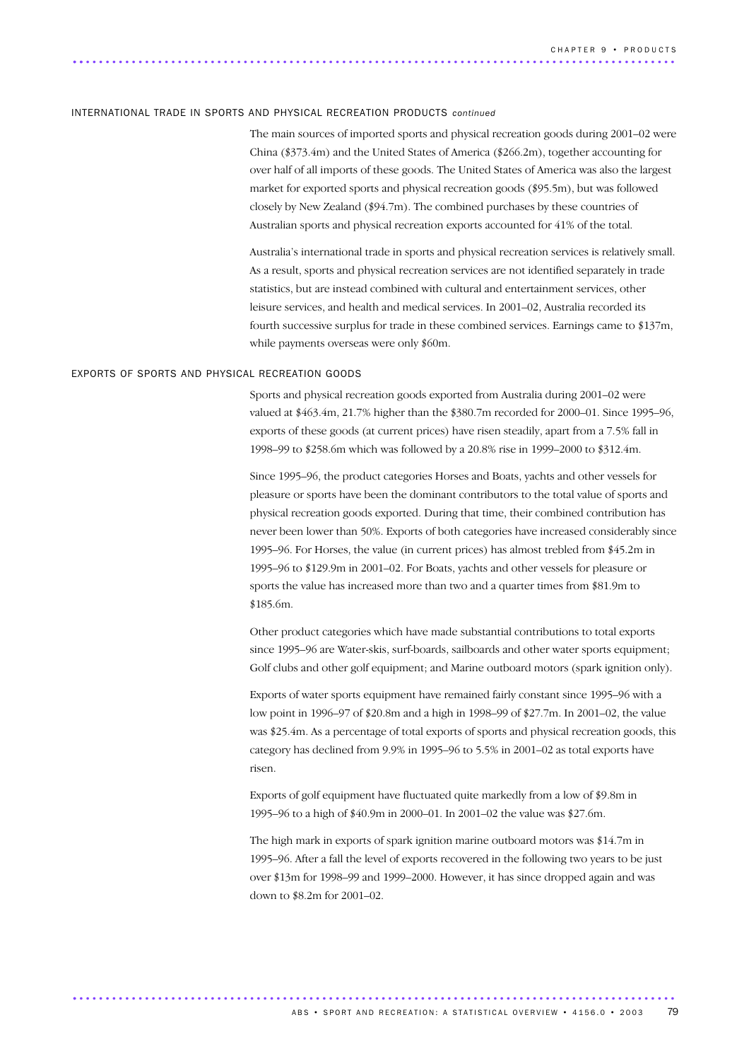#### INTERNATIONAL TRADE IN SPORTS AND PHYSICAL RECREATION PRODUCTS *continued*

The main sources of imported sports and physical recreation goods during 2001–02 were China (\$373.4m) and the United States of America (\$266.2m), together accounting for over half of all imports of these goods. The United States of America was also the largest market for exported sports and physical recreation goods (\$95.5m), but was followed closely by New Zealand (\$94.7m). The combined purchases by these countries of Australian sports and physical recreation exports accounted for 41% of the total.

Australia's international trade in sports and physical recreation services is relatively small. As a result, sports and physical recreation services are not identified separately in trade statistics, but are instead combined with cultural and entertainment services, other leisure services, and health and medical services. In 2001–02, Australia recorded its fourth successive surplus for trade in these combined services. Earnings came to \$137m, while payments overseas were only \$60m.

#### EXPORTS OF SPORTS AND PHYSICAL RECREATION GOODS

Sports and physical recreation goods exported from Australia during 2001–02 were valued at \$463.4m, 21.7% higher than the \$380.7m recorded for 2000–01. Since 1995–96, exports of these goods (at current prices) have risen steadily, apart from a 7.5% fall in 1998–99 to \$258.6m which was followed by a 20.8% rise in 1999–2000 to \$312.4m.

Since 1995–96, the product categories Horses and Boats, yachts and other vessels for pleasure or sports have been the dominant contributors to the total value of sports and physical recreation goods exported. During that time, their combined contribution has never been lower than 50%. Exports of both categories have increased considerably since 1995–96. For Horses, the value (in current prices) has almost trebled from \$45.2m in 1995–96 to \$129.9m in 2001–02. For Boats, yachts and other vessels for pleasure or sports the value has increased more than two and a quarter times from \$81.9m to \$185.6m.

Other product categories which have made substantial contributions to total exports since 1995–96 are Water-skis, surf-boards, sailboards and other water sports equipment; Golf clubs and other golf equipment; and Marine outboard motors (spark ignition only).

Exports of water sports equipment have remained fairly constant since 1995–96 with a low point in 1996–97 of \$20.8m and a high in 1998–99 of \$27.7m. In 2001–02, the value was \$25.4m. As a percentage of total exports of sports and physical recreation goods, this category has declined from 9.9% in 1995–96 to 5.5% in 2001–02 as total exports have risen.

Exports of golf equipment have fluctuated quite markedly from a low of \$9.8m in 1995–96 to a high of \$40.9m in 2000–01. In 2001–02 the value was \$27.6m.

The high mark in exports of spark ignition marine outboard motors was \$14.7m in 1995–96. After a fall the level of exports recovered in the following two years to be just over \$13m for 1998–99 and 1999–2000. However, it has since dropped again and was down to \$8.2m for 2001–02.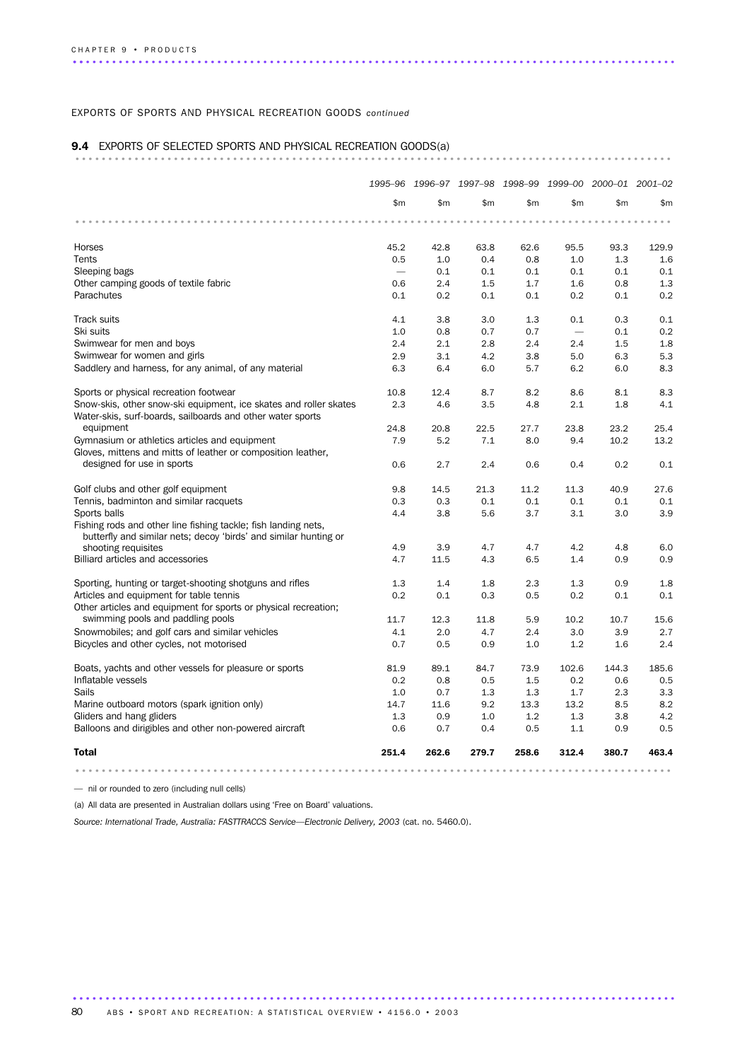#### EXPORTS OF SPORTS AND PHYSICAL RECREATION GOODS *continued*

## 9.4 EXPORTS OF SELECTED SPORTS AND PHYSICAL RECREATION GOODS(a) ...........................................................................................

|                                                                                                                                    |       |       |       |       |       | 1995–96 1996–97 1997–98 1998–99 1999–00 2000–01 2001–02 |              |
|------------------------------------------------------------------------------------------------------------------------------------|-------|-------|-------|-------|-------|---------------------------------------------------------|--------------|
|                                                                                                                                    | \$m   | \$m   | \$m   | \$m   | \$m   | \$m                                                     | $\mathsf{m}$ |
|                                                                                                                                    |       |       |       |       |       |                                                         |              |
| Horses                                                                                                                             | 45.2  | 42.8  | 63.8  | 62.6  | 95.5  | 93.3                                                    | 129.9        |
| Tents                                                                                                                              | 0.5   | 1.0   | 0.4   | 0.8   | 1.0   | 1.3                                                     | 1.6          |
| Sleeping bags                                                                                                                      |       | 0.1   | 0.1   | 0.1   | 0.1   | 0.1                                                     | 0.1          |
| Other camping goods of textile fabric                                                                                              | 0.6   | 2.4   | 1.5   | 1.7   | 1.6   | 0.8                                                     | 1.3          |
| Parachutes                                                                                                                         | 0.1   | 0.2   | 0.1   | 0.1   | 0.2   | 0.1                                                     | 0.2          |
| <b>Track suits</b>                                                                                                                 | 4.1   | 3.8   | 3.0   | 1.3   | 0.1   | 0.3                                                     | 0.1          |
| Ski suits                                                                                                                          | 1.0   | 0.8   | 0.7   | 0.7   |       | 0.1                                                     | 0.2          |
| Swimwear for men and boys                                                                                                          | 2.4   | 2.1   | 2.8   | 2.4   | 2.4   | 1.5                                                     | 1.8          |
| Swimwear for women and girls                                                                                                       | 2.9   | 3.1   | 4.2   | 3.8   | 5.0   | 6.3                                                     | 5.3          |
| Saddlery and harness, for any animal, of any material                                                                              | 6.3   | 6.4   | 6.0   | 5.7   | 6.2   | 6.0                                                     | 8.3          |
| Sports or physical recreation footwear                                                                                             | 10.8  | 12.4  | 8.7   | 8.2   | 8.6   | 8.1                                                     | 8.3          |
| Snow-skis, other snow-ski equipment, ice skates and roller skates                                                                  | 2.3   | 4.6   | 3.5   | 4.8   | 2.1   | 1.8                                                     | 4.1          |
| Water-skis, surf-boards, sailboards and other water sports                                                                         |       |       |       |       |       |                                                         |              |
| equipment                                                                                                                          | 24.8  | 20.8  | 22.5  | 27.7  | 23.8  | 23.2                                                    | 25.4         |
| Gymnasium or athletics articles and equipment<br>Gloves, mittens and mitts of leather or composition leather,                      | 7.9   | 5.2   | 7.1   | 8.0   | 9.4   | 10.2                                                    | 13.2         |
| designed for use in sports                                                                                                         | 0.6   | 2.7   | 2.4   | 0.6   | 0.4   | 0.2                                                     | 0.1          |
| Golf clubs and other golf equipment                                                                                                | 9.8   | 14.5  | 21.3  | 11.2  | 11.3  | 40.9                                                    | 27.6         |
| Tennis, badminton and similar racquets                                                                                             | 0.3   | 0.3   | 0.1   | 0.1   | 0.1   | 0.1                                                     | 0.1          |
| Sports balls                                                                                                                       | 4.4   | 3.8   | 5.6   | 3.7   | 3.1   | 3.0                                                     | 3.9          |
| Fishing rods and other line fishing tackle; fish landing nets,<br>butterfly and similar nets; decoy 'birds' and similar hunting or |       |       |       |       |       |                                                         |              |
| shooting requisites                                                                                                                | 4.9   | 3.9   | 4.7   | 4.7   | 4.2   | 4.8                                                     | 6.0          |
| Billiard articles and accessories                                                                                                  | 4.7   | 11.5  | 4.3   | 6.5   | 1.4   | 0.9                                                     | 0.9          |
| Sporting, hunting or target-shooting shotguns and rifles                                                                           | 1.3   | 1.4   | 1.8   | 2.3   | 1.3   | 0.9                                                     | 1.8          |
| Articles and equipment for table tennis                                                                                            | 0.2   | 0.1   | 0.3   | 0.5   | 0.2   | 0.1                                                     | 0.1          |
| Other articles and equipment for sports or physical recreation;                                                                    |       |       |       |       |       |                                                         |              |
| swimming pools and paddling pools                                                                                                  | 11.7  | 12.3  | 11.8  | 5.9   | 10.2  | 10.7                                                    | 15.6         |
| Snowmobiles; and golf cars and similar vehicles                                                                                    | 4.1   | 2.0   | 4.7   | 2.4   | 3.0   | 3.9                                                     | 2.7          |
| Bicycles and other cycles, not motorised                                                                                           | 0.7   | 0.5   | 0.9   | 1.0   | 1.2   | 1.6                                                     | 2.4          |
| Boats, yachts and other vessels for pleasure or sports                                                                             | 81.9  | 89.1  | 84.7  | 73.9  | 102.6 | 144.3                                                   | 185.6        |
| Inflatable vessels                                                                                                                 | 0.2   | 0.8   | 0.5   | 1.5   | 0.2   | 0.6                                                     | 0.5          |
| Sails                                                                                                                              | 1.0   | 0.7   | 1.3   | 1.3   | 1.7   | 2.3                                                     | 3.3          |
| Marine outboard motors (spark ignition only)                                                                                       | 14.7  | 11.6  | 9.2   | 13.3  | 13.2  | 8.5                                                     | 8.2          |
| Gliders and hang gliders                                                                                                           | 1.3   | 0.9   | 1.0   | 1.2   | 1.3   | 3.8                                                     | 4.2          |
| Balloons and dirigibles and other non-powered aircraft                                                                             | 0.6   | 0.7   | 0.4   | 0.5   | 1.1   | 0.9                                                     | 0.5          |
| <b>Total</b>                                                                                                                       | 251.4 | 262.6 | 279.7 | 258.6 | 312.4 | 380.7                                                   | 463.4        |
|                                                                                                                                    |       |       |       |       |       |                                                         |              |

— nil or rounded to zero (including null cells)

(a) All data are presented in Australian dollars using 'Free on Board' valuations.

*Source: International Trade, Australia: FASTTRACCS Service—Electronic Delivery, 2003* (cat. no. 5460.0).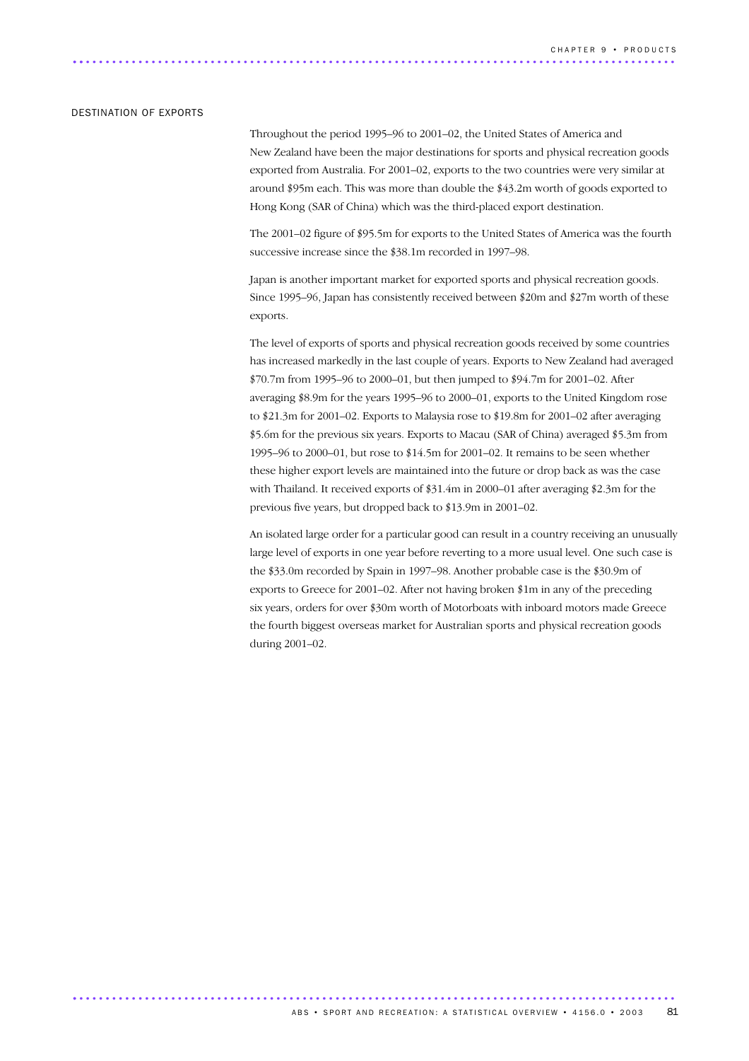#### DESTINATION OF EXPORTS

Throughout the period 1995–96 to 2001–02, the United States of America and New Zealand have been the major destinations for sports and physical recreation goods exported from Australia. For 2001–02, exports to the two countries were very similar at around \$95m each. This was more than double the \$43.2m worth of goods exported to Hong Kong (SAR of China) which was the third-placed export destination.

The 2001–02 figure of \$95.5m for exports to the United States of America was the fourth successive increase since the \$38.1m recorded in 1997–98.

Japan is another important market for exported sports and physical recreation goods. Since 1995–96, Japan has consistently received between \$20m and \$27m worth of these exports.

The level of exports of sports and physical recreation goods received by some countries has increased markedly in the last couple of years. Exports to New Zealand had averaged \$70.7m from 1995–96 to 2000–01, but then jumped to \$94.7m for 2001–02. After averaging \$8.9m for the years 1995–96 to 2000–01, exports to the United Kingdom rose to \$21.3m for 2001–02. Exports to Malaysia rose to \$19.8m for 2001–02 after averaging \$5.6m for the previous six years. Exports to Macau (SAR of China) averaged \$5.3m from 1995–96 to 2000–01, but rose to \$14.5m for 2001–02. It remains to be seen whether these higher export levels are maintained into the future or drop back as was the case with Thailand. It received exports of \$31.4m in 2000–01 after averaging \$2.3m for the previous five years, but dropped back to \$13.9m in 2001–02.

An isolated large order for a particular good can result in a country receiving an unusually large level of exports in one year before reverting to a more usual level. One such case is the \$33.0m recorded by Spain in 1997–98. Another probable case is the \$30.9m of exports to Greece for 2001–02. After not having broken \$1m in any of the preceding six years, orders for over \$30m worth of Motorboats with inboard motors made Greece the fourth biggest overseas market for Australian sports and physical recreation goods during 2001–02.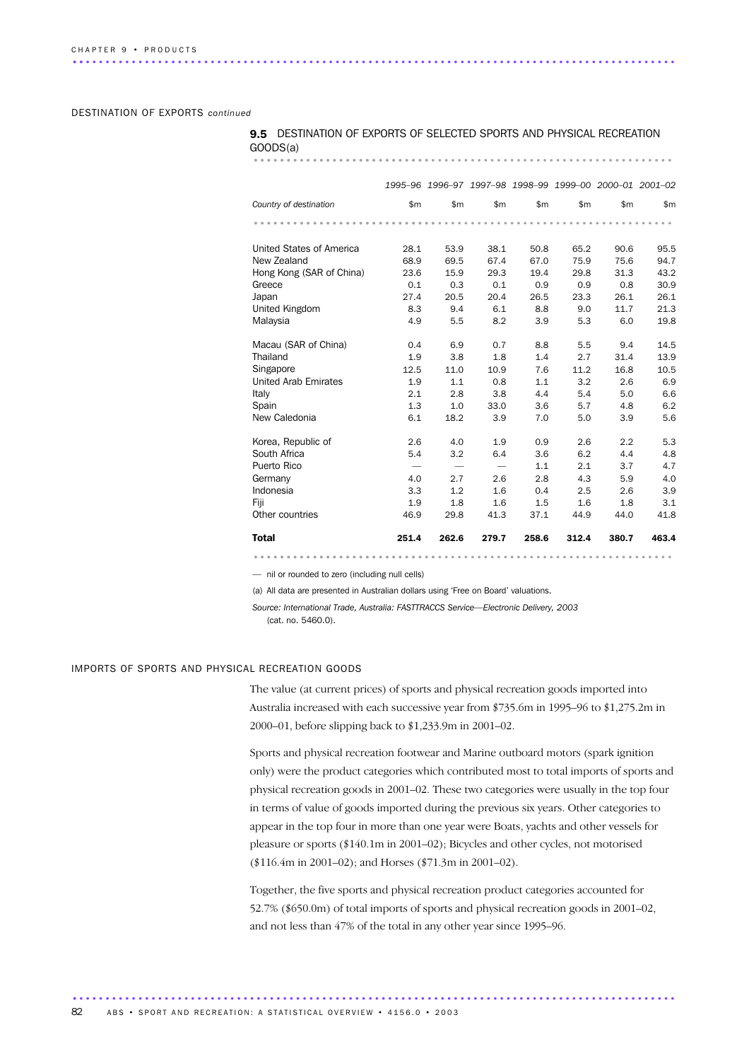#### DESTINATION OF EXPORTS *continued*

GOODS(a)

#### 9.5 DESTINATION OF EXPORTS OF SELECTED SPORTS AND PHYSICAL RECREATION

| GOODS(a)                    |       |                                                         |                               |       |       |       |       |
|-----------------------------|-------|---------------------------------------------------------|-------------------------------|-------|-------|-------|-------|
|                             |       | 1995-96 1996-97 1997-98 1998-99 1999-00 2000-01 2001-02 |                               |       |       |       |       |
| Country of destination      | \$m   | $\mathsf{m}$                                            | \$m                           | \$m\$ | \$m\$ | \$m   | \$m   |
|                             |       |                                                         |                               |       |       |       |       |
| United States of America    | 28.1  | 53.9                                                    | 38.1                          | 50.8  | 65.2  | 90.6  | 95.5  |
| New Zealand                 | 68.9  | 69.5                                                    | 67.4                          | 67.0  | 75.9  | 75.6  | 94.7  |
| Hong Kong (SAR of China)    | 23.6  | 15.9                                                    | 29.3                          | 19.4  | 29.8  | 31.3  | 43.2  |
| Greece                      | 0.1   | 0.3                                                     | 0.1                           | 0.9   | 0.9   | 0.8   | 30.9  |
| Japan                       | 27.4  | 20.5                                                    | 20.4                          | 26.5  | 23.3  | 26.1  | 26.1  |
| United Kingdom              | 8.3   | 9.4                                                     | 6.1                           | 8.8   | 9.0   | 11.7  | 21.3  |
| Malaysia                    | 4.9   | 5.5                                                     | 8.2                           | 3.9   | 5.3   | 6.0   | 19.8  |
| Macau (SAR of China)        | 0.4   | 6.9                                                     | 0.7                           | 8.8   | 5.5   | 9.4   | 14.5  |
| Thailand                    | 1.9   | 3.8                                                     | 1.8                           | 1.4   | 2.7   | 31.4  | 13.9  |
| Singapore                   | 12.5  | 11.0                                                    | 10.9                          | 7.6   | 11.2  | 16.8  | 10.5  |
| <b>United Arab Emirates</b> | 1.9   | 1.1                                                     | 0.8                           | 1.1   | 3.2   | 2.6   | 6.9   |
| Italy                       | 2.1   | 2.8                                                     | 3.8                           | 4.4   | 5.4   | 5.0   | 6.6   |
| Spain                       | 1.3   | 1.0                                                     | 33.0                          | 3.6   | 5.7   | 4.8   | 6.2   |
| New Caledonia               | 6.1   | 18.2                                                    | 3.9                           | 7.0   | 5.0   | 3.9   | 5.6   |
| Korea, Republic of          | 2.6   | 4.0                                                     | 1.9                           | 0.9   | 2.6   | 2.2   | 5.3   |
| South Africa                | 5.4   | 3.2                                                     | 6.4                           | 3.6   | 6.2   | 4.4   | 4.8   |
| Puerto Rico                 |       | $\overbrace{\phantom{12333}}$                           | $\overbrace{\phantom{12333}}$ | 1.1   | 2.1   | 3.7   | 4.7   |
| Germany                     | 4.0   | 2.7                                                     | 2.6                           | 2.8   | 4.3   | 5.9   | 4.0   |
| Indonesia                   | 3.3   | 1.2                                                     | 1.6                           | 0.4   | 2.5   | 2.6   | 3.9   |
| Fiji                        | 1.9   | 1.8                                                     | 1.6                           | 1.5   | 1.6   | 1.8   | 3.1   |
| Other countries             | 46.9  | 29.8                                                    | 41.3                          | 37.1  | 44.9  | 44.0  | 41.8  |
| <b>Total</b>                | 251.4 | 262.6                                                   | 279.7                         | 258.6 | 312.4 | 380.7 | 463.4 |

................................................................ ............................

— nil or rounded to zero (including null cells)

(a) All data are presented in Australian dollars using 'Free on Board' valuations.

*Source: International Trade, Australia: FASTTRACCS Service—Electronic Delivery, 2003* (cat. no. 5460.0).

#### IMPORTS OF SPORTS AND PHYSICAL RECREATION GOODS

The value (at current prices) of sports and physical recreation goods imported into Australia increased with each successive year from \$735.6m in 1995–96 to \$1,275.2m in 2000–01, before slipping back to \$1,233.9m in 2001–02.

Sports and physical recreation footwear and Marine outboard motors (spark ignition only) were the product categories which contributed most to total imports of sports and physical recreation goods in 2001–02. These two categories were usually in the top four in terms of value of goods imported during the previous six years. Other categories to appear in the top four in more than one year were Boats, yachts and other vessels for pleasure or sports (\$140.1m in 2001–02); Bicycles and other cycles, not motorised (\$116.4m in 2001–02); and Horses (\$71.3m in 2001–02).

Together, the five sports and physical recreation product categories accounted for 52.7% (\$650.0m) of total imports of sports and physical recreation goods in 2001–02, and not less than 47% of the total in any other year since 1995–96.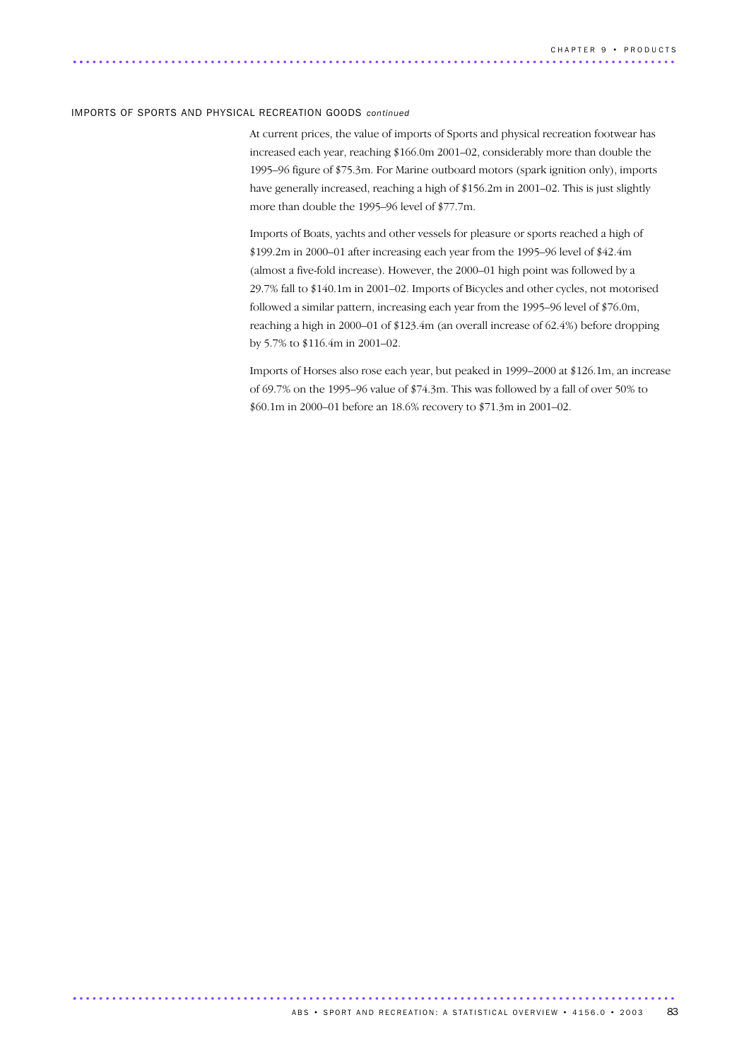#### IMPORTS OF SPORTS AND PHYSICAL RECREATION GOODS *continued*

............................................................................................ ..

At current prices, the value of imports of Sports and physical recreation footwear has increased each year, reaching \$166.0m 2001–02, considerably more than double the 1995–96 figure of \$75.3m. For Marine outboard motors (spark ignition only), imports have generally increased, reaching a high of \$156.2m in 2001–02. This is just slightly more than double the 1995–96 level of \$77.7m.

Imports of Boats, yachts and other vessels for pleasure or sports reached a high of \$199.2m in 2000–01 after increasing each year from the 1995–96 level of \$42.4m (almost a five-fold increase). However, the 2000–01 high point was followed by a 29.7% fall to \$140.1m in 2001–02. Imports of Bicycles and other cycles, not motorised followed a similar pattern, increasing each year from the 1995–96 level of \$76.0m, reaching a high in 2000–01 of \$123.4m (an overall increase of 62.4%) before dropping by 5.7% to \$116.4m in 2001–02.

Imports of Horses also rose each year, but peaked in 1999–2000 at \$126.1m, an increase of 69.7% on the 1995–96 value of \$74.3m. This was followed by a fall of over 50% to \$60.1m in 2000–01 before an 18.6% recovery to \$71.3m in 2001–02.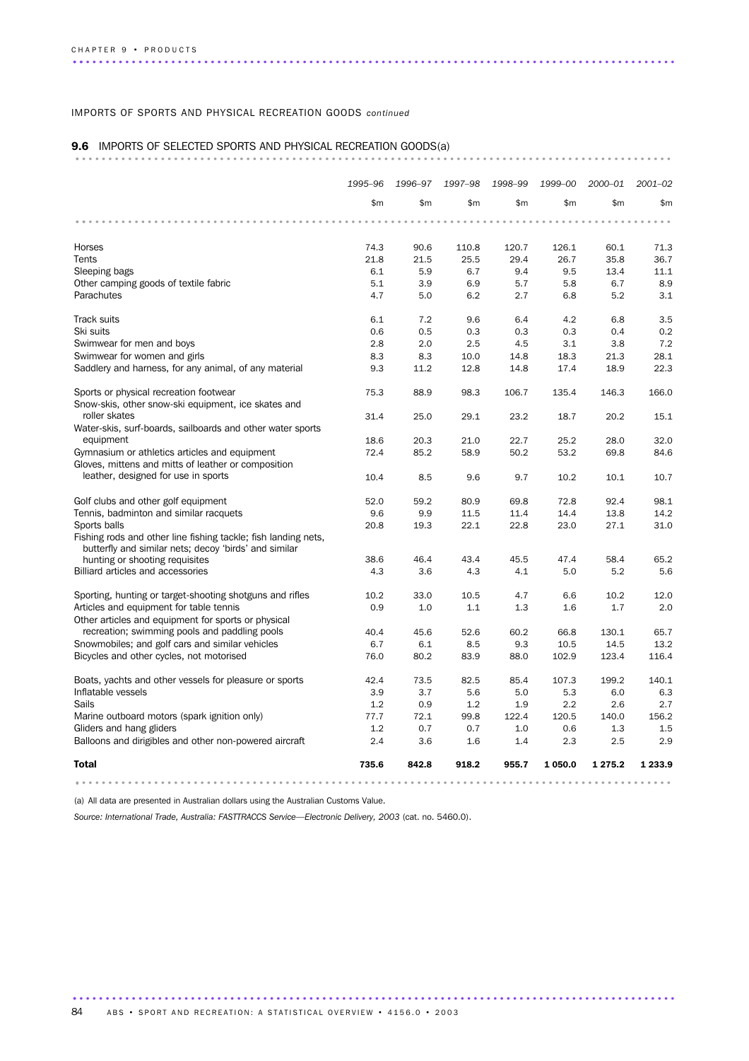#### IMPORTS OF SPORTS AND PHYSICAL RECREATION GOODS *continued*

### 9.6 IMPORTS OF SELECTED SPORTS AND PHYSICAL RECREATION GOODS(a)

|                                                                                                                         | 1995-96 | 1996-97 | 1997-98 | 1998-99 | 1999-00      | 2000-01     | $2001 - 02$  |
|-------------------------------------------------------------------------------------------------------------------------|---------|---------|---------|---------|--------------|-------------|--------------|
|                                                                                                                         | \$m     | \$m     | \$m     | \$m     | $\mathsf{m}$ | \$m         | $\mathsf{m}$ |
|                                                                                                                         |         |         |         |         |              |             |              |
| Horses                                                                                                                  | 74.3    | 90.6    | 110.8   | 120.7   | 126.1        | 60.1        | 71.3         |
| Tents                                                                                                                   | 21.8    | 21.5    | 25.5    | 29.4    | 26.7         | 35.8        | 36.7         |
| Sleeping bags                                                                                                           | 6.1     | 5.9     | 6.7     | 9.4     | 9.5          | 13.4        | 11.1         |
| Other camping goods of textile fabric                                                                                   | 5.1     | 3.9     | 6.9     | 5.7     | 5.8          | 6.7         | 8.9          |
| Parachutes                                                                                                              | 4.7     | 5.0     | 6.2     | 2.7     | 6.8          | 5.2         | 3.1          |
| <b>Track suits</b>                                                                                                      | 6.1     | 7.2     | 9.6     | 6.4     | 4.2          | 6.8         | 3.5          |
| Ski suits                                                                                                               | 0.6     | 0.5     | 0.3     | 0.3     | 0.3          | 0.4         | 0.2          |
| Swimwear for men and boys                                                                                               | 2.8     | 2.0     | 2.5     | 4.5     | 3.1          | 3.8         | 7.2          |
| Swimwear for women and girls                                                                                            | 8.3     | 8.3     | 10.0    | 14.8    | 18.3         | 21.3        | 28.1         |
| Saddlery and harness, for any animal, of any material                                                                   | 9.3     | 11.2    | 12.8    | 14.8    | 17.4         | 18.9        | 22.3         |
| Sports or physical recreation footwear<br>Snow-skis, other snow-ski equipment, ice skates and                           | 75.3    | 88.9    | 98.3    | 106.7   | 135.4        | 146.3       | 166.0        |
| roller skates                                                                                                           | 31.4    | 25.0    | 29.1    | 23.2    | 18.7         | 20.2        | 15.1         |
| Water-skis, surf-boards, sailboards and other water sports<br>equipment                                                 | 18.6    | 20.3    | 21.0    | 22.7    | 25.2         | 28.0        | 32.0         |
| Gymnasium or athletics articles and equipment                                                                           | 72.4    | 85.2    | 58.9    | 50.2    | 53.2         | 69.8        | 84.6         |
| Gloves, mittens and mitts of leather or composition                                                                     |         |         |         |         |              |             |              |
| leather, designed for use in sports                                                                                     | 10.4    | 8.5     | 9.6     | 9.7     | 10.2         | 10.1        | 10.7         |
| Golf clubs and other golf equipment                                                                                     | 52.0    | 59.2    | 80.9    | 69.8    | 72.8         | 92.4        | 98.1         |
| Tennis, badminton and similar racquets                                                                                  | 9.6     | 9.9     | 11.5    | 11.4    | 14.4         | 13.8        | 14.2         |
| Sports balls                                                                                                            | 20.8    | 19.3    | 22.1    | 22.8    | 23.0         | 27.1        | 31.0         |
| Fishing rods and other line fishing tackle; fish landing nets,<br>butterfly and similar nets; decoy 'birds' and similar |         |         |         |         |              |             |              |
| hunting or shooting requisites                                                                                          | 38.6    | 46.4    | 43.4    | 45.5    | 47.4         | 58.4        | 65.2         |
| Billiard articles and accessories                                                                                       | 4.3     | 3.6     | 4.3     | 4.1     | 5.0          | 5.2         | 5.6          |
| Sporting, hunting or target-shooting shotguns and rifles                                                                | 10.2    | 33.0    | 10.5    | 4.7     | 6.6          | 10.2        | 12.0         |
| Articles and equipment for table tennis                                                                                 | 0.9     | 1.0     | 1.1     | 1.3     | 1.6          | 1.7         | 2.0          |
| Other articles and equipment for sports or physical                                                                     |         |         |         |         |              |             |              |
| recreation; swimming pools and paddling pools                                                                           | 40.4    | 45.6    | 52.6    | 60.2    | 66.8         | 130.1       | 65.7         |
| Snowmobiles; and golf cars and similar vehicles                                                                         | 6.7     | 6.1     | 8.5     | 9.3     | 10.5         | 14.5        | 13.2         |
| Bicycles and other cycles, not motorised                                                                                | 76.0    | 80.2    | 83.9    | 88.0    | 102.9        | 123.4       | 116.4        |
| Boats, yachts and other vessels for pleasure or sports                                                                  | 42.4    | 73.5    | 82.5    | 85.4    | 107.3        | 199.2       | 140.1        |
| Inflatable vessels                                                                                                      | 3.9     | 3.7     | 5.6     | 5.0     | 5.3          | 6.0         | 6.3          |
| Sails                                                                                                                   | 1.2     | 0.9     | 1.2     | 1.9     | 2.2          | 2.6         | 2.7          |
| Marine outboard motors (spark ignition only)                                                                            | 77.7    | 72.1    | 99.8    | 122.4   | 120.5        | 140.0       | 156.2        |
| Gliders and hang gliders                                                                                                | 1.2     | 0.7     | 0.7     | 1.0     | 0.6          | 1.3         | 1.5          |
| Balloons and dirigibles and other non-powered aircraft                                                                  | 2.4     | 3.6     | 1.6     | 1.4     | 2.3          | 2.5         | 2.9          |
| <b>Total</b>                                                                                                            | 735.6   | 842.8   | 918.2   | 955.7   | 1 050.0      | 1 2 7 5 . 2 | 1 2 3 3 . 9  |
|                                                                                                                         |         |         |         |         |              |             |              |

............................................................................................ .

(a) All data are presented in Australian dollars using the Australian Customs Value.

*Source: International Trade, Australia: FASTTRACCS Service—Electronic Delivery, 2003* (cat. no. 5460.0).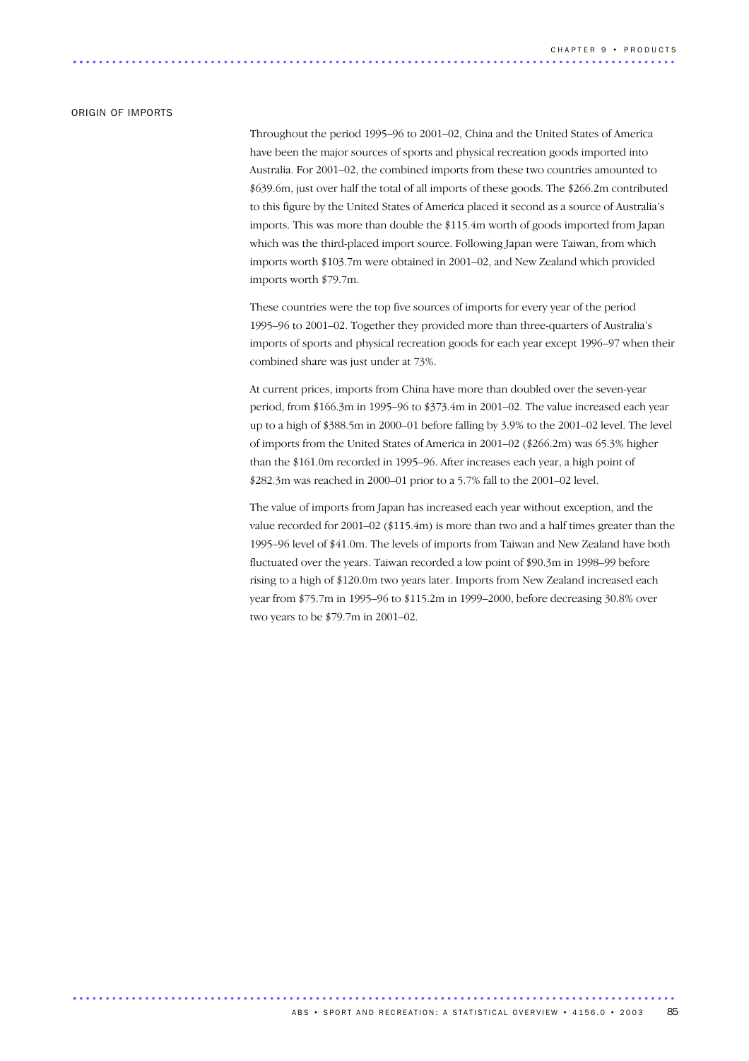#### ORIGIN OF IMPORTS

Throughout the period 1995–96 to 2001–02, China and the United States of America have been the major sources of sports and physical recreation goods imported into Australia. For 2001–02, the combined imports from these two countries amounted to \$639.6m, just over half the total of all imports of these goods. The \$266.2m contributed to this figure by the United States of America placed it second as a source of Australia's imports. This was more than double the \$115.4m worth of goods imported from Japan which was the third-placed import source. Following Japan were Taiwan, from which imports worth \$103.7m were obtained in 2001–02, and New Zealand which provided imports worth \$79.7m.

These countries were the top five sources of imports for every year of the period 1995–96 to 2001–02. Together they provided more than three-quarters of Australia's imports of sports and physical recreation goods for each year except 1996–97 when their combined share was just under at 73%.

At current prices, imports from China have more than doubled over the seven-year period, from \$166.3m in 1995–96 to \$373.4m in 2001–02. The value increased each year up to a high of \$388.5m in 2000–01 before falling by 3.9% to the 2001–02 level. The level of imports from the United States of America in 2001–02 (\$266.2m) was 65.3% higher than the \$161.0m recorded in 1995–96. After increases each year, a high point of \$282.3m was reached in 2000–01 prior to a 5.7% fall to the 2001–02 level.

The value of imports from Japan has increased each year without exception, and the value recorded for 2001–02 (\$115.4m) is more than two and a half times greater than the 1995–96 level of \$41.0m. The levels of imports from Taiwan and New Zealand have both fluctuated over the years. Taiwan recorded a low point of \$90.3m in 1998–99 before rising to a high of \$120.0m two years later. Imports from New Zealand increased each year from \$75.7m in 1995–96 to \$115.2m in 1999–2000, before decreasing 30.8% over two years to be \$79.7m in 2001–02.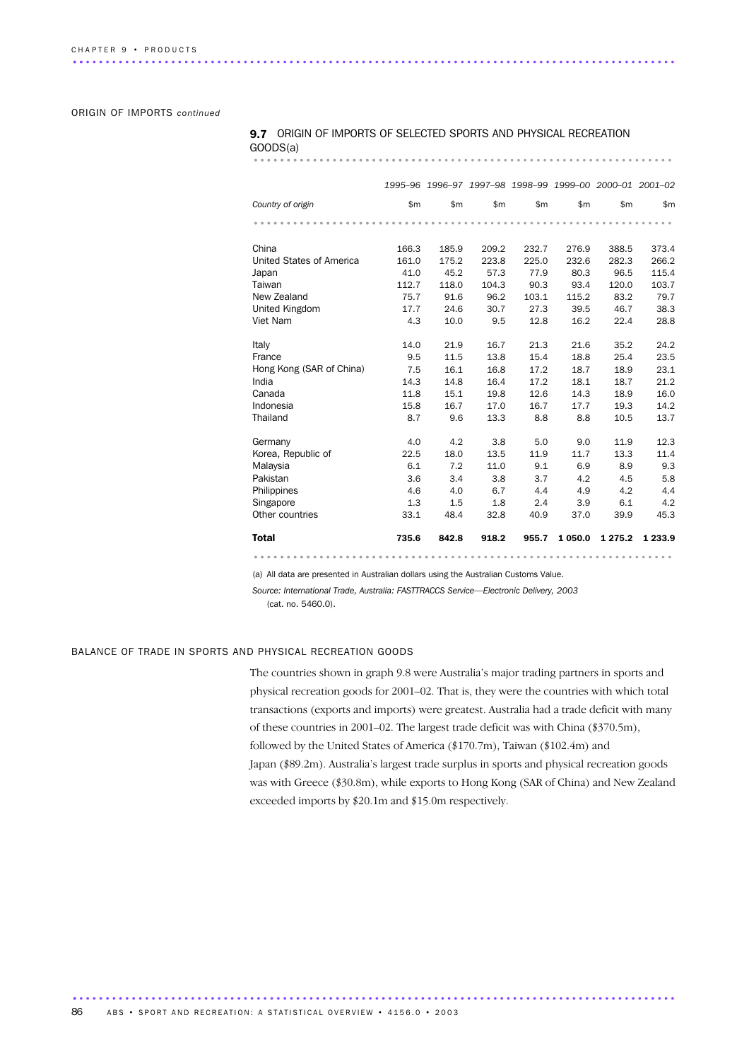ORIGIN OF IMPORTS *continued*

| GOODS(a)                 |       |       |       |                                                         |         |             |             |
|--------------------------|-------|-------|-------|---------------------------------------------------------|---------|-------------|-------------|
|                          |       |       |       | 1995-96 1996-97 1997-98 1998-99 1999-00 2000-01 2001-02 |         |             |             |
| Country of origin        | \$m   | \$m\$ | \$m   | \$m                                                     | \$m\$   | \$m         | \$m\$       |
|                          |       |       |       |                                                         |         |             |             |
| China                    | 166.3 | 185.9 | 209.2 | 232.7                                                   | 276.9   | 388.5       | 373.4       |
| United States of America | 161.0 | 175.2 | 223.8 | 225.0                                                   | 232.6   | 282.3       | 266.2       |
| Japan                    | 41.0  | 45.2  | 57.3  | 77.9                                                    | 80.3    | 96.5        | 115.4       |
| Taiwan                   | 112.7 | 118.0 | 104.3 | 90.3                                                    | 93.4    | 120.0       | 103.7       |
| New Zealand              | 75.7  | 91.6  | 96.2  | 103.1                                                   | 115.2   | 83.2        | 79.7        |
| United Kingdom           | 17.7  | 24.6  | 30.7  | 27.3                                                    | 39.5    | 46.7        | 38.3        |
| Viet Nam                 | 4.3   | 10.0  | 9.5   | 12.8                                                    | 16.2    | 22.4        | 28.8        |
| Italy                    | 14.0  | 21.9  | 16.7  | 21.3                                                    | 21.6    | 35.2        | 24.2        |
| France                   | 9.5   | 11.5  | 13.8  | 15.4                                                    | 18.8    | 25.4        | 23.5        |
| Hong Kong (SAR of China) | 7.5   | 16.1  | 16.8  | 17.2                                                    | 18.7    | 18.9        | 23.1        |
| India                    | 14.3  | 14.8  | 16.4  | 17.2                                                    | 18.1    | 18.7        | 21.2        |
| Canada                   | 11.8  | 15.1  | 19.8  | 12.6                                                    | 14.3    | 18.9        | 16.0        |
| Indonesia                | 15.8  | 16.7  | 17.0  | 16.7                                                    | 17.7    | 19.3        | 14.2        |
| Thailand                 | 8.7   | 9.6   | 13.3  | 8.8                                                     | 8.8     | 10.5        | 13.7        |
| Germany                  | 4.0   | 4.2   | 3.8   | 5.0                                                     | 9.0     | 11.9        | 12.3        |
| Korea, Republic of       | 22.5  | 18.0  | 13.5  | 11.9                                                    | 11.7    | 13.3        | 11.4        |
| Malaysia                 | 6.1   | 7.2   | 11.0  | 9.1                                                     | 6.9     | 8.9         | 9.3         |
| Pakistan                 | 3.6   | 3.4   | 3.8   | 3.7                                                     | 4.2     | 4.5         | 5.8         |
| Philippines              | 4.6   | 4.0   | 6.7   | 4.4                                                     | 4.9     | 4.2         | 4.4         |
| Singapore                | 1.3   | 1.5   | 1.8   | 2.4                                                     | 3.9     | 6.1         | 4.2         |
| Other countries          | 33.1  | 48.4  | 32.8  | 40.9                                                    | 37.0    | 39.9        | 45.3        |
| <b>Total</b>             | 735.6 | 842.8 | 918.2 | 955.7                                                   | 1 050.0 | 1 2 7 5 . 2 | 1 2 3 3 . 9 |

#### 9.7 ORIGIN OF IMPORTS OF SELECTED SPORTS AND PHYSICAL RECREATION GOODS(a)

(a) All data are presented in Australian dollars using the Australian Customs Value.

*Source: International Trade, Australia: FASTTRACCS Service—Electronic Delivery, 2003*

(cat. no. 5460.0).

#### BALANCE OF TRADE IN SPORTS AND PHYSICAL RECREATION GOODS

The countries shown in graph 9.8 were Australia's major trading partners in sports and physical recreation goods for 2001–02. That is, they were the countries with which total transactions (exports and imports) were greatest. Australia had a trade deficit with many of these countries in 2001–02. The largest trade deficit was with China (\$370.5m), followed by the United States of America (\$170.7m), Taiwan (\$102.4m) and Japan (\$89.2m). Australia's largest trade surplus in sports and physical recreation goods was with Greece (\$30.8m), while exports to Hong Kong (SAR of China) and New Zealand exceeded imports by \$20.1m and \$15.0m respectively.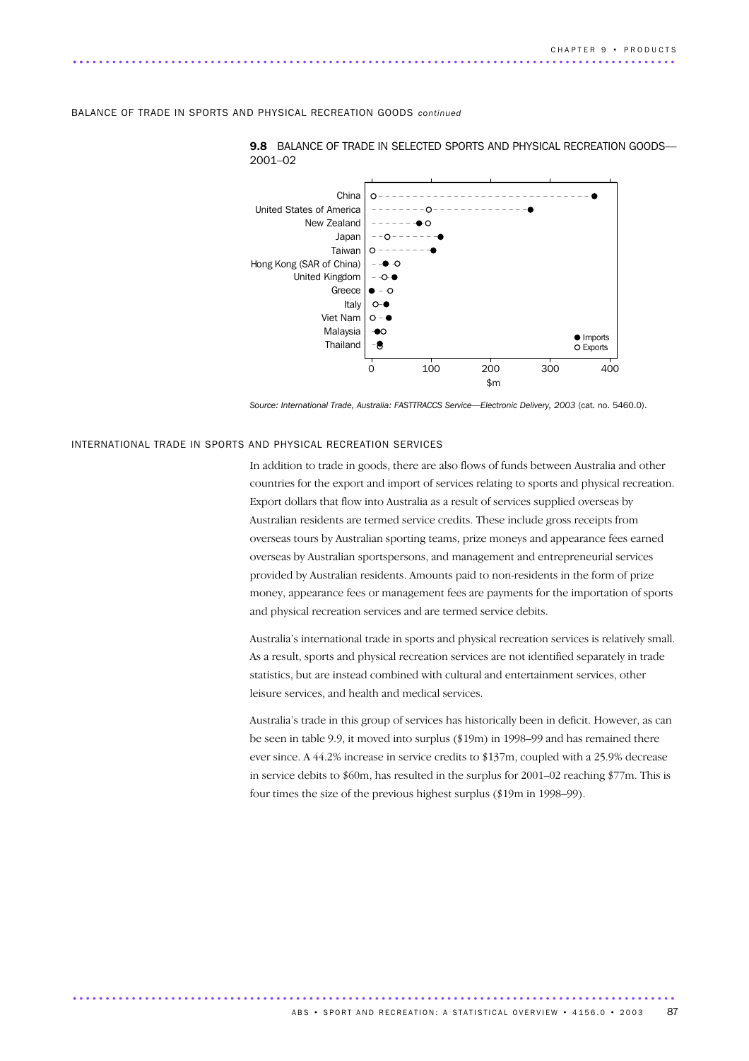

9.8 BALANCE OF TRADE IN SELECTED SPORTS AND PHYSICAL RECREATION GOODS—

BALANCE OF TRADE IN SPORTS AND PHYSICAL RECREATION GOODS *continued*

*Source: International Trade, Australia: FASTTRACCS Service—Electronic Delivery, 2003* (cat. no. 5460.0).

#### INTERNATIONAL TRADE IN SPORTS AND PHYSICAL RECREATION SERVICES

In addition to trade in goods, there are also flows of funds between Australia and other countries for the export and import of services relating to sports and physical recreation. Export dollars that flow into Australia as a result of services supplied overseas by Australian residents are termed service credits. These include gross receipts from overseas tours by Australian sporting teams, prize moneys and appearance fees earned overseas by Australian sportspersons, and management and entrepreneurial services provided by Australian residents. Amounts paid to non-residents in the form of prize money, appearance fees or management fees are payments for the importation of sports and physical recreation services and are termed service debits.

Australia's international trade in sports and physical recreation services is relatively small. As a result, sports and physical recreation services are not identified separately in trade statistics, but are instead combined with cultural and entertainment services, other leisure services, and health and medical services.

Australia's trade in this group of services has historically been in deficit. However, as can be seen in table 9.9, it moved into surplus (\$19m) in 1998–99 and has remained there ever since. A 44.2% increase in service credits to \$137m, coupled with a 25.9% decrease in service debits to \$60m, has resulted in the surplus for 2001–02 reaching \$77m. This is four times the size of the previous highest surplus (\$19m in 1998–99).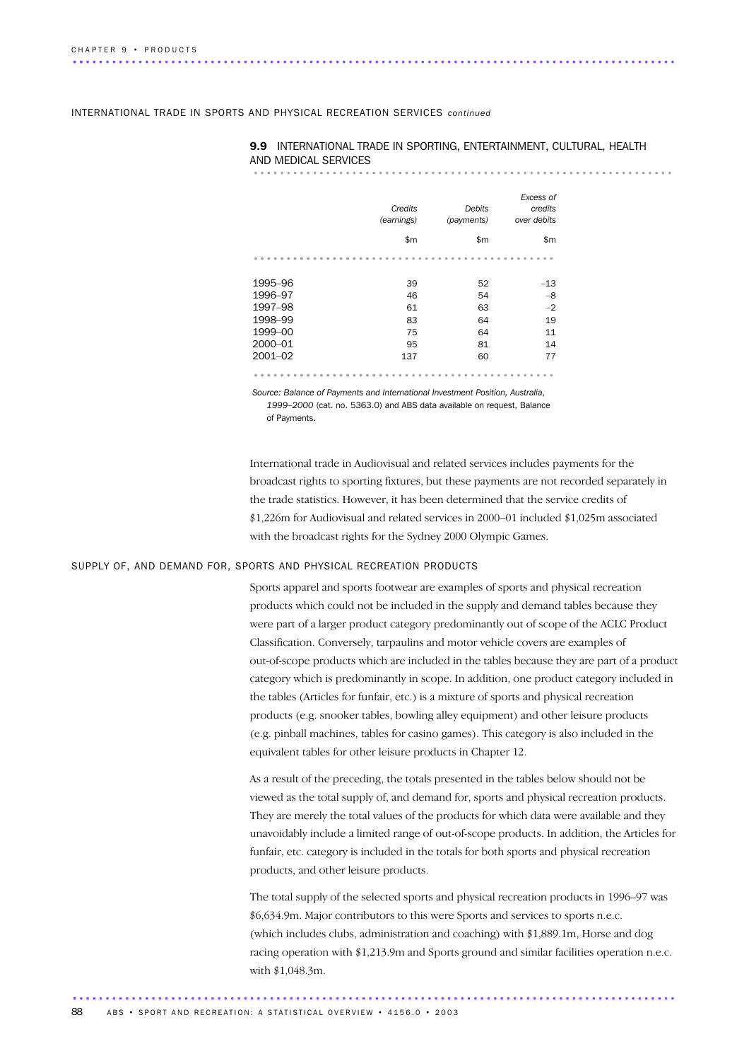#### INTERNATIONAL TRADE IN SPORTS AND PHYSICAL RECREATION SERVICES *continued*

### 9.9 INTERNATIONAL TRADE IN SPORTING, ENTERTAINMENT, CULTURAL, HEALTH AND MEDICAL SERVICES ................................................................

|             | Credits<br>(earnings) | Debits<br>(payments) | Excess of<br>credits<br>over debits |
|-------------|-----------------------|----------------------|-------------------------------------|
|             | \$m                   | \$m                  | \$m                                 |
|             |                       |                      |                                     |
| 1995-96     | 39                    | 52                   | $-13$                               |
| 1996-97     | 46                    | 54                   | $-8$                                |
| 1997-98     | 61                    | 63                   | $-2$                                |
| 1998-99     | 83                    | 64                   | 19                                  |
| 1999-00     | 75                    | 64                   | 11                                  |
| 2000-01     | 95                    | 81                   | 14                                  |
| $2001 - 02$ | 137                   | 60                   | 77                                  |
|             |                       |                      |                                     |

*Source: Balance of Payments and International Investment Position, Australia,*

*1999–2000* (cat. no. 5363.0) and ABS data available on request, Balance of Payments.

International trade in Audiovisual and related services includes payments for the broadcast rights to sporting fixtures, but these payments are not recorded separately in the trade statistics. However, it has been determined that the service credits of \$1,226m for Audiovisual and related services in 2000–01 included \$1,025m associated with the broadcast rights for the Sydney 2000 Olympic Games.

#### SUPPLY OF, AND DEMAND FOR, SPORTS AND PHYSICAL RECREATION PRODUCTS

Sports apparel and sports footwear are examples of sports and physical recreation products which could not be included in the supply and demand tables because they were part of a larger product category predominantly out of scope of the ACLC Product Classification. Conversely, tarpaulins and motor vehicle covers are examples of out-of-scope products which are included in the tables because they are part of a product category which is predominantly in scope. In addition, one product category included in the tables (Articles for funfair, etc.) is a mixture of sports and physical recreation products (e.g. snooker tables, bowling alley equipment) and other leisure products (e.g. pinball machines, tables for casino games). This category is also included in the equivalent tables for other leisure products in Chapter 12.

As a result of the preceding, the totals presented in the tables below should not be viewed as the total supply of, and demand for, sports and physical recreation products. They are merely the total values of the products for which data were available and they unavoidably include a limited range of out-of-scope products. In addition, the Articles for funfair, etc. category is included in the totals for both sports and physical recreation products, and other leisure products.

The total supply of the selected sports and physical recreation products in 1996–97 was \$6,634.9m. Major contributors to this were Sports and services to sports n.e.c. (which includes clubs, administration and coaching) with \$1,889.1m, Horse and dog racing operation with \$1,213.9m and Sports ground and similar facilities operation n.e.c. with \$1,048.3m.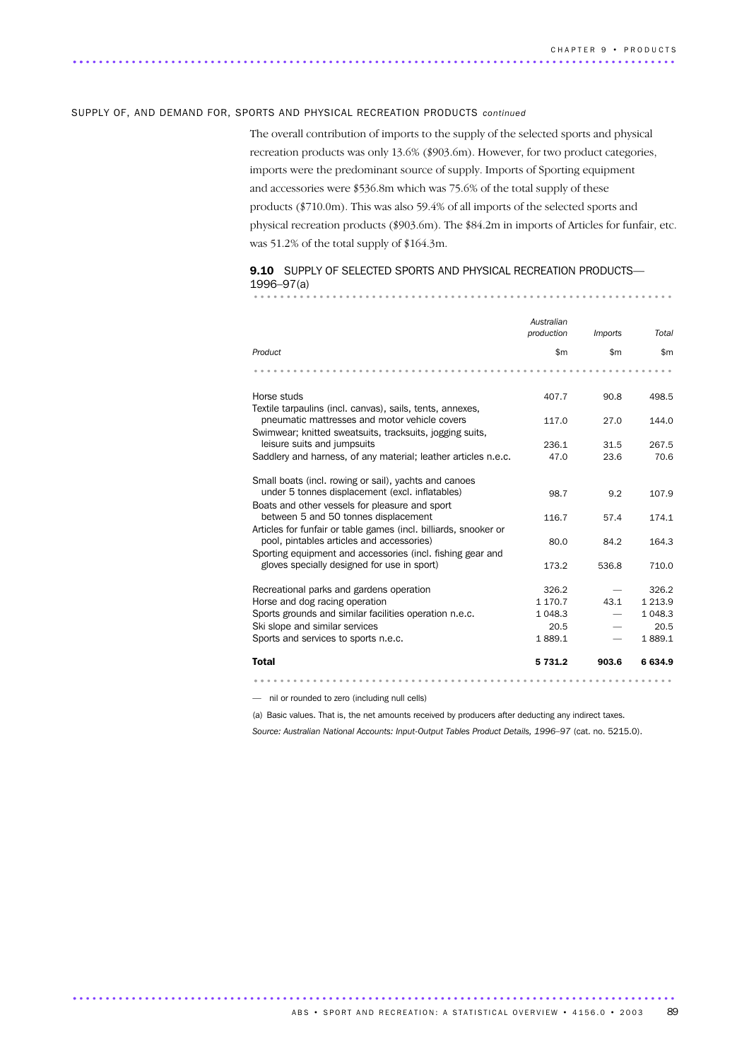#### SUPPLY OF, AND DEMAND FOR, SPORTS AND PHYSICAL RECREATION PRODUCTS *continued*

The overall contribution of imports to the supply of the selected sports and physical recreation products was only 13.6% (\$903.6m). However, for two product categories, imports were the predominant source of supply. Imports of Sporting equipment and accessories were \$536.8m which was 75.6% of the total supply of these products (\$710.0m). This was also 59.4% of all imports of the selected sports and physical recreation products (\$903.6m). The \$84.2m in imports of Articles for funfair, etc. was 51.2% of the total supply of \$164.3m.

#### 9.10 SUPPLY OF SELECTED SPORTS AND PHYSICAL RECREATION PRODUCTS-1996–97(a) ................................................................

|                                                                  | Australian<br>production | <i><b>Imports</b></i> | Total      |
|------------------------------------------------------------------|--------------------------|-----------------------|------------|
|                                                                  |                          |                       |            |
| Product                                                          | $\mathsf{m}$             | $\mathsf{Sm}$         | \$m        |
|                                                                  |                          |                       |            |
| Horse studs                                                      | 407.7                    | 90.8                  | 498.5      |
| Textile tarpaulins (incl. canvas), sails, tents, annexes,        |                          |                       |            |
| pneumatic mattresses and motor vehicle covers                    | 117.0                    | 27.0                  | 144.0      |
| Swimwear; knitted sweatsuits, tracksuits, jogging suits,         |                          |                       |            |
| leisure suits and jumpsuits                                      | 236.1                    | 31.5                  | 267.5      |
| Saddlery and harness, of any material; leather articles n.e.c.   | 47.0                     | 23.6                  | 70.6       |
| Small boats (incl. rowing or sail), yachts and canoes            |                          |                       |            |
| under 5 tonnes displacement (excl. inflatables)                  | 98.7                     | 9.2                   | 107.9      |
| Boats and other vessels for pleasure and sport                   |                          |                       |            |
| between 5 and 50 tonnes displacement                             | 116.7                    | 57.4                  | 174.1      |
| Articles for funfair or table games (incl. billiards, snooker or |                          |                       |            |
| pool, pintables articles and accessories)                        | 80.0                     | 84.2                  | 164.3      |
| Sporting equipment and accessories (incl. fishing gear and       |                          |                       |            |
| gloves specially designed for use in sport)                      | 173.2                    | 536.8                 | 710.0      |
|                                                                  |                          |                       |            |
| Recreational parks and gardens operation                         | 326.2                    |                       | 326.2      |
| Horse and dog racing operation                                   | 1 1 7 0 . 7              | 43.1                  | 1 2 1 3 .9 |
| Sports grounds and similar facilities operation n.e.c.           | 1 048.3                  |                       | 1 048.3    |
| Ski slope and similar services                                   | 20.5                     |                       | 20.5       |
| Sports and services to sports n.e.c.                             | 1889.1                   |                       | 1889.1     |
| <b>Total</b>                                                     | 5 7 3 1 . 2              | 903.6                 | 6634.9     |
|                                                                  |                          |                       |            |

— nil or rounded to zero (including null cells)

(a) Basic values. That is, the net amounts received by producers after deducting any indirect taxes.

*Source: Australian National Accounts: Input-Output Tables Product Details, 1996–97* (cat. no. 5215.0).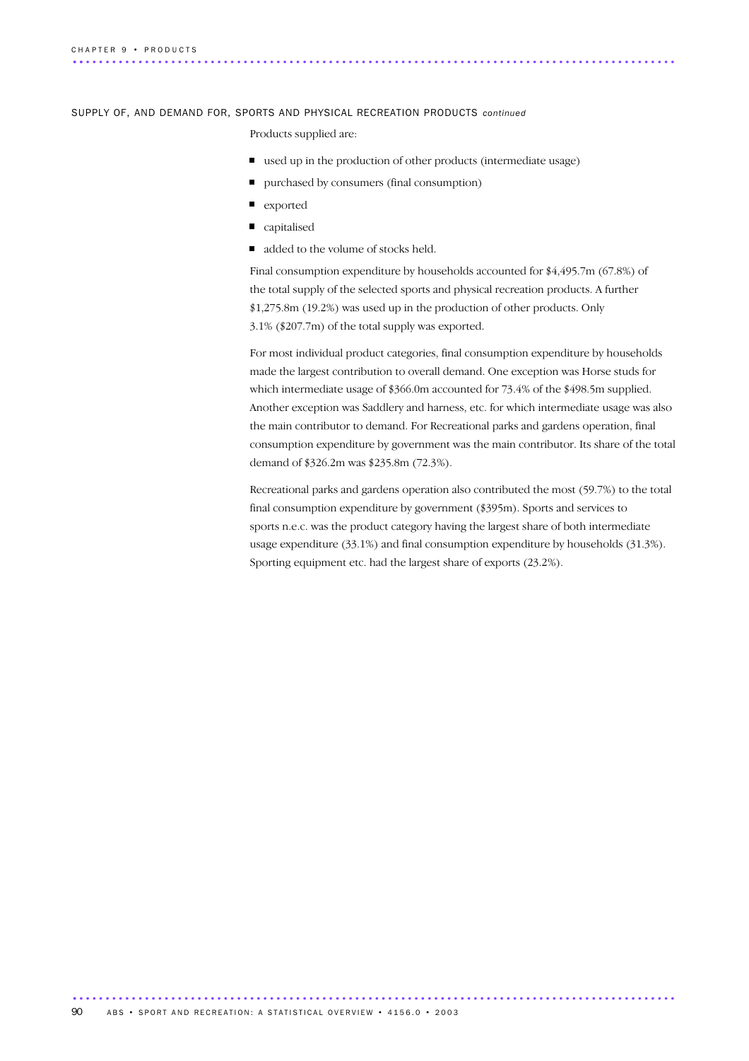#### SUPPLY OF, AND DEMAND FOR, SPORTS AND PHYSICAL RECREATION PRODUCTS *continued*

Products supplied are:

- used up in the production of other products (intermediate usage)
- **purchased by consumers (final consumption)**
- **exported**
- **q** capitalised
- added to the volume of stocks held.

Final consumption expenditure by households accounted for \$4,495.7m (67.8%) of the total supply of the selected sports and physical recreation products. A further \$1,275.8m (19.2%) was used up in the production of other products. Only 3.1% (\$207.7m) of the total supply was exported.

For most individual product categories, final consumption expenditure by households made the largest contribution to overall demand. One exception was Horse studs for which intermediate usage of \$366.0m accounted for 73.4% of the \$498.5m supplied. Another exception was Saddlery and harness, etc. for which intermediate usage was also the main contributor to demand. For Recreational parks and gardens operation, final consumption expenditure by government was the main contributor. Its share of the total demand of \$326.2m was \$235.8m (72.3%).

Recreational parks and gardens operation also contributed the most (59.7%) to the total final consumption expenditure by government (\$395m). Sports and services to sports n.e.c. was the product category having the largest share of both intermediate usage expenditure (33.1%) and final consumption expenditure by households (31.3%). Sporting equipment etc. had the largest share of exports (23.2%).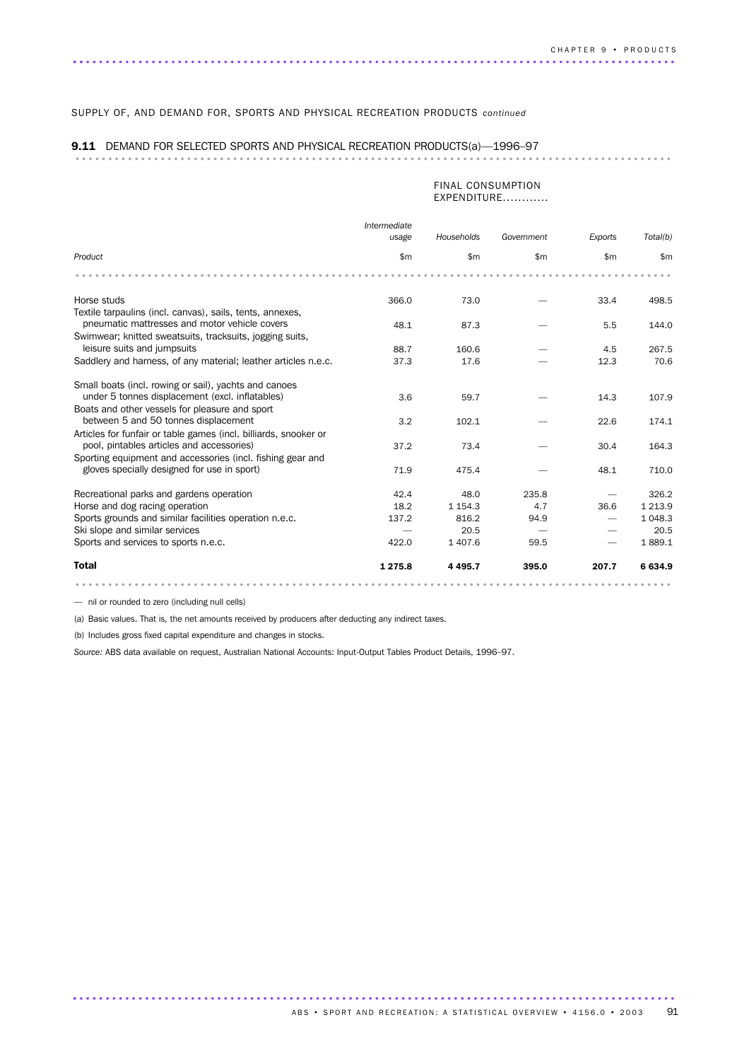SUPPLY OF, AND DEMAND FOR, SPORTS AND PHYSICAL RECREATION PRODUCTS *continued*

# 9.11 DEMAND FOR SELECTED SPORTS AND PHYSICAL RECREATION PRODUCTS(a)—1996–97 ...........................................................................................

#### FINAL CONSUMPTION EXPENDITURE............

|                                                                  | Intermediate |              |              |         |             |  |  |  |
|------------------------------------------------------------------|--------------|--------------|--------------|---------|-------------|--|--|--|
|                                                                  | usage        | Households   | Government   | Exports | Total(b)    |  |  |  |
| Product                                                          | \$m          | $\mathsf{m}$ | $\mathsf{m}$ | \$m     | \$m         |  |  |  |
|                                                                  |              |              |              |         |             |  |  |  |
| Horse studs                                                      | 366.0        | 73.0         |              | 33.4    | 498.5       |  |  |  |
| Textile tarpaulins (incl. canvas), sails, tents, annexes,        |              |              |              |         |             |  |  |  |
| pneumatic mattresses and motor vehicle covers                    | 48.1         | 87.3         |              | 5.5     | 144.0       |  |  |  |
| Swimwear; knitted sweatsuits, tracksuits, jogging suits,         |              |              |              |         |             |  |  |  |
| leisure suits and jumpsuits                                      | 88.7         | 160.6        |              | 4.5     | 267.5       |  |  |  |
| Saddlery and harness, of any material; leather articles n.e.c.   | 37.3         | 17.6         |              | 12.3    | 70.6        |  |  |  |
|                                                                  |              |              |              |         |             |  |  |  |
| Small boats (incl. rowing or sail), yachts and canoes            |              |              |              |         |             |  |  |  |
| under 5 tonnes displacement (excl. inflatables)                  | 3.6          | 59.7         |              | 14.3    | 107.9       |  |  |  |
| Boats and other vessels for pleasure and sport                   |              |              |              |         |             |  |  |  |
| between 5 and 50 tonnes displacement                             |              |              |              |         |             |  |  |  |
|                                                                  | 3.2          | 102.1        |              | 22.6    | 174.1       |  |  |  |
| Articles for funfair or table games (incl. billiards, snooker or |              |              |              |         |             |  |  |  |
| pool, pintables articles and accessories)                        | 37.2         | 73.4         |              | 30.4    | 164.3       |  |  |  |
| Sporting equipment and accessories (incl. fishing gear and       |              |              |              |         |             |  |  |  |
| gloves specially designed for use in sport)                      | 71.9         | 475.4        |              | 48.1    | 710.0       |  |  |  |
| Recreational parks and gardens operation                         | 42.4         | 48.0         | 235.8        |         | 326.2       |  |  |  |
| Horse and dog racing operation                                   | 18.2         | 1 1 5 4 . 3  | 4.7          | 36.6    | 1 2 1 3 . 9 |  |  |  |
| Sports grounds and similar facilities operation n.e.c.           | 137.2        | 816.2        | 94.9         |         | 1 0 4 8.3   |  |  |  |
| Ski slope and similar services                                   |              | 20.5         |              |         | 20.5        |  |  |  |
| Sports and services to sports n.e.c.                             | 422.0        | 1 407.6      | 59.5         |         | 1889.1      |  |  |  |
|                                                                  |              |              |              |         |             |  |  |  |
| <b>Total</b>                                                     | 1275.8       | 4 4 9 5.7    | 395.0        | 207.7   | 6634.9      |  |  |  |
|                                                                  |              |              |              |         |             |  |  |  |

— nil or rounded to zero (including null cells)

(a) Basic values. That is, the net amounts received by producers after deducting any indirect taxes.

(b) Includes gross fixed capital expenditure and changes in stocks.

*Source:* ABS data available on request, Australian National Accounts: Input-Output Tables Product Details, 1996–97.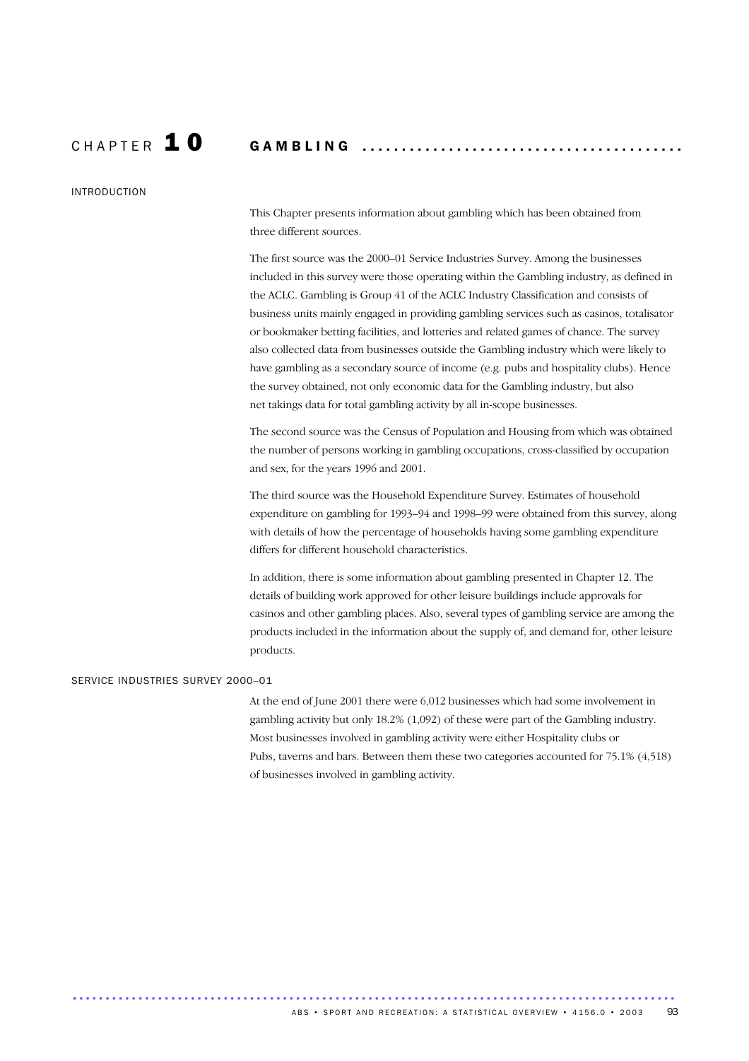### CHAPTER **10** GAMBLING .................................

#### INTRODUCTION

This Chapter presents information about gambling which has been obtained from three different sources.

The first source was the 2000–01 Service Industries Survey. Among the businesses included in this survey were those operating within the Gambling industry, as defined in the ACLC. Gambling is Group 41 of the ACLC Industry Classification and consists of business units mainly engaged in providing gambling services such as casinos, totalisator or bookmaker betting facilities, and lotteries and related games of chance. The survey also collected data from businesses outside the Gambling industry which were likely to have gambling as a secondary source of income (e.g. pubs and hospitality clubs). Hence the survey obtained, not only economic data for the Gambling industry, but also net takings data for total gambling activity by all in-scope businesses.

The second source was the Census of Population and Housing from which was obtained the number of persons working in gambling occupations, cross-classified by occupation and sex, for the years 1996 and 2001.

The third source was the Household Expenditure Survey. Estimates of household expenditure on gambling for 1993–94 and 1998–99 were obtained from this survey, along with details of how the percentage of households having some gambling expenditure differs for different household characteristics.

In addition, there is some information about gambling presented in Chapter 12. The details of building work approved for other leisure buildings include approvals for casinos and other gambling places. Also, several types of gambling service are among the products included in the information about the supply of, and demand for, other leisure products.

#### SERVICE INDUSTRIES SURVEY 2000–01

At the end of June 2001 there were 6,012 businesses which had some involvement in gambling activity but only 18.2% (1,092) of these were part of the Gambling industry. Most businesses involved in gambling activity were either Hospitality clubs or Pubs, taverns and bars. Between them these two categories accounted for 75.1% (4,518) of businesses involved in gambling activity.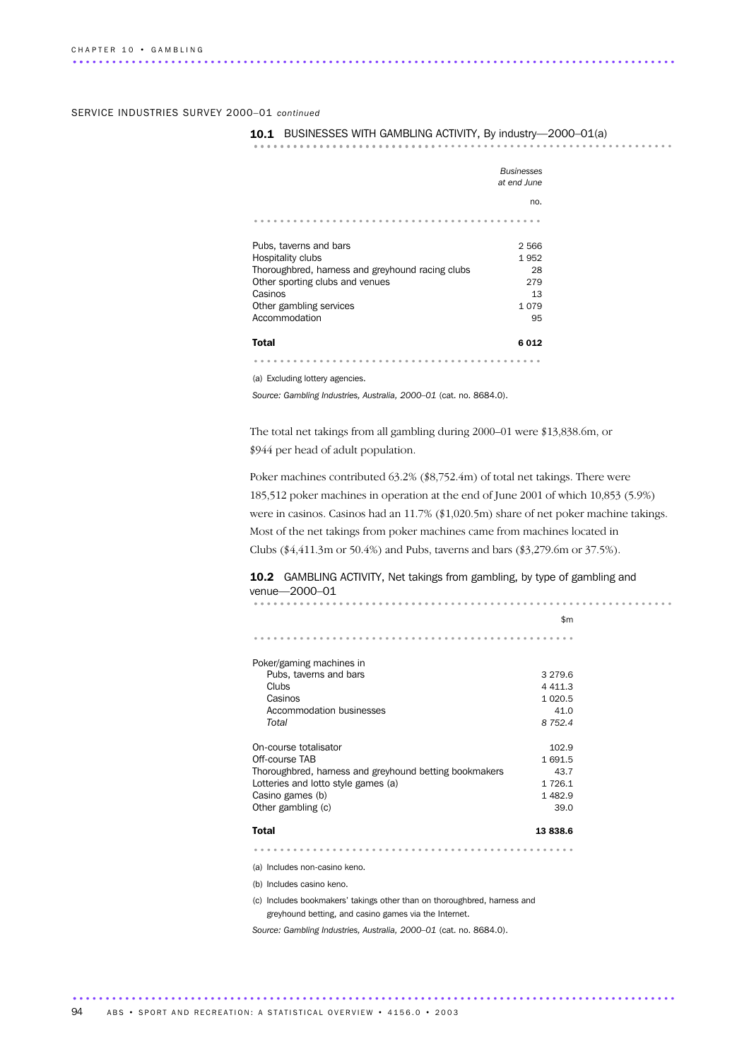SERVICE INDUSTRIES SURVEY 2000–01 *continued*

10.1 BUSINESSES WITH GAMBLING ACTIVITY, By industry-2000-01(a)

|                                                  | Businesses<br>at end June |
|--------------------------------------------------|---------------------------|
|                                                  | no.                       |
|                                                  |                           |
| Pubs, taverns and bars                           | 2 5 6 6                   |
| Hospitality clubs                                | 1952                      |
| Thoroughbred, harness and greyhound racing clubs | 28                        |
| Other sporting clubs and venues                  | 279                       |
| Casinos                                          | 13                        |
| Other gambling services                          | 1079                      |
| Accommodation                                    | 95                        |
| <b>Total</b>                                     | 6 012                     |

............................................ (a) Excluding lottery agencies.

*Source: Gambling Industries, Australia, 2000–01* (cat. no. 8684.0).

The total net takings from all gambling during 2000–01 were \$13,838.6m, or \$944 per head of adult population.

Poker machines contributed 63.2% (\$8,752.4m) of total net takings. There were 185,512 poker machines in operation at the end of June 2001 of which 10,853 (5.9%) were in casinos. Casinos had an 11.7% (\$1,020.5m) share of net poker machine takings. Most of the net takings from poker machines came from machines located in Clubs (\$4,411.3m or 50.4%) and Pubs, taverns and bars (\$3,279.6m or 37.5%).

10.2 GAMBLING ACTIVITY, Net takings from gambling, by type of gambling and venue—2000–01 ................................................................ ............................

\$m

|                                                                                                                                                                                    | <b>₩</b>                                                     |
|------------------------------------------------------------------------------------------------------------------------------------------------------------------------------------|--------------------------------------------------------------|
|                                                                                                                                                                                    |                                                              |
| Poker/gaming machines in<br>Pubs, taverns and bars<br>Clubs<br>Casinos<br>Accommodation businesses<br>Total                                                                        | 3 2 7 9 . 6<br>4 4 1 1 . 3<br>1 0 2 0.5<br>41.0<br>8 7 5 2.4 |
| On-course totalisator<br>Off-course TAB<br>Thoroughbred, harness and greyhound betting bookmakers<br>Lotteries and lotto style games (a)<br>Casino games (b)<br>Other gambling (c) | 102.9<br>1691.5<br>43.7<br>1 726.1<br>1482.9<br>39.0         |
| Total                                                                                                                                                                              | 13838.6                                                      |

.................................................

(a) Includes non-casino keno.

(b) Includes casino keno.

(c) Includes bookmakers' takings other than on thoroughbred, harness and greyhound betting, and casino games via the Internet.

*Source: Gambling Industries, Australia, 2000–01* (cat. no. 8684.0).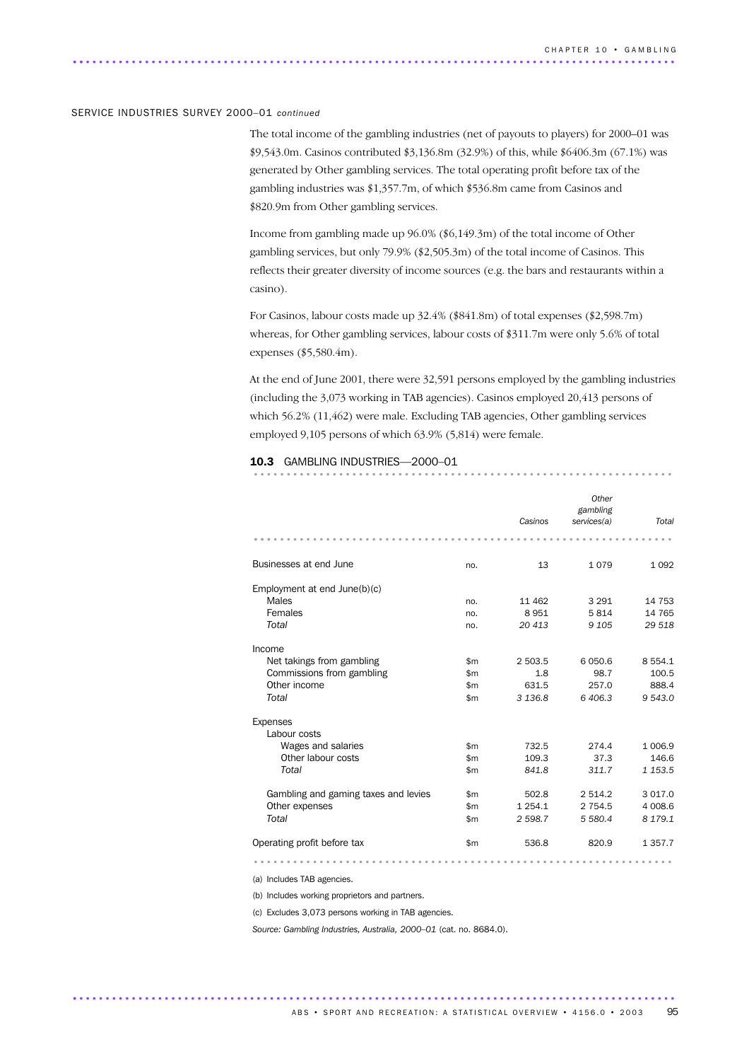#### SERVICE INDUSTRIES SURVEY 2000–01 *continued*

The total income of the gambling industries (net of payouts to players) for 2000–01 was \$9,543.0m. Casinos contributed \$3,136.8m (32.9%) of this, while \$6406.3m (67.1%) was generated by Other gambling services. The total operating profit before tax of the gambling industries was \$1,357.7m, of which \$536.8m came from Casinos and \$820.9m from Other gambling services.

Income from gambling made up 96.0% (\$6,149.3m) of the total income of Other gambling services, but only 79.9% (\$2,505.3m) of the total income of Casinos. This reflects their greater diversity of income sources (e.g. the bars and restaurants within a casino).

For Casinos, labour costs made up 32.4% (\$841.8m) of total expenses (\$2,598.7m) whereas, for Other gambling services, labour costs of \$311.7m were only 5.6% of total expenses (\$5,580.4m).

At the end of June 2001, there were 32,591 persons employed by the gambling industries (including the 3,073 working in TAB agencies). Casinos employed 20,413 persons of which 56.2% (11,462) were male. Excluding TAB agencies, Other gambling services employed 9,105 persons of which 63.9% (5,814) were female.

#### 10.3 GAMBLING INDUSTRIES-2000-01

|                                      |       | Casinos     | Other<br>gambling<br>services(a) | Total       |
|--------------------------------------|-------|-------------|----------------------------------|-------------|
| Businesses at end June               | no.   | 13          | 1079                             | 1 0 9 2     |
|                                      |       |             |                                  |             |
| Employment at end June(b)(c)         |       |             |                                  |             |
| Males                                | no.   | 11 462      | 3 2 9 1                          | 14 753      |
| Females                              | no.   | 8951        | 5814                             | 14 765      |
| Total                                | no.   | 20 413      | 9 1 0 5                          | 29 518      |
| Income                               |       |             |                                  |             |
| Net takings from gambling            | \$m\$ | 2 503.5     | 6 0 5 0.6                        | 8 5 5 4 1   |
| Commissions from gambling            | \$m\$ | 1.8         | 98.7                             | 100.5       |
| Other income                         | \$m\$ | 631.5       | 257.0                            | 888.4       |
| Total                                | \$m\$ | 3 1 3 6.8   | 6406.3                           | 9543.0      |
| <b>Expenses</b>                      |       |             |                                  |             |
| Labour costs                         |       |             |                                  |             |
| Wages and salaries                   | \$m\$ | 732.5       | 274.4                            | 1 006.9     |
| Other labour costs                   | \$m\$ | 109.3       | 37.3                             | 146.6       |
| Total                                | \$m\$ | 841.8       | 311.7                            | 1 1 5 3 . 5 |
| Gambling and gaming taxes and levies | \$m\$ | 502.8       | 2514.2                           | 3 0 1 7 .0  |
| Other expenses                       | \$m\$ | 1 2 5 4 . 1 | 2 7 5 4 .5                       | 4 008.6     |
| Total                                | \$m\$ | 2 598.7     | 5 580.4                          | 8 1 7 9 1   |
| Operating profit before tax          | \$m\$ | 536.8       | 820.9                            | 1 3 5 7 . 7 |
|                                      |       |             |                                  |             |

(a) Includes TAB agencies.

(b) Includes working proprietors and partners.

(c) Excludes 3,073 persons working in TAB agencies.

*Source: Gambling Industries, Australia, 2000–01* (cat. no. 8684.0).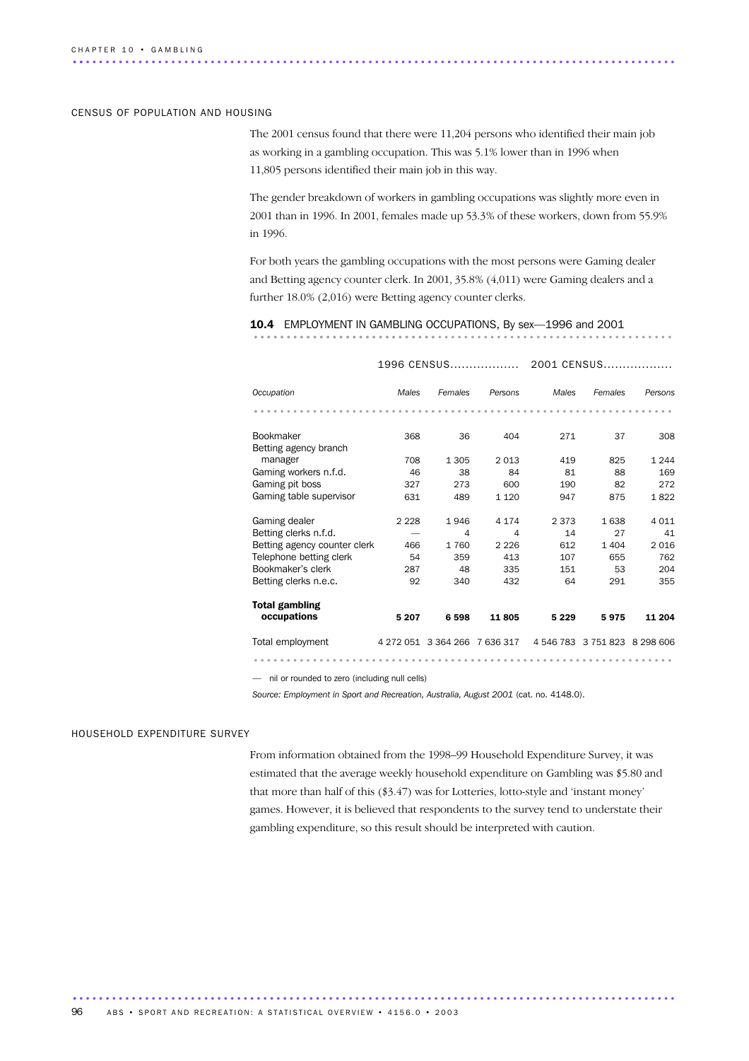#### CENSUS OF POPULATION AND HOUSING

The 2001 census found that there were 11,204 persons who identified their main job as working in a gambling occupation. This was 5.1% lower than in 1996 when 11,805 persons identified their main job in this way.

............................................................................................ ..

The gender breakdown of workers in gambling occupations was slightly more even in 2001 than in 1996. In 2001, females made up 53.3% of these workers, down from 55.9% in 1996.

For both years the gambling occupations with the most persons were Gaming dealer and Betting agency counter clerk. In 2001, 35.8% (4,011) were Gaming dealers and a further 18.0% (2,016) were Betting agency counter clerks.

### **10.4** EMPLOYMENT IN GAMBLING OCCUPATIONS, By sex—1996 and 2001

|                                  | 1996 CENSUS |         |                               |           | 2001 CENSUS                   |         |
|----------------------------------|-------------|---------|-------------------------------|-----------|-------------------------------|---------|
| Occupation                       | Males       | Females | Persons                       | Males     | Females                       | Persons |
|                                  |             |         |                               |           |                               |         |
| <b>Bookmaker</b>                 | 368         | 36      | 404                           | 271       | 37                            | 308     |
| Betting agency branch<br>manager |             |         |                               |           |                               |         |
|                                  | 708<br>46   | 1 305   | 2013<br>84                    | 419<br>81 | 825                           | 1 2 4 4 |
| Gaming workers n.f.d.            |             | 38      |                               |           | 88                            | 169     |
| Gaming pit boss                  | 327         | 273     | 600                           | 190       | 82                            | 272     |
| Gaming table supervisor          | 631         | 489     | 1 1 2 0                       | 947       | 875                           | 1822    |
| Gaming dealer                    | 2 2 2 8     | 1946    | 4 1 7 4                       | 2 3 7 3   | 1638                          | 4011    |
| Betting clerks n.f.d.            |             | 4       | 4                             | 14        | 27                            | 41      |
| Betting agency counter clerk     | 466         | 1760    | 2 2 2 6                       | 612       | 1 4 0 4                       | 2016    |
| Telephone betting clerk          | 54          | 359     | 413                           | 107       | 655                           | 762     |
| Bookmaker's clerk                | 287         | 48      | 335                           | 151       | 53                            | 204     |
| Betting clerks n.e.c.            | 92          | 340     | 432                           | 64        | 291                           | 355     |
| <b>Total gambling</b>            |             |         |                               |           |                               |         |
| occupations                      | 5 207       | 6598    | 11805                         | 5 2 2 9   | 5975                          | 11 204  |
| Total employment                 |             |         | 4 272 051 3 364 266 7 636 317 |           | 4 546 783 3 751 823 8 298 606 |         |
|                                  |             |         |                               |           |                               |         |

— nil or rounded to zero (including null cells)

*Source: Employment in Sport and Recreation, Australia, August 2001* (cat. no. 4148.0).

#### HOUSEHOLD EXPENDITURE SURVEY

From information obtained from the 1998–99 Household Expenditure Survey, it was estimated that the average weekly household expenditure on Gambling was \$5.80 and that more than half of this (\$3.47) was for Lotteries, lotto-style and 'instant money' games. However, it is believed that respondents to the survey tend to understate their gambling expenditure, so this result should be interpreted with caution.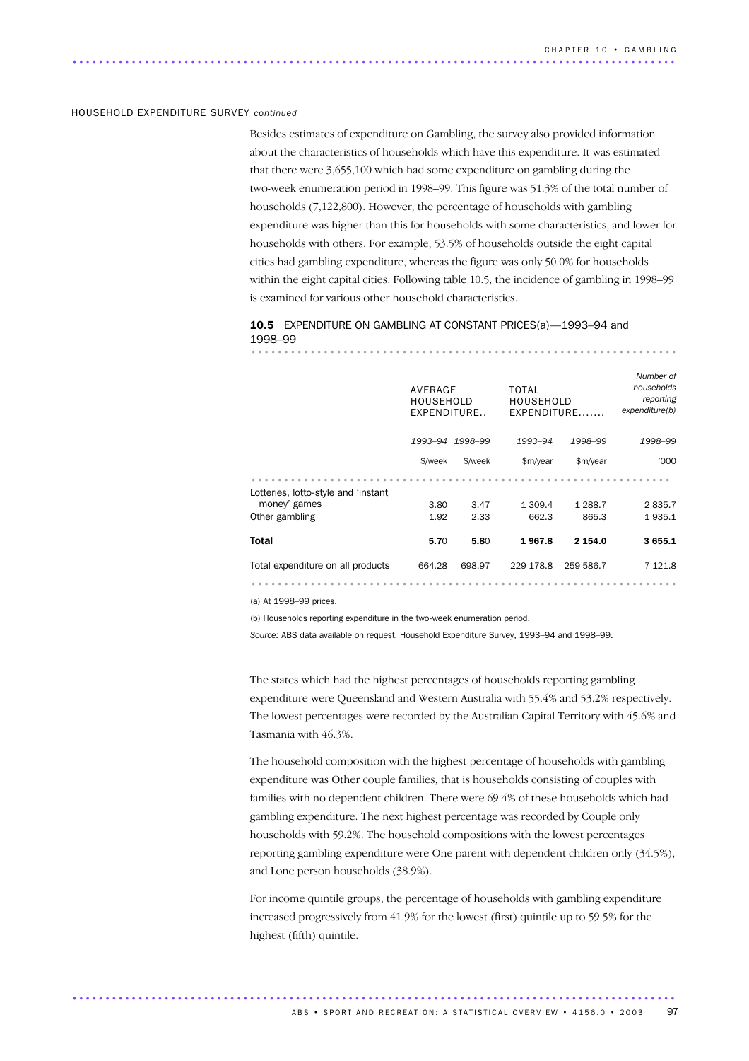#### HOUSEHOLD EXPENDITURE SURVEY *continued*

Besides estimates of expenditure on Gambling, the survey also provided information about the characteristics of households which have this expenditure. It was estimated that there were 3,655,100 which had some expenditure on gambling during the two-week enumeration period in 1998–99. This figure was 51.3% of the total number of households (7,122,800). However, the percentage of households with gambling expenditure was higher than this for households with some characteristics, and lower for households with others. For example, 53.5% of households outside the eight capital cities had gambling expenditure, whereas the figure was only 50.0% for households within the eight capital cities. Following table 10.5, the incidence of gambling in 1998–99 is examined for various other household characteristics.

#### 10.5 EXPENDITURE ON GAMBLING AT CONSTANT PRICES(a)-1993-94 and 1998–99 .................................................................

|                                     | AVERAGE<br>HOUSEHOLD<br>EXPENDITURE |         | TOTAL<br>HOUSEHOLD<br>$EXPENDITURE$ |           | Number of<br>households<br>reporting<br>expenditure(b) |
|-------------------------------------|-------------------------------------|---------|-------------------------------------|-----------|--------------------------------------------------------|
|                                     | 1993-94                             | 1998-99 | 1993-94                             | 1998-99   | 1998-99                                                |
|                                     | \$/week                             | \$/week | \$m/year                            | \$m/year  | <b>'000</b>                                            |
|                                     |                                     |         |                                     |           |                                                        |
| Lotteries, lotto-style and 'instant |                                     |         |                                     |           |                                                        |
| money' games                        | 3.80                                | 3.47    | 1 309.4                             | 1 288.7   | 2835.7                                                 |
| Other gambling                      | 1.92                                | 2.33    | 662.3                               | 865.3     | 1935.1                                                 |
| Total                               | 5.70                                | 5.80    | 1967.8                              | 2 154.0   | 3655.1                                                 |
| Total expenditure on all products   | 664.28                              | 698.97  | 229 178.8                           | 259 586.7 | 7 1 2 1.8                                              |
|                                     |                                     |         |                                     |           |                                                        |

(a) At 1998–99 prices.

(b) Households reporting expenditure in the two-week enumeration period.

............................................................................................ .

*Source:* ABS data available on request, Household Expenditure Survey, 1993–94 and 1998–99.

The states which had the highest percentages of households reporting gambling expenditure were Queensland and Western Australia with 55.4% and 53.2% respectively. The lowest percentages were recorded by the Australian Capital Territory with 45.6% and Tasmania with 46.3%.

The household composition with the highest percentage of households with gambling expenditure was Other couple families, that is households consisting of couples with families with no dependent children. There were 69.4% of these households which had gambling expenditure. The next highest percentage was recorded by Couple only households with 59.2%. The household compositions with the lowest percentages reporting gambling expenditure were One parent with dependent children only (34.5%), and Lone person households (38.9%).

For income quintile groups, the percentage of households with gambling expenditure increased progressively from 41.9% for the lowest (first) quintile up to 59.5% for the highest (fifth) quintile.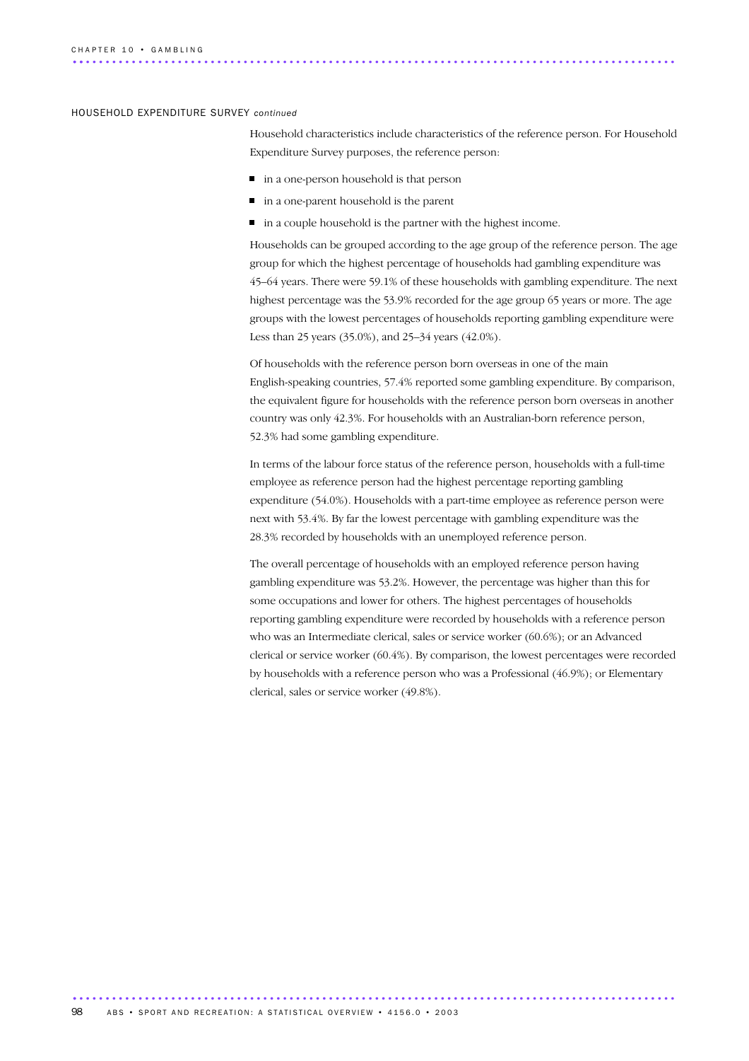#### HOUSEHOLD EXPENDITURE SURVEY *continued*

Household characteristics include characteristics of the reference person. For Household Expenditure Survey purposes, the reference person:

- in a one-person household is that person
- in a one-parent household is the parent
- $\blacksquare$  in a couple household is the partner with the highest income.

Households can be grouped according to the age group of the reference person. The age group for which the highest percentage of households had gambling expenditure was 45–64 years. There were 59.1% of these households with gambling expenditure. The next highest percentage was the 53.9% recorded for the age group 65 years or more. The age groups with the lowest percentages of households reporting gambling expenditure were Less than 25 years (35.0%), and 25–34 years (42.0%).

Of households with the reference person born overseas in one of the main English-speaking countries, 57.4% reported some gambling expenditure. By comparison, the equivalent figure for households with the reference person born overseas in another country was only 42.3%. For households with an Australian-born reference person, 52.3% had some gambling expenditure.

In terms of the labour force status of the reference person, households with a full-time employee as reference person had the highest percentage reporting gambling expenditure (54.0%). Households with a part-time employee as reference person were next with 53.4%. By far the lowest percentage with gambling expenditure was the 28.3% recorded by households with an unemployed reference person.

The overall percentage of households with an employed reference person having gambling expenditure was 53.2%. However, the percentage was higher than this for some occupations and lower for others. The highest percentages of households reporting gambling expenditure were recorded by households with a reference person who was an Intermediate clerical, sales or service worker (60.6%); or an Advanced clerical or service worker (60.4%). By comparison, the lowest percentages were recorded by households with a reference person who was a Professional (46.9%); or Elementary clerical, sales or service worker (49.8%).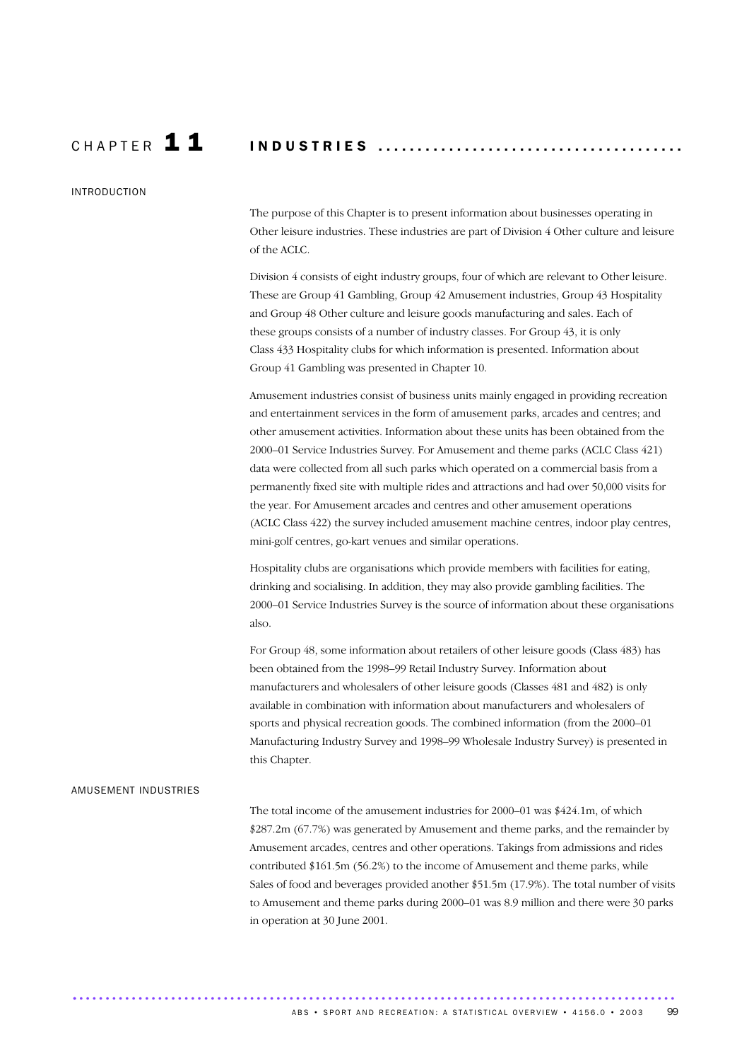### C H A P T E R 1 1 I N D U S T R I E S . . . . . . . . . . . . . . . . . . . . . . . . . . . . . . . . . . . . . . .

#### INTRODUCTION

The purpose of this Chapter is to present information about businesses operating in Other leisure industries. These industries are part of Division 4 Other culture and leisure of the ACLC.

Division 4 consists of eight industry groups, four of which are relevant to Other leisure. These are Group 41 Gambling, Group 42 Amusement industries, Group 43 Hospitality and Group 48 Other culture and leisure goods manufacturing and sales. Each of these groups consists of a number of industry classes. For Group 43, it is only Class 433 Hospitality clubs for which information is presented. Information about Group 41 Gambling was presented in Chapter 10.

Amusement industries consist of business units mainly engaged in providing recreation and entertainment services in the form of amusement parks, arcades and centres; and other amusement activities. Information about these units has been obtained from the 2000–01 Service Industries Survey. For Amusement and theme parks (ACLC Class 421) data were collected from all such parks which operated on a commercial basis from a permanently fixed site with multiple rides and attractions and had over 50,000 visits for the year. For Amusement arcades and centres and other amusement operations (ACLC Class 422) the survey included amusement machine centres, indoor play centres, mini-golf centres, go-kart venues and similar operations.

Hospitality clubs are organisations which provide members with facilities for eating, drinking and socialising. In addition, they may also provide gambling facilities. The 2000–01 Service Industries Survey is the source of information about these organisations also.

For Group 48, some information about retailers of other leisure goods (Class 483) has been obtained from the 1998–99 Retail Industry Survey. Information about manufacturers and wholesalers of other leisure goods (Classes 481 and 482) is only available in combination with information about manufacturers and wholesalers of sports and physical recreation goods. The combined information (from the 2000–01 Manufacturing Industry Survey and 1998–99 Wholesale Industry Survey) is presented in this Chapter.

#### AMUSEMENT INDUSTRIES

The total income of the amusement industries for 2000–01 was \$424.1m, of which \$287.2m (67.7%) was generated by Amusement and theme parks, and the remainder by Amusement arcades, centres and other operations. Takings from admissions and rides contributed \$161.5m (56.2%) to the income of Amusement and theme parks, while Sales of food and beverages provided another \$51.5m (17.9%). The total number of visits to Amusement and theme parks during 2000–01 was 8.9 million and there were 30 parks in operation at 30 June 2001.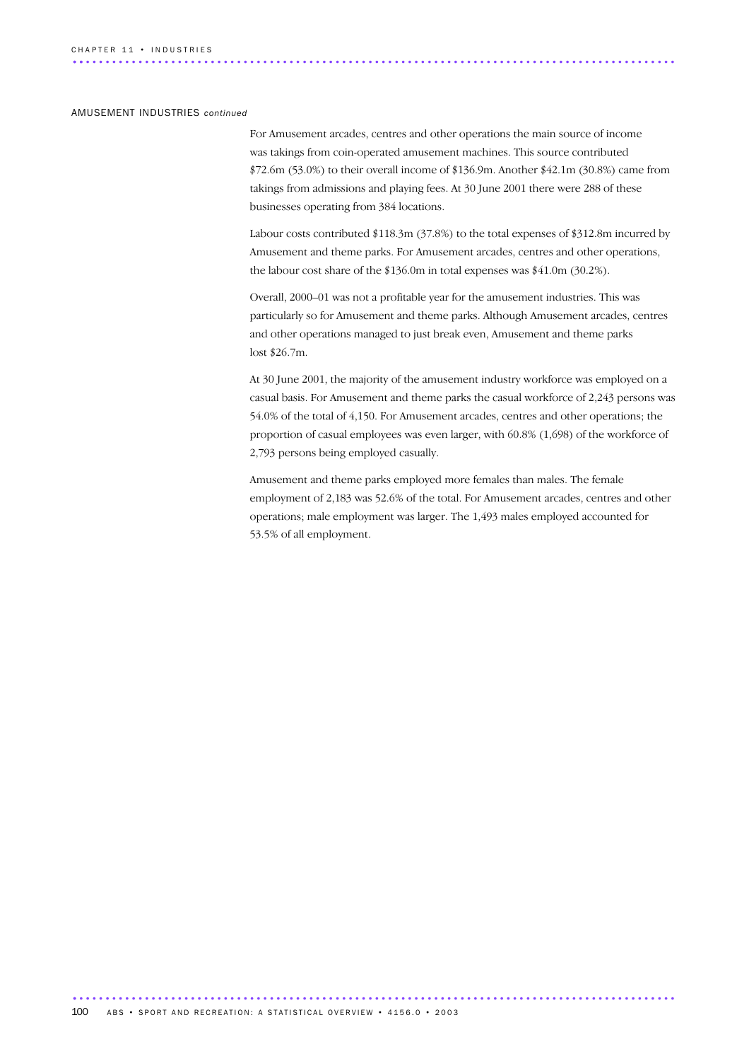#### AMUSEMENT INDUSTRIES *continued*

For Amusement arcades, centres and other operations the main source of income was takings from coin-operated amusement machines. This source contributed \$72.6m (53.0%) to their overall income of \$136.9m. Another \$42.1m (30.8%) came from takings from admissions and playing fees. At 30 June 2001 there were 288 of these businesses operating from 384 locations.

Labour costs contributed \$118.3m (37.8%) to the total expenses of \$312.8m incurred by Amusement and theme parks. For Amusement arcades, centres and other operations, the labour cost share of the \$136.0m in total expenses was \$41.0m (30.2%).

Overall, 2000–01 was not a profitable year for the amusement industries. This was particularly so for Amusement and theme parks. Although Amusement arcades, centres and other operations managed to just break even, Amusement and theme parks lost \$26.7m.

At 30 June 2001, the majority of the amusement industry workforce was employed on a casual basis. For Amusement and theme parks the casual workforce of 2,243 persons was 54.0% of the total of 4,150. For Amusement arcades, centres and other operations; the proportion of casual employees was even larger, with 60.8% (1,698) of the workforce of 2,793 persons being employed casually.

Amusement and theme parks employed more females than males. The female employment of 2,183 was 52.6% of the total. For Amusement arcades, centres and other operations; male employment was larger. The 1,493 males employed accounted for 53.5% of all employment.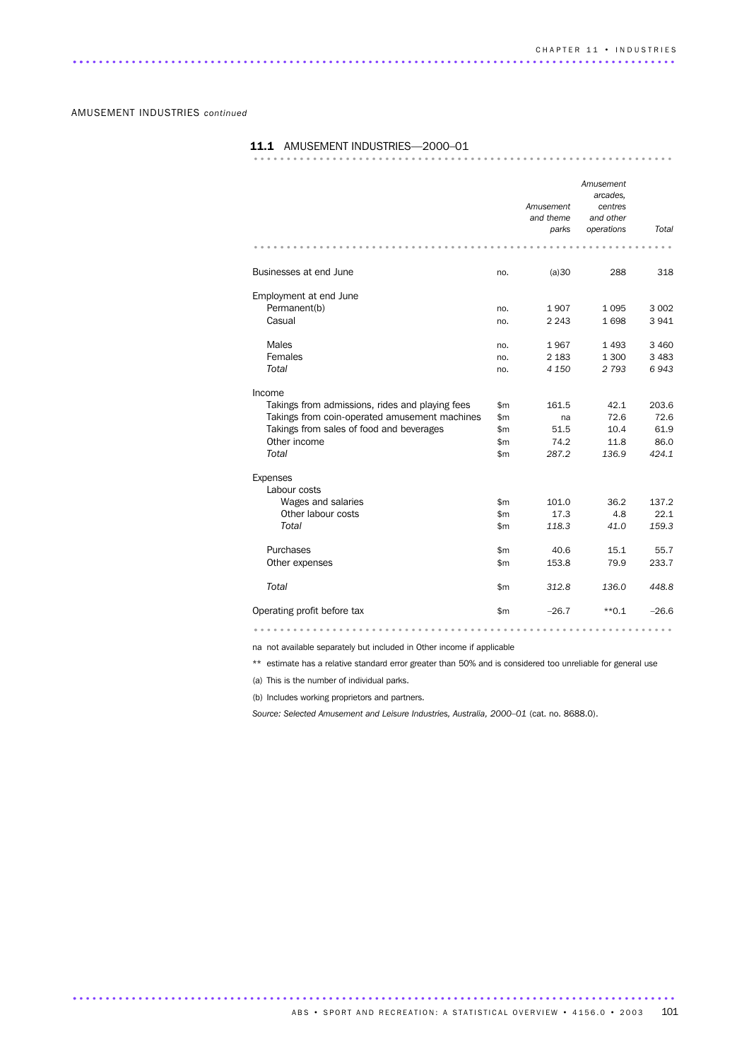AMUSEMENT INDUSTRIES *continued*

# 11.1 AMUSEMENT INDUSTRIES—2000–01 ................................................................

|                                                                                                                                                                                 |                                         | Amusement<br>and theme<br>parks      | Amusement<br>arcades.<br>centres<br>and other<br>operations | Total                                  |
|---------------------------------------------------------------------------------------------------------------------------------------------------------------------------------|-----------------------------------------|--------------------------------------|-------------------------------------------------------------|----------------------------------------|
| Businesses at end June                                                                                                                                                          | no.                                     | (a)30                                | 288                                                         | 318                                    |
| Employment at end June<br>Permanent(b)<br>Casual<br>Males<br>Females                                                                                                            | no.<br>no.<br>no.<br>no.                | 1907<br>2 2 4 3<br>1967<br>2 1 8 3   | 1095<br>1698<br>1493<br>1 300                               | 3 0 0 2<br>3941<br>3 4 6 0<br>3 4 8 3  |
| Total                                                                                                                                                                           | no.                                     | 4 1 5 0                              | 2 7 9 3                                                     | 6943                                   |
| Income<br>Takings from admissions, rides and playing fees<br>Takings from coin-operated amusement machines<br>Takings from sales of food and beverages<br>Other income<br>Total | \$m<br>\$m\$<br>\$m\$<br>\$m\$<br>\$m\$ | 161.5<br>na<br>51.5<br>74.2<br>287.2 | 42.1<br>72.6<br>10.4<br>11.8<br>136.9                       | 203.6<br>72.6<br>61.9<br>86.0<br>424.1 |
| Expenses<br>Labour costs<br>Wages and salaries<br>Other labour costs<br>Total                                                                                                   | \$m<br>\$m\$<br>\$m\$                   | 101.0<br>17.3<br>118.3               | 36.2<br>4.8<br>41.0                                         | 137.2<br>22.1<br>159.3                 |
| Purchases<br>Other expenses                                                                                                                                                     | \$m<br>\$m                              | 40.6<br>153.8                        | 15.1<br>79.9                                                | 55.7<br>233.7                          |
| Total                                                                                                                                                                           | \$m                                     | 312.8                                | 136.0                                                       | 448.8                                  |
| Operating profit before tax                                                                                                                                                     | \$m\$                                   | $-26.7$                              | $*$ 0.1                                                     | $-26.6$                                |

na not available separately but included in Other income if applicable

............................................................................................ .

\*\* estimate has a relative standard error greater than 50% and is considered too unreliable for general use

(a) This is the number of individual parks.

(b) Includes working proprietors and partners.

*Source: Selected Amusement and Leisure Industries, Australia, 2000–01* (cat. no. 8688.0).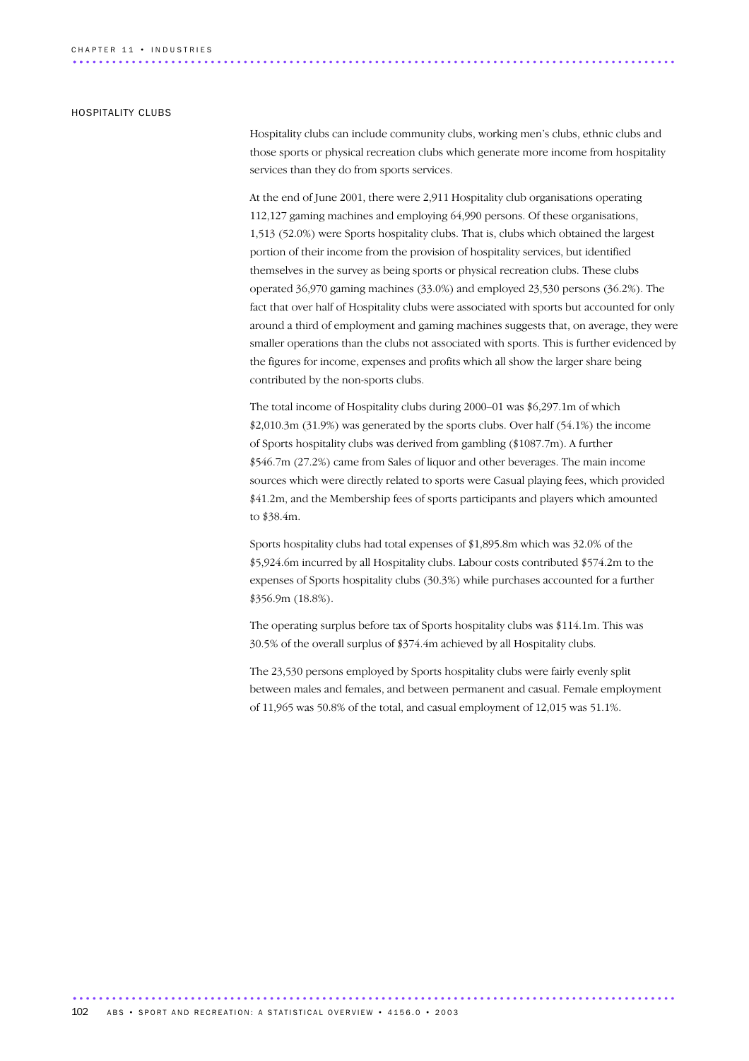#### HOSPITALITY CLUBS

Hospitality clubs can include community clubs, working men's clubs, ethnic clubs and those sports or physical recreation clubs which generate more income from hospitality services than they do from sports services.

At the end of June 2001, there were 2,911 Hospitality club organisations operating 112,127 gaming machines and employing 64,990 persons. Of these organisations, 1,513 (52.0%) were Sports hospitality clubs. That is, clubs which obtained the largest portion of their income from the provision of hospitality services, but identified themselves in the survey as being sports or physical recreation clubs. These clubs operated 36,970 gaming machines (33.0%) and employed 23,530 persons (36.2%). The fact that over half of Hospitality clubs were associated with sports but accounted for only around a third of employment and gaming machines suggests that, on average, they were smaller operations than the clubs not associated with sports. This is further evidenced by the figures for income, expenses and profits which all show the larger share being contributed by the non-sports clubs.

The total income of Hospitality clubs during 2000–01 was \$6,297.1m of which \$2,010.3m (31.9%) was generated by the sports clubs. Over half (54.1%) the income of Sports hospitality clubs was derived from gambling (\$1087.7m). A further \$546.7m (27.2%) came from Sales of liquor and other beverages. The main income sources which were directly related to sports were Casual playing fees, which provided \$41.2m, and the Membership fees of sports participants and players which amounted to \$38.4m.

Sports hospitality clubs had total expenses of \$1,895.8m which was 32.0% of the \$5,924.6m incurred by all Hospitality clubs. Labour costs contributed \$574.2m to the expenses of Sports hospitality clubs (30.3%) while purchases accounted for a further \$356.9m (18.8%).

The operating surplus before tax of Sports hospitality clubs was \$114.1m. This was 30.5% of the overall surplus of \$374.4m achieved by all Hospitality clubs.

The 23,530 persons employed by Sports hospitality clubs were fairly evenly split between males and females, and between permanent and casual. Female employment of 11,965 was 50.8% of the total, and casual employment of 12,015 was 51.1%.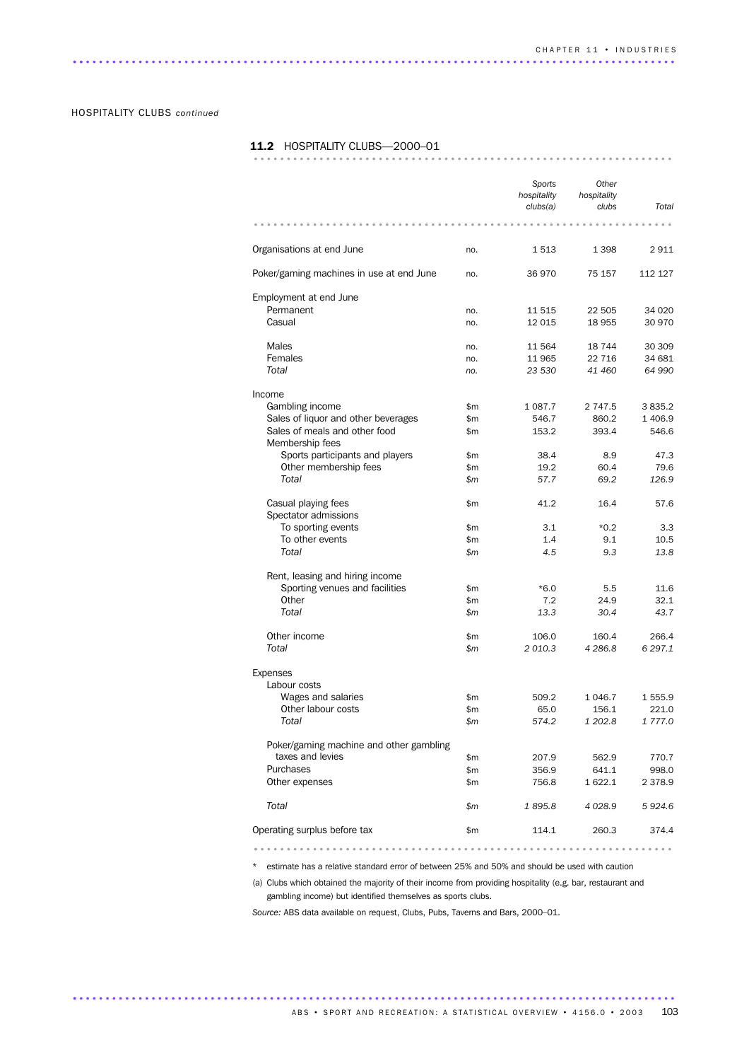HOSPITALITY CLUBS *continued*

# 11.2 HOSPITALITY CLUBS—2000–01 ................................................................

|                                                  |       | Sports<br>hospitality<br>clubs(a) | Other<br>hospitality<br>clubs | Total            |
|--------------------------------------------------|-------|-----------------------------------|-------------------------------|------------------|
|                                                  |       |                                   |                               |                  |
| Organisations at end June                        | no.   | 1513                              | 1 3 9 8                       | 2911             |
| Poker/gaming machines in use at end June         | no.   | 36 970                            | 75 157                        | 112 127          |
| Employment at end June                           |       |                                   |                               |                  |
| Permanent                                        | no.   | 11 515                            | 22 505                        | 34 0 20          |
| Casual                                           | no.   | 12 0 15                           | 18 955                        | 30 970           |
| Males                                            | no.   | 11 564                            | 18 7 44                       | 30 309           |
| Females                                          | no.   | 11 965                            | 22 7 16                       | 34 681           |
| Total                                            | no.   | 23 530                            | 41 460                        | 64 990           |
| Income                                           |       |                                   |                               |                  |
| Gambling income                                  | \$m   | 1 0 8 7 . 7                       | 2 747.5                       | 3 8 3 5.2        |
| Sales of liquor and other beverages              | \$m   | 546.7                             | 860.2                         | 1 406.9          |
| Sales of meals and other food<br>Membership fees | \$m   | 153.2                             | 393.4                         | 546.6            |
| Sports participants and players                  | \$m   | 38.4                              | 8.9                           | 47.3             |
| Other membership fees                            | \$m   | 19.2                              | 60.4                          | 79.6             |
| Total                                            | \$m\$ | 57.7                              | 69.2                          | 126.9            |
| Casual playing fees<br>Spectator admissions      | \$m   | 41.2                              | 16.4                          | 57.6             |
| To sporting events                               | \$m   | 3.1                               | $*0.2$                        | 3.3              |
| To other events                                  | \$m   | 1.4                               | 9.1                           | 10.5             |
| Total                                            | \$m\$ | 4.5                               | 9.3                           | 13.8             |
| Rent, leasing and hiring income                  |       |                                   |                               |                  |
| Sporting venues and facilities                   | \$m   | $*6.0$                            | 5.5                           | 11.6             |
| Other                                            | \$m   | 7.2                               | 24.9                          | 32.1             |
| Total                                            | \$m\$ | 13.3                              | 30.4                          | 43.7             |
| Other income                                     | \$m   | 106.0                             | 160.4                         | 266.4            |
| Total                                            | \$m   | 2 010.3                           | 4 286.8                       | 6 297.1          |
| <b>Expenses</b>                                  |       |                                   |                               |                  |
| Labour costs                                     |       |                                   |                               |                  |
| Wages and salaries                               | \$m   | 509.2                             | 1 046.7                       | 1 555.9          |
| Other labour costs<br>Total                      | \$m   | 65.0<br>574.2                     | 156.1                         | 221.0<br>1 777.0 |
|                                                  | \$m   |                                   | 1 202.8                       |                  |
| Poker/gaming machine and other gambling          |       |                                   |                               |                  |
| taxes and levies                                 | \$m   | 207.9                             | 562.9                         | 770.7            |
| Purchases                                        | \$m\$ | 356.9                             | 641.1                         | 998.0            |
| Other expenses                                   | \$m   | 756.8                             | 1 622.1                       | 2 378.9          |
| Total                                            | \$m   | 1895.8                            | 4 028.9                       | 5924.6           |
| Operating surplus before tax                     | \$m   | 114.1                             | 260.3                         | 374.4            |
|                                                  |       |                                   |                               |                  |

\* estimate has a relative standard error of between 25% and 50% and should be used with caution

(a) Clubs which obtained the majority of their income from providing hospitality (e.g. bar, restaurant and gambling income) but identified themselves as sports clubs.

*Source:* ABS data available on request, Clubs, Pubs, Taverns and Bars, 2000–01.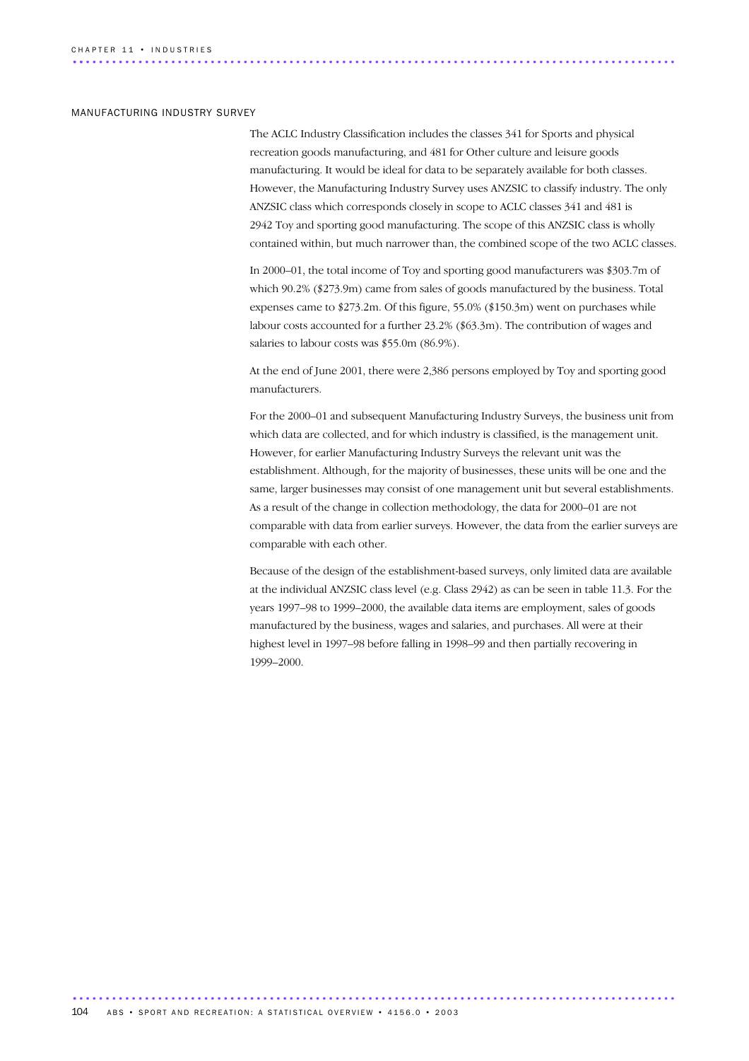#### MANUFACTURING INDUSTRY SURVEY

The ACLC Industry Classification includes the classes 341 for Sports and physical recreation goods manufacturing, and 481 for Other culture and leisure goods manufacturing. It would be ideal for data to be separately available for both classes. However, the Manufacturing Industry Survey uses ANZSIC to classify industry. The only ANZSIC class which corresponds closely in scope to ACLC classes 341 and 481 is 2942 Toy and sporting good manufacturing. The scope of this ANZSIC class is wholly contained within, but much narrower than, the combined scope of the two ACLC classes.

In 2000–01, the total income of Toy and sporting good manufacturers was \$303.7m of which 90.2% (\$273.9m) came from sales of goods manufactured by the business. Total expenses came to \$273.2m. Of this figure, 55.0% (\$150.3m) went on purchases while labour costs accounted for a further 23.2% (\$63.3m). The contribution of wages and salaries to labour costs was \$55.0m (86.9%).

At the end of June 2001, there were 2,386 persons employed by Toy and sporting good manufacturers.

For the 2000–01 and subsequent Manufacturing Industry Surveys, the business unit from which data are collected, and for which industry is classified, is the management unit. However, for earlier Manufacturing Industry Surveys the relevant unit was the establishment. Although, for the majority of businesses, these units will be one and the same, larger businesses may consist of one management unit but several establishments. As a result of the change in collection methodology, the data for 2000–01 are not comparable with data from earlier surveys. However, the data from the earlier surveys are comparable with each other.

Because of the design of the establishment-based surveys, only limited data are available at the individual ANZSIC class level (e.g. Class 2942) as can be seen in table 11.3. For the years 1997–98 to 1999–2000, the available data items are employment, sales of goods manufactured by the business, wages and salaries, and purchases. All were at their highest level in 1997–98 before falling in 1998–99 and then partially recovering in 1999–2000.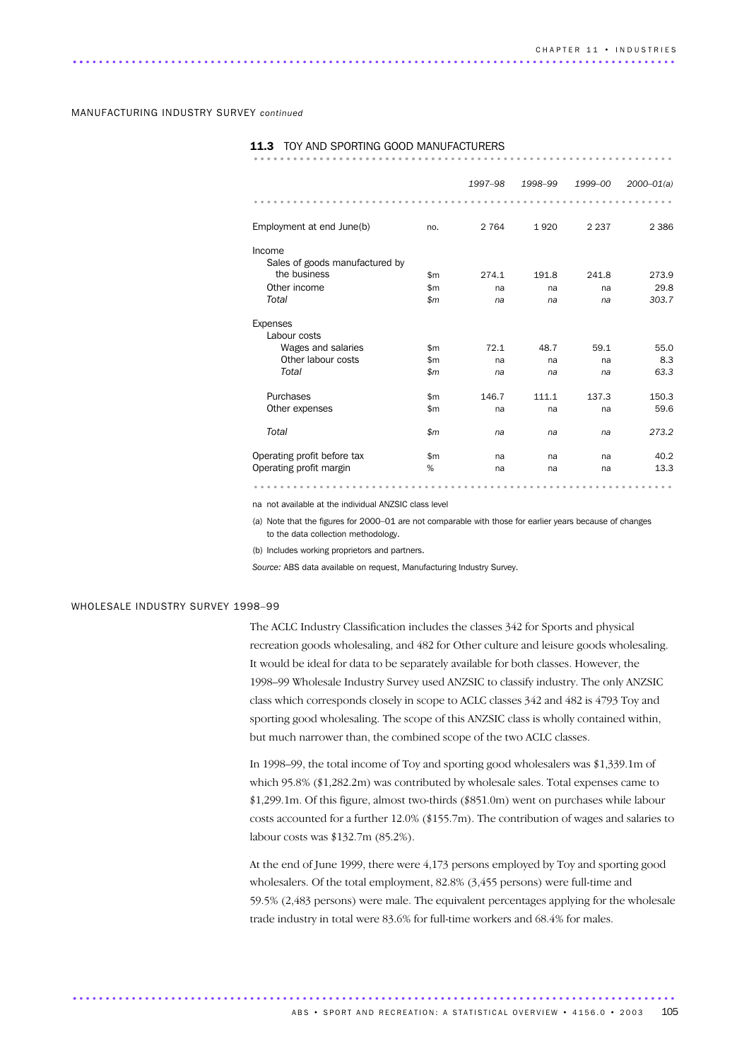MANUFACTURING INDUSTRY SURVEY *continued*

............................................................................................ ..

|  |  |  |  | <b>11.3</b> TOY AND SPORTING GOOD MANUFACTURERS |
|--|--|--|--|-------------------------------------------------|
|--|--|--|--|-------------------------------------------------|

| TOY AND SPORTING GOOD MANUFACTURERS<br>11.3 |              |         |         |         |                |  |
|---------------------------------------------|--------------|---------|---------|---------|----------------|--|
|                                             |              | 1997-98 | 1998-99 | 1999-00 | $2000 - 01(a)$ |  |
|                                             |              |         |         |         |                |  |
| Employment at end June(b)                   | no.          | 2 7 6 4 | 1920    | 2 2 3 7 | 2 3 8 6        |  |
| Income                                      |              |         |         |         |                |  |
| Sales of goods manufactured by              |              |         |         |         |                |  |
| the business                                | \$m          | 274.1   | 191.8   | 241.8   | 273.9          |  |
| Other income                                | \$m          | na      | na      | na      | 29.8           |  |
| <b>Total</b>                                | $\mathsf{m}$ | na      | na      | na      | 303.7          |  |
| <b>Expenses</b>                             |              |         |         |         |                |  |
| Labour costs                                |              |         |         |         |                |  |
| Wages and salaries                          | \$m\$        | 72.1    | 48.7    | 59.1    | 55.0           |  |
| Other labour costs                          | \$m          | na      | na      | na      | 8.3            |  |
| Total                                       | \$m          | na      | na      | na      | 63.3           |  |
| Purchases                                   | \$m\$        | 146.7   | 111.1   | 137.3   | 150.3          |  |
| Other expenses                              | \$m          | na      | na      | na      | 59.6           |  |
| Total                                       | \$m\$        | na      | na      | na      | 273.2          |  |
| Operating profit before tax                 | \$m          | na      | na      | na      | 40.2           |  |
| Operating profit margin                     | %            | na      | na      | na      | 13.3           |  |
|                                             |              |         |         |         |                |  |

na not available at the individual ANZSIC class level

(a) Note that the figures for 2000–01 are not comparable with those for earlier years because of changes to the data collection methodology.

(b) Includes working proprietors and partners.

*Source:* ABS data available on request, Manufacturing Industry Survey.

............................................................................................ .

#### WHOLESALE INDUSTRY SURVEY 1998–99

The ACLC Industry Classification includes the classes 342 for Sports and physical recreation goods wholesaling, and 482 for Other culture and leisure goods wholesaling. It would be ideal for data to be separately available for both classes. However, the 1998–99 Wholesale Industry Survey used ANZSIC to classify industry. The only ANZSIC class which corresponds closely in scope to ACLC classes 342 and 482 is 4793 Toy and sporting good wholesaling. The scope of this ANZSIC class is wholly contained within, but much narrower than, the combined scope of the two ACLC classes.

In 1998–99, the total income of Toy and sporting good wholesalers was \$1,339.1m of which 95.8% (\$1,282.2m) was contributed by wholesale sales. Total expenses came to \$1,299.1m. Of this figure, almost two-thirds (\$851.0m) went on purchases while labour costs accounted for a further 12.0% (\$155.7m). The contribution of wages and salaries to labour costs was \$132.7m (85.2%).

At the end of June 1999, there were 4,173 persons employed by Toy and sporting good wholesalers. Of the total employment, 82.8% (3,455 persons) were full-time and 59.5% (2,483 persons) were male. The equivalent percentages applying for the wholesale trade industry in total were 83.6% for full-time workers and 68.4% for males.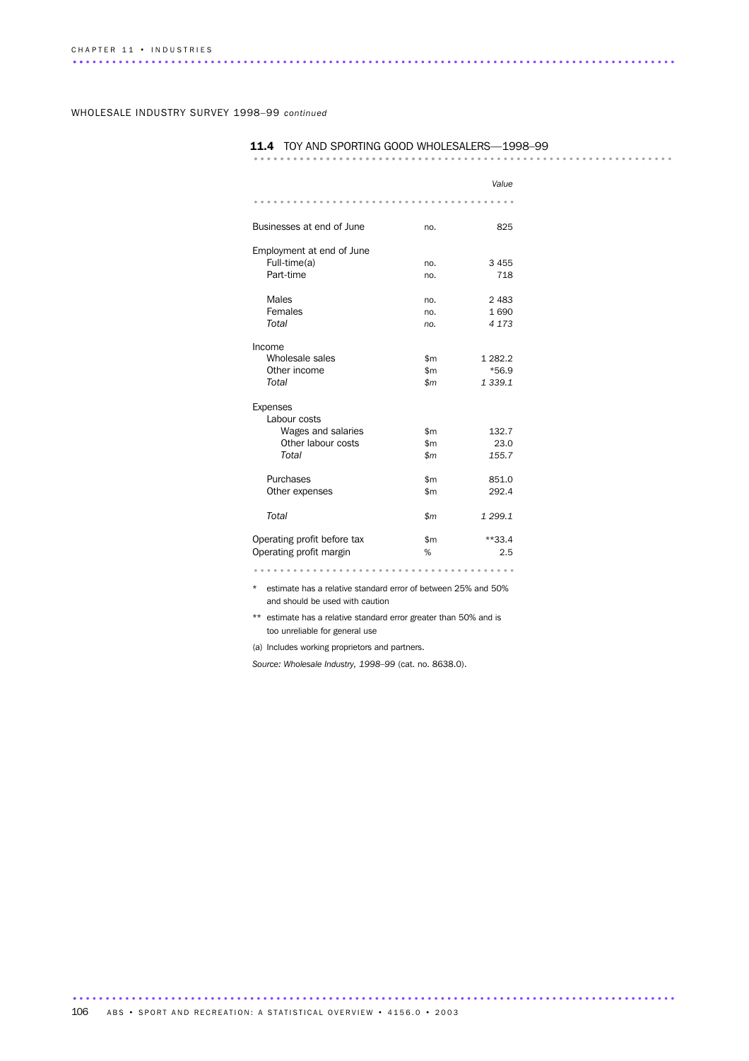WHOLESALE INDUSTRY SURVEY 1998–99 *continued*

|                                                                           |              | Value       |
|---------------------------------------------------------------------------|--------------|-------------|
| Businesses at end of June                                                 | no.          | 825         |
| Employment at end of June                                                 |              |             |
| Full-time(a)                                                              | no.          | 3 4 5 5     |
| Part-time                                                                 | no.          | 718         |
|                                                                           |              |             |
| Males                                                                     | no.          | 2 4 8 3     |
| Females                                                                   | no.          | 1690        |
| Total                                                                     | no.          | 4 173       |
|                                                                           |              |             |
| Income<br>Wholesale sales                                                 | \$m          | 1 2 8 2.2   |
| Other income                                                              | \$m          | $*56.9$     |
| Total                                                                     | \$m          | 1 3 3 9 . 1 |
|                                                                           |              |             |
| <b>Expenses</b>                                                           |              |             |
| Labour costs                                                              |              |             |
| Wages and salaries                                                        | \$m          | 132.7       |
| Other labour costs                                                        | \$m          | 23.0        |
| Total                                                                     | \$m\$        | 155.7       |
|                                                                           |              |             |
| Purchases                                                                 | \$m          | 851.0       |
| Other expenses                                                            | \$m          | 292.4       |
|                                                                           |              |             |
| Total                                                                     | $\mathsf{m}$ | 1 299.1     |
| Operating profit before tax                                               | \$m          | $**33.4$    |
| Operating profit margin                                                   | %            | 2.5         |
|                                                                           |              |             |
|                                                                           |              |             |
| $^\star$<br>estimate has a relative standard error of between 25% and 50% |              |             |

# 11.4 TOY AND SPORTING GOOD WHOLESALERS—1998–99 ................................................................ ............................

and should be used with caution \*\* estimate has a relative standard error greater than 50% and is

............................................................................................ .

too unreliable for general use (a) Includes working proprietors and partners.

*Source: Wholesale Industry, 1998–99* (cat. no. 8638.0).

106 ABS • SPORT AND RECREATION: A STATISTICAL OVERVIEW • 4156.0 • 2003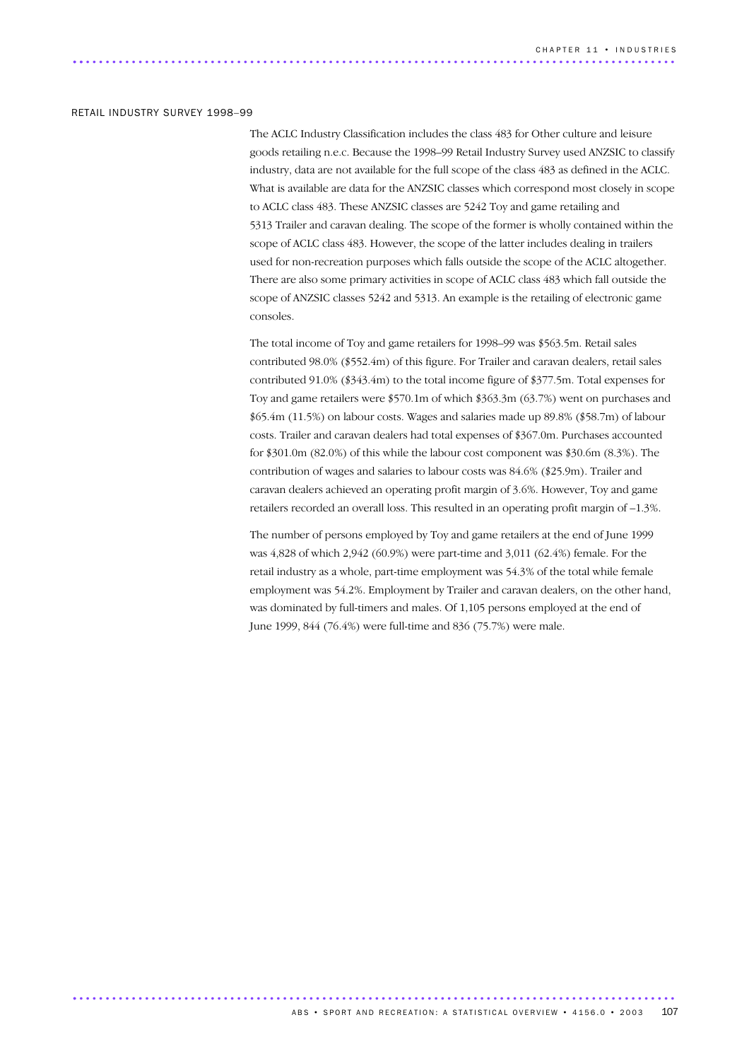#### RETAIL INDUSTRY SURVEY 1998–99

The ACLC Industry Classification includes the class 483 for Other culture and leisure goods retailing n.e.c. Because the 1998–99 Retail Industry Survey used ANZSIC to classify industry, data are not available for the full scope of the class 483 as defined in the ACLC. What is available are data for the ANZSIC classes which correspond most closely in scope to ACLC class 483. These ANZSIC classes are 5242 Toy and game retailing and 5313 Trailer and caravan dealing. The scope of the former is wholly contained within the scope of ACLC class 483. However, the scope of the latter includes dealing in trailers used for non-recreation purposes which falls outside the scope of the ACLC altogether. There are also some primary activities in scope of ACLC class 483 which fall outside the scope of ANZSIC classes 5242 and 5313. An example is the retailing of electronic game consoles.

The total income of Toy and game retailers for 1998–99 was \$563.5m. Retail sales contributed 98.0% (\$552.4m) of this figure. For Trailer and caravan dealers, retail sales contributed 91.0% (\$343.4m) to the total income figure of \$377.5m. Total expenses for Toy and game retailers were \$570.1m of which \$363.3m (63.7%) went on purchases and \$65.4m (11.5%) on labour costs. Wages and salaries made up 89.8% (\$58.7m) of labour costs. Trailer and caravan dealers had total expenses of \$367.0m. Purchases accounted for \$301.0m (82.0%) of this while the labour cost component was \$30.6m (8.3%). The contribution of wages and salaries to labour costs was 84.6% (\$25.9m). Trailer and caravan dealers achieved an operating profit margin of 3.6%. However, Toy and game retailers recorded an overall loss. This resulted in an operating profit margin of –1.3%.

The number of persons employed by Toy and game retailers at the end of June 1999 was 4,828 of which 2,942 (60.9%) were part-time and 3,011 (62.4%) female. For the retail industry as a whole, part-time employment was 54.3% of the total while female employment was 54.2%. Employment by Trailer and caravan dealers, on the other hand, was dominated by full-timers and males. Of 1,105 persons employed at the end of June 1999, 844 (76.4%) were full-time and 836 (75.7%) were male.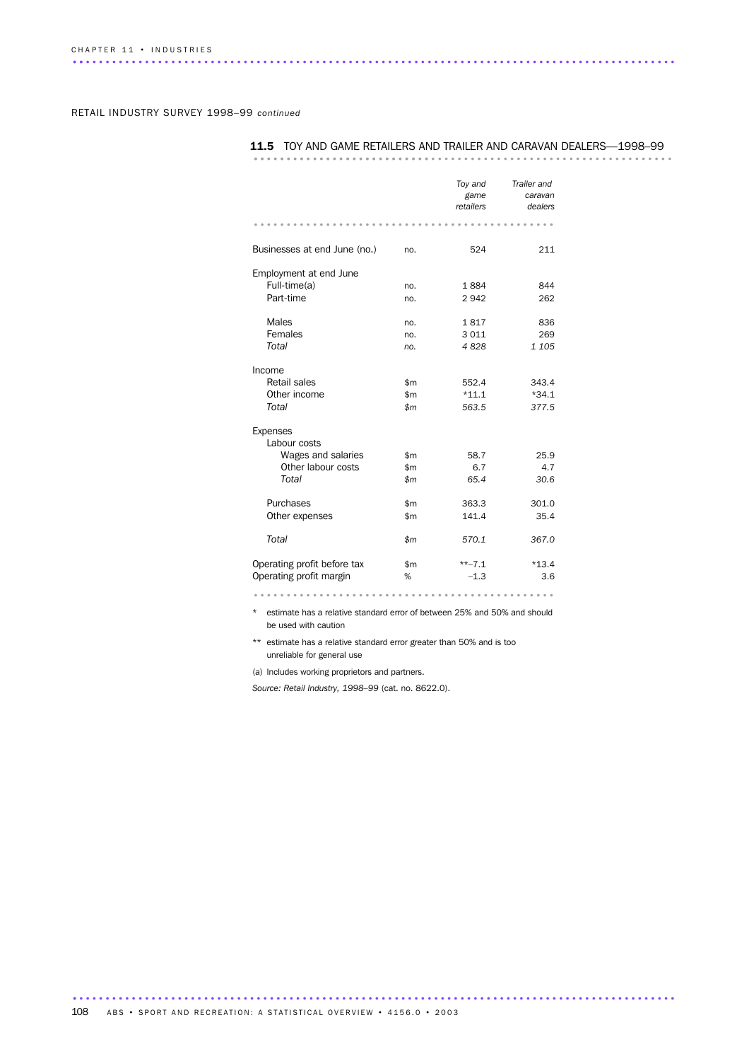RETAIL INDUSTRY SURVEY 1998–99 *continued*

|                              |              | Toy and    | Trailer and |
|------------------------------|--------------|------------|-------------|
|                              |              | game       | caravan     |
|                              |              | retailers  | dealers     |
|                              |              |            |             |
| Businesses at end June (no.) | no.          | 524        | 211         |
| Employment at end June       |              |            |             |
| Full-time(a)                 | no.          | 1884       | 844         |
| Part-time                    | no.          | 2942       | 262         |
| Males                        | no.          | 1817       | 836         |
| Females                      | no.          | 3011       | 269         |
| Total                        | no.          | 4828       | 1 1 0 5     |
| Income                       |              |            |             |
| Retail sales                 | \$m          | 552.4      | 343.4       |
| Other income                 | \$m\$        | $*11.1$    | $*34.1$     |
| Total                        | \$m          | 563.5      | 377.5       |
| Expenses                     |              |            |             |
| Labour costs                 |              |            |             |
| Wages and salaries           | \$m          | 58.7       | 25.9        |
| Other labour costs           | \$m\$        | 6.7        | 4.7         |
| Total                        | \$m          | 65.4       | 30.6        |
| Purchases                    | \$m          | 363.3      | 301.0       |
| Other expenses               | \$m\$        | 141.4      | 35.4        |
| Total                        | $\mathsf{m}$ | 570.1      | 367.0       |
| Operating profit before tax  | \$m          | $** - 7.1$ | $*13.4$     |
| Operating profit margin      | %            | $-1.3$     | 3.6         |
|                              |              |            |             |

### 11.5 TOY AND GAME RETAILERS AND TRAILER AND CARAVAN DEALERS-1998-99

\* estimate has a relative standard error of between 25% and 50% and should be used with caution

\*\* estimate has a relative standard error greater than 50% and is too unreliable for general use

............................................................................................ .

(a) Includes working proprietors and partners.

*Source: Retail Industry, 1998–99* (cat. no. 8622.0).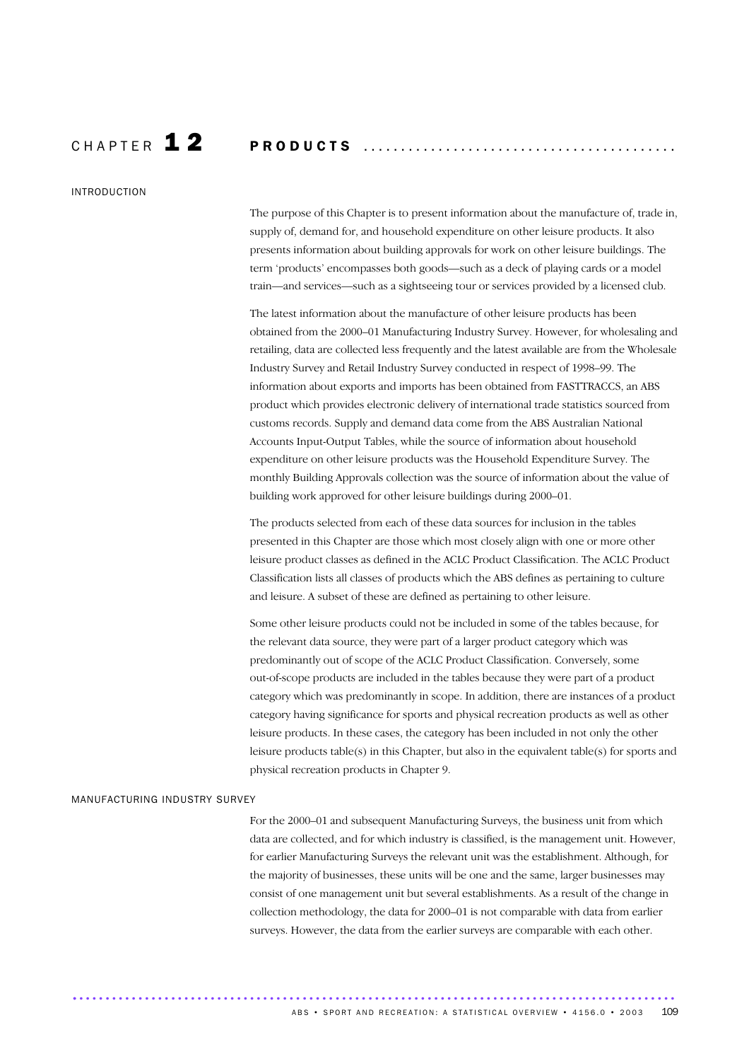# C H A P T E R 1 2 P R O D U C T S ..........................................

INTRODUCTION

The purpose of this Chapter is to present information about the manufacture of, trade in, supply of, demand for, and household expenditure on other leisure products. It also presents information about building approvals for work on other leisure buildings. The term 'products' encompasses both goods—such as a deck of playing cards or a model train—and services—such as a sightseeing tour or services provided by a licensed club.

The latest information about the manufacture of other leisure products has been obtained from the 2000–01 Manufacturing Industry Survey. However, for wholesaling and retailing, data are collected less frequently and the latest available are from the Wholesale Industry Survey and Retail Industry Survey conducted in respect of 1998–99. The information about exports and imports has been obtained from FASTTRACCS, an ABS product which provides electronic delivery of international trade statistics sourced from customs records. Supply and demand data come from the ABS Australian National Accounts Input-Output Tables, while the source of information about household expenditure on other leisure products was the Household Expenditure Survey. The monthly Building Approvals collection was the source of information about the value of building work approved for other leisure buildings during 2000–01.

The products selected from each of these data sources for inclusion in the tables presented in this Chapter are those which most closely align with one or more other leisure product classes as defined in the ACLC Product Classification. The ACLC Product Classification lists all classes of products which the ABS defines as pertaining to culture and leisure. A subset of these are defined as pertaining to other leisure.

Some other leisure products could not be included in some of the tables because, for the relevant data source, they were part of a larger product category which was predominantly out of scope of the ACLC Product Classification. Conversely, some out-of-scope products are included in the tables because they were part of a product category which was predominantly in scope. In addition, there are instances of a product category having significance for sports and physical recreation products as well as other leisure products. In these cases, the category has been included in not only the other leisure products table(s) in this Chapter, but also in the equivalent table(s) for sports and physical recreation products in Chapter 9.

#### MANUFACTURING INDUSTRY SURVEY

For the 2000–01 and subsequent Manufacturing Surveys, the business unit from which data are collected, and for which industry is classified, is the management unit. However, for earlier Manufacturing Surveys the relevant unit was the establishment. Although, for the majority of businesses, these units will be one and the same, larger businesses may consist of one management unit but several establishments. As a result of the change in collection methodology, the data for 2000–01 is not comparable with data from earlier surveys. However, the data from the earlier surveys are comparable with each other.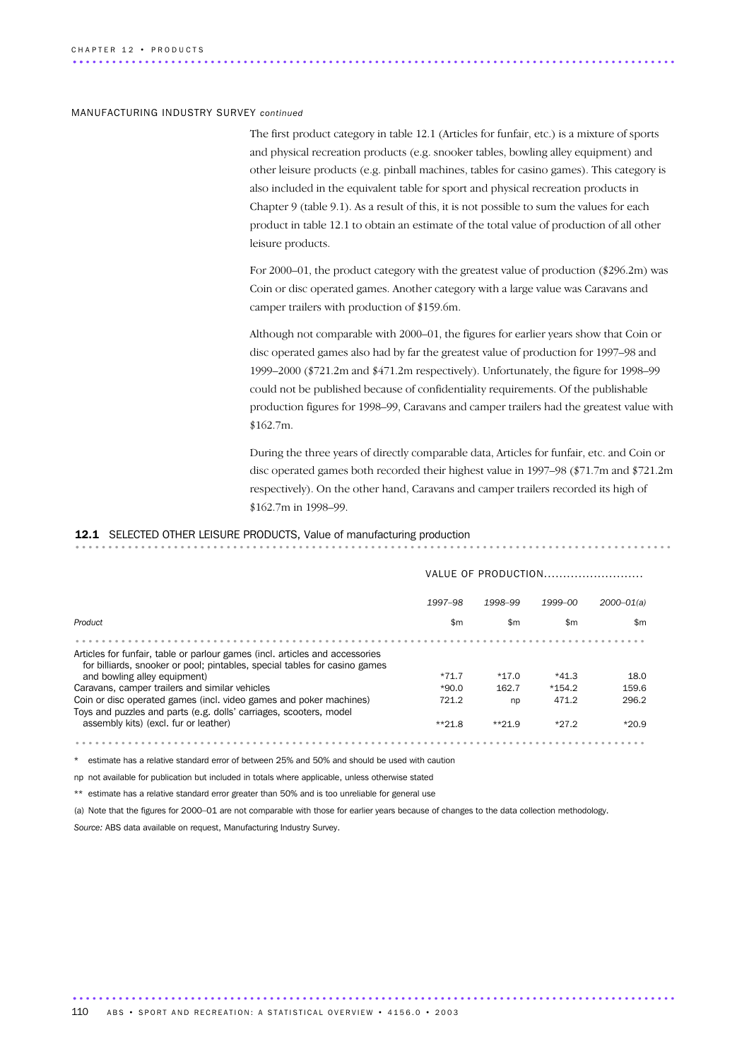#### MANUFACTURING INDUSTRY SURVEY *continued*

The first product category in table 12.1 (Articles for funfair, etc.) is a mixture of sports and physical recreation products (e.g. snooker tables, bowling alley equipment) and other leisure products (e.g. pinball machines, tables for casino games). This category is also included in the equivalent table for sport and physical recreation products in Chapter 9 (table 9.1). As a result of this, it is not possible to sum the values for each product in table 12.1 to obtain an estimate of the total value of production of all other leisure products.

For 2000–01, the product category with the greatest value of production (\$296.2m) was Coin or disc operated games. Another category with a large value was Caravans and camper trailers with production of \$159.6m.

Although not comparable with 2000–01, the figures for earlier years show that Coin or disc operated games also had by far the greatest value of production for 1997–98 and 1999–2000 (\$721.2m and \$471.2m respectively). Unfortunately, the figure for 1998–99 could not be published because of confidentiality requirements. Of the publishable production figures for 1998–99, Caravans and camper trailers had the greatest value with \$162.7m.

During the three years of directly comparable data, Articles for funfair, etc. and Coin or disc operated games both recorded their highest value in 1997–98 (\$71.7m and \$721.2m respectively). On the other hand, Caravans and camper trailers recorded its high of \$162.7m in 1998–99.

# 12.1 SELECTED OTHER LEISURE PRODUCTS, Value of manufacturing production ........................................................................................... .

|                                                                                                                                                            | VALUE OF PRODUCTION |               |               |                |  |
|------------------------------------------------------------------------------------------------------------------------------------------------------------|---------------------|---------------|---------------|----------------|--|
|                                                                                                                                                            | 1997-98             | 1998-99       | 1999-00       | $2000 - 01(a)$ |  |
| Product                                                                                                                                                    | $\mathsf{Sm}$       | $\mathsf{Sm}$ | $\mathsf{Sm}$ | $\mathsf{m}$   |  |
|                                                                                                                                                            |                     |               |               |                |  |
| Articles for funfair, table or parlour games (incl. articles and accessories<br>for billiards, snooker or pool; pintables, special tables for casino games |                     |               |               |                |  |
| and bowling alley equipment)                                                                                                                               | $*71.7$             | $*17.0$       | $*41.3$       | 18.0           |  |
| Caravans, camper trailers and similar vehicles                                                                                                             | $*90.0$             | 162.7         | $*154.2$      | 159.6          |  |
| Coin or disc operated games (incl. video games and poker machines)                                                                                         | 721.2               | np            | 471.2         | 296.2          |  |
| Toys and puzzles and parts (e.g. dolls' carriages, scooters, model                                                                                         |                     |               |               |                |  |
| assembly kits) (excl. fur or leather)                                                                                                                      | $*21.8$             | $*21.9$       | $*27.2$       | $*20.9$        |  |
|                                                                                                                                                            |                     |               |               |                |  |

\* estimate has a relative standard error of between 25% and 50% and should be used with caution

np not available for publication but included in totals where applicable, unless otherwise stated

\*\* estimate has a relative standard error greater than 50% and is too unreliable for general use

(a) Note that the figures for 2000–01 are not comparable with those for earlier years because of changes to the data collection methodology.

*Source:* ABS data available on request, Manufacturing Industry Survey.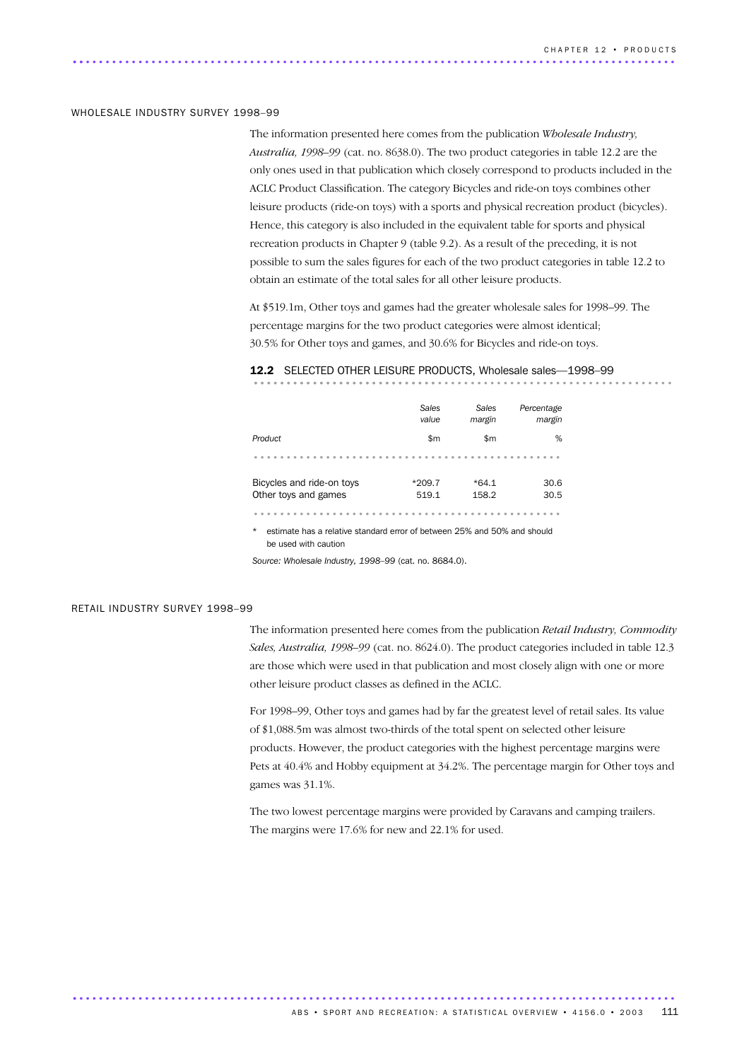#### WHOLESALE INDUSTRY SURVEY 1998–99

The information presented here comes from the publication *Wholesale Industry, Australia, 1998–99* (cat. no. 8638.0). The two product categories in table 12.2 are the only ones used in that publication which closely correspond to products included in the ACLC Product Classification. The category Bicycles and ride-on toys combines other leisure products (ride-on toys) with a sports and physical recreation product (bicycles). Hence, this category is also included in the equivalent table for sports and physical recreation products in Chapter 9 (table 9.2). As a result of the preceding, it is not possible to sum the sales figures for each of the two product categories in table 12.2 to obtain an estimate of the total sales for all other leisure products.

At \$519.1m, Other toys and games had the greater wholesale sales for 1998–99. The percentage margins for the two product categories were almost identical; 30.5% for Other toys and games, and 30.6% for Bicycles and ride-on toys.

|                           | Sales<br>value | Sales<br>margin | Percentage<br>margin |
|---------------------------|----------------|-----------------|----------------------|
| Product                   | \$m            | \$m             | %                    |
|                           |                |                 |                      |
| Bicycles and ride-on toys | $*209.7$       | $*64.1$         | 30.6                 |
| Other toys and games      | 519.1          | 158.2           | 30.5                 |
|                           |                |                 |                      |

# 12.2 SELECTED OTHER LEISURE PRODUCTS, Wholesale sales-1998-99

estimate has a relative standard error of between 25% and 50% and should be used with caution

*Source: Wholesale Industry, 1998–99* (cat. no. 8684.0).

............................................................................................ .

### RETAIL INDUSTRY SURVEY 1998–99

The information presented here comes from the publication *Retail Industry, Commodity Sales, Australia, 1998–99* (cat. no. 8624.0). The product categories included in table 12.3 are those which were used in that publication and most closely align with one or more other leisure product classes as defined in the ACLC.

For 1998–99, Other toys and games had by far the greatest level of retail sales. Its value of \$1,088.5m was almost two-thirds of the total spent on selected other leisure products. However, the product categories with the highest percentage margins were Pets at 40.4% and Hobby equipment at 34.2%. The percentage margin for Other toys and games was 31.1%.

The two lowest percentage margins were provided by Caravans and camping trailers. The margins were 17.6% for new and 22.1% for used.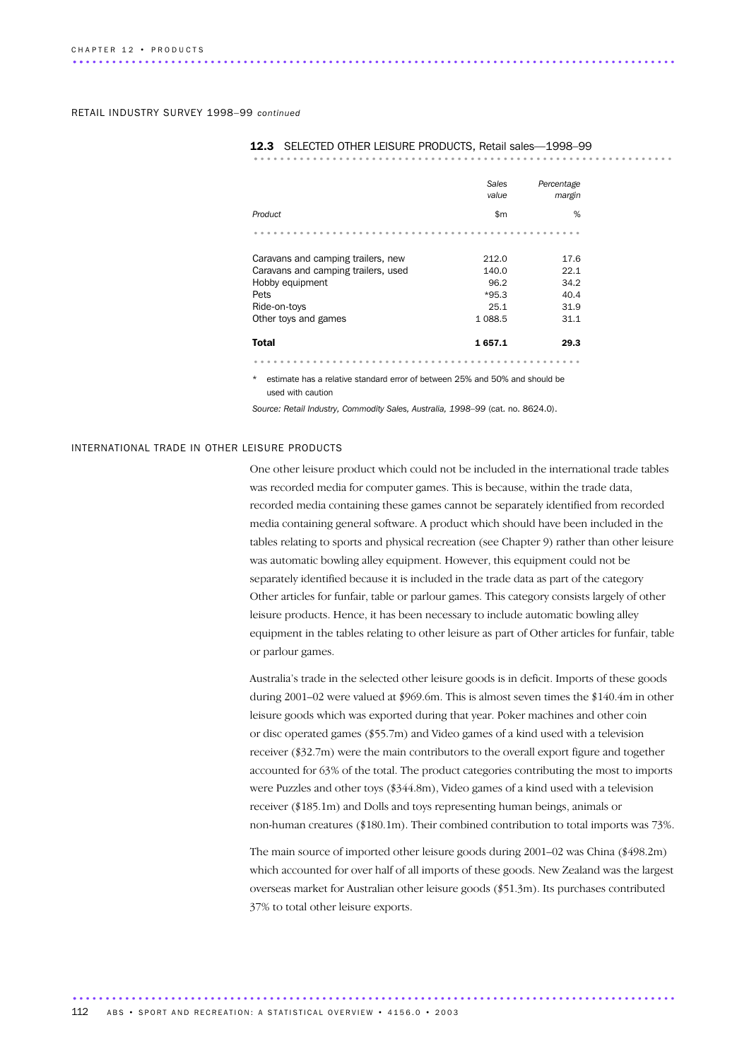RETAIL INDUSTRY SURVEY 1998–99 *continued*

|                                     | Sales<br>value | Percentage<br>margin |
|-------------------------------------|----------------|----------------------|
| Product                             | \$m            | %                    |
|                                     |                |                      |
| Caravans and camping trailers, new  | 212.0          | 17.6                 |
| Caravans and camping trailers, used | 140.0          | 22.1                 |
| Hobby equipment                     | 96.2           | 34.2                 |
| Pets                                | $*95.3$        | 40.4                 |
| Ride-on-toys                        | 25.1           | 31.9                 |
| Other toys and games                | 1 0 88.5       | 31.1                 |
| <b>Total</b>                        | 1657.1         | 29.3                 |
|                                     |                |                      |

12.3 SELECTED OTHER LEISURE PRODUCTS, Retail sales-1998-99

\* estimate has a relative standard error of between 25% and 50% and should be used with caution

*Source: Retail Industry, Commodity Sales, Australia, 1998–99* (cat. no. 8624.0).

### INTERNATIONAL TRADE IN OTHER LEISURE PRODUCTS

One other leisure product which could not be included in the international trade tables was recorded media for computer games. This is because, within the trade data, recorded media containing these games cannot be separately identified from recorded media containing general software. A product which should have been included in the tables relating to sports and physical recreation (see Chapter 9) rather than other leisure was automatic bowling alley equipment. However, this equipment could not be separately identified because it is included in the trade data as part of the category Other articles for funfair, table or parlour games. This category consists largely of other leisure products. Hence, it has been necessary to include automatic bowling alley equipment in the tables relating to other leisure as part of Other articles for funfair, table or parlour games.

Australia's trade in the selected other leisure goods is in deficit. Imports of these goods during 2001–02 were valued at \$969.6m. This is almost seven times the \$140.4m in other leisure goods which was exported during that year. Poker machines and other coin or disc operated games (\$55.7m) and Video games of a kind used with a television receiver (\$32.7m) were the main contributors to the overall export figure and together accounted for 63% of the total. The product categories contributing the most to imports were Puzzles and other toys (\$344.8m), Video games of a kind used with a television receiver (\$185.1m) and Dolls and toys representing human beings, animals or non-human creatures (\$180.1m). Their combined contribution to total imports was 73%.

The main source of imported other leisure goods during 2001–02 was China (\$498.2m) which accounted for over half of all imports of these goods. New Zealand was the largest overseas market for Australian other leisure goods (\$51.3m). Its purchases contributed 37% to total other leisure exports.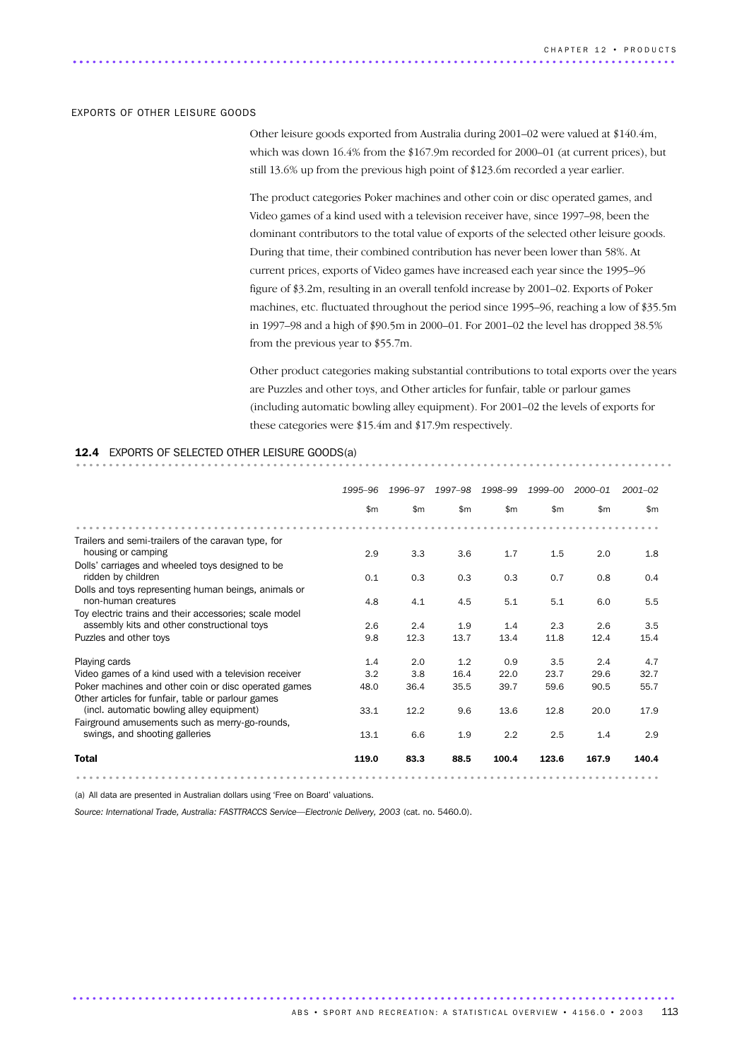### EXPORTS OF OTHER LEISURE GOODS

Other leisure goods exported from Australia during 2001–02 were valued at \$140.4m, which was down 16.4% from the \$167.9m recorded for 2000–01 (at current prices), but still 13.6% up from the previous high point of \$123.6m recorded a year earlier.

The product categories Poker machines and other coin or disc operated games, and Video games of a kind used with a television receiver have, since 1997–98, been the dominant contributors to the total value of exports of the selected other leisure goods. During that time, their combined contribution has never been lower than 58%. At current prices, exports of Video games have increased each year since the 1995–96 figure of \$3.2m, resulting in an overall tenfold increase by 2001–02. Exports of Poker machines, etc. fluctuated throughout the period since 1995–96, reaching a low of \$35.5m in 1997–98 and a high of \$90.5m in 2000–01. For 2001–02 the level has dropped 38.5% from the previous year to \$55.7m.

Other product categories making substantial contributions to total exports over the years are Puzzles and other toys, and Other articles for funfair, table or parlour games (including automatic bowling alley equipment). For 2001–02 the levels of exports for these categories were \$15.4m and \$17.9m respectively.

# **12.4** EXPORTS OF SELECTED OTHER LEISURE GOODS(a)

|                                                                                                            | 1995-96 | 1996-97      | 1997–98      | 1998–99 | 1999–00      | 2000-01 | $2001 - 02$  |  |
|------------------------------------------------------------------------------------------------------------|---------|--------------|--------------|---------|--------------|---------|--------------|--|
|                                                                                                            | \$m     | $\mathsf{m}$ | $\mathsf{m}$ | \$m\$   | $\mathsf{m}$ | \$m     | $\mathsf{m}$ |  |
|                                                                                                            |         |              |              |         |              |         |              |  |
| Trailers and semi-trailers of the caravan type, for<br>housing or camping                                  | 2.9     | 3.3          | 3.6          | 1.7     | 1.5          | 2.0     | 1.8          |  |
| Dolls' carriages and wheeled toys designed to be<br>ridden by children                                     | 0.1     | 0.3          | 0.3          | 0.3     | 0.7          | 0.8     | 0.4          |  |
| Dolls and toys representing human beings, animals or<br>non-human creatures                                | 4.8     | 4.1          | 4.5          | 5.1     | 5.1          | 6.0     | 5.5          |  |
| Toy electric trains and their accessories; scale model<br>assembly kits and other constructional toys      | 2.6     | 2.4          | 1.9          | 1.4     | 2.3          | 2.6     | 3.5          |  |
| Puzzles and other toys                                                                                     | 9.8     | 12.3         | 13.7         | 13.4    | 11.8         | 12.4    | 15.4         |  |
| Playing cards                                                                                              | 1.4     | 2.0          | 1.2          | 0.9     | 3.5          | 2.4     | 4.7          |  |
| Video games of a kind used with a television receiver                                                      | 3.2     | 3.8          | 16.4         | 22.0    | 23.7         | 29.6    | 32.7         |  |
| Poker machines and other coin or disc operated games<br>Other articles for funfair, table or parlour games | 48.0    | 36.4         | 35.5         | 39.7    | 59.6         | 90.5    | 55.7         |  |
| (incl. automatic bowling alley equipment)                                                                  | 33.1    | 12.2         | 9.6          | 13.6    | 12.8         | 20.0    | 17.9         |  |
| Fairground amusements such as merry-go-rounds,<br>swings, and shooting galleries                           | 13.1    | 6.6          | 1.9          | 2.2     | 2.5          | 1.4     | 2.9          |  |
| <b>Total</b>                                                                                               | 119.0   | 83.3         | 88.5         | 100.4   | 123.6        | 167.9   | 140.4        |  |
|                                                                                                            |         |              |              |         |              |         |              |  |

............................................................................................ .

(a) All data are presented in Australian dollars using 'Free on Board' valuations.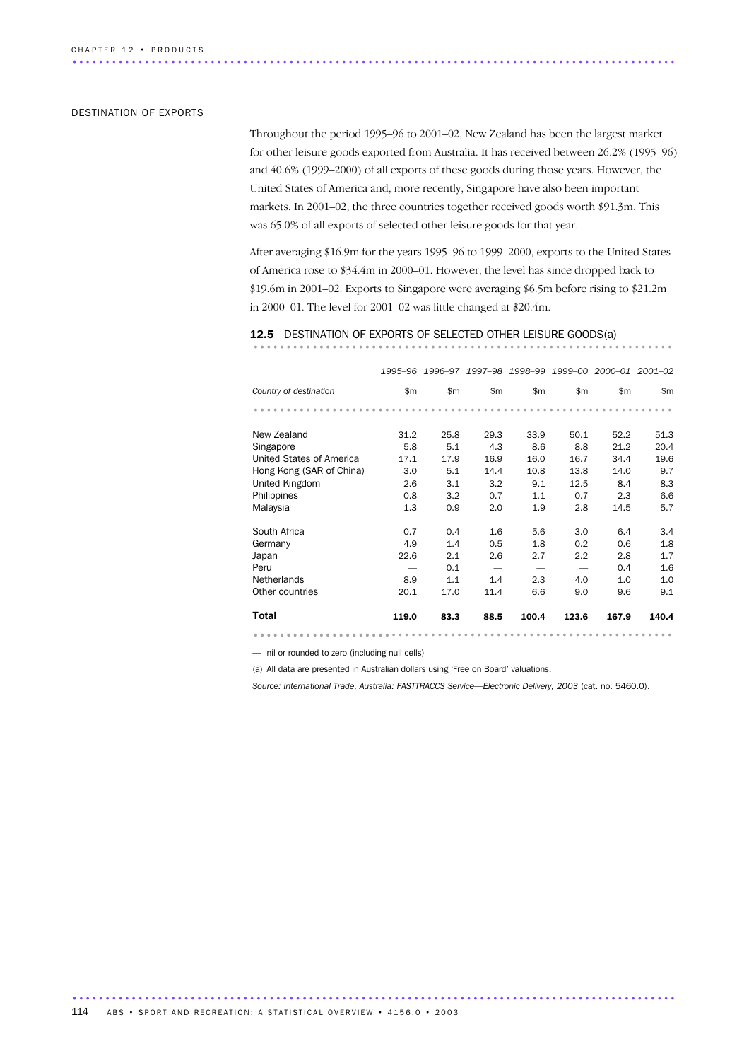## DESTINATION OF EXPORTS

Throughout the period 1995–96 to 2001–02, New Zealand has been the largest market for other leisure goods exported from Australia. It has received between 26.2% (1995–96) and 40.6% (1999–2000) of all exports of these goods during those years. However, the United States of America and, more recently, Singapore have also been important markets. In 2001–02, the three countries together received goods worth \$91.3m. This was 65.0% of all exports of selected other leisure goods for that year.

After averaging \$16.9m for the years 1995–96 to 1999–2000, exports to the United States of America rose to \$34.4m in 2000–01. However, the level has since dropped back to \$19.6m in 2001–02. Exports to Singapore were averaging \$6.5m before rising to \$21.2m in 2000–01. The level for 2001–02 was little changed at \$20.4m.

## 12.5 DESTINATION OF EXPORTS OF SELECTED OTHER LEISURE GOODS(a)

|                          | 1995-96      |      | 1996-97 1997-98 1998-99 |              | 1999–00 | 2000-01 2001-02 |              |
|--------------------------|--------------|------|-------------------------|--------------|---------|-----------------|--------------|
| Country of destination   | $\mathsf{m}$ | \$m  | $\mathsf{Sm}$           | $\mathsf{m}$ | \$m     | \$m             | $\mathsf{m}$ |
|                          |              |      |                         |              |         |                 |              |
| New Zealand              | 31.2         | 25.8 | 29.3                    | 33.9         | 50.1    | 52.2            | 51.3         |
| Singapore                | 5.8          | 5.1  | 4.3                     | 8.6          | 8.8     | 21.2            | 20.4         |
| United States of America | 17.1         | 17.9 | 16.9                    | 16.0         | 16.7    | 34.4            | 19.6         |
| Hong Kong (SAR of China) | 3.0          | 5.1  | 14.4                    | 10.8         | 13.8    | 14.0            | 9.7          |
| United Kingdom           | 2.6          | 3.1  | 3.2                     | 9.1          | 12.5    | 8.4             | 8.3          |
| Philippines              | 0.8          | 3.2  | 0.7                     | 1.1          | 0.7     | 2.3             | 6.6          |
| Malaysia                 | 1.3          | 0.9  | 2.0                     | 1.9          | 2.8     | 14.5            | 5.7          |
| South Africa             | 0.7          | 0.4  | 1.6                     | 5.6          | 3.0     | 6.4             | 3.4          |
| Germany                  | 4.9          | 1.4  | 0.5                     | 1.8          | 0.2     | 0.6             | 1.8          |
| Japan                    | 22.6         | 2.1  | 2.6                     | 2.7          | 2.2     | 2.8             | 1.7          |
| Peru                     |              | 0.1  |                         |              |         | 0.4             | 1.6          |
| <b>Netherlands</b>       | 8.9          | 1.1  | 1.4                     | 2.3          | 4.0     | 1.0             | 1.0          |
| Other countries          | 20.1         | 17.0 | 11.4                    | 6.6          | 9.0     | 9.6             | 9.1          |
| Total                    | 119.0        | 83.3 | 88.5                    | 100.4        | 123.6   | 167.9           | 140.4        |
|                          |              |      |                         |              |         |                 |              |

— nil or rounded to zero (including null cells)

(a) All data are presented in Australian dollars using 'Free on Board' valuations.

............................................................................................ .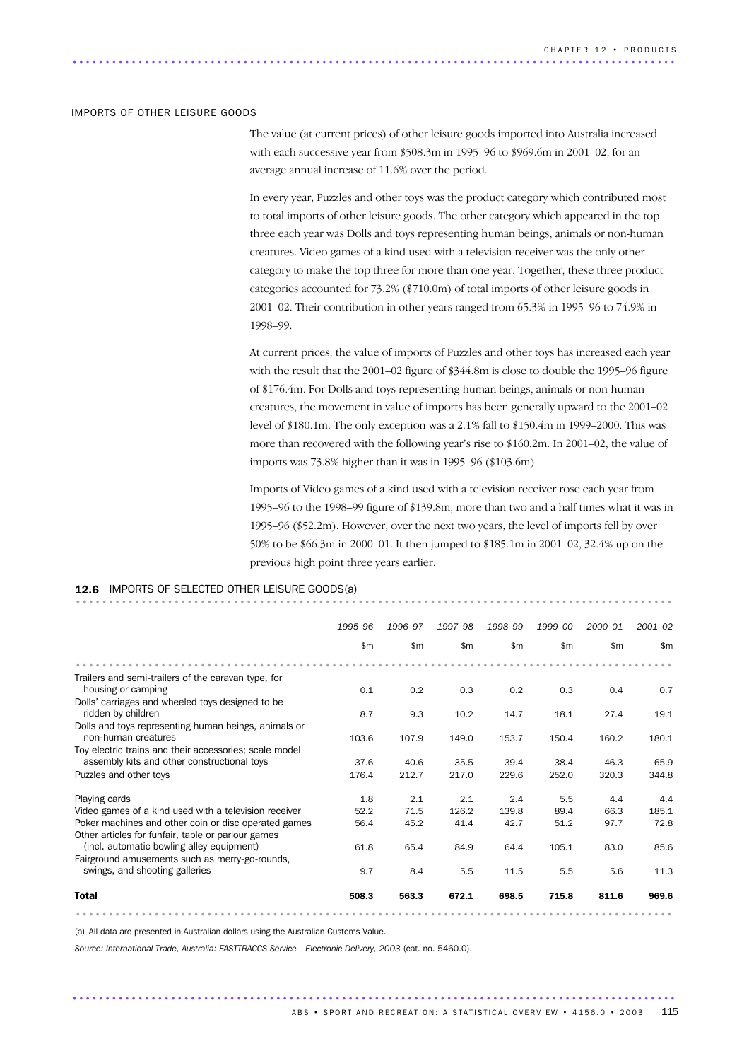#### IMPORTS OF OTHER LEISURE GOODS

The value (at current prices) of other leisure goods imported into Australia increased with each successive year from \$508.3m in 1995–96 to \$969.6m in 2001–02, for an average annual increase of 11.6% over the period.

In every year, Puzzles and other toys was the product category which contributed most to total imports of other leisure goods. The other category which appeared in the top three each year was Dolls and toys representing human beings, animals or non-human creatures. Video games of a kind used with a television receiver was the only other category to make the top three for more than one year. Together, these three product categories accounted for 73.2% (\$710.0m) of total imports of other leisure goods in 2001–02. Their contribution in other years ranged from 65.3% in 1995–96 to 74.9% in 1998–99.

At current prices, the value of imports of Puzzles and other toys has increased each year with the result that the 2001–02 figure of \$344.8m is close to double the 1995–96 figure of \$176.4m. For Dolls and toys representing human beings, animals or non-human creatures, the movement in value of imports has been generally upward to the 2001–02 level of \$180.1m. The only exception was a 2.1% fall to \$150.4m in 1999–2000. This was more than recovered with the following year's rise to \$160.2m. In 2001–02, the value of imports was 73.8% higher than it was in 1995–96 (\$103.6m).

Imports of Video games of a kind used with a television receiver rose each year from 1995–96 to the 1998–99 figure of \$139.8m, more than two and a half times what it was in 1995–96 (\$52.2m). However, over the next two years, the level of imports fell by over 50% to be \$66.3m in 2000–01. It then jumped to \$185.1m in 2001–02, 32.4% up on the previous high point three years earlier.

|                                                                                                            | 1995-96      | 1996-97 | 1997-98 | 1998-99      | 1999-00      | 2000-01      | $2001 - 02$  |  |
|------------------------------------------------------------------------------------------------------------|--------------|---------|---------|--------------|--------------|--------------|--------------|--|
|                                                                                                            | $\mathsf{m}$ | \$m\$   | \$m\$   | $\mathsf{m}$ | $\mathsf{m}$ | $\mathsf{m}$ | $\mathsf{m}$ |  |
|                                                                                                            |              |         |         |              |              |              |              |  |
| Trailers and semi-trailers of the caravan type, for<br>housing or camping                                  | 0.1          | 0.2     | 0.3     | 0.2          | 0.3          | 0.4          | 0.7          |  |
| Dolls' carriages and wheeled toys designed to be<br>ridden by children                                     | 8.7          | 9.3     | 10.2    | 14.7         | 18.1         | 27.4         | 19.1         |  |
| Dolls and toys representing human beings, animals or                                                       |              |         |         |              |              |              |              |  |
| non-human creatures<br>Toy electric trains and their accessories; scale model                              | 103.6        | 107.9   | 149.0   | 153.7        | 150.4        | 160.2        | 180.1        |  |
| assembly kits and other constructional toys<br>Puzzles and other toys                                      | 37.6         | 40.6    | 35.5    | 39.4         | 38.4         | 46.3         | 65.9         |  |
|                                                                                                            | 176.4        | 212.7   | 217.0   | 229.6        | 252.0        | 320.3        | 344.8        |  |
| Playing cards                                                                                              | 1.8          | 2.1     | 2.1     | 2.4          | 5.5          | 4.4          | 4.4          |  |
| Video games of a kind used with a television receiver                                                      | 52.2         | 71.5    | 126.2   | 139.8        | 89.4         | 66.3         | 185.1        |  |
| Poker machines and other coin or disc operated games<br>Other articles for funfair, table or parlour games | 56.4         | 45.2    | 41.4    | 42.7         | 51.2         | 97.7         | 72.8         |  |
| (incl. automatic bowling alley equipment)<br>Fairground amusements such as merry-go-rounds,                | 61.8         | 65.4    | 84.9    | 64.4         | 105.1        | 83.0         | 85.6         |  |
| swings, and shooting galleries                                                                             | 9.7          | 8.4     | 5.5     | 11.5         | 5.5          | 5.6          | 11.3         |  |
| <b>Total</b>                                                                                               | 508.3        | 563.3   | 672.1   | 698.5        | 715.8        | 811.6        | 969.6        |  |
|                                                                                                            |              |         |         |              |              |              |              |  |

#### 12.6 IMPORTS OF SELECTED OTHER LEISURE GOODS(a)

(a) All data are presented in Australian dollars using the Australian Customs Value.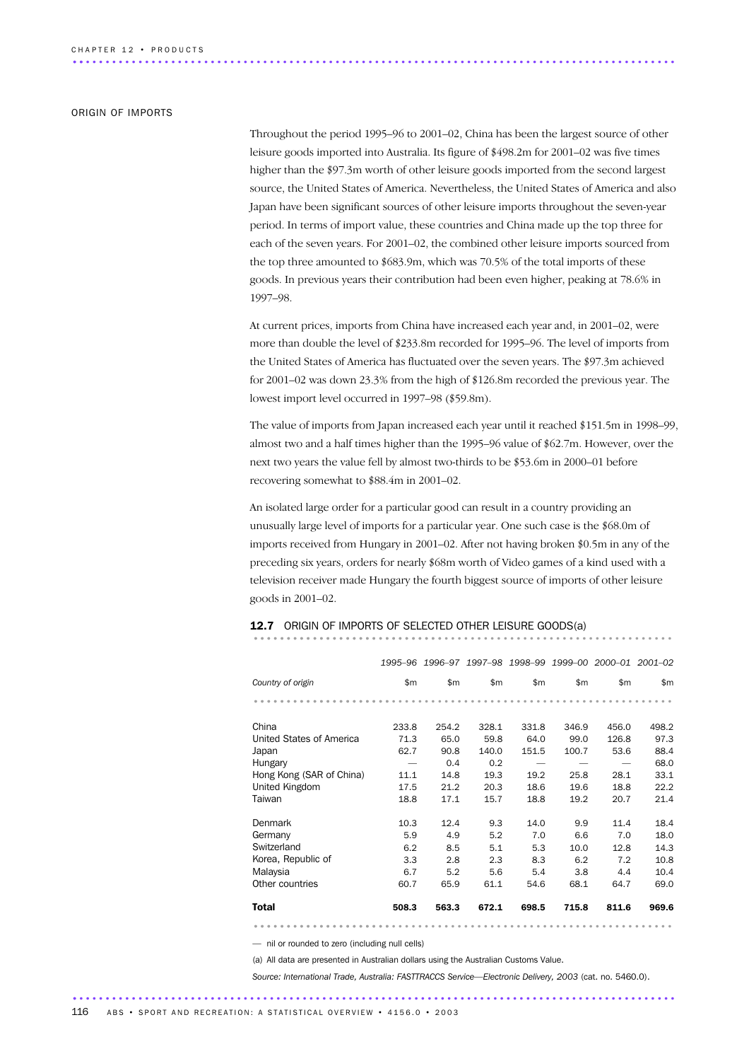### ORIGIN OF IMPORTS

Throughout the period 1995–96 to 2001–02, China has been the largest source of other leisure goods imported into Australia. Its figure of \$498.2m for 2001–02 was five times higher than the \$97.3m worth of other leisure goods imported from the second largest source, the United States of America. Nevertheless, the United States of America and also Japan have been significant sources of other leisure imports throughout the seven-year period. In terms of import value, these countries and China made up the top three for each of the seven years. For 2001–02, the combined other leisure imports sourced from the top three amounted to \$683.9m, which was 70.5% of the total imports of these goods. In previous years their contribution had been even higher, peaking at 78.6% in 1997–98.

At current prices, imports from China have increased each year and, in 2001–02, were more than double the level of \$233.8m recorded for 1995–96. The level of imports from the United States of America has fluctuated over the seven years. The \$97.3m achieved for 2001–02 was down 23.3% from the high of \$126.8m recorded the previous year. The lowest import level occurred in 1997–98 (\$59.8m).

The value of imports from Japan increased each year until it reached \$151.5m in 1998–99, almost two and a half times higher than the 1995–96 value of \$62.7m. However, over the next two years the value fell by almost two-thirds to be \$53.6m in 2000–01 before recovering somewhat to \$88.4m in 2001–02.

An isolated large order for a particular good can result in a country providing an unusually large level of imports for a particular year. One such case is the \$68.0m of imports received from Hungary in 2001–02. After not having broken \$0.5m in any of the preceding six years, orders for nearly \$68m worth of Video games of a kind used with a television receiver made Hungary the fourth biggest source of imports of other leisure goods in 2001–02.

## 12.7 ORIGIN OF IMPORTS OF SELECTED OTHER LEISURE GOODS(a)

|                          |              |       | 1995-96 1996-97 1997-98 1998-99 1999-00 2000-01 2001-02 |       |       |       |       |
|--------------------------|--------------|-------|---------------------------------------------------------|-------|-------|-------|-------|
| Country of origin        | $\mathsf{m}$ | \$m   | \$m                                                     | \$m   | \$m   | \$m   | \$m   |
|                          |              |       |                                                         |       |       |       |       |
| China                    | 233.8        | 254.2 | 328.1                                                   | 331.8 | 346.9 | 456.0 | 498.2 |
| United States of America | 71.3         | 65.0  | 59.8                                                    | 64.0  | 99.0  | 126.8 | 97.3  |
| Japan                    | 62.7         | 90.8  | 140.0                                                   | 151.5 | 100.7 | 53.6  | 88.4  |
| Hungary                  |              | 0.4   | 0.2                                                     |       |       |       | 68.0  |
| Hong Kong (SAR of China) | 11.1         | 14.8  | 19.3                                                    | 19.2  | 25.8  | 28.1  | 33.1  |
| United Kingdom           | 17.5         | 21.2  | 20.3                                                    | 18.6  | 19.6  | 18.8  | 22.2  |
| Taiwan                   | 18.8         | 17.1  | 15.7                                                    | 18.8  | 19.2  | 20.7  | 21.4  |
| Denmark                  | 10.3         | 12.4  | 9.3                                                     | 14.0  | 9.9   | 11.4  | 18.4  |
| Germany                  | 5.9          | 4.9   | 5.2                                                     | 7.0   | 6.6   | 7.0   | 18.0  |
| Switzerland              | 6.2          | 8.5   | 5.1                                                     | 5.3   | 10.0  | 12.8  | 14.3  |
| Korea, Republic of       | 3.3          | 2.8   | 2.3                                                     | 8.3   | 6.2   | 7.2   | 10.8  |
| Malaysia                 | 6.7          | 5.2   | 5.6                                                     | 5.4   | 3.8   | 4.4   | 10.4  |
| Other countries          | 60.7         | 65.9  | 61.1                                                    | 54.6  | 68.1  | 64.7  | 69.0  |
| Total                    | 508.3        | 563.3 | 672.1                                                   | 698.5 | 715.8 | 811.6 | 969.6 |
|                          |              |       |                                                         |       |       |       |       |

— nil or rounded to zero (including null cells)

(a) All data are presented in Australian dollars using the Australian Customs Value.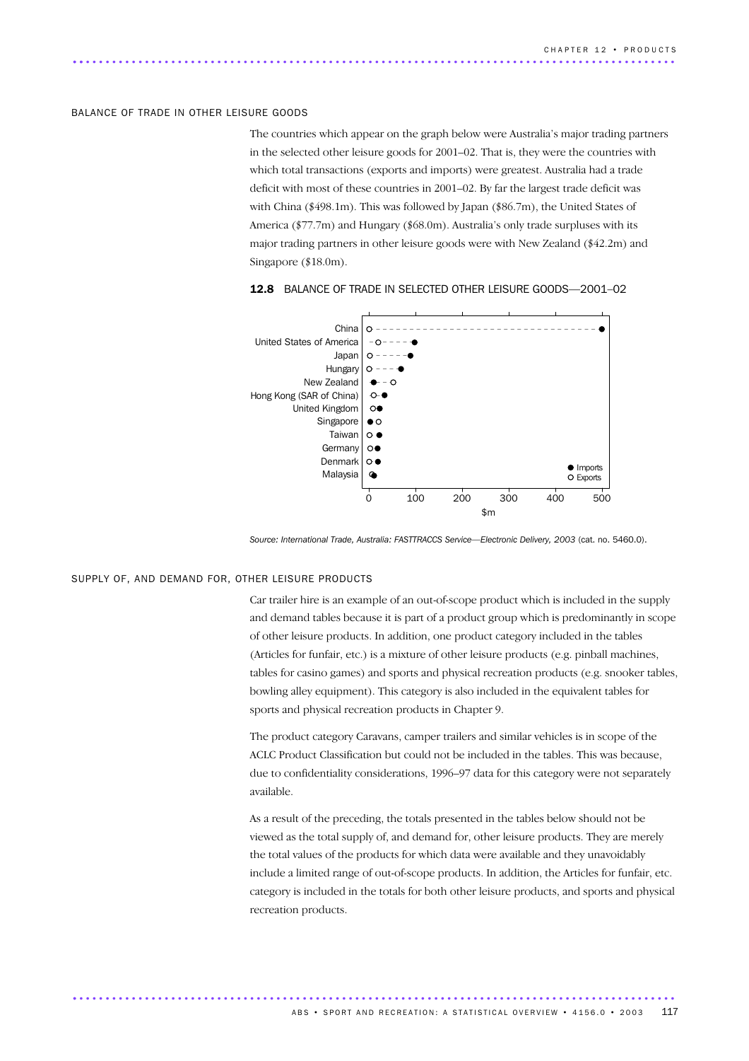#### BALANCE OF TRADE IN OTHER LEISURE GOODS

The countries which appear on the graph below were Australia's major trading partners in the selected other leisure goods for 2001–02. That is, they were the countries with which total transactions (exports and imports) were greatest. Australia had a trade deficit with most of these countries in 2001–02. By far the largest trade deficit was with China (\$498.1m). This was followed by Japan (\$86.7m), the United States of America (\$77.7m) and Hungary (\$68.0m). Australia's only trade surpluses with its major trading partners in other leisure goods were with New Zealand (\$42.2m) and Singapore (\$18.0m).



### 12.8 BALANCE OF TRADE IN SELECTED OTHER LEISURE GOODS—2001–02

*Source: International Trade, Australia: FASTTRACCS Service—Electronic Delivery, 2003* (cat. no. 5460.0).

SUPPLY OF, AND DEMAND FOR, OTHER LEISURE PRODUCTS

Car trailer hire is an example of an out-of-scope product which is included in the supply and demand tables because it is part of a product group which is predominantly in scope of other leisure products. In addition, one product category included in the tables (Articles for funfair, etc.) is a mixture of other leisure products (e.g. pinball machines, tables for casino games) and sports and physical recreation products (e.g. snooker tables, bowling alley equipment). This category is also included in the equivalent tables for sports and physical recreation products in Chapter 9.

The product category Caravans, camper trailers and similar vehicles is in scope of the ACLC Product Classification but could not be included in the tables. This was because, due to confidentiality considerations, 1996–97 data for this category were not separately available.

As a result of the preceding, the totals presented in the tables below should not be viewed as the total supply of, and demand for, other leisure products. They are merely the total values of the products for which data were available and they unavoidably include a limited range of out-of-scope products. In addition, the Articles for funfair, etc. category is included in the totals for both other leisure products, and sports and physical recreation products.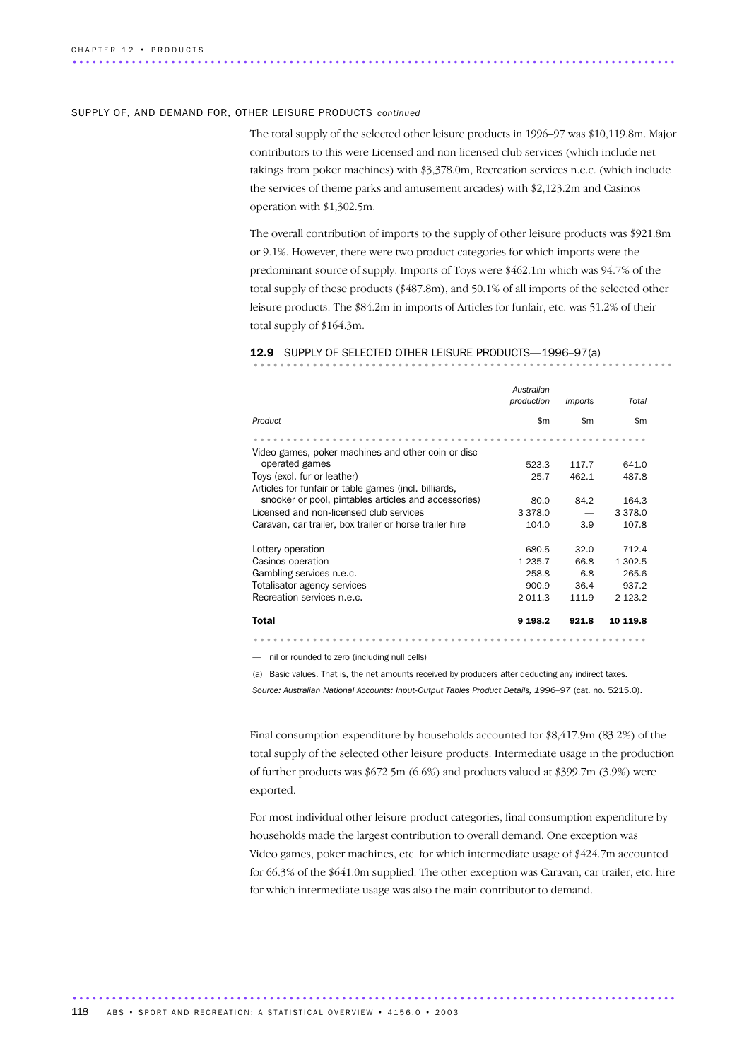#### SUPPLY OF, AND DEMAND FOR, OTHER LEISURE PRODUCTS *continued*

The total supply of the selected other leisure products in 1996–97 was \$10,119.8m. Major contributors to this were Licensed and non-licensed club services (which include net takings from poker machines) with \$3,378.0m, Recreation services n.e.c. (which include the services of theme parks and amusement arcades) with \$2,123.2m and Casinos operation with \$1,302.5m.

The overall contribution of imports to the supply of other leisure products was \$921.8m or 9.1%. However, there were two product categories for which imports were the predominant source of supply. Imports of Toys were \$462.1m which was 94.7% of the total supply of these products (\$487.8m), and 50.1% of all imports of the selected other leisure products. The \$84.2m in imports of Articles for funfair, etc. was 51.2% of their total supply of \$164.3m.

|                                                         | Australian   |                |              |
|---------------------------------------------------------|--------------|----------------|--------------|
|                                                         | production   | <i>Imports</i> | Total        |
| Product                                                 | $\mathsf{m}$ | $\mathsf{Sm}$  | $\mathsf{m}$ |
|                                                         |              |                |              |
| Video games, poker machines and other coin or disc      |              |                |              |
| operated games                                          | 523.3        | 117.7          | 641.0        |
| Toys (excl. fur or leather)                             | 25.7         | 462.1          | 487.8        |
| Articles for funfair or table games (incl. billiards,   |              |                |              |
| snooker or pool, pintables articles and accessories)    | 80.0         | 84.2           | 164.3        |
| Licensed and non-licensed club services                 | 3 3 7 8 .0   |                | 3378.0       |
| Caravan, car trailer, box trailer or horse trailer hire | 104.0        | 3.9            | 107.8        |
| Lottery operation                                       | 680.5        | 32.0           | 712.4        |
| Casinos operation                                       | 1 2 3 5 . 7  | 66.8           | 1 302.5      |
| Gambling services n.e.c.                                | 258.8        | 6.8            | 265.6        |
| Totalisator agency services                             | 900.9        | 36.4           | 937.2        |
| Recreation services n.e.c.                              | 2011.3       | 111.9          | 2 1 2 3 . 2  |
| <b>Total</b>                                            | 9 1 9 8.2    | 921.8          | 10 119.8     |
|                                                         |              |                |              |

# 12.9 SUPPLY OF SELECTED OTHER LEISURE PRODUCTS-1996-97(a)

— nil or rounded to zero (including null cells)

(a) Basic values. That is, the net amounts received by producers after deducting any indirect taxes. *Source: Australian National Accounts: Input-Output Tables Product Details, 1996–97* (cat. no. 5215.0).

Final consumption expenditure by households accounted for \$8,417.9m (83.2%) of the total supply of the selected other leisure products. Intermediate usage in the production of further products was \$672.5m (6.6%) and products valued at \$399.7m (3.9%) were exported.

For most individual other leisure product categories, final consumption expenditure by households made the largest contribution to overall demand. One exception was Video games, poker machines, etc. for which intermediate usage of \$424.7m accounted for 66.3% of the \$641.0m supplied. The other exception was Caravan, car trailer, etc. hire for which intermediate usage was also the main contributor to demand.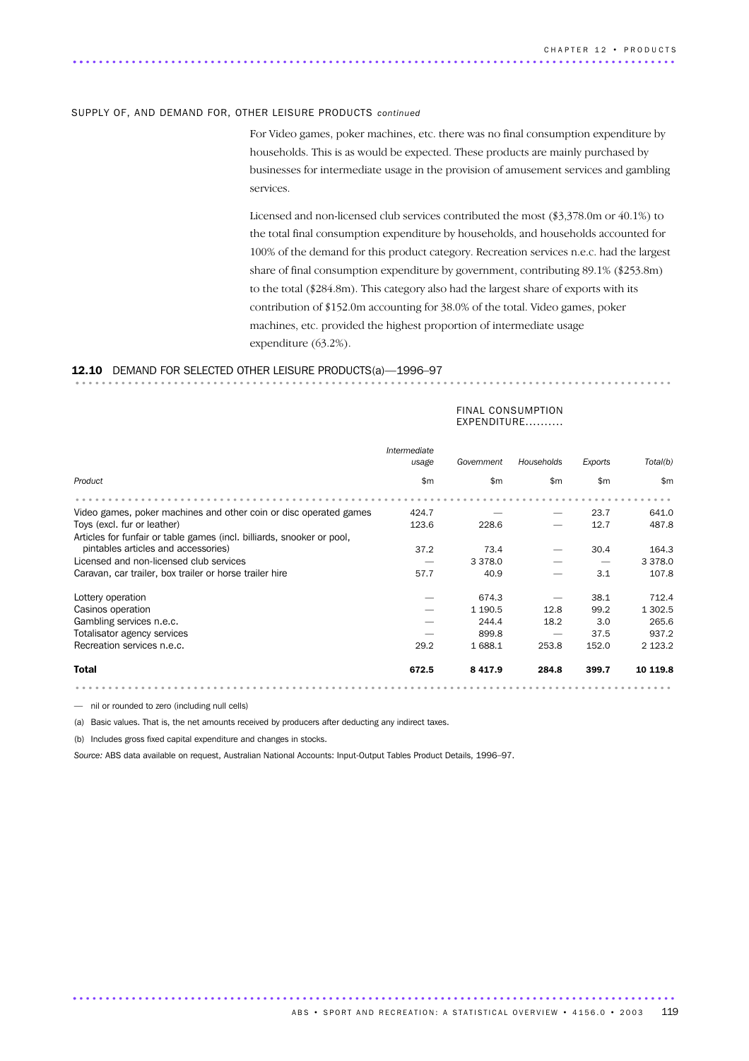## SUPPLY OF, AND DEMAND FOR, OTHER LEISURE PRODUCTS *continued*

For Video games, poker machines, etc. there was no final consumption expenditure by households. This is as would be expected. These products are mainly purchased by businesses for intermediate usage in the provision of amusement services and gambling services.

Licensed and non-licensed club services contributed the most (\$3,378.0m or 40.1%) to the total final consumption expenditure by households, and households accounted for 100% of the demand for this product category. Recreation services n.e.c. had the largest share of final consumption expenditure by government, contributing 89.1% (\$253.8m) to the total (\$284.8m). This category also had the largest share of exports with its contribution of \$152.0m accounting for 38.0% of the total. Video games, poker machines, etc. provided the highest proportion of intermediate usage expenditure (63.2%).

## 12.10 DEMAND FOR SELECTED OTHER LEISURE PRODUCTS(a)-1996-97

## FINAL CONSUMPTION EXPENDITURE..........

|                                                                        | Intermediate<br>usage | Government    | Households | Exports | Total(b)     |
|------------------------------------------------------------------------|-----------------------|---------------|------------|---------|--------------|
| Product                                                                | \$m\$                 | $\mathsf{Sm}$ | \$m\$      | \$m     | $\mathsf{m}$ |
|                                                                        |                       |               |            |         |              |
| Video games, poker machines and other coin or disc operated games      | 424.7                 |               |            | 23.7    | 641.0        |
| Toys (excl. fur or leather)                                            | 123.6                 | 228.6         |            | 12.7    | 487.8        |
| Articles for funfair or table games (incl. billiards, snooker or pool, |                       |               |            |         |              |
| pintables articles and accessories)                                    | 37.2                  | 73.4          |            | 30.4    | 164.3        |
| Licensed and non-licensed club services                                |                       | 3 3 7 8 .0    |            |         | 3 3 7 8 .0   |
| Caravan, car trailer, box trailer or horse trailer hire                | 57.7                  | 40.9          |            | 3.1     | 107.8        |
| Lottery operation                                                      |                       | 674.3         |            | 38.1    | 712.4        |
| Casinos operation                                                      |                       | 1 190.5       | 12.8       | 99.2    | 1 302.5      |
| Gambling services n.e.c.                                               |                       | 244.4         | 18.2       | 3.0     | 265.6        |
| Totalisator agency services                                            |                       | 899.8         |            | 37.5    | 937.2        |
| Recreation services n.e.c.                                             | 29.2                  | 1688.1        | 253.8      | 152.0   | 2 1 2 3 . 2  |
| <b>Total</b>                                                           | 672.5                 | 8417.9        | 284.8      | 399.7   | 10 119.8     |
|                                                                        |                       |               |            |         |              |

— nil or rounded to zero (including null cells)

(a) Basic values. That is, the net amounts received by producers after deducting any indirect taxes.

(b) Includes gross fixed capital expenditure and changes in stocks.

*Source:* ABS data available on request, Australian National Accounts: Input-Output Tables Product Details, 1996–97.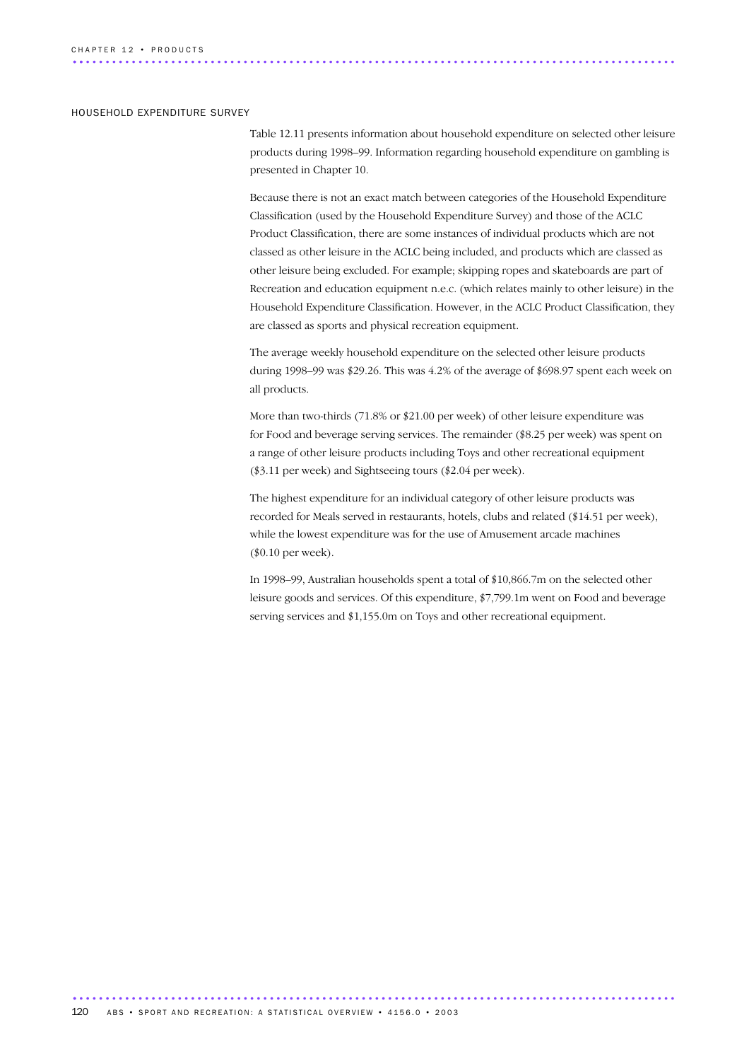#### HOUSEHOLD EXPENDITURE SURVEY

Table 12.11 presents information about household expenditure on selected other leisure products during 1998–99. Information regarding household expenditure on gambling is presented in Chapter 10.

Because there is not an exact match between categories of the Household Expenditure Classification (used by the Household Expenditure Survey) and those of the ACLC Product Classification, there are some instances of individual products which are not classed as other leisure in the ACLC being included, and products which are classed as other leisure being excluded. For example; skipping ropes and skateboards are part of Recreation and education equipment n.e.c. (which relates mainly to other leisure) in the Household Expenditure Classification. However, in the ACLC Product Classification, they are classed as sports and physical recreation equipment.

The average weekly household expenditure on the selected other leisure products during 1998–99 was \$29.26. This was 4.2% of the average of \$698.97 spent each week on all products.

More than two-thirds (71.8% or \$21.00 per week) of other leisure expenditure was for Food and beverage serving services. The remainder (\$8.25 per week) was spent on a range of other leisure products including Toys and other recreational equipment (\$3.11 per week) and Sightseeing tours (\$2.04 per week).

The highest expenditure for an individual category of other leisure products was recorded for Meals served in restaurants, hotels, clubs and related (\$14.51 per week), while the lowest expenditure was for the use of Amusement arcade machines (\$0.10 per week).

In 1998–99, Australian households spent a total of \$10,866.7m on the selected other leisure goods and services. Of this expenditure, \$7,799.1m went on Food and beverage serving services and \$1,155.0m on Toys and other recreational equipment.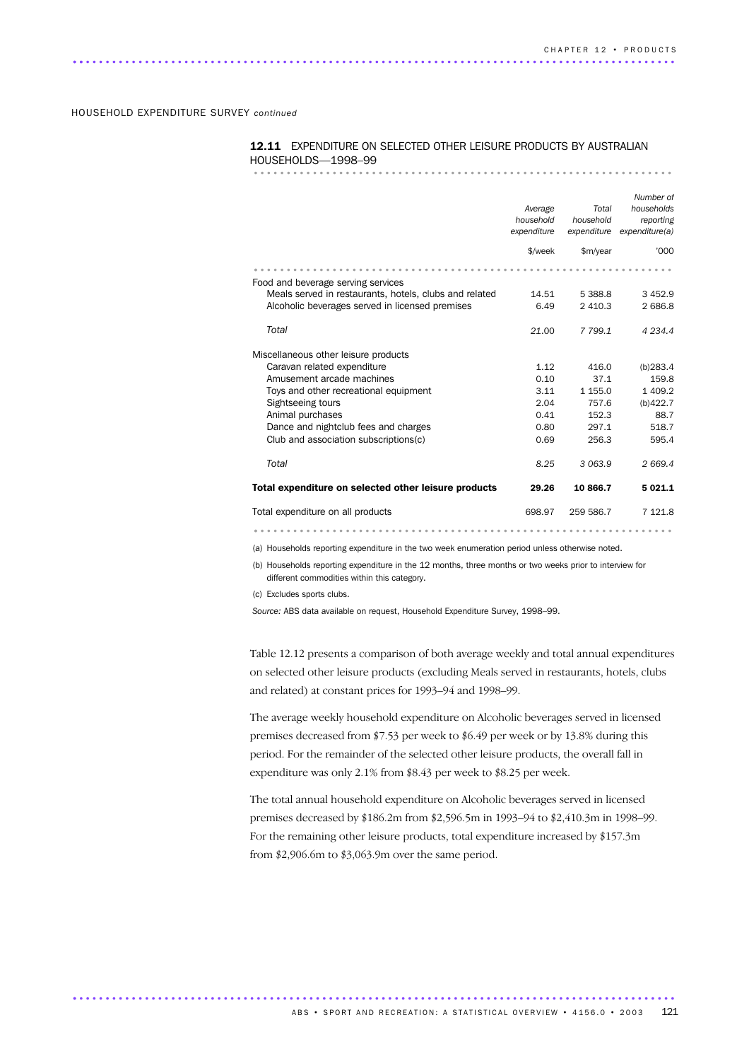HOUSEHOLD EXPENDITURE SURVEY *continued*

# 12.11 EXPENDITURE ON SELECTED OTHER LEISURE PRODUCTS BY AUSTRALIAN HOUSEHOLDS—1998–99

................................................................

|                                                                                                                                                 | Average<br>household<br>expenditure | Total<br>household<br>expenditure | Number of<br>households<br>reporting<br>expenditure(a) |
|-------------------------------------------------------------------------------------------------------------------------------------------------|-------------------------------------|-----------------------------------|--------------------------------------------------------|
|                                                                                                                                                 | \$/week                             | \$m/year                          | 000'                                                   |
|                                                                                                                                                 |                                     |                                   |                                                        |
| Food and beverage serving services<br>Meals served in restaurants, hotels, clubs and related<br>Alcoholic beverages served in licensed premises | 14.51<br>6.49                       | 5 388.8<br>2 4 1 0 . 3            | 3452.9<br>2686.8                                       |
| Total                                                                                                                                           | 21.00                               | 7 7 9 9 1                         | 4 234 4                                                |
| Miscellaneous other leisure products                                                                                                            |                                     |                                   |                                                        |
| Caravan related expenditure                                                                                                                     | 1.12                                | 416.0                             | (b)283.4                                               |
| Amusement arcade machines                                                                                                                       | 0.10                                | 37.1                              | 159.8                                                  |
| Toys and other recreational equipment                                                                                                           | 3.11                                | 1 1 5 5.0                         | 1 409.2                                                |
| Sightseeing tours                                                                                                                               | 2.04                                | 757.6                             | (b)422.7                                               |
| Animal purchases                                                                                                                                | 0.41                                | 152.3                             | 88.7                                                   |
| Dance and nightclub fees and charges                                                                                                            | 0.80                                | 297.1                             | 518.7                                                  |
| Club and association subscriptions(c)                                                                                                           | 0.69                                | 256.3                             | 595.4                                                  |
| Total                                                                                                                                           | 8.25                                | 3 063.9                           | 2669.4                                                 |
| Total expenditure on selected other leisure products                                                                                            | 29.26                               | 10 866.7                          | 5 0 2 1 . 1                                            |
| Total expenditure on all products                                                                                                               | 698.97                              | 259 586.7                         | 7 1 2 1.8                                              |
|                                                                                                                                                 |                                     |                                   |                                                        |

(a) Households reporting expenditure in the two week enumeration period unless otherwise noted.

(b) Households reporting expenditure in the 12 months, three months or two weeks prior to interview for different commodities within this category.

(c) Excludes sports clubs.

............................................................................................ ..

*Source:* ABS data available on request, Household Expenditure Survey, 1998–99.

Table 12.12 presents a comparison of both average weekly and total annual expenditures on selected other leisure products (excluding Meals served in restaurants, hotels, clubs and related) at constant prices for 1993–94 and 1998–99.

The average weekly household expenditure on Alcoholic beverages served in licensed premises decreased from \$7.53 per week to \$6.49 per week or by 13.8% during this period. For the remainder of the selected other leisure products, the overall fall in expenditure was only 2.1% from \$8.43 per week to \$8.25 per week.

The total annual household expenditure on Alcoholic beverages served in licensed premises decreased by \$186.2m from \$2,596.5m in 1993–94 to \$2,410.3m in 1998–99. For the remaining other leisure products, total expenditure increased by \$157.3m from \$2,906.6m to \$3,063.9m over the same period.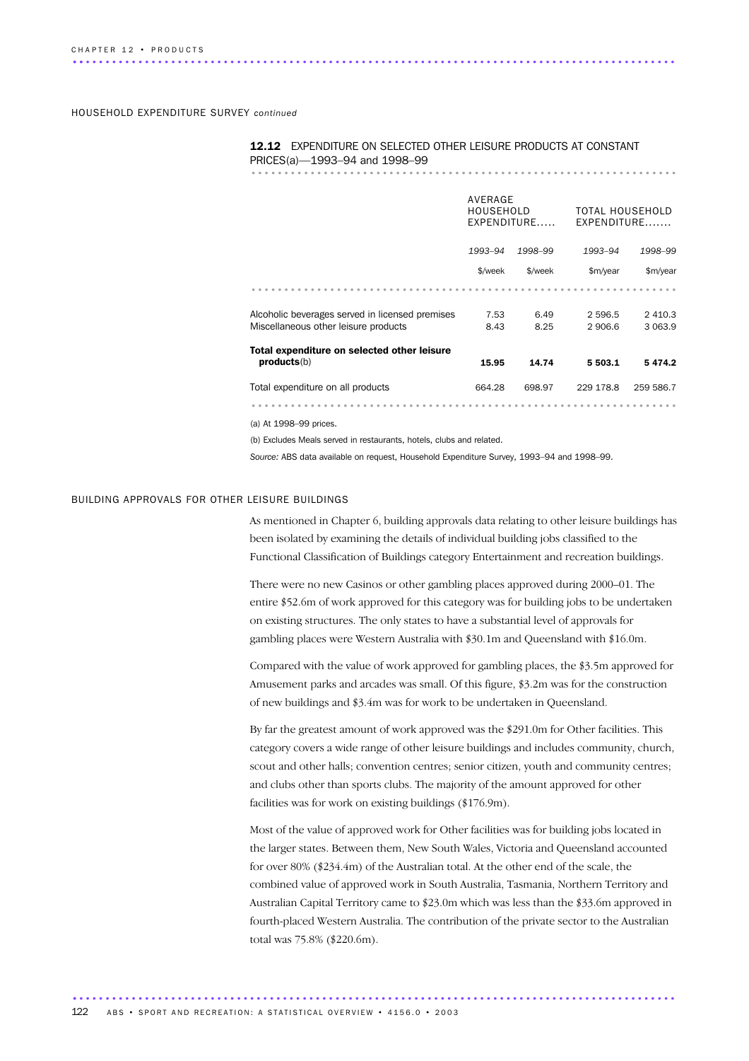HOUSEHOLD EXPENDITURE SURVEY *continued*

# 12.12 EXPENDITURE ON SELECTED OTHER LEISURE PRODUCTS AT CONSTANT PRICES(a)—1993–94 and 1998–99 .................................................................

|                                                                                         | AVERAGE<br>HOUSEHOLD<br>EXPENDITURE |              | TOTAL HOUSEHOLD<br>$EXPENDITURE$ |                         |
|-----------------------------------------------------------------------------------------|-------------------------------------|--------------|----------------------------------|-------------------------|
|                                                                                         | 1993-94                             | 1998-99      | 1993-94                          | 1998–99                 |
|                                                                                         | \$/week                             | \$/week      | \$m/year                         | \$m/year                |
|                                                                                         |                                     |              |                                  |                         |
| Alcoholic beverages served in licensed premises<br>Miscellaneous other leisure products | 7.53<br>8.43                        | 6.49<br>8.25 | 2 596.5<br>2 906.6               | 2 4 1 0.3<br>3 0 6 3 .9 |
| Total expenditure on selected other leisure<br>products(b)                              | 15.95                               | 14.74        | 5 503.1                          | 5474.2                  |
| Total expenditure on all products                                                       | 664.28                              | 698.97       | 229 178.8                        | 259 586.7               |
|                                                                                         |                                     |              |                                  |                         |

(a) At 1998–99 prices.

(b) Excludes Meals served in restaurants, hotels, clubs and related.

*Source:* ABS data available on request, Household Expenditure Survey, 1993–94 and 1998–99.

### BUILDING APPROVALS FOR OTHER LEISURE BUILDINGS

As mentioned in Chapter 6, building approvals data relating to other leisure buildings has been isolated by examining the details of individual building jobs classified to the Functional Classification of Buildings category Entertainment and recreation buildings.

There were no new Casinos or other gambling places approved during 2000–01. The entire \$52.6m of work approved for this category was for building jobs to be undertaken on existing structures. The only states to have a substantial level of approvals for gambling places were Western Australia with \$30.1m and Queensland with \$16.0m.

Compared with the value of work approved for gambling places, the \$3.5m approved for Amusement parks and arcades was small. Of this figure, \$3.2m was for the construction of new buildings and \$3.4m was for work to be undertaken in Queensland.

By far the greatest amount of work approved was the \$291.0m for Other facilities. This category covers a wide range of other leisure buildings and includes community, church, scout and other halls; convention centres; senior citizen, youth and community centres; and clubs other than sports clubs. The majority of the amount approved for other facilities was for work on existing buildings (\$176.9m).

Most of the value of approved work for Other facilities was for building jobs located in the larger states. Between them, New South Wales, Victoria and Queensland accounted for over 80% (\$234.4m) of the Australian total. At the other end of the scale, the combined value of approved work in South Australia, Tasmania, Northern Territory and Australian Capital Territory came to \$23.0m which was less than the \$33.6m approved in fourth-placed Western Australia. The contribution of the private sector to the Australian total was 75.8% (\$220.6m).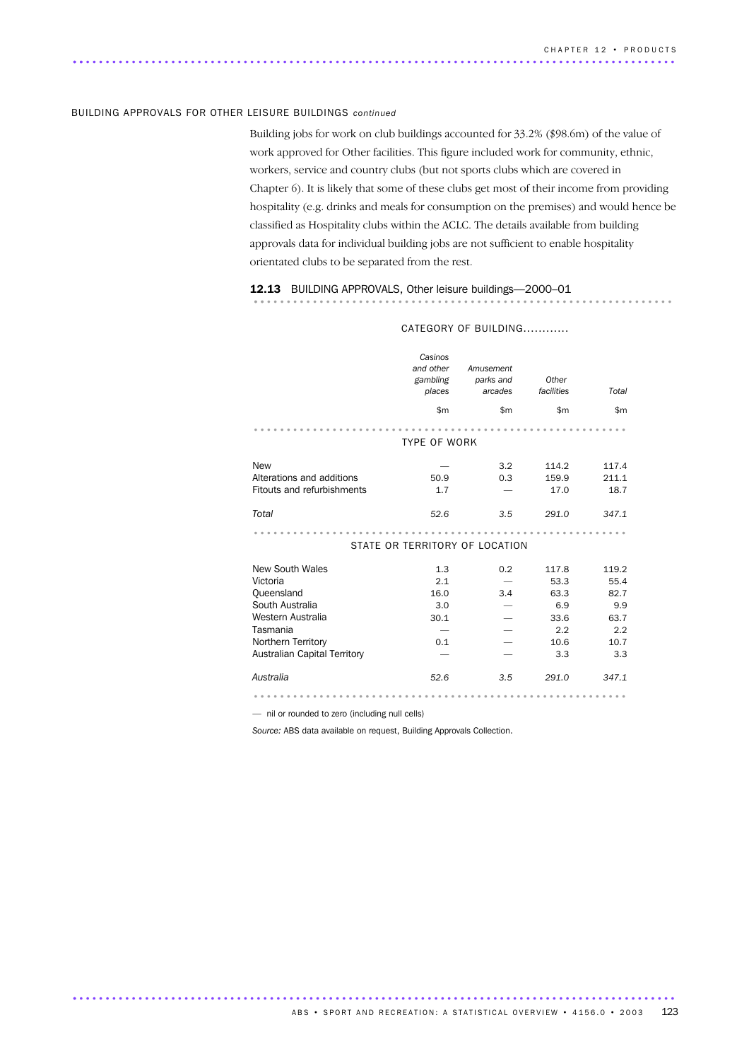## BUILDING APPROVALS FOR OTHER LEISURE BUILDINGS *continued*

............................................................................................ ..

Building jobs for work on club buildings accounted for 33.2% (\$98.6m) of the value of work approved for Other facilities. This figure included work for community, ethnic, workers, service and country clubs (but not sports clubs which are covered in Chapter 6). It is likely that some of these clubs get most of their income from providing hospitality (e.g. drinks and meals for consumption on the premises) and would hence be classified as Hospitality clubs within the ACLC. The details available from building approvals data for individual building jobs are not sufficient to enable hospitality orientated clubs to be separated from the rest.

# 12.13 BUILDING APPROVALS, Other leisure buildings—2000–01 ................................................................ ..

|                                     | Casinos<br>and other<br>gambling<br>places | Amusement<br>parks and<br>arcades | Other<br>facilities | Total        |
|-------------------------------------|--------------------------------------------|-----------------------------------|---------------------|--------------|
|                                     | \$m                                        | \$m\$                             | \$m\$               | $\mathsf{m}$ |
|                                     |                                            |                                   |                     |              |
|                                     | <b>TYPE OF WORK</b>                        |                                   |                     |              |
| <b>New</b>                          |                                            | 3.2                               | 114.2               | 117.4        |
| Alterations and additions           | 50.9                                       | 0.3                               | 159.9               | 211.1        |
| Fitouts and refurbishments          | 1.7                                        |                                   | 17.0                | 18.7         |
| Total                               | 52.6                                       | 3.5                               | 291.0               | 347.1        |
|                                     |                                            |                                   |                     |              |
|                                     |                                            | STATE OR TERRITORY OF LOCATION    |                     |              |
| <b>New South Wales</b>              | 1.3                                        | 0.2                               | 117.8               | 119.2        |
| Victoria                            | 2.1                                        |                                   | 53.3                | 55.4         |
| Queensland                          | 16.0                                       | 3.4                               | 63.3                | 82.7         |
| South Australia                     | 3.0                                        |                                   | 6.9                 | 9.9          |
| Western Australia                   | 30.1                                       |                                   | 33.6                | 63.7         |
| Tasmania                            |                                            |                                   | 2.2                 | 2.2          |
| Northern Territory                  | 0.1                                        |                                   | 10.6                | 10.7         |
| <b>Australian Capital Territory</b> |                                            |                                   | 3.3                 | 3.3          |
| Australia                           | 52.6                                       | 3.5                               | 291.0               | 347.1        |
|                                     |                                            |                                   |                     |              |

— nil or rounded to zero (including null cells)

*Source:* ABS data available on request, Building Approvals Collection.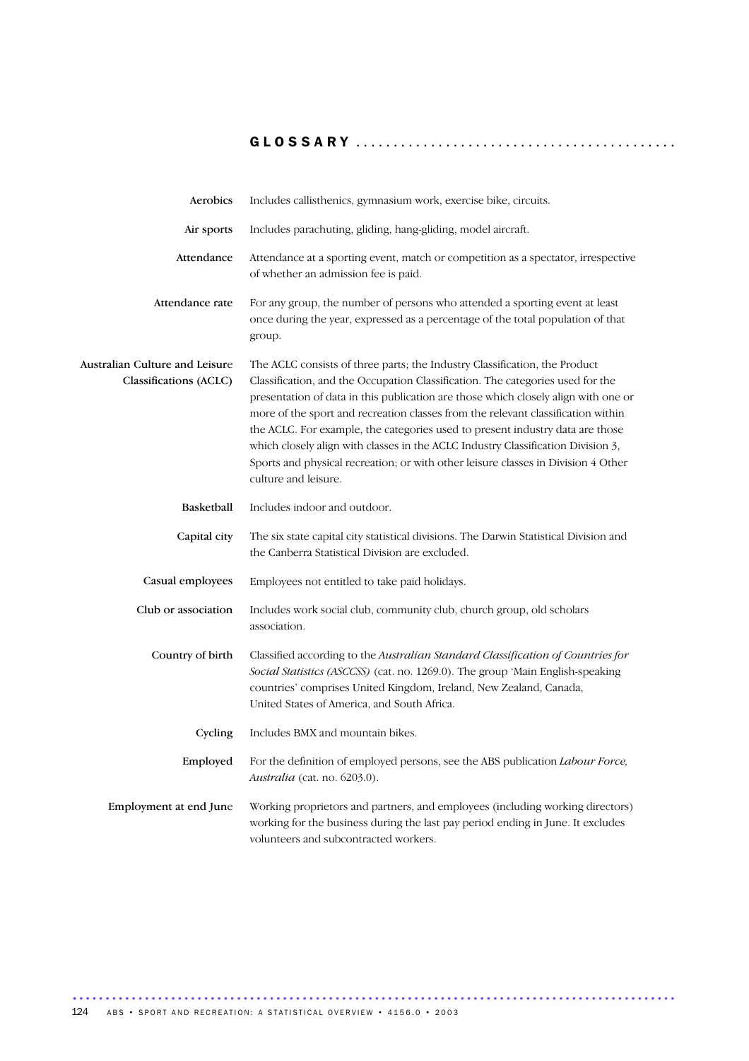| Aerobics                                                 | Includes callisthenics, gymnasium work, exercise bike, circuits.                                                                                                                                                                                                                                                                                                                                                                                                                                                                                                                                                         |
|----------------------------------------------------------|--------------------------------------------------------------------------------------------------------------------------------------------------------------------------------------------------------------------------------------------------------------------------------------------------------------------------------------------------------------------------------------------------------------------------------------------------------------------------------------------------------------------------------------------------------------------------------------------------------------------------|
| Air sports                                               | Includes parachuting, gliding, hang-gliding, model aircraft.                                                                                                                                                                                                                                                                                                                                                                                                                                                                                                                                                             |
| Attendance                                               | Attendance at a sporting event, match or competition as a spectator, irrespective<br>of whether an admission fee is paid.                                                                                                                                                                                                                                                                                                                                                                                                                                                                                                |
| Attendance rate                                          | For any group, the number of persons who attended a sporting event at least<br>once during the year, expressed as a percentage of the total population of that<br>group.                                                                                                                                                                                                                                                                                                                                                                                                                                                 |
| Australian Culture and Leisure<br>Classifications (ACLC) | The ACLC consists of three parts; the Industry Classification, the Product<br>Classification, and the Occupation Classification. The categories used for the<br>presentation of data in this publication are those which closely align with one or<br>more of the sport and recreation classes from the relevant classification within<br>the ACLC. For example, the categories used to present industry data are those<br>which closely align with classes in the ACLC Industry Classification Division 3,<br>Sports and physical recreation; or with other leisure classes in Division 4 Other<br>culture and leisure. |
| Basketball                                               | Includes indoor and outdoor.                                                                                                                                                                                                                                                                                                                                                                                                                                                                                                                                                                                             |
| Capital city                                             | The six state capital city statistical divisions. The Darwin Statistical Division and<br>the Canberra Statistical Division are excluded.                                                                                                                                                                                                                                                                                                                                                                                                                                                                                 |
| Casual employees                                         | Employees not entitled to take paid holidays.                                                                                                                                                                                                                                                                                                                                                                                                                                                                                                                                                                            |
| Club or association                                      | Includes work social club, community club, church group, old scholars<br>association.                                                                                                                                                                                                                                                                                                                                                                                                                                                                                                                                    |
| Country of birth                                         | Classified according to the Australian Standard Classification of Countries for<br>Social Statistics (ASCCSS) (cat. no. 1269.0). The group 'Main English-speaking<br>countries' comprises United Kingdom, Ireland, New Zealand, Canada,<br>United States of America, and South Africa.                                                                                                                                                                                                                                                                                                                                   |
| Cycling                                                  | Includes BMX and mountain bikes.                                                                                                                                                                                                                                                                                                                                                                                                                                                                                                                                                                                         |
| Employed                                                 | For the definition of employed persons, see the ABS publication <i>Labour Force</i> ,<br>Australia (cat. no. 6203.0).                                                                                                                                                                                                                                                                                                                                                                                                                                                                                                    |
| Employment at end June                                   | Working proprietors and partners, and employees (including working directors)<br>working for the business during the last pay period ending in June. It excludes<br>volunteers and subcontracted workers.                                                                                                                                                                                                                                                                                                                                                                                                                |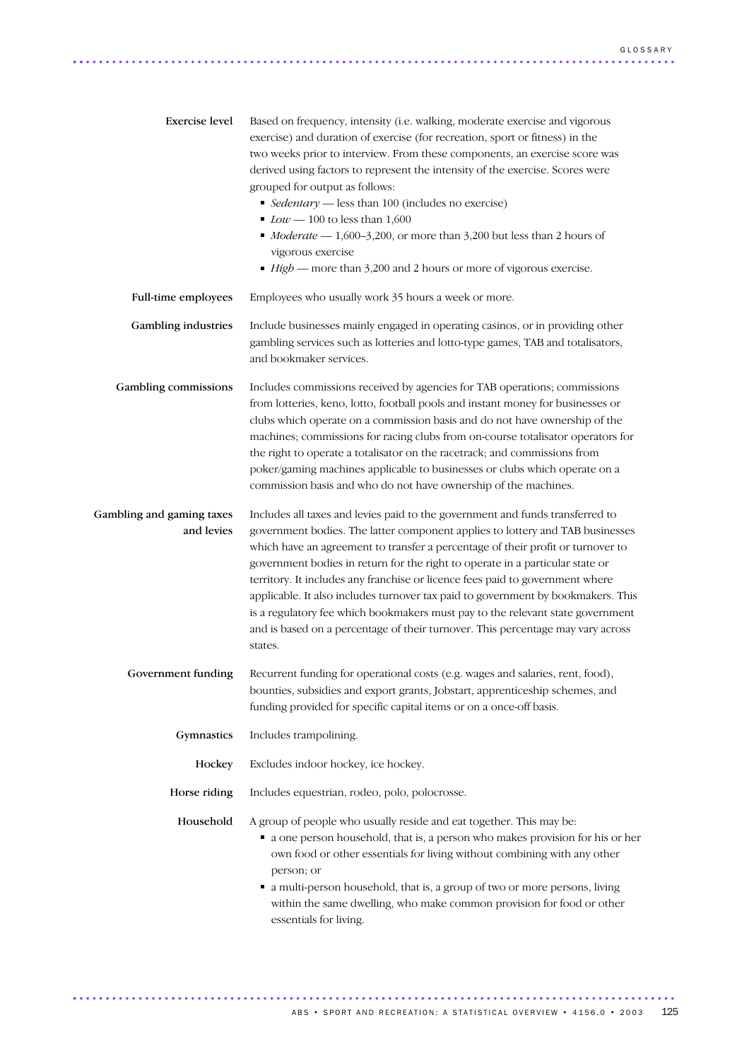| <b>Exercise</b> level                   | Based on frequency, intensity (i.e. walking, moderate exercise and vigorous<br>exercise) and duration of exercise (for recreation, sport or fitness) in the<br>two weeks prior to interview. From these components, an exercise score was<br>derived using factors to represent the intensity of the exercise. Scores were<br>grouped for output as follows:<br>Gedentary - less than 100 (includes no exercise)<br>$\blacksquare$ Low — 100 to less than 1,600<br>$\blacksquare$ Moderate $-1,600-3,200$ , or more than 3,200 but less than 2 hours of<br>vigorous exercise<br>High - more than 3,200 and 2 hours or more of vigorous exercise.                                        |
|-----------------------------------------|-----------------------------------------------------------------------------------------------------------------------------------------------------------------------------------------------------------------------------------------------------------------------------------------------------------------------------------------------------------------------------------------------------------------------------------------------------------------------------------------------------------------------------------------------------------------------------------------------------------------------------------------------------------------------------------------|
| Full-time employees                     | Employees who usually work 35 hours a week or more.                                                                                                                                                                                                                                                                                                                                                                                                                                                                                                                                                                                                                                     |
| Gambling industries                     | Include businesses mainly engaged in operating casinos, or in providing other<br>gambling services such as lotteries and lotto-type games, TAB and totalisators,<br>and bookmaker services.                                                                                                                                                                                                                                                                                                                                                                                                                                                                                             |
| Gambling commissions                    | Includes commissions received by agencies for TAB operations; commissions<br>from lotteries, keno, lotto, football pools and instant money for businesses or<br>clubs which operate on a commission basis and do not have ownership of the<br>machines; commissions for racing clubs from on-course totalisator operators for<br>the right to operate a totalisator on the racetrack; and commissions from<br>poker/gaming machines applicable to businesses or clubs which operate on a<br>commission basis and who do not have ownership of the machines.                                                                                                                             |
| Gambling and gaming taxes<br>and levies | Includes all taxes and levies paid to the government and funds transferred to<br>government bodies. The latter component applies to lottery and TAB businesses<br>which have an agreement to transfer a percentage of their profit or turnover to<br>government bodies in return for the right to operate in a particular state or<br>territory. It includes any franchise or licence fees paid to government where<br>applicable. It also includes turnover tax paid to government by bookmakers. This<br>is a regulatory fee which bookmakers must pay to the relevant state government<br>and is based on a percentage of their turnover. This percentage may vary across<br>states. |
| Government funding                      | Recurrent funding for operational costs (e.g. wages and salaries, rent. food).<br>bounties, subsidies and export grants, Jobstart, apprenticeship schemes, and<br>funding provided for specific capital items or on a once-off basis.                                                                                                                                                                                                                                                                                                                                                                                                                                                   |
| Gymnastics                              | Includes trampolining.                                                                                                                                                                                                                                                                                                                                                                                                                                                                                                                                                                                                                                                                  |
| Hockey                                  | Excludes indoor hockey, ice hockey.                                                                                                                                                                                                                                                                                                                                                                                                                                                                                                                                                                                                                                                     |
| Horse riding                            | Includes equestrian, rodeo, polo, polocrosse.                                                                                                                                                                                                                                                                                                                                                                                                                                                                                                                                                                                                                                           |
| Household                               | A group of people who usually reside and eat together. This may be:<br>• a one person household, that is, a person who makes provision for his or her<br>own food or other essentials for living without combining with any other<br>person; or<br>• a multi-person household, that is, a group of two or more persons, living<br>within the same dwelling, who make common provision for food or other<br>essentials for living.                                                                                                                                                                                                                                                       |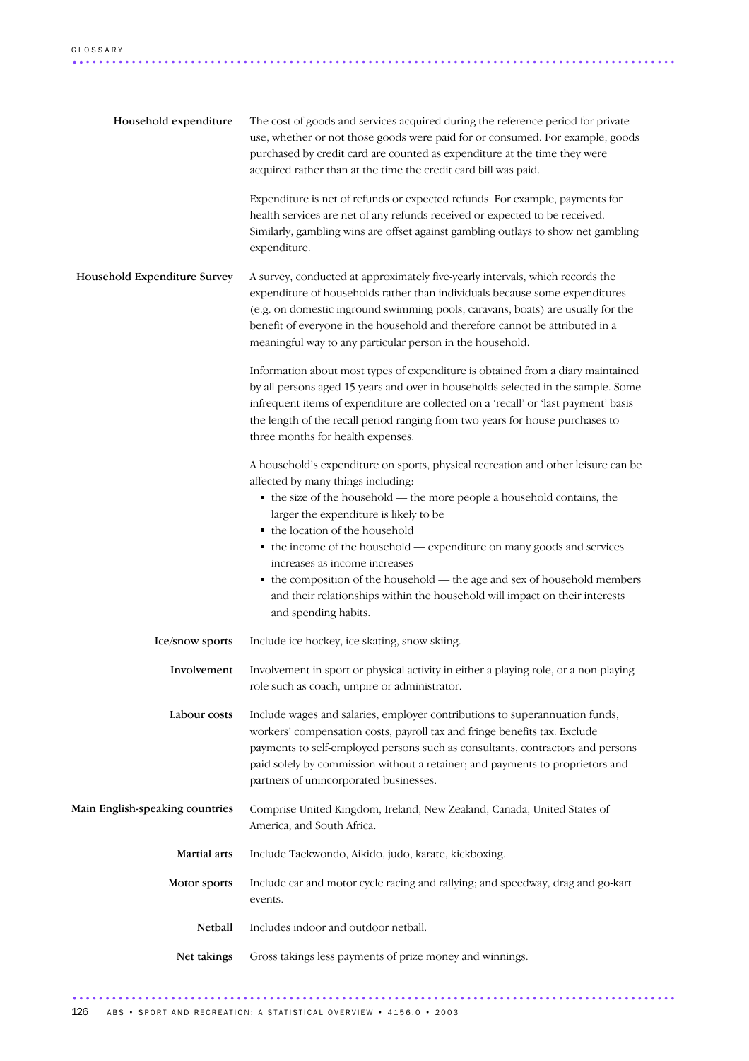| Household expenditure           | The cost of goods and services acquired during the reference period for private<br>use, whether or not those goods were paid for or consumed. For example, goods<br>purchased by credit card are counted as expenditure at the time they were<br>acquired rather than at the time the credit card bill was paid.                                                                                                                                                                                                                                                               |
|---------------------------------|--------------------------------------------------------------------------------------------------------------------------------------------------------------------------------------------------------------------------------------------------------------------------------------------------------------------------------------------------------------------------------------------------------------------------------------------------------------------------------------------------------------------------------------------------------------------------------|
|                                 | Expenditure is net of refunds or expected refunds. For example, payments for<br>health services are net of any refunds received or expected to be received.<br>Similarly, gambling wins are offset against gambling outlays to show net gambling<br>expenditure.                                                                                                                                                                                                                                                                                                               |
| Household Expenditure Survey    | A survey, conducted at approximately five-yearly intervals, which records the<br>expenditure of households rather than individuals because some expenditures<br>(e.g. on domestic inground swimming pools, caravans, boats) are usually for the<br>benefit of everyone in the household and therefore cannot be attributed in a<br>meaningful way to any particular person in the household.                                                                                                                                                                                   |
|                                 | Information about most types of expenditure is obtained from a diary maintained<br>by all persons aged 15 years and over in households selected in the sample. Some<br>infrequent items of expenditure are collected on a 'recall' or 'last payment' basis<br>the length of the recall period ranging from two years for house purchases to<br>three months for health expenses.                                                                                                                                                                                               |
|                                 | A household's expenditure on sports, physical recreation and other leisure can be<br>affected by many things including:<br>• the size of the household - the more people a household contains, the<br>larger the expenditure is likely to be<br>• the location of the household<br>• the income of the household — expenditure on many goods and services<br>increases as income increases<br>• the composition of the household - the age and sex of household members<br>and their relationships within the household will impact on their interests<br>and spending habits. |
| Ice/snow sports                 | Include ice hockey, ice skating, snow skiing.                                                                                                                                                                                                                                                                                                                                                                                                                                                                                                                                  |
| Involvement                     | Involvement in sport or physical activity in either a playing role, or a non-playing<br>role such as coach, umpire or administrator.                                                                                                                                                                                                                                                                                                                                                                                                                                           |
| Labour costs                    | Include wages and salaries, employer contributions to superannuation funds,<br>workers' compensation costs, payroll tax and fringe benefits tax. Exclude<br>payments to self-employed persons such as consultants, contractors and persons<br>paid solely by commission without a retainer; and payments to proprietors and<br>partners of unincorporated businesses.                                                                                                                                                                                                          |
| Main English-speaking countries | Comprise United Kingdom, Ireland, New Zealand, Canada, United States of<br>America, and South Africa.                                                                                                                                                                                                                                                                                                                                                                                                                                                                          |
| Martial arts                    | Include Taekwondo, Aikido, judo, karate, kickboxing.                                                                                                                                                                                                                                                                                                                                                                                                                                                                                                                           |
| Motor sports                    | Include car and motor cycle racing and rallying; and speedway, drag and go-kart<br>events.                                                                                                                                                                                                                                                                                                                                                                                                                                                                                     |
| Netball                         | Includes indoor and outdoor netball.                                                                                                                                                                                                                                                                                                                                                                                                                                                                                                                                           |
| Net takings                     | Gross takings less payments of prize money and winnings.                                                                                                                                                                                                                                                                                                                                                                                                                                                                                                                       |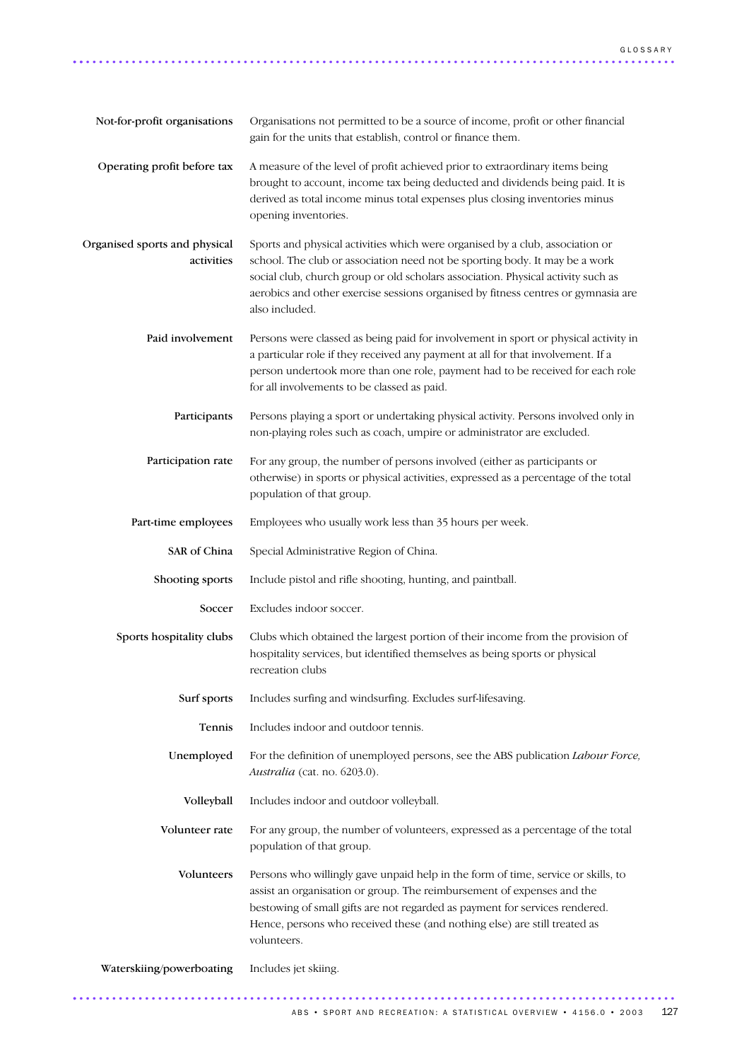| Not-for-profit organisations                | Organisations not permitted to be a source of income, profit or other financial<br>gain for the units that establish, control or finance them.                                                                                                                                                                                                          |
|---------------------------------------------|---------------------------------------------------------------------------------------------------------------------------------------------------------------------------------------------------------------------------------------------------------------------------------------------------------------------------------------------------------|
| Operating profit before tax                 | A measure of the level of profit achieved prior to extraordinary items being<br>brought to account, income tax being deducted and dividends being paid. It is<br>derived as total income minus total expenses plus closing inventories minus<br>opening inventories.                                                                                    |
| Organised sports and physical<br>activities | Sports and physical activities which were organised by a club, association or<br>school. The club or association need not be sporting body. It may be a work<br>social club, church group or old scholars association. Physical activity such as<br>aerobics and other exercise sessions organised by fitness centres or gymnasia are<br>also included. |
| Paid involvement                            | Persons were classed as being paid for involvement in sport or physical activity in<br>a particular role if they received any payment at all for that involvement. If a<br>person undertook more than one role, payment had to be received for each role<br>for all involvements to be classed as paid.                                                 |
| Participants                                | Persons playing a sport or undertaking physical activity. Persons involved only in<br>non-playing roles such as coach, umpire or administrator are excluded.                                                                                                                                                                                            |
| Participation rate                          | For any group, the number of persons involved (either as participants or<br>otherwise) in sports or physical activities, expressed as a percentage of the total<br>population of that group.                                                                                                                                                            |
| Part-time employees                         | Employees who usually work less than 35 hours per week.                                                                                                                                                                                                                                                                                                 |
| SAR of China                                | Special Administrative Region of China.                                                                                                                                                                                                                                                                                                                 |
| Shooting sports                             | Include pistol and rifle shooting, hunting, and paintball.                                                                                                                                                                                                                                                                                              |
| Soccer                                      | Excludes indoor soccer.                                                                                                                                                                                                                                                                                                                                 |
| Sports hospitality clubs                    | Clubs which obtained the largest portion of their income from the provision of<br>hospitality services, but identified themselves as being sports or physical<br>recreation clubs                                                                                                                                                                       |
| Surf sports                                 | Includes surfing and windsurfing. Excludes surf-lifesaving.                                                                                                                                                                                                                                                                                             |
| Tennis                                      | Includes indoor and outdoor tennis.                                                                                                                                                                                                                                                                                                                     |
| Unemployed                                  | For the definition of unemployed persons, see the ABS publication Labour Force,<br>Australia (cat. no. 6203.0).                                                                                                                                                                                                                                         |
| Volleyball                                  | Includes indoor and outdoor volleyball.                                                                                                                                                                                                                                                                                                                 |
| Volunteer rate                              | For any group, the number of volunteers, expressed as a percentage of the total<br>population of that group.                                                                                                                                                                                                                                            |
| Volunteers                                  | Persons who willingly gave unpaid help in the form of time, service or skills, to<br>assist an organisation or group. The reimbursement of expenses and the<br>bestowing of small gifts are not regarded as payment for services rendered.<br>Hence, persons who received these (and nothing else) are still treated as<br>volunteers.                  |
| Waterskiing/powerboating                    | Includes jet skiing.                                                                                                                                                                                                                                                                                                                                    |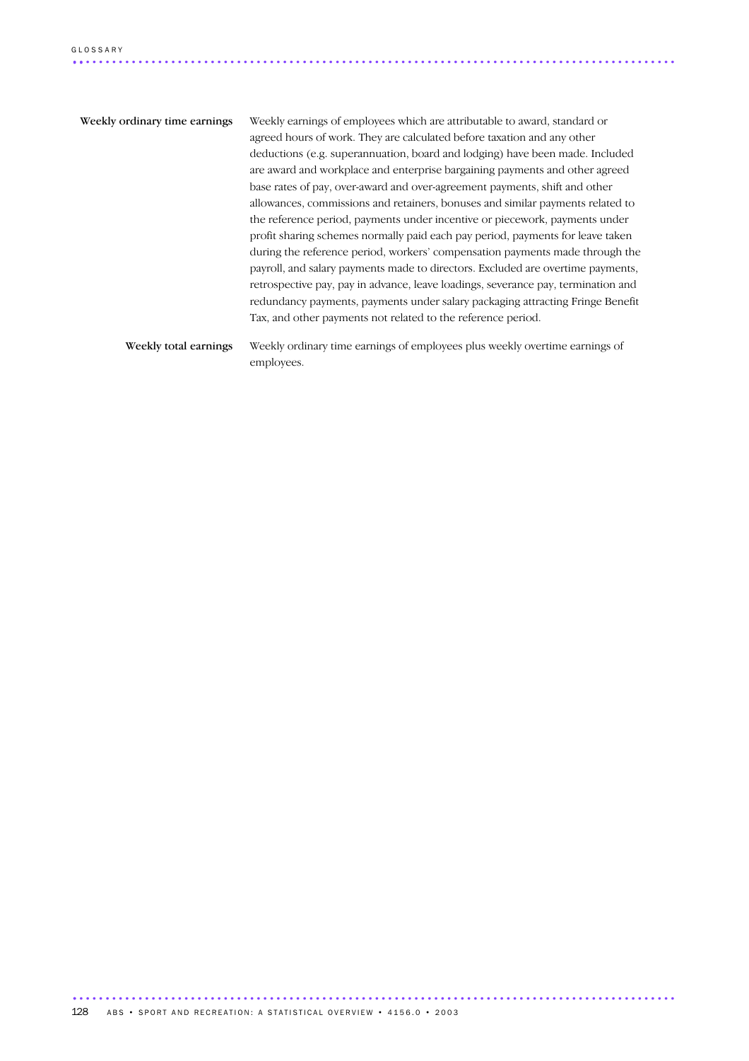Weekly ordinary time earnings Weekly earnings of employees which are attributable to award, standard or agreed hours of work. They are calculated before taxation and any other deductions (e.g. superannuation, board and lodging) have been made. Included are award and workplace and enterprise bargaining payments and other agreed base rates of pay, over-award and over-agreement payments, shift and other allowances, commissions and retainers, bonuses and similar payments related to the reference period, payments under incentive or piecework, payments under profit sharing schemes normally paid each pay period, payments for leave taken during the reference period, workers' compensation payments made through the payroll, and salary payments made to directors. Excluded are overtime payments, retrospective pay, pay in advance, leave loadings, severance pay, termination and redundancy payments, payments under salary packaging attracting Fringe Benefit Tax, and other payments not related to the reference period.

............................................................................................ ..

Weekly total earnings Weekly ordinary time earnings of employees plus weekly overtime earnings of employees.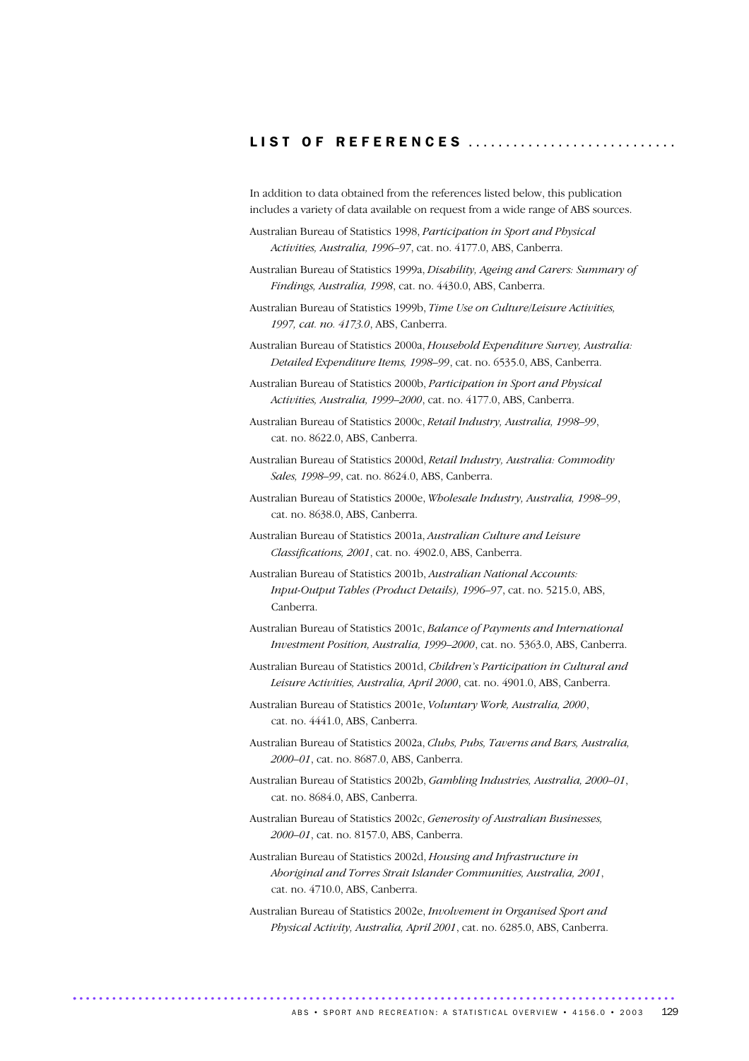In addition to data obtained from the references listed below, this publication includes a variety of data available on request from a wide range of ABS sources.

- Australian Bureau of Statistics 1998, *Participation in Sport and Physical Activities, Australia, 1996–97*, cat. no. 4177.0, ABS, Canberra.
- Australian Bureau of Statistics 1999a, *Disability, Ageing and Carers: Summary of Findings, Australia, 1998*, cat. no. 4430.0, ABS, Canberra.
- Australian Bureau of Statistics 1999b, *Time Use on Culture/Leisure Activities, 1997, cat. no. 4173.0*, ABS, Canberra.

Australian Bureau of Statistics 2000a, *Household Expenditure Survey, Australia: Detailed Expenditure Items, 1998–99*, cat. no. 6535.0, ABS, Canberra.

- Australian Bureau of Statistics 2000b, *Participation in Sport and Physical Activities, Australia, 1999–2000*, cat. no. 4177.0, ABS, Canberra.
- Australian Bureau of Statistics 2000c, *Retail Industry, Australia, 1998–99*, cat. no. 8622.0, ABS, Canberra.
- Australian Bureau of Statistics 2000d, *Retail Industry, Australia: Commodity Sales, 1998–99*, cat. no. 8624.0, ABS, Canberra.
- Australian Bureau of Statistics 2000e, *Wholesale Industry, Australia, 1998–99*, cat. no. 8638.0, ABS, Canberra.
- Australian Bureau of Statistics 2001a, *Australian Culture and Leisure Classifications, 2001*, cat. no. 4902.0, ABS, Canberra.
- Australian Bureau of Statistics 2001b, *Australian National Accounts: Input-Output Tables (Product Details), 1996–97*, cat. no. 5215.0, ABS, Canberra.
- Australian Bureau of Statistics 2001c, *Balance of Payments and International Investment Position, Australia, 1999–2000*, cat. no. 5363.0, ABS, Canberra.
- Australian Bureau of Statistics 2001d, *Children's Participation in Cultural and Leisure Activities, Australia, April 2000*, cat. no. 4901.0, ABS, Canberra.
- Australian Bureau of Statistics 2001e, *Voluntary Work, Australia, 2000*, cat. no. 4441.0, ABS, Canberra.
- Australian Bureau of Statistics 2002a, *Clubs, Pubs, Taverns and Bars, Australia, 2000–01*, cat. no. 8687.0, ABS, Canberra.
- Australian Bureau of Statistics 2002b, *Gambling Industries, Australia, 2000–01*, cat. no. 8684.0, ABS, Canberra.
- Australian Bureau of Statistics 2002c, *Generosity of Australian Businesses, 2000–01*, cat. no. 8157.0, ABS, Canberra.
- Australian Bureau of Statistics 2002d, *Housing and Infrastructure in Aboriginal and Torres Strait Islander Communities, Australia, 2001*, cat. no. 4710.0, ABS, Canberra.
- Australian Bureau of Statistics 2002e, *Involvement in Organised Sport and Physical Activity, Australia, April 2001*, cat. no. 6285.0, ABS, Canberra.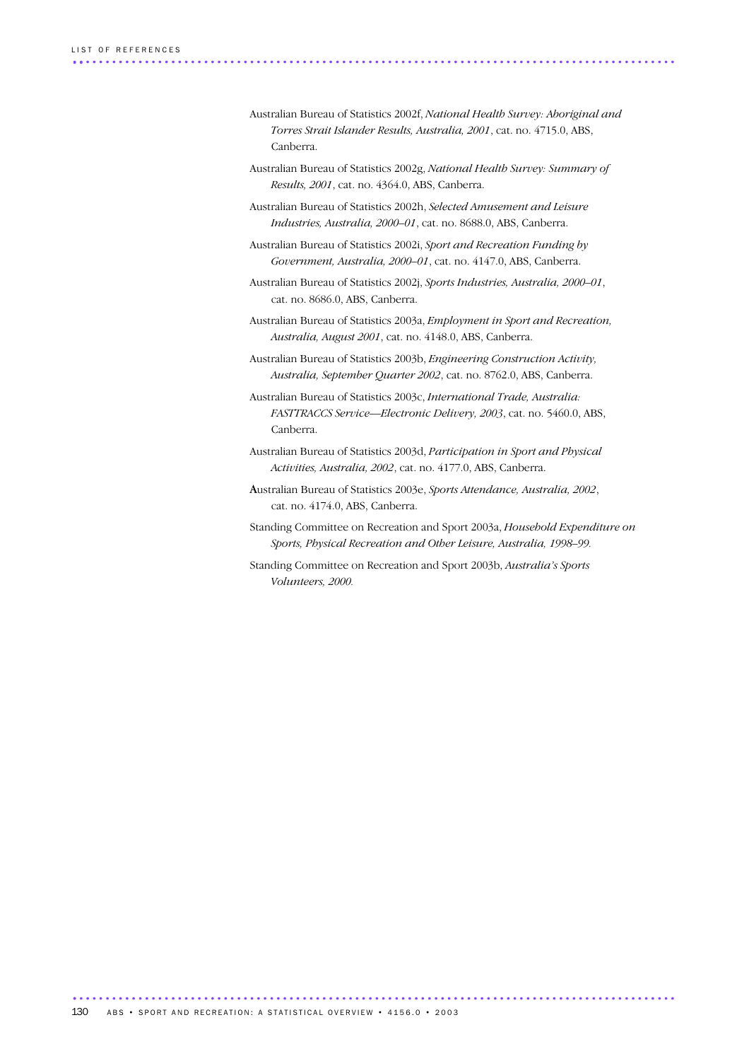- Australian Bureau of Statistics 2002f, *National Health Survey: Aboriginal and Torres Strait Islander Results, Australia, 2001*, cat. no. 4715.0, ABS, Canberra.
- Australian Bureau of Statistics 2002g, *National Health Survey: Summary of Results, 2001*, cat. no. 4364.0, ABS, Canberra.
- Australian Bureau of Statistics 2002h, *Selected Amusement and Leisure Industries, Australia, 2000–01*, cat. no. 8688.0, ABS, Canberra.
- Australian Bureau of Statistics 2002i, *Sport and Recreation Funding by Government, Australia, 2000–01*, cat. no. 4147.0, ABS, Canberra.
- Australian Bureau of Statistics 2002j, *Sports Industries, Australia, 2000–01*, cat. no. 8686.0, ABS, Canberra.
- Australian Bureau of Statistics 2003a, *Employment in Sport and Recreation, Australia, August 2001*, cat. no. 4148.0, ABS, Canberra.
- Australian Bureau of Statistics 2003b, *Engineering Construction Activity, Australia, September Quarter 2002*, cat. no. 8762.0, ABS, Canberra.
- Australian Bureau of Statistics 2003c, *International Trade, Australia: FASTTRACCS Service—Electronic Delivery, 2003*, cat. no. 5460.0, ABS, Canberra.
- Australian Bureau of Statistics 2003d, *Participation in Sport and Physical Activities, Australia, 2002*, cat. no. 4177.0, ABS, Canberra.
- Australian Bureau of Statistics 2003e, *Sports Attendance, Australia, 2002*, cat. no. 4174.0, ABS, Canberra.
- Standing Committee on Recreation and Sport 2003a, *Household Expenditure on Sports, Physical Recreation and Other Leisure, Australia, 1998–99.*
- Standing Committee on Recreation and Sport 2003b, *Australia's Sports Volunteers, 2000.*